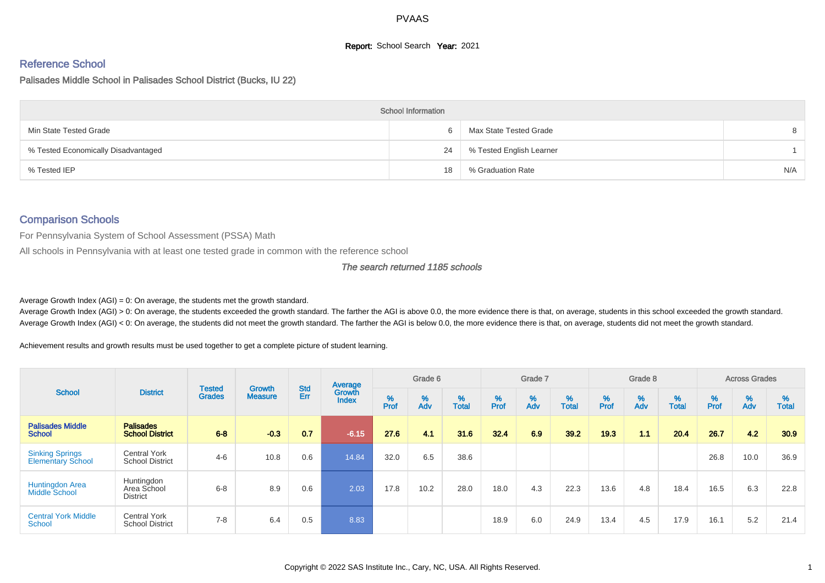## **Report:** School Search **Year:** 2021

## Reference School

Palisades Middle School in Palisades School District (Bucks, IU 22)

|                                     | <b>School Information</b> |                          |     |
|-------------------------------------|---------------------------|--------------------------|-----|
| Min State Tested Grade              | <sub>6</sub>              | Max State Tested Grade   |     |
| % Tested Economically Disadvantaged | 24                        | % Tested English Learner |     |
| % Tested IEP                        | 18                        | % Graduation Rate        | N/A |

# Comparison Schools

For Pennsylvania System of School Assessment (PSSA) Math

All schools in Pennsylvania with at least one tested grade in common with the reference school

#### The search returned 1185 schools

Average Growth Index  $(AGI) = 0$ : On average, the students met the growth standard.

Average Growth Index (AGI) > 0: On average, the students exceeded the growth standard. The farther the AGI is above 0.0, the more evidence there is that, on average, students in this school exceeded the growth standard. Average Growth Index (AGI) < 0: On average, the students did not meet the growth standard. The farther the AGI is below 0.0, the more evidence there is that, on average, students did not meet the growth standard.

Achievement results and growth results must be used together to get a complete picture of student learning.

| <b>School</b>                                      |                                               |                                |                                 | <b>Std</b> | Average                |           | Grade 6  |                   |           | Grade 7  |                   |          | Grade 8  |                   |           | <b>Across Grades</b> |                   |
|----------------------------------------------------|-----------------------------------------------|--------------------------------|---------------------------------|------------|------------------------|-----------|----------|-------------------|-----------|----------|-------------------|----------|----------|-------------------|-----------|----------------------|-------------------|
|                                                    | <b>District</b>                               | <b>Tested</b><br><b>Grades</b> | <b>Growth</b><br><b>Measure</b> | Err        | Growth<br><b>Index</b> | %<br>Prof | %<br>Adv | %<br><b>Total</b> | %<br>Prof | %<br>Adv | %<br><b>Total</b> | $%$ Prof | %<br>Adv | %<br><b>Total</b> | %<br>Prof | %<br>Adv             | %<br><b>Total</b> |
| <b>Palisades Middle</b><br><b>School</b>           | <b>Palisades</b><br><b>School District</b>    | $6 - 8$                        | $-0.3$                          | 0.7        | $-6.15$                | 27.6      | 4.1      | 31.6              | 32.4      | 6.9      | 39.2              | 19.3     | 1.1      | 20.4              | 26.7      | 42                   | 30.9              |
| <b>Sinking Springs</b><br><b>Elementary School</b> | <b>Central York</b><br><b>School District</b> | $4 - 6$                        | 10.8                            | 0.6        | 14.84                  | 32.0      | 6.5      | 38.6              |           |          |                   |          |          |                   | 26.8      | 10.0                 | 36.9              |
| <b>Huntingdon Area</b><br><b>Middle School</b>     | Huntingdon<br>Area School<br><b>District</b>  | $6 - 8$                        | 8.9                             | 0.6        | 2.03                   | 17.8      | 10.2     | 28.0              | 18.0      | 4.3      | 22.3              | 13.6     | 4.8      | 18.4              | 16.5      | 6.3                  | 22.8              |
| <b>Central York Middle</b><br>School               | <b>Central York</b><br><b>School District</b> | $7 - 8$                        | 6.4                             | 0.5        | 8.83                   |           |          |                   | 18.9      | 6.0      | 24.9              | 13.4     | 4.5      | 17.9              | 16.1      | 5.2                  | 21.4              |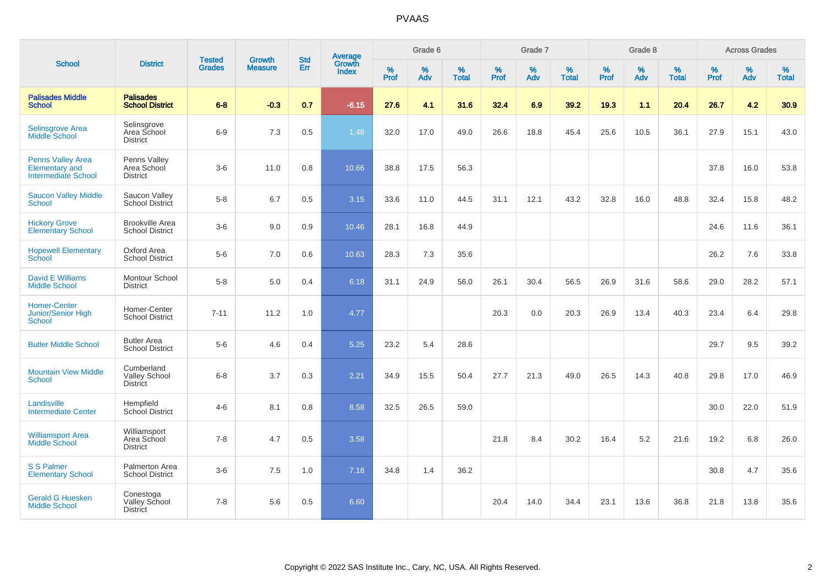|                                                                                 |                                                       |                                | <b>Growth</b>  | <b>Std</b> |                                          |                  | Grade 6  |                   |           | Grade 7  |                   |           | Grade 8     |                   |           | <b>Across Grades</b> |                   |
|---------------------------------------------------------------------------------|-------------------------------------------------------|--------------------------------|----------------|------------|------------------------------------------|------------------|----------|-------------------|-----------|----------|-------------------|-----------|-------------|-------------------|-----------|----------------------|-------------------|
| <b>School</b>                                                                   | <b>District</b>                                       | <b>Tested</b><br><b>Grades</b> | <b>Measure</b> | Err        | <b>Average</b><br>Growth<br><b>Index</b> | %<br><b>Prof</b> | %<br>Adv | %<br><b>Total</b> | %<br>Prof | %<br>Adv | %<br><b>Total</b> | %<br>Prof | $\%$<br>Adv | %<br><b>Total</b> | %<br>Prof | $\%$<br>Adv          | %<br><b>Total</b> |
| <b>Palisades Middle</b><br><b>School</b>                                        | <b>Palisades</b><br><b>School District</b>            | $6 - 8$                        | $-0.3$         | 0.7        | $-6.15$                                  | 27.6             | 4.1      | 31.6              | 32.4      | 6.9      | 39.2              | 19.3      | 1.1         | 20.4              | 26.7      | 4.2                  | 30.9              |
| <b>Selinsgrove Area</b><br><b>Middle School</b>                                 | Selinsgrove<br>Area School<br><b>District</b>         | $6-9$                          | 7.3            | 0.5        | 1.48                                     | 32.0             | 17.0     | 49.0              | 26.6      | 18.8     | 45.4              | 25.6      | 10.5        | 36.1              | 27.9      | 15.1                 | 43.0              |
| <b>Penns Valley Area</b><br><b>Elementary and</b><br><b>Intermediate School</b> | Penns Valley<br>Area School<br><b>District</b>        | $3-6$                          | 11.0           | 0.8        | 10.66                                    | 38.8             | 17.5     | 56.3              |           |          |                   |           |             |                   | 37.8      | 16.0                 | 53.8              |
| <b>Saucon Valley Middle</b><br>School                                           | Saucon Valley<br>School District                      | $5-8$                          | 6.7            | 0.5        | 3.15                                     | 33.6             | 11.0     | 44.5              | 31.1      | 12.1     | 43.2              | 32.8      | 16.0        | 48.8              | 32.4      | 15.8                 | 48.2              |
| <b>Hickory Grove</b><br><b>Elementary School</b>                                | <b>Brookville Area</b><br><b>School District</b>      | $3-6$                          | 9.0            | 0.9        | 10.46                                    | 28.1             | 16.8     | 44.9              |           |          |                   |           |             |                   | 24.6      | 11.6                 | 36.1              |
| <b>Hopewell Elementary</b><br>School                                            | Oxford Area<br><b>School District</b>                 | $5-6$                          | 7.0            | 0.6        | 10.63                                    | 28.3             | 7.3      | 35.6              |           |          |                   |           |             |                   | 26.2      | 7.6                  | 33.8              |
| <b>David E Williams</b><br><b>Middle School</b>                                 | Montour School<br><b>District</b>                     | $5-8$                          | 5.0            | 0.4        | 6.18                                     | 31.1             | 24.9     | 56.0              | 26.1      | 30.4     | 56.5              | 26.9      | 31.6        | 58.6              | 29.0      | 28.2                 | 57.1              |
| <b>Homer-Center</b><br><b>Junior/Senior High</b><br><b>School</b>               | Homer-Center<br><b>School District</b>                | $7 - 11$                       | 11.2           | 1.0        | 4.77                                     |                  |          |                   | 20.3      | 0.0      | 20.3              | 26.9      | 13.4        | 40.3              | 23.4      | 6.4                  | 29.8              |
| <b>Butler Middle School</b>                                                     | <b>Butler Area</b><br><b>School District</b>          | $5-6$                          | 4.6            | 0.4        | 5.25                                     | 23.2             | 5.4      | 28.6              |           |          |                   |           |             |                   | 29.7      | 9.5                  | 39.2              |
| <b>Mountain View Middle</b><br>School                                           | Cumberland<br><b>Valley School</b><br><b>District</b> | $6 - 8$                        | 3.7            | 0.3        | 2.21                                     | 34.9             | 15.5     | 50.4              | 27.7      | 21.3     | 49.0              | 26.5      | 14.3        | 40.8              | 29.8      | 17.0                 | 46.9              |
| Landisville<br><b>Intermediate Center</b>                                       | Hempfield<br>School District                          | $4 - 6$                        | 8.1            | 0.8        | 8.58                                     | 32.5             | 26.5     | 59.0              |           |          |                   |           |             |                   | 30.0      | 22.0                 | 51.9              |
| <b>Williamsport Area</b><br><b>Middle School</b>                                | Williamsport<br>Area School<br><b>District</b>        | $7 - 8$                        | 4.7            | 0.5        | 3.58                                     |                  |          |                   | 21.8      | 8.4      | 30.2              | 16.4      | 5.2         | 21.6              | 19.2      | 6.8                  | 26.0              |
| <b>S S Palmer</b><br><b>Elementary School</b>                                   | Palmerton Area<br><b>School District</b>              | $3-6$                          | 7.5            | 1.0        | 7.18                                     | 34.8             | 1.4      | 36.2              |           |          |                   |           |             |                   | 30.8      | 4.7                  | 35.6              |
| <b>Gerald G Huesken</b><br><b>Middle School</b>                                 | Conestoga<br>Valley School<br><b>District</b>         | $7 - 8$                        | 5.6            | 0.5        | 6.60                                     |                  |          |                   | 20.4      | 14.0     | 34.4              | 23.1      | 13.6        | 36.8              | 21.8      | 13.8                 | 35.6              |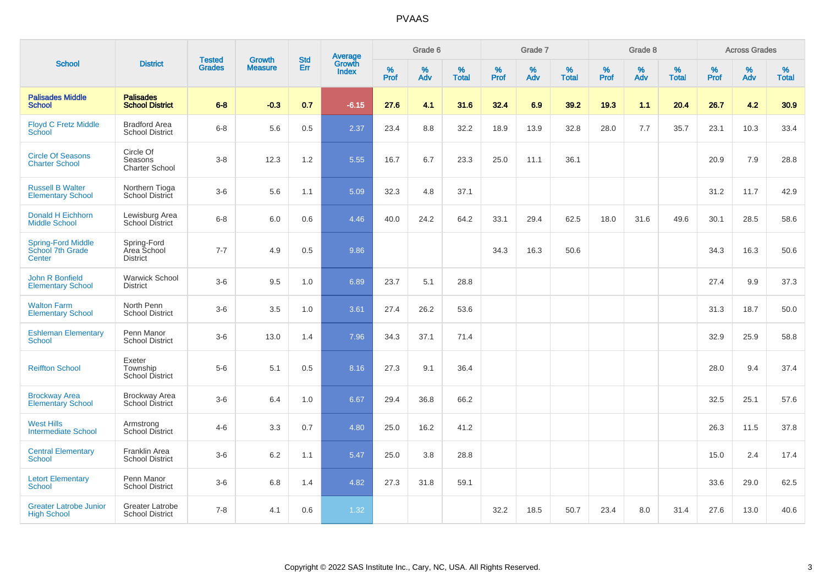|                                                         |                                                  |                                |                                 | <b>Std</b> |                                          |           | Grade 6  |                   |           | Grade 7  |                   |           | Grade 8  |                   |              | <b>Across Grades</b> |                   |
|---------------------------------------------------------|--------------------------------------------------|--------------------------------|---------------------------------|------------|------------------------------------------|-----------|----------|-------------------|-----------|----------|-------------------|-----------|----------|-------------------|--------------|----------------------|-------------------|
| <b>School</b>                                           | <b>District</b>                                  | <b>Tested</b><br><b>Grades</b> | <b>Growth</b><br><b>Measure</b> | Err        | <b>Average</b><br>Growth<br><b>Index</b> | %<br>Prof | %<br>Adv | %<br><b>Total</b> | %<br>Prof | %<br>Adv | %<br><b>Total</b> | %<br>Prof | %<br>Adv | %<br><b>Total</b> | $\%$<br>Prof | %<br>Adv             | %<br><b>Total</b> |
| <b>Palisades Middle</b><br><b>School</b>                | <b>Palisades</b><br><b>School District</b>       | $6 - 8$                        | $-0.3$                          | 0.7        | $-6.15$                                  | 27.6      | 4.1      | 31.6              | 32.4      | 6.9      | 39.2              | 19.3      | 1.1      | 20.4              | 26.7         | 4.2                  | 30.9              |
| <b>Floyd C Fretz Middle</b><br>School                   | <b>Bradford Area</b><br><b>School District</b>   | $6 - 8$                        | 5.6                             | 0.5        | 2.37                                     | 23.4      | 8.8      | 32.2              | 18.9      | 13.9     | 32.8              | 28.0      | 7.7      | 35.7              | 23.1         | 10.3                 | 33.4              |
| <b>Circle Of Seasons</b><br><b>Charter School</b>       | Circle Of<br>Seasons<br><b>Charter School</b>    | $3-8$                          | 12.3                            | 1.2        | 5.55                                     | 16.7      | 6.7      | 23.3              | 25.0      | 11.1     | 36.1              |           |          |                   | 20.9         | 7.9                  | 28.8              |
| <b>Russell B Walter</b><br><b>Elementary School</b>     | Northern Tioga<br><b>School District</b>         | $3-6$                          | 5.6                             | 1.1        | 5.09                                     | 32.3      | 4.8      | 37.1              |           |          |                   |           |          |                   | 31.2         | 11.7                 | 42.9              |
| <b>Donald H Eichhorn</b><br><b>Middle School</b>        | Lewisburg Area<br>School District                | $6 - 8$                        | 6.0                             | 0.6        | 4.46                                     | 40.0      | 24.2     | 64.2              | 33.1      | 29.4     | 62.5              | 18.0      | 31.6     | 49.6              | 30.1         | 28.5                 | 58.6              |
| <b>Spring-Ford Middle</b><br>School 7th Grade<br>Center | Spring-Ford<br>Area School<br><b>District</b>    | $7 - 7$                        | 4.9                             | 0.5        | 9.86                                     |           |          |                   | 34.3      | 16.3     | 50.6              |           |          |                   | 34.3         | 16.3                 | 50.6              |
| John R Bonfield<br><b>Elementary School</b>             | <b>Warwick School</b><br><b>District</b>         | $3-6$                          | 9.5                             | 1.0        | 6.89                                     | 23.7      | 5.1      | 28.8              |           |          |                   |           |          |                   | 27.4         | 9.9                  | 37.3              |
| <b>Walton Farm</b><br><b>Elementary School</b>          | North Penn<br><b>School District</b>             | $3-6$                          | 3.5                             | 1.0        | 3.61                                     | 27.4      | 26.2     | 53.6              |           |          |                   |           |          |                   | 31.3         | 18.7                 | 50.0              |
| <b>Eshleman Elementary</b><br>School                    | Penn Manor<br><b>School District</b>             | $3-6$                          | 13.0                            | 1.4        | 7.96                                     | 34.3      | 37.1     | 71.4              |           |          |                   |           |          |                   | 32.9         | 25.9                 | 58.8              |
| <b>Reiffton School</b>                                  | Exeter<br>Township<br>School District            | $5-6$                          | 5.1                             | 0.5        | 8.16                                     | 27.3      | 9.1      | 36.4              |           |          |                   |           |          |                   | 28.0         | 9.4                  | 37.4              |
| <b>Brockway Area</b><br><b>Elementary School</b>        | <b>Brockway Area</b><br><b>School District</b>   | $3-6$                          | 6.4                             | 1.0        | 6.67                                     | 29.4      | 36.8     | 66.2              |           |          |                   |           |          |                   | 32.5         | 25.1                 | 57.6              |
| <b>West Hills</b><br><b>Intermediate School</b>         | Armstrong<br><b>School District</b>              | $4 - 6$                        | 3.3                             | 0.7        | 4.80                                     | 25.0      | 16.2     | 41.2              |           |          |                   |           |          |                   | 26.3         | 11.5                 | 37.8              |
| <b>Central Elementary</b><br><b>School</b>              | Franklin Area<br><b>School District</b>          | $3-6$                          | 6.2                             | 1.1        | 5.47                                     | 25.0      | 3.8      | 28.8              |           |          |                   |           |          |                   | 15.0         | 2.4                  | 17.4              |
| <b>Letort Elementary</b><br><b>School</b>               | Penn Manor<br><b>School District</b>             | $3-6$                          | 6.8                             | 1.4        | 4.82                                     | 27.3      | 31.8     | 59.1              |           |          |                   |           |          |                   | 33.6         | 29.0                 | 62.5              |
| <b>Greater Latrobe Junior</b><br><b>High School</b>     | <b>Greater Latrobe</b><br><b>School District</b> | $7 - 8$                        | 4.1                             | 0.6        | 1.32                                     |           |          |                   | 32.2      | 18.5     | 50.7              | 23.4      | 8.0      | 31.4              | 27.6         | 13.0                 | 40.6              |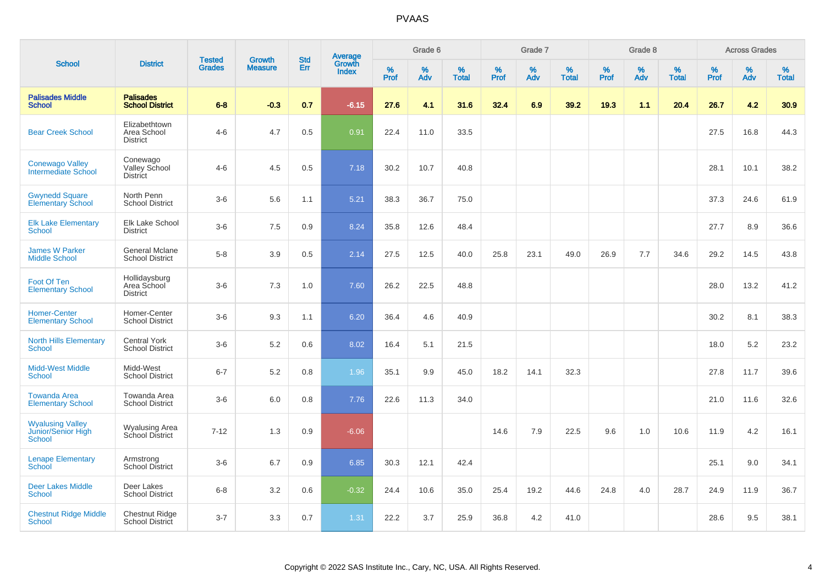|                                                         |                                                 |                                | <b>Growth</b>  | <b>Std</b> |                                          |                  | Grade 6     |                   |                  | Grade 7     |                   |           | Grade 8  |                   |                  | <b>Across Grades</b> |                   |
|---------------------------------------------------------|-------------------------------------------------|--------------------------------|----------------|------------|------------------------------------------|------------------|-------------|-------------------|------------------|-------------|-------------------|-----------|----------|-------------------|------------------|----------------------|-------------------|
| <b>School</b>                                           | <b>District</b>                                 | <b>Tested</b><br><b>Grades</b> | <b>Measure</b> | Err        | <b>Average</b><br>Growth<br><b>Index</b> | %<br><b>Prof</b> | $\%$<br>Adv | %<br><b>Total</b> | %<br><b>Prof</b> | $\%$<br>Adv | %<br><b>Total</b> | %<br>Prof | %<br>Adv | %<br><b>Total</b> | %<br><b>Prof</b> | $\%$<br>Adv          | %<br><b>Total</b> |
| <b>Palisades Middle</b><br><b>School</b>                | <b>Palisades</b><br><b>School District</b>      | $6 - 8$                        | $-0.3$         | 0.7        | $-6.15$                                  | 27.6             | 4.1         | 31.6              | 32.4             | 6.9         | 39.2              | 19.3      | 1.1      | 20.4              | 26.7             | 4.2                  | 30.9 <sub>°</sub> |
| <b>Bear Creek School</b>                                | Elizabethtown<br>Area School<br><b>District</b> | $4 - 6$                        | 4.7            | 0.5        | 0.91                                     | 22.4             | 11.0        | 33.5              |                  |             |                   |           |          |                   | 27.5             | 16.8                 | 44.3              |
| <b>Conewago Valley</b><br>Intermediate School           | Conewago<br>Valley School<br><b>District</b>    | $4-6$                          | 4.5            | 0.5        | 7.18                                     | 30.2             | 10.7        | 40.8              |                  |             |                   |           |          |                   | 28.1             | 10.1                 | 38.2              |
| <b>Gwynedd Square</b><br><b>Elementary School</b>       | North Penn<br><b>School District</b>            | $3-6$                          | 5.6            | 1.1        | 5.21                                     | 38.3             | 36.7        | 75.0              |                  |             |                   |           |          |                   | 37.3             | 24.6                 | 61.9              |
| <b>Elk Lake Elementary</b><br><b>School</b>             | Elk Lake School<br><b>District</b>              | $3-6$                          | 7.5            | 0.9        | 8.24                                     | 35.8             | 12.6        | 48.4              |                  |             |                   |           |          |                   | 27.7             | 8.9                  | 36.6              |
| <b>James W Parker</b><br><b>Middle School</b>           | <b>General Mclane</b><br><b>School District</b> | $5 - 8$                        | 3.9            | 0.5        | 2.14                                     | 27.5             | 12.5        | 40.0              | 25.8             | 23.1        | 49.0              | 26.9      | 7.7      | 34.6              | 29.2             | 14.5                 | 43.8              |
| Foot Of Ten<br><b>Elementary School</b>                 | Hollidaysburg<br>Area School<br><b>District</b> | $3-6$                          | 7.3            | 1.0        | 7.60                                     | 26.2             | 22.5        | 48.8              |                  |             |                   |           |          |                   | 28.0             | 13.2                 | 41.2              |
| <b>Homer-Center</b><br><b>Elementary School</b>         | Homer-Center<br><b>School District</b>          | $3-6$                          | 9.3            | 1.1        | 6.20                                     | 36.4             | 4.6         | 40.9              |                  |             |                   |           |          |                   | 30.2             | 8.1                  | 38.3              |
| <b>North Hills Elementary</b><br><b>School</b>          | <b>Central York</b><br><b>School District</b>   | $3-6$                          | 5.2            | 0.6        | 8.02                                     | 16.4             | 5.1         | 21.5              |                  |             |                   |           |          |                   | 18.0             | 5.2                  | 23.2              |
| <b>Midd-West Middle</b><br><b>School</b>                | Midd-West<br><b>School District</b>             | $6 - 7$                        | 5.2            | 0.8        | 1.96                                     | 35.1             | 9.9         | 45.0              | 18.2             | 14.1        | 32.3              |           |          |                   | 27.8             | 11.7                 | 39.6              |
| <b>Towanda Area</b><br><b>Elementary School</b>         | Towanda Area<br><b>School District</b>          | $3-6$                          | 6.0            | 0.8        | 7.76                                     | 22.6             | 11.3        | 34.0              |                  |             |                   |           |          |                   | 21.0             | 11.6                 | 32.6              |
| <b>Wyalusing Valley</b><br>Junior/Senior High<br>School | Wyalusing Area<br>School District               | $7 - 12$                       | 1.3            | 0.9        | $-6.06$                                  |                  |             |                   | 14.6             | 7.9         | 22.5              | 9.6       | 1.0      | 10.6              | 11.9             | 4.2                  | 16.1              |
| <b>Lenape Elementary</b><br><b>School</b>               | Armstrong<br>School District                    | $3-6$                          | 6.7            | 0.9        | 6.85                                     | 30.3             | 12.1        | 42.4              |                  |             |                   |           |          |                   | 25.1             | 9.0                  | 34.1              |
| <b>Deer Lakes Middle</b><br>School                      | Deer Lakes<br><b>School District</b>            | $6 - 8$                        | 3.2            | 0.6        | $-0.32$                                  | 24.4             | 10.6        | 35.0              | 25.4             | 19.2        | 44.6              | 24.8      | 4.0      | 28.7              | 24.9             | 11.9                 | 36.7              |
| <b>Chestnut Ridge Middle</b><br><b>School</b>           | <b>Chestnut Ridge</b><br>School District        | $3 - 7$                        | 3.3            | 0.7        | 1.31                                     | 22.2             | 3.7         | 25.9              | 36.8             | 4.2         | 41.0              |           |          |                   | 28.6             | 9.5                  | 38.1              |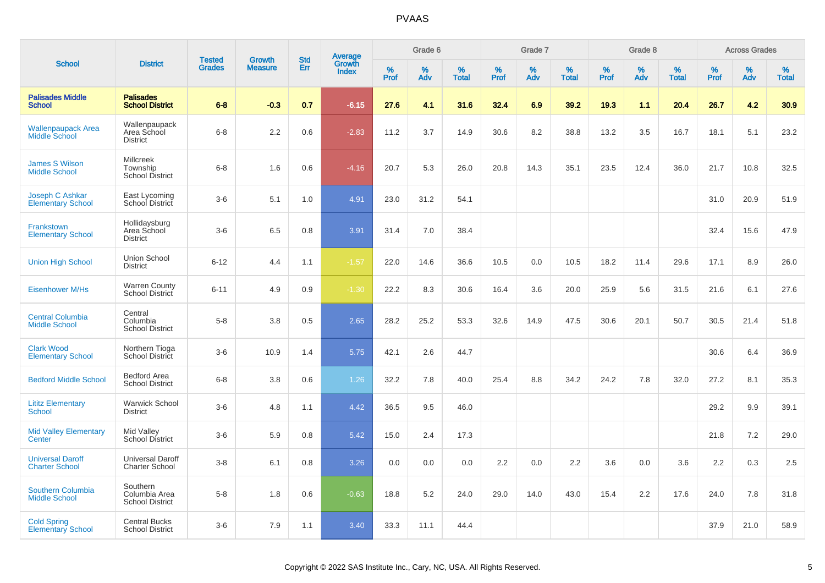|                                                  |                                                        |                                |                                 | <b>Std</b> |                                          |           | Grade 6  |                   |           | Grade 7  |                   |           | Grade 8  |                   |           | <b>Across Grades</b> |                   |
|--------------------------------------------------|--------------------------------------------------------|--------------------------------|---------------------------------|------------|------------------------------------------|-----------|----------|-------------------|-----------|----------|-------------------|-----------|----------|-------------------|-----------|----------------------|-------------------|
| <b>School</b>                                    | <b>District</b>                                        | <b>Tested</b><br><b>Grades</b> | <b>Growth</b><br><b>Measure</b> | Err        | <b>Average</b><br>Growth<br><b>Index</b> | %<br>Prof | %<br>Adv | %<br><b>Total</b> | %<br>Prof | %<br>Adv | %<br><b>Total</b> | %<br>Prof | %<br>Adv | %<br><b>Total</b> | %<br>Prof | %<br>Adv             | %<br><b>Total</b> |
| <b>Palisades Middle</b><br><b>School</b>         | <b>Palisades</b><br><b>School District</b>             | $6 - 8$                        | $-0.3$                          | 0.7        | $-6.15$                                  | 27.6      | 4.1      | 31.6              | 32.4      | 6.9      | 39.2              | 19.3      | 1.1      | 20.4              | 26.7      | 4.2                  | 30.9              |
| <b>Wallenpaupack Area</b><br>Middle School       | Wallenpaupack<br>Area School<br><b>District</b>        | $6 - 8$                        | 2.2                             | 0.6        | $-2.83$                                  | 11.2      | 3.7      | 14.9              | 30.6      | 8.2      | 38.8              | 13.2      | 3.5      | 16.7              | 18.1      | 5.1                  | 23.2              |
| <b>James S Wilson</b><br><b>Middle School</b>    | <b>Millcreek</b><br>Township<br><b>School District</b> | $6 - 8$                        | 1.6                             | 0.6        | $-4.16$                                  | 20.7      | 5.3      | 26.0              | 20.8      | 14.3     | 35.1              | 23.5      | 12.4     | 36.0              | 21.7      | 10.8                 | 32.5              |
| Joseph C Ashkar<br><b>Elementary School</b>      | East Lycoming<br>School District                       | $3-6$                          | 5.1                             | 1.0        | 4.91                                     | 23.0      | 31.2     | 54.1              |           |          |                   |           |          |                   | 31.0      | 20.9                 | 51.9              |
| Frankstown<br><b>Elementary School</b>           | Hollidaysburg<br>Area School<br><b>District</b>        | $3-6$                          | 6.5                             | 0.8        | 3.91                                     | 31.4      | 7.0      | 38.4              |           |          |                   |           |          |                   | 32.4      | 15.6                 | 47.9              |
| <b>Union High School</b>                         | <b>Union School</b><br><b>District</b>                 | $6 - 12$                       | 4.4                             | 1.1        | $-1.57$                                  | 22.0      | 14.6     | 36.6              | 10.5      | 0.0      | 10.5              | 18.2      | 11.4     | 29.6              | 17.1      | 8.9                  | 26.0              |
| <b>Eisenhower M/Hs</b>                           | <b>Warren County</b><br>School District                | $6 - 11$                       | 4.9                             | 0.9        | $-1.30$                                  | 22.2      | 8.3      | 30.6              | 16.4      | 3.6      | 20.0              | 25.9      | 5.6      | 31.5              | 21.6      | 6.1                  | 27.6              |
| <b>Central Columbia</b><br><b>Middle School</b>  | Central<br>Columbia<br><b>School District</b>          | $5-8$                          | 3.8                             | 0.5        | 2.65                                     | 28.2      | 25.2     | 53.3              | 32.6      | 14.9     | 47.5              | 30.6      | 20.1     | 50.7              | 30.5      | 21.4                 | 51.8              |
| <b>Clark Wood</b><br><b>Elementary School</b>    | Northern Tioga<br>School District                      | $3-6$                          | 10.9                            | 1.4        | 5.75                                     | 42.1      | 2.6      | 44.7              |           |          |                   |           |          |                   | 30.6      | 6.4                  | 36.9              |
| <b>Bedford Middle School</b>                     | <b>Bedford Area</b><br><b>School District</b>          | $6 - 8$                        | 3.8                             | 0.6        | 1.26                                     | 32.2      | 7.8      | 40.0              | 25.4      | 8.8      | 34.2              | 24.2      | 7.8      | 32.0              | 27.2      | 8.1                  | 35.3              |
| <b>Lititz Elementary</b><br>School               | <b>Warwick School</b><br><b>District</b>               | $3-6$                          | 4.8                             | 1.1        | 4.42                                     | 36.5      | 9.5      | 46.0              |           |          |                   |           |          |                   | 29.2      | 9.9                  | 39.1              |
| <b>Mid Valley Elementary</b><br>Center           | Mid Valley<br>School District                          | $3-6$                          | 5.9                             | 0.8        | 5.42                                     | 15.0      | 2.4      | 17.3              |           |          |                   |           |          |                   | 21.8      | 7.2                  | 29.0              |
| <b>Universal Daroff</b><br><b>Charter School</b> | <b>Universal Daroff</b><br><b>Charter School</b>       | $3-8$                          | 6.1                             | 0.8        | 3.26                                     | 0.0       | 0.0      | 0.0               | 2.2       | 0.0      | 2.2               | 3.6       | 0.0      | 3.6               | 2.2       | 0.3                  | 2.5               |
| Southern Columbia<br><b>Middle School</b>        | Southern<br>Columbia Area<br><b>School District</b>    | $5-8$                          | 1.8                             | 0.6        | $-0.63$                                  | 18.8      | 5.2      | 24.0              | 29.0      | 14.0     | 43.0              | 15.4      | 2.2      | 17.6              | 24.0      | 7.8                  | 31.8              |
| <b>Cold Spring</b><br><b>Elementary School</b>   | <b>Central Bucks</b><br><b>School District</b>         | $3-6$                          | 7.9                             | 1.1        | 3.40                                     | 33.3      | 11.1     | 44.4              |           |          |                   |           |          |                   | 37.9      | 21.0                 | 58.9              |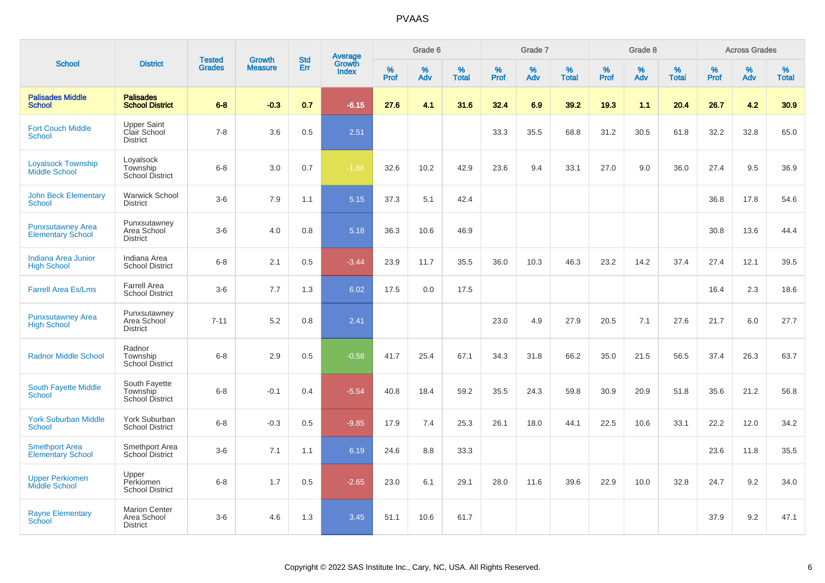|                                                      |                                                        |                                | <b>Growth</b>  | <b>Std</b> |                                          |                  | Grade 6     |                   |           | Grade 7     |                   |              | Grade 8  |                   |                     | <b>Across Grades</b> |                   |
|------------------------------------------------------|--------------------------------------------------------|--------------------------------|----------------|------------|------------------------------------------|------------------|-------------|-------------------|-----------|-------------|-------------------|--------------|----------|-------------------|---------------------|----------------------|-------------------|
| <b>School</b>                                        | <b>District</b>                                        | <b>Tested</b><br><b>Grades</b> | <b>Measure</b> | Err        | <b>Average</b><br>Growth<br><b>Index</b> | %<br><b>Prof</b> | $\%$<br>Adv | %<br><b>Total</b> | %<br>Prof | $\%$<br>Adv | %<br><b>Total</b> | $\%$<br>Prof | %<br>Adv | %<br><b>Total</b> | $\%$<br><b>Prof</b> | $\%$<br>Adv          | %<br><b>Total</b> |
| <b>Palisades Middle</b><br><b>School</b>             | <b>Palisades</b><br><b>School District</b>             | $6 - 8$                        | $-0.3$         | 0.7        | $-6.15$                                  | 27.6             | 4.1         | 31.6              | 32.4      | 6.9         | 39.2              | 19.3         | 1.1      | 20.4              | 26.7                | 4.2                  | 30.9 <sub>°</sub> |
| <b>Fort Couch Middle</b><br><b>School</b>            | <b>Upper Saint</b><br>Clair School<br><b>District</b>  | $7 - 8$                        | 3.6            | 0.5        | 2.51                                     |                  |             |                   | 33.3      | 35.5        | 68.8              | 31.2         | 30.5     | 61.8              | 32.2                | 32.8                 | 65.0              |
| <b>Loyalsock Township</b><br><b>Middle School</b>    | Loyalsock<br>Township<br>School District               | $6 - 8$                        | 3.0            | 0.7        | $-1.66$                                  | 32.6             | 10.2        | 42.9              | 23.6      | 9.4         | 33.1              | 27.0         | 9.0      | 36.0              | 27.4                | 9.5                  | 36.9              |
| <b>John Beck Elementary</b><br>School                | <b>Warwick School</b><br><b>District</b>               | $3-6$                          | 7.9            | 1.1        | 5.15                                     | 37.3             | 5.1         | 42.4              |           |             |                   |              |          |                   | 36.8                | 17.8                 | 54.6              |
| <b>Punxsutawney Area</b><br><b>Elementary School</b> | Punxsutawney<br>Area School<br><b>District</b>         | $3-6$                          | 4.0            | 0.8        | 5.18                                     | 36.3             | 10.6        | 46.9              |           |             |                   |              |          |                   | 30.8                | 13.6                 | 44.4              |
| Indiana Area Junior<br><b>High School</b>            | Indiana Area<br><b>School District</b>                 | $6 - 8$                        | 2.1            | 0.5        | $-3.44$                                  | 23.9             | 11.7        | 35.5              | 36.0      | 10.3        | 46.3              | 23.2         | 14.2     | 37.4              | 27.4                | 12.1                 | 39.5              |
| <b>Farrell Area Es/Lms</b>                           | Farrell Area<br><b>School District</b>                 | $3-6$                          | 7.7            | 1.3        | 6.02                                     | 17.5             | 0.0         | 17.5              |           |             |                   |              |          |                   | 16.4                | 2.3                  | 18.6              |
| <b>Punxsutawney Area</b><br><b>High School</b>       | Punxsutawney<br>Area School<br><b>District</b>         | $7 - 11$                       | 5.2            | 0.8        | 2.41                                     |                  |             |                   | 23.0      | 4.9         | 27.9              | 20.5         | 7.1      | 27.6              | 21.7                | 6.0                  | 27.7              |
| <b>Radnor Middle School</b>                          | Radnor<br>Township<br><b>School District</b>           | $6-8$                          | 2.9            | 0.5        | $-0.58$                                  | 41.7             | 25.4        | 67.1              | 34.3      | 31.8        | 66.2              | 35.0         | 21.5     | 56.5              | 37.4                | 26.3                 | 63.7              |
| South Fayette Middle<br><b>School</b>                | South Fayette<br>Township<br>School District           | $6 - 8$                        | $-0.1$         | 0.4        | $-5.54$                                  | 40.8             | 18.4        | 59.2              | 35.5      | 24.3        | 59.8              | 30.9         | 20.9     | 51.8              | 35.6                | 21.2                 | 56.8              |
| <b>York Suburban Middle</b><br><b>School</b>         | York Suburban<br><b>School District</b>                | $6 - 8$                        | $-0.3$         | 0.5        | $-9.85$                                  | 17.9             | 7.4         | 25.3              | 26.1      | 18.0        | 44.1              | 22.5         | 10.6     | 33.1              | 22.2                | 12.0                 | 34.2              |
| <b>Smethport Area</b><br><b>Elementary School</b>    | Smethport Area<br>School District                      | $3-6$                          | 7.1            | 1.1        | 6.19                                     | 24.6             | 8.8         | 33.3              |           |             |                   |              |          |                   | 23.6                | 11.8                 | 35.5              |
| <b>Upper Perkiomen</b><br>Middle School              | Upper<br>Perkiomen<br><b>School District</b>           | $6 - 8$                        | 1.7            | 0.5        | $-2.65$                                  | 23.0             | 6.1         | 29.1              | 28.0      | 11.6        | 39.6              | 22.9         | 10.0     | 32.8              | 24.7                | 9.2                  | 34.0              |
| <b>Rayne Elementary</b><br><b>School</b>             | <b>Marion Center</b><br>Area School<br><b>District</b> | $3-6$                          | 4.6            | 1.3        | 3.45                                     | 51.1             | 10.6        | 61.7              |           |             |                   |              |          |                   | 37.9                | 9.2                  | 47.1              |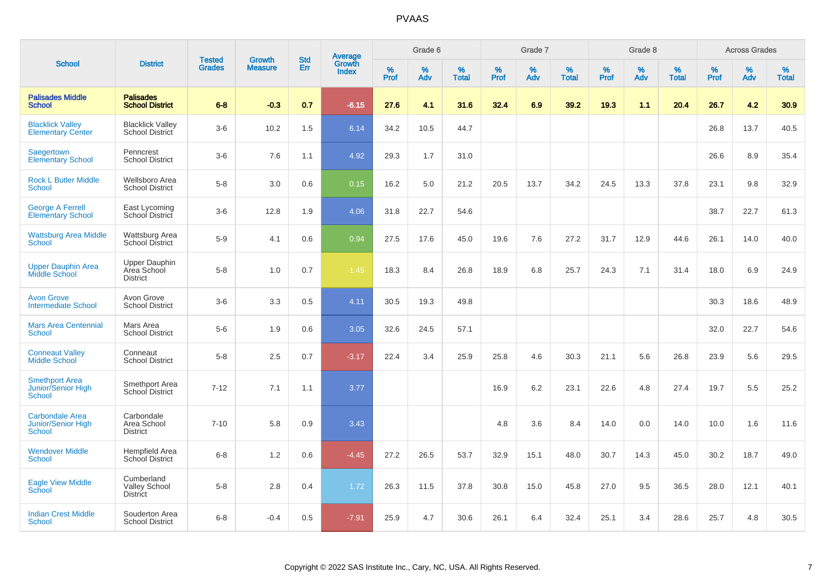|                                                               |                                                        |                                | <b>Growth</b>  | <b>Std</b> |                                          |                  | Grade 6  |                   |              | Grade 7  |                   |                  | Grade 8  |                   |                     | <b>Across Grades</b> |                   |
|---------------------------------------------------------------|--------------------------------------------------------|--------------------------------|----------------|------------|------------------------------------------|------------------|----------|-------------------|--------------|----------|-------------------|------------------|----------|-------------------|---------------------|----------------------|-------------------|
| <b>School</b>                                                 | <b>District</b>                                        | <b>Tested</b><br><b>Grades</b> | <b>Measure</b> | Err        | <b>Average</b><br>Growth<br><b>Index</b> | %<br><b>Prof</b> | %<br>Adv | %<br><b>Total</b> | $\%$<br>Prof | %<br>Adv | %<br><b>Total</b> | %<br><b>Prof</b> | %<br>Adv | %<br><b>Total</b> | $\%$<br><b>Prof</b> | $\%$<br>Adv          | %<br><b>Total</b> |
| <b>Palisades Middle</b><br><b>School</b>                      | <b>Palisades</b><br><b>School District</b>             | $6 - 8$                        | $-0.3$         | 0.7        | $-6.15$                                  | 27.6             | 4.1      | 31.6              | 32.4         | 6.9      | 39.2              | 19.3             | 1.1      | 20.4              | 26.7                | 4.2                  | 30.9              |
| <b>Blacklick Valley</b><br><b>Elementary Center</b>           | <b>Blacklick Valley</b><br>School District             | $3-6$                          | 10.2           | 1.5        | 6.14                                     | 34.2             | 10.5     | 44.7              |              |          |                   |                  |          |                   | 26.8                | 13.7                 | 40.5              |
| Saegertown<br><b>Elementary School</b>                        | Penncrest<br><b>School District</b>                    | $3-6$                          | 7.6            | 1.1        | 4.92                                     | 29.3             | 1.7      | 31.0              |              |          |                   |                  |          |                   | 26.6                | 8.9                  | 35.4              |
| <b>Rock L Butler Middle</b><br><b>School</b>                  | Wellsboro Area<br><b>School District</b>               | $5-8$                          | 3.0            | 0.6        | 0.15                                     | 16.2             | 5.0      | 21.2              | 20.5         | 13.7     | 34.2              | 24.5             | 13.3     | 37.8              | 23.1                | 9.8                  | 32.9              |
| <b>George A Ferrell</b><br><b>Elementary School</b>           | East Lycoming<br>School District                       | $3-6$                          | 12.8           | 1.9        | 4.06                                     | 31.8             | 22.7     | 54.6              |              |          |                   |                  |          |                   | 38.7                | 22.7                 | 61.3              |
| <b>Wattsburg Area Middle</b><br>School                        | Wattsburg Area<br>School District                      | $5-9$                          | 4.1            | 0.6        | 0.94                                     | 27.5             | 17.6     | 45.0              | 19.6         | 7.6      | 27.2              | 31.7             | 12.9     | 44.6              | 26.1                | 14.0                 | 40.0              |
| <b>Upper Dauphin Area</b><br><b>Middle School</b>             | <b>Upper Dauphin</b><br>Area School<br><b>District</b> | $5-8$                          | 1.0            | 0.7        | $-1.45$                                  | 18.3             | 8.4      | 26.8              | 18.9         | 6.8      | 25.7              | 24.3             | 7.1      | 31.4              | 18.0                | 6.9                  | 24.9              |
| <b>Avon Grove</b><br><b>Intermediate School</b>               | Avon Grove<br><b>School District</b>                   | $3-6$                          | 3.3            | 0.5        | 4.11                                     | 30.5             | 19.3     | 49.8              |              |          |                   |                  |          |                   | 30.3                | 18.6                 | 48.9              |
| <b>Mars Area Centennial</b><br><b>School</b>                  | Mars Area<br><b>School District</b>                    | $5-6$                          | 1.9            | 0.6        | 3.05                                     | 32.6             | 24.5     | 57.1              |              |          |                   |                  |          |                   | 32.0                | 22.7                 | 54.6              |
| <b>Conneaut Valley</b><br><b>Middle School</b>                | Conneaut<br><b>School District</b>                     | $5-8$                          | 2.5            | 0.7        | $-3.17$                                  | 22.4             | 3.4      | 25.9              | 25.8         | 4.6      | 30.3              | 21.1             | 5.6      | 26.8              | 23.9                | 5.6                  | 29.5              |
| <b>Smethport Area</b><br>Junior/Senior High<br>School         | Smethport Area<br>School District                      | $7 - 12$                       | 7.1            | 1.1        | 3.77                                     |                  |          |                   | 16.9         | 6.2      | 23.1              | 22.6             | 4.8      | 27.4              | 19.7                | 5.5                  | 25.2              |
| <b>Carbondale Area</b><br>Junior/Senior High<br><b>School</b> | Carbondale<br>Area School<br><b>District</b>           | $7 - 10$                       | 5.8            | 0.9        | 3.43                                     |                  |          |                   | 4.8          | 3.6      | 8.4               | 14.0             | 0.0      | 14.0              | 10.0                | 1.6                  | 11.6              |
| <b>Wendover Middle</b><br><b>School</b>                       | Hempfield Area<br><b>School District</b>               | $6 - 8$                        | 1.2            | 0.6        | $-4.45$                                  | 27.2             | 26.5     | 53.7              | 32.9         | 15.1     | 48.0              | 30.7             | 14.3     | 45.0              | 30.2                | 18.7                 | 49.0              |
| <b>Eagle View Middle</b><br>School                            | Cumberland<br><b>Valley School</b><br><b>District</b>  | $5 - 8$                        | 2.8            | 0.4        | 1.72                                     | 26.3             | 11.5     | 37.8              | 30.8         | 15.0     | 45.8              | 27.0             | 9.5      | 36.5              | 28.0                | 12.1                 | 40.1              |
| <b>Indian Crest Middle</b><br><b>School</b>                   | Souderton Area<br><b>School District</b>               | $6 - 8$                        | $-0.4$         | 0.5        | $-7.91$                                  | 25.9             | 4.7      | 30.6              | 26.1         | 6.4      | 32.4              | 25.1             | 3.4      | 28.6              | 25.7                | 4.8                  | 30.5              |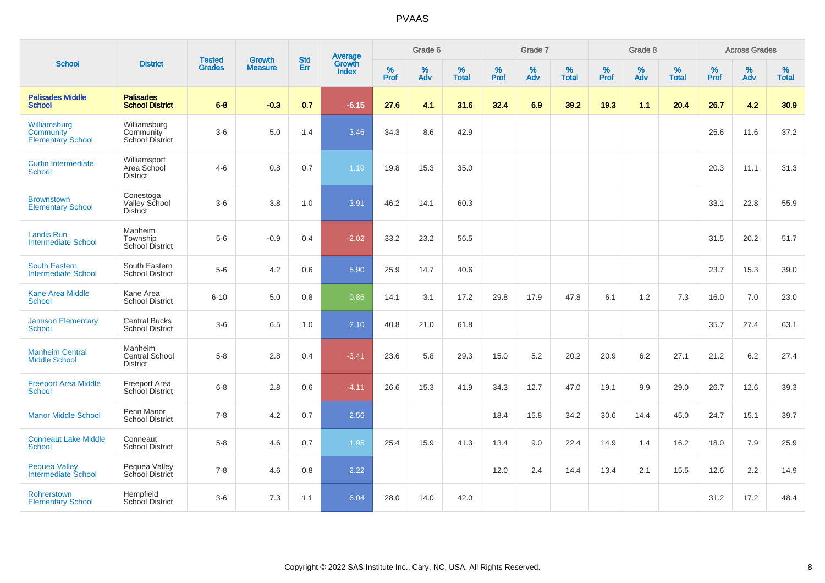| <b>School</b>                                         |                                                | <b>Tested</b> | <b>Growth</b>  | <b>Std</b> | Average                       |              | Grade 6     |                      |              | Grade 7     |                      |              | Grade 8     |                   |              | <b>Across Grades</b> |                   |
|-------------------------------------------------------|------------------------------------------------|---------------|----------------|------------|-------------------------------|--------------|-------------|----------------------|--------------|-------------|----------------------|--------------|-------------|-------------------|--------------|----------------------|-------------------|
|                                                       | <b>District</b>                                | <b>Grades</b> | <b>Measure</b> | <b>Err</b> | <b>Growth</b><br><b>Index</b> | $\%$<br>Prof | $\%$<br>Adv | $\%$<br><b>Total</b> | $\%$<br>Prof | $\%$<br>Adv | $\%$<br><b>Total</b> | $\%$<br>Prof | $\%$<br>Adv | %<br><b>Total</b> | $\%$<br>Prof | $\%$<br>Adv          | %<br><b>Total</b> |
| <b>Palisades Middle</b><br><b>School</b>              | <b>Palisades</b><br><b>School District</b>     | $6 - 8$       | $-0.3$         | 0.7        | $-6.15$                       | 27.6         | 4.1         | 31.6                 | 32.4         | 6.9         | 39.2                 | 19.3         | 1.1         | 20.4              | 26.7         | 4.2                  | 30.9              |
| Williamsburg<br>Community<br><b>Elementary School</b> | Williamsburg<br>Community<br>School District   | $3-6$         | 5.0            | 1.4        | 3.46                          | 34.3         | 8.6         | 42.9                 |              |             |                      |              |             |                   | 25.6         | 11.6                 | 37.2              |
| <b>Curtin Intermediate</b><br>School                  | Williamsport<br>Area School<br><b>District</b> | $4 - 6$       | 0.8            | 0.7        | 1.19                          | 19.8         | 15.3        | 35.0                 |              |             |                      |              |             |                   | 20.3         | 11.1                 | 31.3              |
| <b>Brownstown</b><br><b>Elementary School</b>         | Conestoga<br>Valley School<br><b>District</b>  | $3-6$         | 3.8            | 1.0        | 3.91                          | 46.2         | 14.1        | 60.3                 |              |             |                      |              |             |                   | 33.1         | 22.8                 | 55.9              |
| <b>Landis Run</b><br><b>Intermediate School</b>       | Manheim<br>Township<br><b>School District</b>  | $5-6$         | $-0.9$         | 0.4        | $-2.02$                       | 33.2         | 23.2        | 56.5                 |              |             |                      |              |             |                   | 31.5         | 20.2                 | 51.7              |
| <b>South Eastern</b><br><b>Intermediate School</b>    | South Eastern<br><b>School District</b>        | $5-6$         | 4.2            | 0.6        | 5.90                          | 25.9         | 14.7        | 40.6                 |              |             |                      |              |             |                   | 23.7         | 15.3                 | 39.0              |
| <b>Kane Area Middle</b><br><b>School</b>              | Kane Area<br><b>School District</b>            | $6 - 10$      | 5.0            | 0.8        | 0.86                          | 14.1         | 3.1         | 17.2                 | 29.8         | 17.9        | 47.8                 | 6.1          | 1.2         | 7.3               | 16.0         | 7.0                  | 23.0              |
| <b>Jamison Elementary</b><br><b>School</b>            | <b>Central Bucks</b><br><b>School District</b> | $3-6$         | 6.5            | $1.0$      | 2.10                          | 40.8         | 21.0        | 61.8                 |              |             |                      |              |             |                   | 35.7         | 27.4                 | 63.1              |
| <b>Manheim Central</b><br><b>Middle School</b>        | Manheim<br>Central School<br><b>District</b>   | $5-8$         | 2.8            | 0.4        | $-3.41$                       | 23.6         | 5.8         | 29.3                 | 15.0         | 5.2         | 20.2                 | 20.9         | 6.2         | 27.1              | 21.2         | 6.2                  | 27.4              |
| <b>Freeport Area Middle</b><br><b>School</b>          | <b>Freeport Area</b><br>School District        | $6 - 8$       | 2.8            | 0.6        | $-4.11$                       | 26.6         | 15.3        | 41.9                 | 34.3         | 12.7        | 47.0                 | 19.1         | 9.9         | 29.0              | 26.7         | 12.6                 | 39.3              |
| <b>Manor Middle School</b>                            | Penn Manor<br><b>School District</b>           | $7 - 8$       | 4.2            | 0.7        | 2.56                          |              |             |                      | 18.4         | 15.8        | 34.2                 | 30.6         | 14.4        | 45.0              | 24.7         | 15.1                 | 39.7              |
| <b>Conneaut Lake Middle</b><br><b>School</b>          | Conneaut<br><b>School District</b>             | $5-8$         | 4.6            | 0.7        | 1.95                          | 25.4         | 15.9        | 41.3                 | 13.4         | 9.0         | 22.4                 | 14.9         | 1.4         | 16.2              | 18.0         | 7.9                  | 25.9              |
| <b>Pequea Valley</b><br>Intermediate School           | Pequea Valley<br>School District               | $7 - 8$       | 4.6            | 0.8        | 2.22                          |              |             |                      | 12.0         | 2.4         | 14.4                 | 13.4         | 2.1         | 15.5              | 12.6         | 2.2                  | 14.9              |
| Rohrerstown<br><b>Elementary School</b>               | Hempfield<br><b>School District</b>            | $3-6$         | 7.3            | 1.1        | 6.04                          | 28.0         | 14.0        | 42.0                 |              |             |                      |              |             |                   | 31.2         | 17.2                 | 48.4              |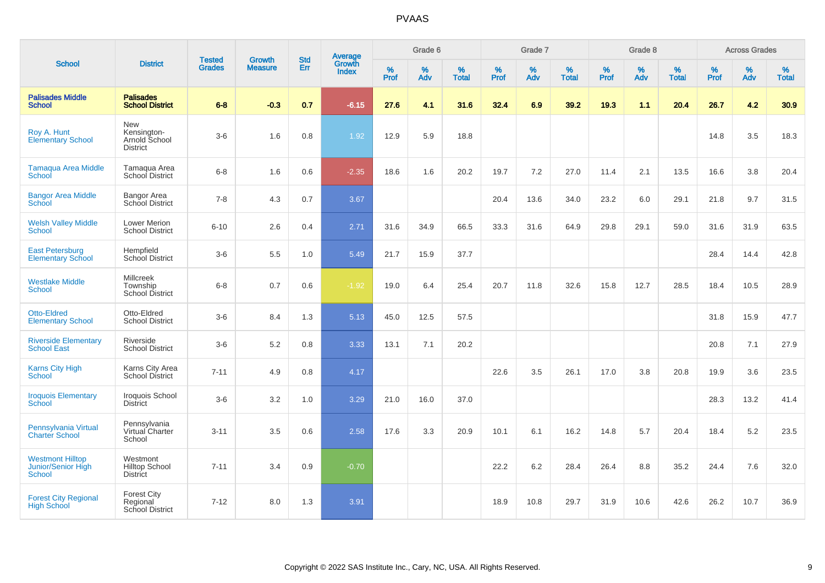|                                                                |                                                          | <b>Tested</b> | <b>Growth</b>  | <b>Std</b> | <b>Average</b><br>Growth |           | Grade 6     |                   |           | Grade 7  |                   |           | Grade 8  |                   |              | <b>Across Grades</b> |                   |
|----------------------------------------------------------------|----------------------------------------------------------|---------------|----------------|------------|--------------------------|-----------|-------------|-------------------|-----------|----------|-------------------|-----------|----------|-------------------|--------------|----------------------|-------------------|
| <b>School</b>                                                  | <b>District</b>                                          | <b>Grades</b> | <b>Measure</b> | Err        | <b>Index</b>             | %<br>Prof | $\%$<br>Adv | %<br><b>Total</b> | %<br>Prof | %<br>Adv | %<br><b>Total</b> | %<br>Prof | %<br>Adv | %<br><b>Total</b> | $\%$<br>Prof | $\%$<br>Adv          | %<br><b>Total</b> |
| <b>Palisades Middle</b><br><b>School</b>                       | <b>Palisades</b><br><b>School District</b>               | $6-8$         | $-0.3$         | 0.7        | $-6.15$                  | 27.6      | 4.1         | 31.6              | 32.4      | 6.9      | 39.2              | 19.3      | 1.1      | 20.4              | 26.7         | 4.2                  | 30.9              |
| Roy A. Hunt<br><b>Elementary School</b>                        | New<br>Kensington-<br>Arnold School<br><b>District</b>   | $3-6$         | 1.6            | 0.8        | 1.92                     | 12.9      | 5.9         | 18.8              |           |          |                   |           |          |                   | 14.8         | 3.5                  | 18.3              |
| <b>Tamaqua Area Middle</b><br>School                           | Tamagua Area<br>School District                          | $6 - 8$       | 1.6            | 0.6        | $-2.35$                  | 18.6      | 1.6         | 20.2              | 19.7      | 7.2      | 27.0              | 11.4      | 2.1      | 13.5              | 16.6         | 3.8                  | 20.4              |
| <b>Bangor Area Middle</b><br>School                            | Bangor Area<br>School District                           | $7 - 8$       | 4.3            | 0.7        | 3.67                     |           |             |                   | 20.4      | 13.6     | 34.0              | 23.2      | 6.0      | 29.1              | 21.8         | 9.7                  | 31.5              |
| <b>Welsh Valley Middle</b><br>School                           | <b>Lower Merion</b><br><b>School District</b>            | $6 - 10$      | 2.6            | 0.4        | 2.71                     | 31.6      | 34.9        | 66.5              | 33.3      | 31.6     | 64.9              | 29.8      | 29.1     | 59.0              | 31.6         | 31.9                 | 63.5              |
| <b>East Petersburg</b><br><b>Elementary School</b>             | Hempfield<br>School District                             | $3-6$         | 5.5            | 1.0        | 5.49                     | 21.7      | 15.9        | 37.7              |           |          |                   |           |          |                   | 28.4         | 14.4                 | 42.8              |
| <b>Westlake Middle</b><br><b>School</b>                        | <b>Millcreek</b><br>Township<br>School District          | $6 - 8$       | 0.7            | 0.6        | $-1.92$                  | 19.0      | 6.4         | 25.4              | 20.7      | 11.8     | 32.6              | 15.8      | 12.7     | 28.5              | 18.4         | 10.5                 | 28.9              |
| <b>Otto-Eldred</b><br><b>Elementary School</b>                 | Otto-Eldred<br><b>School District</b>                    | $3-6$         | 8.4            | 1.3        | 5.13                     | 45.0      | 12.5        | 57.5              |           |          |                   |           |          |                   | 31.8         | 15.9                 | 47.7              |
| <b>Riverside Elementary</b><br><b>School East</b>              | Riverside<br><b>School District</b>                      | $3-6$         | 5.2            | 0.8        | 3.33                     | 13.1      | 7.1         | 20.2              |           |          |                   |           |          |                   | 20.8         | 7.1                  | 27.9              |
| <b>Karns City High</b><br><b>School</b>                        | Karns City Area<br>School District                       | $7 - 11$      | 4.9            | 0.8        | 4.17                     |           |             |                   | 22.6      | 3.5      | 26.1              | 17.0      | 3.8      | 20.8              | 19.9         | 3.6                  | 23.5              |
| <b>Iroquois Elementary</b><br><b>School</b>                    | Iroquois School<br><b>District</b>                       | $3-6$         | 3.2            | 1.0        | 3.29                     | 21.0      | 16.0        | 37.0              |           |          |                   |           |          |                   | 28.3         | 13.2                 | 41.4              |
| Pennsylvania Virtual<br><b>Charter School</b>                  | Pennsylvania<br>Virtual Charter<br>School                | $3 - 11$      | 3.5            | 0.6        | 2.58                     | 17.6      | 3.3         | 20.9              | 10.1      | 6.1      | 16.2              | 14.8      | 5.7      | 20.4              | 18.4         | 5.2                  | 23.5              |
| <b>Westmont Hilltop</b><br>Junior/Senior High<br><b>School</b> | Westmont<br><b>Hilltop School</b><br><b>District</b>     | $7 - 11$      | 3.4            | 0.9        | $-0.70$                  |           |             |                   | 22.2      | 6.2      | 28.4              | 26.4      | 8.8      | 35.2              | 24.4         | 7.6                  | 32.0              |
| <b>Forest City Regional</b><br><b>High School</b>              | <b>Forest City</b><br>Regional<br><b>School District</b> | $7 - 12$      | 8.0            | 1.3        | 3.91                     |           |             |                   | 18.9      | 10.8     | 29.7              | 31.9      | 10.6     | 42.6              | 26.2         | 10.7                 | 36.9              |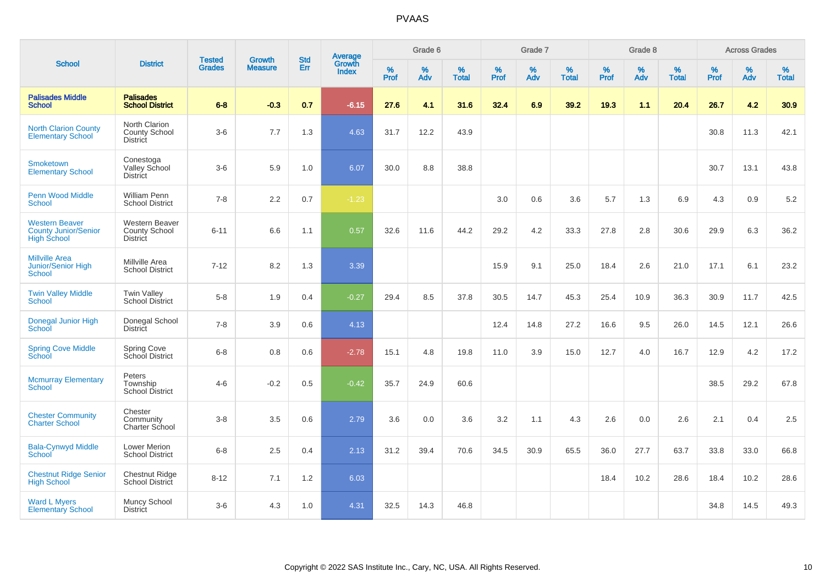|                                                                            |                                                           |                                | <b>Growth</b>  | <b>Std</b> |                                          |           | Grade 6  |                   |           | Grade 7     |                   |           | Grade 8     |                   |           | <b>Across Grades</b> |                   |
|----------------------------------------------------------------------------|-----------------------------------------------------------|--------------------------------|----------------|------------|------------------------------------------|-----------|----------|-------------------|-----------|-------------|-------------------|-----------|-------------|-------------------|-----------|----------------------|-------------------|
| <b>School</b>                                                              | <b>District</b>                                           | <b>Tested</b><br><b>Grades</b> | <b>Measure</b> | Err        | <b>Average</b><br>Growth<br><b>Index</b> | %<br>Prof | %<br>Adv | %<br><b>Total</b> | %<br>Prof | $\%$<br>Adv | %<br><b>Total</b> | %<br>Prof | $\%$<br>Adv | %<br><b>Total</b> | %<br>Prof | $\%$<br>Adv          | %<br><b>Total</b> |
| <b>Palisades Middle</b><br><b>School</b>                                   | <b>Palisades</b><br><b>School District</b>                | $6 - 8$                        | $-0.3$         | 0.7        | $-6.15$                                  | 27.6      | 4.1      | 31.6              | 32.4      | 6.9         | 39.2              | 19.3      | 1.1         | 20.4              | 26.7      | 4.2                  | 30.9              |
| <b>North Clarion County</b><br><b>Elementary School</b>                    | North Clarion<br><b>County School</b><br><b>District</b>  | $3-6$                          | 7.7            | 1.3        | 4.63                                     | 31.7      | 12.2     | 43.9              |           |             |                   |           |             |                   | 30.8      | 11.3                 | 42.1              |
| <b>Smoketown</b><br><b>Elementary School</b>                               | Conestoga<br>Valley School<br><b>District</b>             | $3-6$                          | 5.9            | 1.0        | 6.07                                     | 30.0      | 8.8      | 38.8              |           |             |                   |           |             |                   | 30.7      | 13.1                 | 43.8              |
| <b>Penn Wood Middle</b><br><b>School</b>                                   | <b>William Penn</b><br><b>School District</b>             | $7 - 8$                        | 2.2            | 0.7        | $-1.23$                                  |           |          |                   | 3.0       | 0.6         | 3.6               | 5.7       | 1.3         | 6.9               | 4.3       | 0.9                  | 5.2               |
| <b>Western Beaver</b><br><b>County Junior/Senior</b><br><b>High School</b> | Western Beaver<br><b>County School</b><br><b>District</b> | $6 - 11$                       | 6.6            | 1.1        | 0.57                                     | 32.6      | 11.6     | 44.2              | 29.2      | 4.2         | 33.3              | 27.8      | 2.8         | 30.6              | 29.9      | 6.3                  | 36.2              |
| <b>Millville Area</b><br>Junior/Senior High<br>School                      | Millville Area<br><b>School District</b>                  | $7 - 12$                       | 8.2            | 1.3        | 3.39                                     |           |          |                   | 15.9      | 9.1         | 25.0              | 18.4      | 2.6         | 21.0              | 17.1      | 6.1                  | 23.2              |
| <b>Twin Valley Middle</b><br>School                                        | <b>Twin Valley</b><br>School District                     | $5-8$                          | 1.9            | 0.4        | $-0.27$                                  | 29.4      | 8.5      | 37.8              | 30.5      | 14.7        | 45.3              | 25.4      | 10.9        | 36.3              | 30.9      | 11.7                 | 42.5              |
| Donegal Junior High<br>School                                              | Donegal School<br><b>District</b>                         | $7 - 8$                        | 3.9            | 0.6        | 4.13                                     |           |          |                   | 12.4      | 14.8        | 27.2              | 16.6      | 9.5         | 26.0              | 14.5      | 12.1                 | 26.6              |
| <b>Spring Cove Middle</b><br>School                                        | <b>Spring Cove</b><br>School District                     | $6 - 8$                        | 0.8            | 0.6        | $-2.78$                                  | 15.1      | 4.8      | 19.8              | 11.0      | 3.9         | 15.0              | 12.7      | 4.0         | 16.7              | 12.9      | 4.2                  | 17.2              |
| <b>Mcmurray Elementary</b><br>School                                       | Peters<br>Township<br><b>School District</b>              | $4 - 6$                        | $-0.2$         | 0.5        | $-0.42$                                  | 35.7      | 24.9     | 60.6              |           |             |                   |           |             |                   | 38.5      | 29.2                 | 67.8              |
| <b>Chester Community</b><br><b>Charter School</b>                          | Chester<br>Community<br>Charter School                    | $3 - 8$                        | 3.5            | 0.6        | 2.79                                     | 3.6       | 0.0      | 3.6               | 3.2       | 1.1         | 4.3               | 2.6       | 0.0         | 2.6               | 2.1       | 0.4                  | 2.5               |
| <b>Bala-Cynwyd Middle</b><br>School                                        | Lower Merion<br><b>School District</b>                    | $6 - 8$                        | 2.5            | 0.4        | 2.13                                     | 31.2      | 39.4     | 70.6              | 34.5      | 30.9        | 65.5              | 36.0      | 27.7        | 63.7              | 33.8      | 33.0                 | 66.8              |
| <b>Chestnut Ridge Senior</b><br><b>High School</b>                         | Chestnut Ridge<br>School District                         | $8 - 12$                       | 7.1            | 1.2        | 6.03                                     |           |          |                   |           |             |                   | 18.4      | 10.2        | 28.6              | 18.4      | 10.2                 | 28.6              |
| <b>Ward L Myers</b><br><b>Elementary School</b>                            | Muncy School<br><b>District</b>                           | $3-6$                          | 4.3            | 1.0        | 4.31                                     | 32.5      | 14.3     | 46.8              |           |             |                   |           |             |                   | 34.8      | 14.5                 | 49.3              |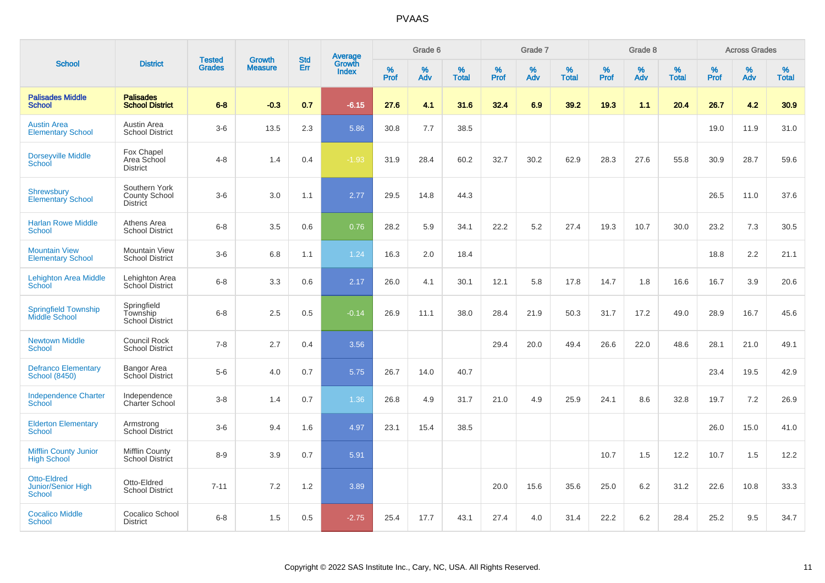|                                                                  |                                                          |                                |                                 | <b>Std</b> |                                          |                  | Grade 6  |                   |              | Grade 7     |                   |           | Grade 8  |                   |           | <b>Across Grades</b> |                   |
|------------------------------------------------------------------|----------------------------------------------------------|--------------------------------|---------------------------------|------------|------------------------------------------|------------------|----------|-------------------|--------------|-------------|-------------------|-----------|----------|-------------------|-----------|----------------------|-------------------|
| <b>School</b>                                                    | <b>District</b>                                          | <b>Tested</b><br><b>Grades</b> | <b>Growth</b><br><b>Measure</b> | Err        | <b>Average</b><br>Growth<br><b>Index</b> | %<br><b>Prof</b> | %<br>Adv | %<br><b>Total</b> | $\%$<br>Prof | $\%$<br>Adv | %<br><b>Total</b> | %<br>Prof | %<br>Adv | %<br><b>Total</b> | %<br>Prof | $\%$<br>Adv          | %<br><b>Total</b> |
| <b>Palisades Middle</b><br><b>School</b>                         | <b>Palisades</b><br><b>School District</b>               | $6 - 8$                        | $-0.3$                          | 0.7        | $-6.15$                                  | 27.6             | 4.1      | 31.6              | 32.4         | 6.9         | 39.2              | 19.3      | 1.1      | 20.4              | 26.7      | 4.2                  | 30.9 <sub>2</sub> |
| <b>Austin Area</b><br><b>Elementary School</b>                   | Austin Area<br><b>School District</b>                    | $3-6$                          | 13.5                            | 2.3        | 5.86                                     | 30.8             | 7.7      | 38.5              |              |             |                   |           |          |                   | 19.0      | 11.9                 | 31.0              |
| <b>Dorseyville Middle</b><br>School                              | Fox Chapel<br>Area School<br><b>District</b>             | $4 - 8$                        | 1.4                             | 0.4        | $-1.93$                                  | 31.9             | 28.4     | 60.2              | 32.7         | 30.2        | 62.9              | 28.3      | 27.6     | 55.8              | 30.9      | 28.7                 | 59.6              |
| <b>Shrewsbury</b><br><b>Elementary School</b>                    | Southern York<br><b>County School</b><br><b>District</b> | $3-6$                          | 3.0                             | 1.1        | 2.77                                     | 29.5             | 14.8     | 44.3              |              |             |                   |           |          |                   | 26.5      | 11.0                 | 37.6              |
| <b>Harlan Rowe Middle</b><br>School                              | Athens Area<br><b>School District</b>                    | $6 - 8$                        | 3.5                             | 0.6        | 0.76                                     | 28.2             | 5.9      | 34.1              | 22.2         | 5.2         | 27.4              | 19.3      | 10.7     | 30.0              | 23.2      | 7.3                  | 30.5              |
| <b>Mountain View</b><br><b>Elementary School</b>                 | Mountain View<br><b>School District</b>                  | $3-6$                          | 6.8                             | 1.1        | 1.24                                     | 16.3             | 2.0      | 18.4              |              |             |                   |           |          |                   | 18.8      | 2.2                  | 21.1              |
| <b>Lehighton Area Middle</b><br><b>School</b>                    | Lehighton Area<br>School District                        | $6 - 8$                        | 3.3                             | 0.6        | 2.17                                     | 26.0             | 4.1      | 30.1              | 12.1         | 5.8         | 17.8              | 14.7      | 1.8      | 16.6              | 16.7      | 3.9                  | 20.6              |
| <b>Springfield Township</b><br>Middle School                     | Springfield<br>Township<br><b>School District</b>        | $6 - 8$                        | 2.5                             | 0.5        | $-0.14$                                  | 26.9             | 11.1     | 38.0              | 28.4         | 21.9        | 50.3              | 31.7      | 17.2     | 49.0              | 28.9      | 16.7                 | 45.6              |
| <b>Newtown Middle</b><br>School                                  | Council Rock<br><b>School District</b>                   | $7 - 8$                        | 2.7                             | 0.4        | 3.56                                     |                  |          |                   | 29.4         | 20.0        | 49.4              | 26.6      | 22.0     | 48.6              | 28.1      | 21.0                 | 49.1              |
| <b>Defranco Elementary</b><br><b>School (8450)</b>               | <b>Bangor Area</b><br>School District                    | $5-6$                          | 4.0                             | 0.7        | 5.75                                     | 26.7             | 14.0     | 40.7              |              |             |                   |           |          |                   | 23.4      | 19.5                 | 42.9              |
| <b>Independence Charter</b><br>School                            | Independence<br>Charter School                           | $3 - 8$                        | 1.4                             | 0.7        | 1.36                                     | 26.8             | 4.9      | 31.7              | 21.0         | 4.9         | 25.9              | 24.1      | 8.6      | 32.8              | 19.7      | 7.2                  | 26.9              |
| <b>Elderton Elementary</b><br><b>School</b>                      | Armstrong<br><b>School District</b>                      | $3-6$                          | 9.4                             | 1.6        | 4.97                                     | 23.1             | 15.4     | 38.5              |              |             |                   |           |          |                   | 26.0      | 15.0                 | 41.0              |
| <b>Mifflin County Junior</b><br><b>High School</b>               | Mifflin County<br><b>School District</b>                 | $8 - 9$                        | 3.9                             | 0.7        | 5.91                                     |                  |          |                   |              |             |                   | 10.7      | 1.5      | 12.2              | 10.7      | 1.5                  | 12.2              |
| <b>Otto-Eldred</b><br><b>Junior/Senior High</b><br><b>School</b> | Otto-Eldred<br><b>School District</b>                    | $7 - 11$                       | 7.2                             | 1.2        | 3.89                                     |                  |          |                   | 20.0         | 15.6        | 35.6              | 25.0      | 6.2      | 31.2              | 22.6      | 10.8                 | 33.3              |
| <b>Cocalico Middle</b><br><b>School</b>                          | Cocalico School<br><b>District</b>                       | $6 - 8$                        | 1.5                             | 0.5        | $-2.75$                                  | 25.4             | 17.7     | 43.1              | 27.4         | 4.0         | 31.4              | 22.2      | 6.2      | 28.4              | 25.2      | 9.5                  | 34.7              |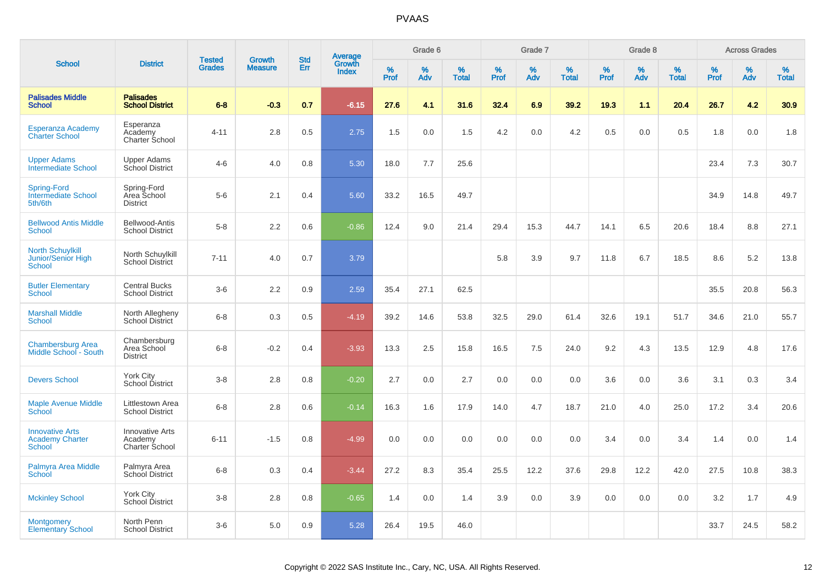|                                                                |                                                     |                                |                                 |                   |                                          |           | Grade 6  |                   |           | Grade 7  |                   |           | Grade 8  |                   |           | <b>Across Grades</b> |                   |
|----------------------------------------------------------------|-----------------------------------------------------|--------------------------------|---------------------------------|-------------------|------------------------------------------|-----------|----------|-------------------|-----------|----------|-------------------|-----------|----------|-------------------|-----------|----------------------|-------------------|
| <b>School</b>                                                  | <b>District</b>                                     | <b>Tested</b><br><b>Grades</b> | <b>Growth</b><br><b>Measure</b> | <b>Std</b><br>Err | <b>Average</b><br>Growth<br><b>Index</b> | %<br>Prof | %<br>Adv | %<br><b>Total</b> | %<br>Prof | %<br>Adv | %<br><b>Total</b> | %<br>Prof | %<br>Adv | %<br><b>Total</b> | %<br>Prof | %<br>Adv             | %<br><b>Total</b> |
| <b>Palisades Middle</b><br><b>School</b>                       | <b>Palisades</b><br><b>School District</b>          | $6 - 8$                        | $-0.3$                          | 0.7               | $-6.15$                                  | 27.6      | 4.1      | 31.6              | 32.4      | 6.9      | 39.2              | 19.3      | 1.1      | 20.4              | 26.7      | 4.2                  | 30.9              |
| Esperanza Academy<br><b>Charter School</b>                     | Esperanza<br>Academy<br>Charter School              | 4-11                           | 2.8                             | 0.5               | 2.75                                     | 1.5       | 0.0      | 1.5               | 4.2       | 0.0      | 4.2               | 0.5       | 0.0      | 0.5               | 1.8       | 0.0                  | 1.8               |
| <b>Upper Adams</b><br><b>Intermediate School</b>               | <b>Upper Adams</b><br>School District               | $4-6$                          | 4.0                             | 0.8               | 5.30                                     | 18.0      | 7.7      | 25.6              |           |          |                   |           |          |                   | 23.4      | 7.3                  | 30.7              |
| <b>Spring-Ford</b><br><b>Intermediate School</b><br>5th/6th    | Spring-Ford<br>Area School<br><b>District</b>       | $5-6$                          | 2.1                             | 0.4               | 5.60                                     | 33.2      | 16.5     | 49.7              |           |          |                   |           |          |                   | 34.9      | 14.8                 | 49.7              |
| <b>Bellwood Antis Middle</b><br><b>School</b>                  | Bellwood-Antis<br><b>School District</b>            | $5-8$                          | 2.2                             | 0.6               | $-0.86$                                  | 12.4      | 9.0      | 21.4              | 29.4      | 15.3     | 44.7              | 14.1      | 6.5      | 20.6              | 18.4      | 8.8                  | 27.1              |
| <b>North Schuylkill</b><br>Junior/Senior High<br><b>School</b> | North Schuylkill<br><b>School District</b>          | $7 - 11$                       | 4.0                             | $0.7\,$           | 3.79                                     |           |          |                   | 5.8       | 3.9      | 9.7               | 11.8      | 6.7      | 18.5              | 8.6       | 5.2                  | 13.8              |
| <b>Butler Elementary</b><br>School                             | <b>Central Bucks</b><br><b>School District</b>      | $3-6$                          | 2.2                             | 0.9               | 2.59                                     | 35.4      | 27.1     | 62.5              |           |          |                   |           |          |                   | 35.5      | 20.8                 | 56.3              |
| <b>Marshall Middle</b><br>School                               | North Allegheny<br>School District                  | $6 - 8$                        | 0.3                             | 0.5               | $-4.19$                                  | 39.2      | 14.6     | 53.8              | 32.5      | 29.0     | 61.4              | 32.6      | 19.1     | 51.7              | 34.6      | 21.0                 | 55.7              |
| <b>Chambersburg Area</b><br>Middle School - South              | Chambersburg<br>Area School<br><b>District</b>      | $6 - 8$                        | $-0.2$                          | 0.4               | $-3.93$                                  | 13.3      | 2.5      | 15.8              | 16.5      | 7.5      | 24.0              | 9.2       | 4.3      | 13.5              | 12.9      | 4.8                  | 17.6              |
| <b>Devers School</b>                                           | York City<br>School District                        | $3 - 8$                        | 2.8                             | 0.8               | $-0.20$                                  | 2.7       | 0.0      | 2.7               | 0.0       | 0.0      | 0.0               | 3.6       | 0.0      | 3.6               | 3.1       | 0.3                  | 3.4               |
| <b>Maple Avenue Middle</b><br>School                           | Littlestown Area<br><b>School District</b>          | $6 - 8$                        | 2.8                             | 0.6               | $-0.14$                                  | 16.3      | 1.6      | 17.9              | 14.0      | 4.7      | 18.7              | 21.0      | 4.0      | 25.0              | 17.2      | 3.4                  | 20.6              |
| <b>Innovative Arts</b><br><b>Academy Charter</b><br>School     | <b>Innovative Arts</b><br>Academy<br>Charter School | $6 - 11$                       | $-1.5$                          | 0.8               | $-4.99$                                  | 0.0       | 0.0      | 0.0               | 0.0       | 0.0      | 0.0               | 3.4       | 0.0      | 3.4               | 1.4       | 0.0                  | 1.4               |
| Palmyra Area Middle<br>School                                  | Palmyra Area<br>School District                     | $6 - 8$                        | 0.3                             | 0.4               | $-3.44$                                  | 27.2      | 8.3      | 35.4              | 25.5      | 12.2     | 37.6              | 29.8      | 12.2     | 42.0              | 27.5      | 10.8                 | 38.3              |
| <b>Mckinley School</b>                                         | York City<br>School District                        | $3 - 8$                        | 2.8                             | 0.8               | $-0.65$                                  | 1.4       | 0.0      | 1.4               | 3.9       | 0.0      | 3.9               | 0.0       | 0.0      | 0.0               | 3.2       | 1.7                  | 4.9               |
| <b>Montgomery</b><br><b>Elementary School</b>                  | North Penn<br><b>School District</b>                | $3-6$                          | 5.0                             | 0.9               | 5.28                                     | 26.4      | 19.5     | 46.0              |           |          |                   |           |          |                   | 33.7      | 24.5                 | 58.2              |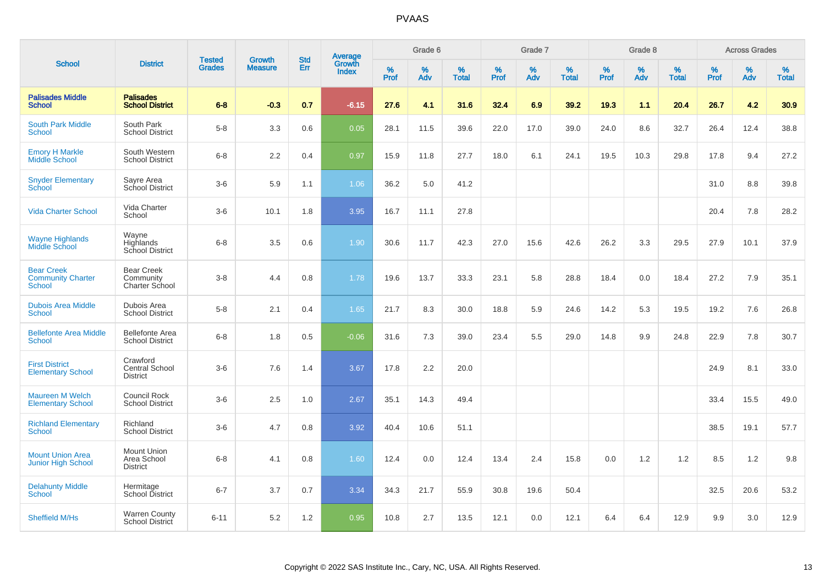|                                                                |                                                      | <b>Tested</b> | <b>Growth</b>  | <b>Std</b> |                                          |           | Grade 6     |                      |                  | Grade 7  |                   |                  | Grade 8     |                   |              | <b>Across Grades</b> |                   |
|----------------------------------------------------------------|------------------------------------------------------|---------------|----------------|------------|------------------------------------------|-----------|-------------|----------------------|------------------|----------|-------------------|------------------|-------------|-------------------|--------------|----------------------|-------------------|
| <b>School</b>                                                  | <b>District</b>                                      | <b>Grades</b> | <b>Measure</b> | Err        | <b>Average</b><br>Growth<br><b>Index</b> | %<br>Prof | $\%$<br>Adv | $\%$<br><b>Total</b> | %<br><b>Prof</b> | %<br>Adv | ℅<br><b>Total</b> | %<br><b>Prof</b> | $\%$<br>Adv | %<br><b>Total</b> | $\%$<br>Prof | $\%$<br>Adv          | %<br><b>Total</b> |
| <b>Palisades Middle</b><br><b>School</b>                       | <b>Palisades</b><br><b>School District</b>           | $6 - 8$       | $-0.3$         | 0.7        | $-6.15$                                  | 27.6      | 4.1         | 31.6                 | 32.4             | 6.9      | 39.2              | 19.3             | 1.1         | 20.4              | 26.7         | 4.2                  | 30.9              |
| <b>South Park Middle</b><br><b>School</b>                      | South Park<br><b>School District</b>                 | $5-8$         | 3.3            | 0.6        | 0.05                                     | 28.1      | 11.5        | 39.6                 | 22.0             | 17.0     | 39.0              | 24.0             | 8.6         | 32.7              | 26.4         | 12.4                 | 38.8              |
| <b>Emory H Markle</b><br>Middle School                         | South Western<br><b>School District</b>              | $6 - 8$       | 2.2            | 0.4        | 0.97                                     | 15.9      | 11.8        | 27.7                 | 18.0             | 6.1      | 24.1              | 19.5             | 10.3        | 29.8              | 17.8         | 9.4                  | 27.2              |
| <b>Snyder Elementary</b><br>School                             | Sayre Area<br>School District                        | $3-6$         | 5.9            | 1.1        | 1.06                                     | 36.2      | 5.0         | 41.2                 |                  |          |                   |                  |             |                   | 31.0         | 8.8                  | 39.8              |
| <b>Vida Charter School</b>                                     | Vida Charter<br>School                               | $3-6$         | 10.1           | 1.8        | 3.95                                     | 16.7      | 11.1        | 27.8                 |                  |          |                   |                  |             |                   | 20.4         | 7.8                  | 28.2              |
| <b>Wayne Highlands</b><br>Middle School                        | Wayne<br>Highlands<br>School District                | $6 - 8$       | 3.5            | 0.6        | 1.90                                     | 30.6      | 11.7        | 42.3                 | 27.0             | 15.6     | 42.6              | 26.2             | 3.3         | 29.5              | 27.9         | 10.1                 | 37.9              |
| <b>Bear Creek</b><br><b>Community Charter</b><br><b>School</b> | <b>Bear Creek</b><br>Community<br>Charter School     | $3-8$         | 4.4            | 0.8        | 1.78                                     | 19.6      | 13.7        | 33.3                 | 23.1             | 5.8      | 28.8              | 18.4             | 0.0         | 18.4              | 27.2         | 7.9                  | 35.1              |
| <b>Dubois Area Middle</b><br><b>School</b>                     | Dubois Area<br><b>School District</b>                | $5-8$         | 2.1            | 0.4        | 1.65                                     | 21.7      | 8.3         | 30.0                 | 18.8             | 5.9      | 24.6              | 14.2             | 5.3         | 19.5              | 19.2         | 7.6                  | 26.8              |
| <b>Bellefonte Area Middle</b><br>School                        | <b>Bellefonte Area</b><br><b>School District</b>     | $6 - 8$       | 1.8            | 0.5        | $-0.06$                                  | 31.6      | 7.3         | 39.0                 | 23.4             | 5.5      | 29.0              | 14.8             | 9.9         | 24.8              | 22.9         | 7.8                  | 30.7              |
| <b>First District</b><br><b>Elementary School</b>              | Crawford<br><b>Central School</b><br><b>District</b> | $3-6$         | 7.6            | 1.4        | 3.67                                     | 17.8      | 2.2         | 20.0                 |                  |          |                   |                  |             |                   | 24.9         | 8.1                  | 33.0              |
| <b>Maureen M Welch</b><br><b>Elementary School</b>             | <b>Council Rock</b><br><b>School District</b>        | $3-6$         | 2.5            | 1.0        | 2.67                                     | 35.1      | 14.3        | 49.4                 |                  |          |                   |                  |             |                   | 33.4         | 15.5                 | 49.0              |
| <b>Richland Elementary</b><br><b>School</b>                    | Richland<br><b>School District</b>                   | $3-6$         | 4.7            | 0.8        | 3.92                                     | 40.4      | 10.6        | 51.1                 |                  |          |                   |                  |             |                   | 38.5         | 19.1                 | 57.7              |
| <b>Mount Union Area</b><br><b>Junior High School</b>           | <b>Mount Union</b><br>Area School<br><b>District</b> | $6 - 8$       | 4.1            | 0.8        | 1.60                                     | 12.4      | 0.0         | 12.4                 | 13.4             | 2.4      | 15.8              | 0.0              | 1.2         | 1.2               | 8.5          | 1.2                  | 9.8               |
| <b>Delahunty Middle</b><br><b>School</b>                       | Hermitage<br>School District                         | $6 - 7$       | 3.7            | 0.7        | 3.34                                     | 34.3      | 21.7        | 55.9                 | 30.8             | 19.6     | 50.4              |                  |             |                   | 32.5         | 20.6                 | 53.2              |
| Sheffield M/Hs                                                 | <b>Warren County</b><br>School District              | $6 - 11$      | 5.2            | 1.2        | 0.95                                     | 10.8      | 2.7         | 13.5                 | 12.1             | 0.0      | 12.1              | 6.4              | 6.4         | 12.9              | 9.9          | 3.0                  | 12.9              |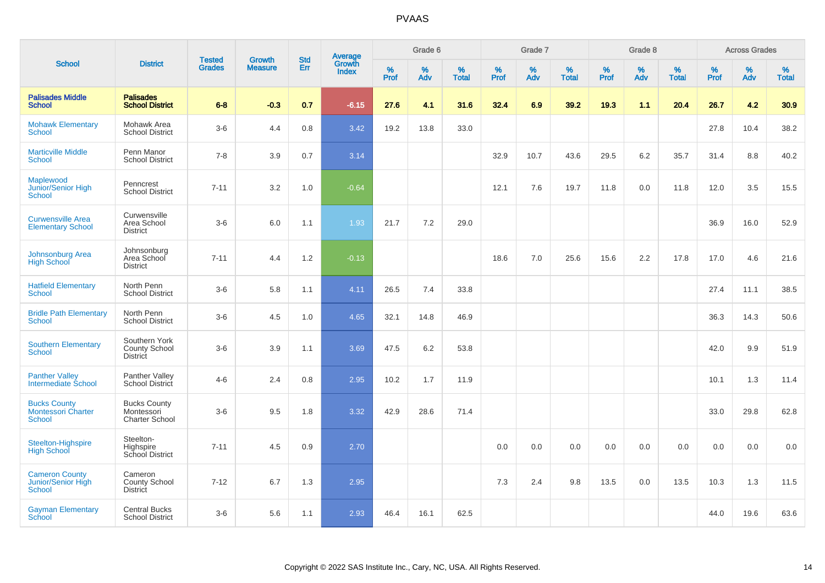|                                                              |                                                            |                                |                          | <b>Std</b> |                                          |           | Grade 6  |                   |           | Grade 7  |                   |           | Grade 8  |                   |              | <b>Across Grades</b> |            |
|--------------------------------------------------------------|------------------------------------------------------------|--------------------------------|--------------------------|------------|------------------------------------------|-----------|----------|-------------------|-----------|----------|-------------------|-----------|----------|-------------------|--------------|----------------------|------------|
| <b>School</b>                                                | <b>District</b>                                            | <b>Tested</b><br><b>Grades</b> | Growth<br><b>Measure</b> | Err        | <b>Average</b><br>Growth<br><b>Index</b> | %<br>Prof | %<br>Adv | %<br><b>Total</b> | %<br>Prof | %<br>Adv | %<br><b>Total</b> | %<br>Prof | %<br>Adv | %<br><b>Total</b> | $\%$<br>Prof | %<br>Adv             | %<br>Total |
| <b>Palisades Middle</b><br><b>School</b>                     | <b>Palisades</b><br><b>School District</b>                 | $6 - 8$                        | $-0.3$                   | 0.7        | $-6.15$                                  | 27.6      | 4.1      | 31.6              | 32.4      | 6.9      | 39.2              | 19.3      | 1.1      | 20.4              | 26.7         | 4.2                  | 30.9       |
| <b>Mohawk Elementary</b><br><b>School</b>                    | Mohawk Area<br><b>School District</b>                      | $3-6$                          | 4.4                      | 0.8        | 3.42                                     | 19.2      | 13.8     | 33.0              |           |          |                   |           |          |                   | 27.8         | 10.4                 | 38.2       |
| <b>Marticville Middle</b><br><b>School</b>                   | Penn Manor<br><b>School District</b>                       | $7 - 8$                        | 3.9                      | 0.7        | 3.14                                     |           |          |                   | 32.9      | 10.7     | 43.6              | 29.5      | 6.2      | 35.7              | 31.4         | 8.8                  | 40.2       |
| Maplewood<br>Junior/Senior High<br><b>School</b>             | Penncrest<br><b>School District</b>                        | $7 - 11$                       | 3.2                      | 1.0        | $-0.64$                                  |           |          |                   | 12.1      | 7.6      | 19.7              | 11.8      | 0.0      | 11.8              | 12.0         | 3.5                  | 15.5       |
| <b>Curwensville Area</b><br><b>Elementary School</b>         | Curwensville<br>Area School<br><b>District</b>             | $3-6$                          | 6.0                      | 1.1        | 1.93                                     | 21.7      | 7.2      | 29.0              |           |          |                   |           |          |                   | 36.9         | 16.0                 | 52.9       |
| Johnsonburg Area<br><b>High School</b>                       | Johnsonburg<br>Area School<br><b>District</b>              | $7 - 11$                       | 4.4                      | 1.2        | $-0.13$                                  |           |          |                   | 18.6      | 7.0      | 25.6              | 15.6      | 2.2      | 17.8              | 17.0         | 4.6                  | 21.6       |
| <b>Hatfield Elementary</b><br><b>School</b>                  | North Penn<br><b>School District</b>                       | $3-6$                          | 5.8                      | 1.1        | 4.11                                     | 26.5      | 7.4      | 33.8              |           |          |                   |           |          |                   | 27.4         | 11.1                 | 38.5       |
| <b>Bridle Path Elementary</b><br><b>School</b>               | North Penn<br><b>School District</b>                       | $3-6$                          | 4.5                      | 1.0        | 4.65                                     | 32.1      | 14.8     | 46.9              |           |          |                   |           |          |                   | 36.3         | 14.3                 | 50.6       |
| <b>Southern Elementary</b><br>School                         | Southern York<br>County School<br><b>District</b>          | $3-6$                          | 3.9                      | 1.1        | 3.69                                     | 47.5      | 6.2      | 53.8              |           |          |                   |           |          |                   | 42.0         | 9.9                  | 51.9       |
| <b>Panther Valley</b><br>Intermediate School                 | Panther Valley<br>School District                          | $4 - 6$                        | 2.4                      | 0.8        | 2.95                                     | 10.2      | 1.7      | 11.9              |           |          |                   |           |          |                   | 10.1         | 1.3                  | 11.4       |
| <b>Bucks County</b><br><b>Montessori Charter</b><br>School   | <b>Bucks County</b><br>Montessori<br><b>Charter School</b> | $3-6$                          | 9.5                      | 1.8        | 3.32                                     | 42.9      | 28.6     | 71.4              |           |          |                   |           |          |                   | 33.0         | 29.8                 | 62.8       |
| Steelton-Highspire<br><b>High School</b>                     | Steelton-<br>Highspire<br>School District                  | $7 - 11$                       | 4.5                      | 0.9        | 2.70                                     |           |          |                   | 0.0       | 0.0      | 0.0               | 0.0       | 0.0      | 0.0               | 0.0          | 0.0                  | 0.0        |
| <b>Cameron County</b><br>Junior/Senior High<br><b>School</b> | Cameron<br>County School<br><b>District</b>                | $7 - 12$                       | 6.7                      | 1.3        | 2.95                                     |           |          |                   | 7.3       | 2.4      | 9.8               | 13.5      | 0.0      | 13.5              | 10.3         | 1.3                  | 11.5       |
| <b>Gayman Elementary</b><br>School                           | <b>Central Bucks</b><br><b>School District</b>             | $3-6$                          | 5.6                      | 1.1        | 2.93                                     | 46.4      | 16.1     | 62.5              |           |          |                   |           |          |                   | 44.0         | 19.6                 | 63.6       |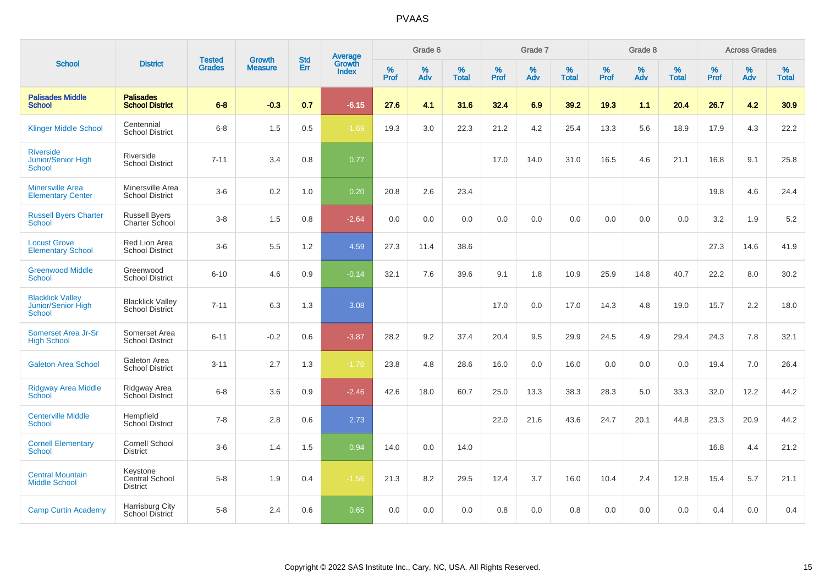|                                                                |                                               |                                | <b>Growth</b>  | <b>Std</b> |                                          |                  | Grade 6     |                      |           | Grade 7  |                   |           | Grade 8     |                   |              | <b>Across Grades</b> |                   |
|----------------------------------------------------------------|-----------------------------------------------|--------------------------------|----------------|------------|------------------------------------------|------------------|-------------|----------------------|-----------|----------|-------------------|-----------|-------------|-------------------|--------------|----------------------|-------------------|
| <b>School</b>                                                  | <b>District</b>                               | <b>Tested</b><br><b>Grades</b> | <b>Measure</b> | Err        | <b>Average</b><br>Growth<br><b>Index</b> | %<br><b>Prof</b> | $\%$<br>Adv | $\%$<br><b>Total</b> | %<br>Prof | %<br>Adv | %<br><b>Total</b> | %<br>Prof | $\%$<br>Adv | %<br><b>Total</b> | $\%$<br>Prof | $\%$<br>Adv          | %<br><b>Total</b> |
| <b>Palisades Middle</b><br><b>School</b>                       | <b>Palisades</b><br><b>School District</b>    | $6-8$                          | $-0.3$         | 0.7        | $-6.15$                                  | 27.6             | 4.1         | 31.6                 | 32.4      | 6.9      | 39.2              | 19.3      | 1.1         | 20.4              | 26.7         | 4.2                  | 30.9              |
| <b>Klinger Middle School</b>                                   | Centennial<br><b>School District</b>          | $6 - 8$                        | 1.5            | 0.5        | $-1.69$                                  | 19.3             | 3.0         | 22.3                 | 21.2      | 4.2      | 25.4              | 13.3      | 5.6         | 18.9              | 17.9         | 4.3                  | 22.2              |
| <b>Riverside</b><br>Junior/Senior High<br><b>School</b>        | Riverside<br><b>School District</b>           | $7 - 11$                       | 3.4            | 0.8        | 0.77                                     |                  |             |                      | 17.0      | 14.0     | 31.0              | 16.5      | 4.6         | 21.1              | 16.8         | 9.1                  | 25.8              |
| <b>Minersville Area</b><br><b>Elementary Center</b>            | Minersville Area<br><b>School District</b>    | $3-6$                          | 0.2            | 1.0        | 0.20                                     | 20.8             | 2.6         | 23.4                 |           |          |                   |           |             |                   | 19.8         | 4.6                  | 24.4              |
| <b>Russell Byers Charter</b><br><b>School</b>                  | <b>Russell Byers</b><br>Charter School        | $3-8$                          | 1.5            | 0.8        | $-2.64$                                  | 0.0              | 0.0         | 0.0                  | 0.0       | 0.0      | 0.0               | 0.0       | 0.0         | 0.0               | 3.2          | 1.9                  | 5.2               |
| <b>Locust Grove</b><br><b>Elementary School</b>                | Red Lion Area<br><b>School District</b>       | $3-6$                          | 5.5            | 1.2        | 4.59                                     | 27.3             | 11.4        | 38.6                 |           |          |                   |           |             |                   | 27.3         | 14.6                 | 41.9              |
| <b>Greenwood Middle</b><br><b>School</b>                       | Greenwood<br><b>School District</b>           | $6 - 10$                       | 4.6            | 0.9        | $-0.14$                                  | 32.1             | 7.6         | 39.6                 | 9.1       | 1.8      | 10.9              | 25.9      | 14.8        | 40.7              | 22.2         | 8.0                  | 30.2              |
| <b>Blacklick Valley</b><br>Junior/Senior High<br><b>School</b> | <b>Blacklick Valley</b><br>School District    | $7 - 11$                       | 6.3            | 1.3        | 3.08                                     |                  |             |                      | 17.0      | 0.0      | 17.0              | 14.3      | 4.8         | 19.0              | 15.7         | 2.2                  | 18.0              |
| Somerset Area Jr-Sr<br><b>High School</b>                      | Somerset Area<br><b>School District</b>       | $6 - 11$                       | $-0.2$         | 0.6        | $-3.87$                                  | 28.2             | 9.2         | 37.4                 | 20.4      | 9.5      | 29.9              | 24.5      | 4.9         | 29.4              | 24.3         | 7.8                  | 32.1              |
| <b>Galeton Area School</b>                                     | Galeton Area<br><b>School District</b>        | $3 - 11$                       | 2.7            | 1.3        | $-1.76$                                  | 23.8             | 4.8         | 28.6                 | 16.0      | 0.0      | 16.0              | 0.0       | 0.0         | 0.0               | 19.4         | 7.0                  | 26.4              |
| <b>Ridgway Area Middle</b><br><b>School</b>                    | Ridgway Area<br>School District               | $6 - 8$                        | 3.6            | 0.9        | $-2.46$                                  | 42.6             | 18.0        | 60.7                 | 25.0      | 13.3     | 38.3              | 28.3      | 5.0         | 33.3              | 32.0         | 12.2                 | 44.2              |
| <b>Centerville Middle</b><br><b>School</b>                     | Hempfield<br><b>School District</b>           | $7 - 8$                        | 2.8            | 0.6        | 2.73                                     |                  |             |                      | 22.0      | 21.6     | 43.6              | 24.7      | 20.1        | 44.8              | 23.3         | 20.9                 | 44.2              |
| <b>Cornell Elementary</b><br><b>School</b>                     | Cornell School<br><b>District</b>             | $3-6$                          | 1.4            | 1.5        | 0.94                                     | 14.0             | 0.0         | 14.0                 |           |          |                   |           |             |                   | 16.8         | 4.4                  | 21.2              |
| <b>Central Mountain</b><br><b>Middle School</b>                | Keystone<br>Central School<br><b>District</b> | $5-8$                          | 1.9            | 0.4        | $-1.56$                                  | 21.3             | 8.2         | 29.5                 | 12.4      | 3.7      | 16.0              | 10.4      | 2.4         | 12.8              | 15.4         | 5.7                  | 21.1              |
| <b>Camp Curtin Academy</b>                                     | Harrisburg City<br>School District            | $5 - 8$                        | 2.4            | 0.6        | 0.65                                     | 0.0              | 0.0         | 0.0                  | 0.8       | 0.0      | 0.8               | 0.0       | 0.0         | 0.0               | 0.4          | 0.0                  | 0.4               |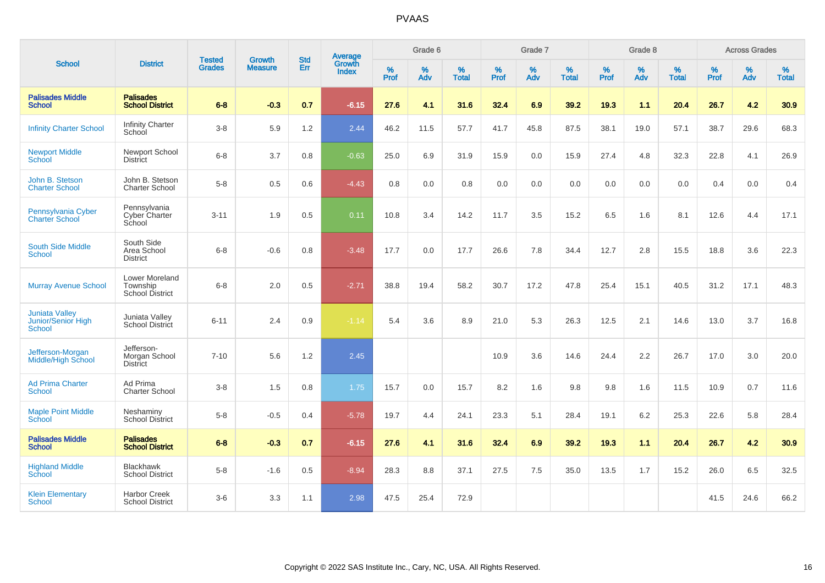|                                                       |                                                |                                |                                 | <b>Std</b> |                                          |                  | Grade 6     |                   |                  | Grade 7     |                   |                     | Grade 8     |                   |                     | <b>Across Grades</b> |                   |
|-------------------------------------------------------|------------------------------------------------|--------------------------------|---------------------------------|------------|------------------------------------------|------------------|-------------|-------------------|------------------|-------------|-------------------|---------------------|-------------|-------------------|---------------------|----------------------|-------------------|
| <b>School</b>                                         | <b>District</b>                                | <b>Tested</b><br><b>Grades</b> | <b>Growth</b><br><b>Measure</b> | Err        | <b>Average</b><br>Growth<br><b>Index</b> | %<br><b>Prof</b> | $\%$<br>Adv | %<br><b>Total</b> | %<br><b>Prof</b> | $\%$<br>Adv | %<br><b>Total</b> | $\%$<br><b>Prof</b> | $\%$<br>Adv | %<br><b>Total</b> | $\%$<br><b>Prof</b> | $\%$<br>Adv          | %<br><b>Total</b> |
| <b>Palisades Middle</b><br><b>School</b>              | <b>Palisades</b><br><b>School District</b>     | $6 - 8$                        | $-0.3$                          | 0.7        | $-6.15$                                  | 27.6             | 4.1         | 31.6              | 32.4             | 6.9         | 39.2              | 19.3                | 1.1         | 20.4              | 26.7                | 4.2                  | 30.9              |
| <b>Infinity Charter School</b>                        | <b>Infinity Charter</b><br>School              | $3-8$                          | 5.9                             | 1.2        | 2.44                                     | 46.2             | 11.5        | 57.7              | 41.7             | 45.8        | 87.5              | 38.1                | 19.0        | 57.1              | 38.7                | 29.6                 | 68.3              |
| <b>Newport Middle</b><br>School                       | Newport School<br><b>District</b>              | $6 - 8$                        | 3.7                             | 0.8        | $-0.63$                                  | 25.0             | 6.9         | 31.9              | 15.9             | 0.0         | 15.9              | 27.4                | 4.8         | 32.3              | 22.8                | 4.1                  | 26.9              |
| John B. Stetson<br><b>Charter School</b>              | John B. Stetson<br><b>Charter School</b>       | $5-8$                          | 0.5                             | 0.6        | $-4.43$                                  | 0.8              | 0.0         | 0.8               | 0.0              | 0.0         | 0.0               | 0.0                 | 0.0         | 0.0               | 0.4                 | 0.0                  | 0.4               |
| Pennsylvania Cyber<br><b>Charter School</b>           | Pennsylvania<br>Cyber Charter<br>School        | $3 - 11$                       | 1.9                             | 0.5        | 0.11                                     | 10.8             | 3.4         | 14.2              | 11.7             | 3.5         | 15.2              | 6.5                 | 1.6         | 8.1               | 12.6                | 4.4                  | 17.1              |
| <b>South Side Middle</b><br><b>School</b>             | South Side<br>Area School<br><b>District</b>   | $6 - 8$                        | $-0.6$                          | 0.8        | $-3.48$                                  | 17.7             | 0.0         | 17.7              | 26.6             | 7.8         | 34.4              | 12.7                | 2.8         | 15.5              | 18.8                | 3.6                  | 22.3              |
| <b>Murray Avenue School</b>                           | Lower Moreland<br>Township<br>School District  | $6 - 8$                        | 2.0                             | 0.5        | $-2.71$                                  | 38.8             | 19.4        | 58.2              | 30.7             | 17.2        | 47.8              | 25.4                | 15.1        | 40.5              | 31.2                | 17.1                 | 48.3              |
| <b>Juniata Valley</b><br>Junior/Senior High<br>School | Juniata Valley<br>School District              | $6 - 11$                       | 2.4                             | 0.9        | $-1.14$                                  | 5.4              | 3.6         | 8.9               | 21.0             | 5.3         | 26.3              | 12.5                | 2.1         | 14.6              | 13.0                | 3.7                  | 16.8              |
| Jefferson-Morgan<br><b>Middle/High School</b>         | Jefferson-<br>Morgan School<br><b>District</b> | $7 - 10$                       | 5.6                             | 1.2        | 2.45                                     |                  |             |                   | 10.9             | 3.6         | 14.6              | 24.4                | 2.2         | 26.7              | 17.0                | 3.0                  | 20.0              |
| <b>Ad Prima Charter</b><br><b>School</b>              | Ad Prima<br><b>Charter School</b>              | $3-8$                          | 1.5                             | 0.8        | 1.75                                     | 15.7             | 0.0         | 15.7              | 8.2              | 1.6         | 9.8               | 9.8                 | 1.6         | 11.5              | 10.9                | 0.7                  | 11.6              |
| <b>Maple Point Middle</b><br>School                   | Neshaminy<br><b>School District</b>            | $5-8$                          | $-0.5$                          | 0.4        | $-5.78$                                  | 19.7             | 4.4         | 24.1              | 23.3             | 5.1         | 28.4              | 19.1                | 6.2         | 25.3              | 22.6                | 5.8                  | 28.4              |
| <b>Palisades Middle</b><br><b>School</b>              | <b>Palisades</b><br><b>School District</b>     | $6 - 8$                        | $-0.3$                          | 0.7        | $-6.15$                                  | 27.6             | 4.1         | 31.6              | 32.4             | 6.9         | 39.2              | 19.3                | 1.1         | 20.4              | 26.7                | 4.2                  | 30.9              |
| <b>Highland Middle</b><br>School                      | <b>Blackhawk</b><br><b>School District</b>     | $5-8$                          | $-1.6$                          | 0.5        | $-8.94$                                  | 28.3             | 8.8         | 37.1              | 27.5             | 7.5         | 35.0              | 13.5                | 1.7         | 15.2              | 26.0                | 6.5                  | 32.5              |
| <b>Klein Elementary</b><br>School                     | <b>Harbor Creek</b><br><b>School District</b>  | $3-6$                          | 3.3                             | 1.1        | 2.98                                     | 47.5             | 25.4        | 72.9              |                  |             |                   |                     |             |                   | 41.5                | 24.6                 | 66.2              |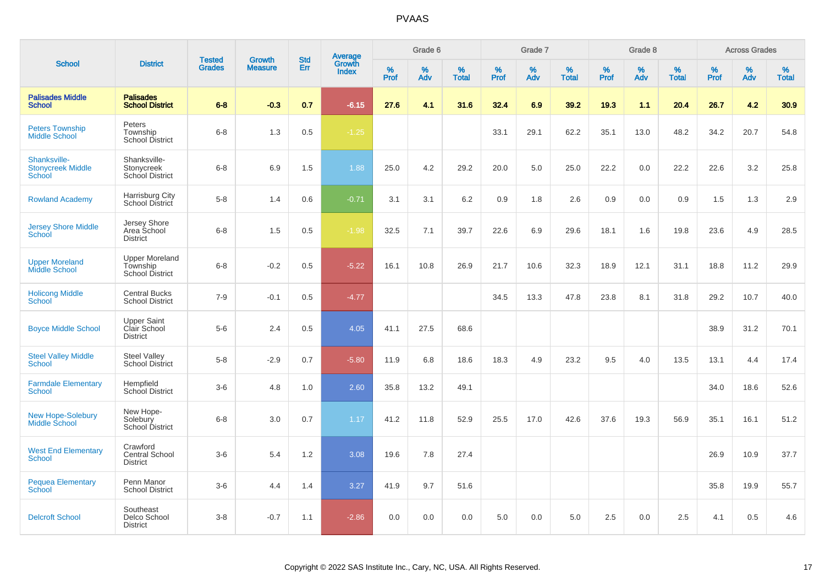|                                                    |                                                       | <b>Tested</b> | <b>Growth</b>  | <b>Std</b> |                                          |                  | Grade 6  |                   |                  | Grade 7  |                   |           | Grade 8  |                   |              | <b>Across Grades</b> |                   |
|----------------------------------------------------|-------------------------------------------------------|---------------|----------------|------------|------------------------------------------|------------------|----------|-------------------|------------------|----------|-------------------|-----------|----------|-------------------|--------------|----------------------|-------------------|
| <b>School</b>                                      | <b>District</b>                                       | <b>Grades</b> | <b>Measure</b> | Err        | <b>Average</b><br>Growth<br><b>Index</b> | %<br><b>Prof</b> | %<br>Adv | %<br><b>Total</b> | %<br><b>Prof</b> | %<br>Adv | %<br><b>Total</b> | %<br>Prof | %<br>Adv | %<br><b>Total</b> | $\%$<br>Prof | $\%$<br>Adv          | %<br><b>Total</b> |
| <b>Palisades Middle</b><br>School                  | <b>Palisades</b><br><b>School District</b>            | $6-8$         | $-0.3$         | 0.7        | $-6.15$                                  | 27.6             | 4.1      | 31.6              | 32.4             | 6.9      | 39.2              | 19.3      | 1.1      | 20.4              | 26.7         | 4.2                  | 30.9              |
| <b>Peters Township</b><br><b>Middle School</b>     | Peters<br>Township<br><b>School District</b>          | $6 - 8$       | 1.3            | 0.5        | $-1.25$                                  |                  |          |                   | 33.1             | 29.1     | 62.2              | 35.1      | 13.0     | 48.2              | 34.2         | 20.7                 | 54.8              |
| Shanksville-<br><b>Stonycreek Middle</b><br>School | Shanksville-<br>Stonycreek<br>School District         | $6 - 8$       | 6.9            | 1.5        | 1.88                                     | 25.0             | 4.2      | 29.2              | 20.0             | 5.0      | 25.0              | 22.2      | 0.0      | 22.2              | 22.6         | 3.2                  | 25.8              |
| <b>Rowland Academy</b>                             | Harrisburg City<br>School District                    | $5-8$         | 1.4            | 0.6        | $-0.71$                                  | 3.1              | 3.1      | 6.2               | 0.9              | 1.8      | 2.6               | 0.9       | 0.0      | 0.9               | 1.5          | 1.3                  | 2.9               |
| <b>Jersey Shore Middle</b><br>School               | Jersey Shore<br>Area School<br><b>District</b>        | $6 - 8$       | 1.5            | 0.5        | $-1.98$                                  | 32.5             | 7.1      | 39.7              | 22.6             | 6.9      | 29.6              | 18.1      | 1.6      | 19.8              | 23.6         | 4.9                  | 28.5              |
| <b>Upper Moreland</b><br>Middle School             | <b>Upper Moreland</b><br>Township<br>School District  | $6 - 8$       | $-0.2$         | 0.5        | $-5.22$                                  | 16.1             | 10.8     | 26.9              | 21.7             | 10.6     | 32.3              | 18.9      | 12.1     | 31.1              | 18.8         | 11.2                 | 29.9              |
| <b>Holicong Middle</b><br><b>School</b>            | <b>Central Bucks</b><br><b>School District</b>        | $7 - 9$       | $-0.1$         | 0.5        | $-4.77$                                  |                  |          |                   | 34.5             | 13.3     | 47.8              | 23.8      | 8.1      | 31.8              | 29.2         | 10.7                 | 40.0              |
| <b>Boyce Middle School</b>                         | <b>Upper Saint</b><br>Clair School<br><b>District</b> | $5-6$         | 2.4            | 0.5        | 4.05                                     | 41.1             | 27.5     | 68.6              |                  |          |                   |           |          |                   | 38.9         | 31.2                 | 70.1              |
| <b>Steel Valley Middle</b><br><b>School</b>        | <b>Steel Valley</b><br><b>School District</b>         | $5-8$         | $-2.9$         | 0.7        | $-5.80$                                  | 11.9             | 6.8      | 18.6              | 18.3             | 4.9      | 23.2              | 9.5       | 4.0      | 13.5              | 13.1         | 4.4                  | 17.4              |
| <b>Farmdale Elementary</b><br>School               | Hempfield<br>School District                          | $3-6$         | 4.8            | 1.0        | 2.60                                     | 35.8             | 13.2     | 49.1              |                  |          |                   |           |          |                   | 34.0         | 18.6                 | 52.6              |
| <b>New Hope-Solebury</b><br>Middle School          | New Hope-<br>Solebury<br><b>School District</b>       | $6 - 8$       | 3.0            | 0.7        | 1.17                                     | 41.2             | 11.8     | 52.9              | 25.5             | 17.0     | 42.6              | 37.6      | 19.3     | 56.9              | 35.1         | 16.1                 | 51.2              |
| <b>West End Elementary</b><br><b>School</b>        | Crawford<br><b>Central School</b><br><b>District</b>  | $3-6$         | 5.4            | 1.2        | 3.08                                     | 19.6             | 7.8      | 27.4              |                  |          |                   |           |          |                   | 26.9         | 10.9                 | 37.7              |
| <b>Pequea Elementary</b><br>School                 | Penn Manor<br><b>School District</b>                  | $3-6$         | 4.4            | 1.4        | 3.27                                     | 41.9             | 9.7      | 51.6              |                  |          |                   |           |          |                   | 35.8         | 19.9                 | 55.7              |
| <b>Delcroft School</b>                             | Southeast<br>Delco School<br><b>District</b>          | $3-8$         | $-0.7$         | 1.1        | $-2.86$                                  | 0.0              | 0.0      | 0.0               | 5.0              | 0.0      | 5.0               | 2.5       | 0.0      | 2.5               | 4.1          | 0.5                  | 4.6               |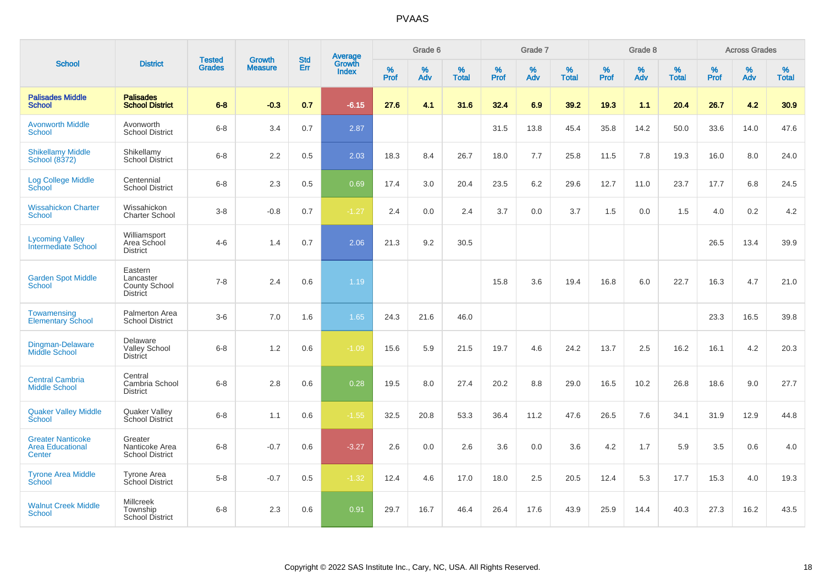|                                                               |                                                          |                                |                                 |                   |                                          |                  | Grade 6  |                   |           | Grade 7  |                   |           | Grade 8  |                   |              | <b>Across Grades</b> |                   |
|---------------------------------------------------------------|----------------------------------------------------------|--------------------------------|---------------------------------|-------------------|------------------------------------------|------------------|----------|-------------------|-----------|----------|-------------------|-----------|----------|-------------------|--------------|----------------------|-------------------|
| <b>School</b>                                                 | <b>District</b>                                          | <b>Tested</b><br><b>Grades</b> | <b>Growth</b><br><b>Measure</b> | <b>Std</b><br>Err | <b>Average</b><br>Growth<br><b>Index</b> | %<br><b>Prof</b> | %<br>Adv | %<br><b>Total</b> | %<br>Prof | %<br>Adv | %<br><b>Total</b> | %<br>Prof | %<br>Adv | %<br><b>Total</b> | $\%$<br>Prof | $\%$<br>Adv          | %<br><b>Total</b> |
| <b>Palisades Middle</b><br><b>School</b>                      | <b>Palisades</b><br><b>School District</b>               | $6-8$                          | $-0.3$                          | 0.7               | $-6.15$                                  | 27.6             | 4.1      | 31.6              | 32.4      | 6.9      | 39.2              | 19.3      | 1.1      | 20.4              | 26.7         | 4.2                  | 30.9              |
| <b>Avonworth Middle</b><br><b>School</b>                      | Avonworth<br><b>School District</b>                      | $6 - 8$                        | 3.4                             | 0.7               | 2.87                                     |                  |          |                   | 31.5      | 13.8     | 45.4              | 35.8      | 14.2     | 50.0              | 33.6         | 14.0                 | 47.6              |
| <b>Shikellamy Middle</b><br>School (8372)                     | Shikellamy<br><b>School District</b>                     | $6 - 8$                        | 2.2                             | 0.5               | 2.03                                     | 18.3             | 8.4      | 26.7              | 18.0      | 7.7      | 25.8              | 11.5      | 7.8      | 19.3              | 16.0         | 8.0                  | 24.0              |
| <b>Log College Middle</b><br>School                           | Centennial<br><b>School District</b>                     | $6 - 8$                        | 2.3                             | 0.5               | 0.69                                     | 17.4             | 3.0      | 20.4              | 23.5      | 6.2      | 29.6              | 12.7      | 11.0     | 23.7              | 17.7         | 6.8                  | 24.5              |
| <b>Wissahickon Charter</b><br>School                          | Wissahickon<br><b>Charter School</b>                     | $3 - 8$                        | $-0.8$                          | 0.7               | $-1.27$                                  | 2.4              | 0.0      | 2.4               | 3.7       | 0.0      | 3.7               | 1.5       | 0.0      | 1.5               | 4.0          | 0.2                  | 4.2               |
| <b>Lycoming Valley</b><br><b>Intermediate School</b>          | Williamsport<br>Area School<br><b>District</b>           | $4 - 6$                        | 1.4                             | 0.7               | 2.06                                     | 21.3             | 9.2      | 30.5              |           |          |                   |           |          |                   | 26.5         | 13.4                 | 39.9              |
| <b>Garden Spot Middle</b><br><b>School</b>                    | Eastern<br>Lancaster<br>County School<br><b>District</b> | $7 - 8$                        | 2.4                             | 0.6               | 1.19                                     |                  |          |                   | 15.8      | 3.6      | 19.4              | 16.8      | 6.0      | 22.7              | 16.3         | 4.7                  | 21.0              |
| Towamensing<br><b>Elementary School</b>                       | <b>Palmerton Area</b><br><b>School District</b>          | $3-6$                          | 7.0                             | 1.6               | 1.65                                     | 24.3             | 21.6     | 46.0              |           |          |                   |           |          |                   | 23.3         | 16.5                 | 39.8              |
| Dingman-Delaware<br><b>Middle School</b>                      | Delaware<br><b>Valley School</b><br><b>District</b>      | $6 - 8$                        | 1.2                             | 0.6               | $-1.09$                                  | 15.6             | 5.9      | 21.5              | 19.7      | 4.6      | 24.2              | 13.7      | 2.5      | 16.2              | 16.1         | 4.2                  | 20.3              |
| <b>Central Cambria</b><br><b>Middle School</b>                | Central<br>Cambria School<br><b>District</b>             | $6 - 8$                        | 2.8                             | 0.6               | 0.28                                     | 19.5             | 8.0      | 27.4              | 20.2      | 8.8      | 29.0              | 16.5      | 10.2     | 26.8              | 18.6         | 9.0                  | 27.7              |
| <b>Quaker Valley Middle</b><br><b>School</b>                  | Quaker Valley<br>School District                         | $6 - 8$                        | 1.1                             | 0.6               | $-1.55$                                  | 32.5             | 20.8     | 53.3              | 36.4      | 11.2     | 47.6              | 26.5      | 7.6      | 34.1              | 31.9         | 12.9                 | 44.8              |
| <b>Greater Nanticoke</b><br><b>Area Educational</b><br>Center | Greater<br>Nanticoke Area<br><b>School District</b>      | $6 - 8$                        | $-0.7$                          | 0.6               | $-3.27$                                  | 2.6              | 0.0      | 2.6               | 3.6       | 0.0      | 3.6               | 4.2       | 1.7      | 5.9               | 3.5          | 0.6                  | 4.0               |
| <b>Tyrone Area Middle</b><br>School                           | <b>Tyrone Area</b><br>School District                    | $5 - 8$                        | $-0.7$                          | 0.5               | $-1.32$                                  | 12.4             | 4.6      | 17.0              | 18.0      | 2.5      | 20.5              | 12.4      | 5.3      | 17.7              | 15.3         | 4.0                  | 19.3              |
| <b>Walnut Creek Middle</b><br><b>School</b>                   | <b>Millcreek</b><br>Township<br>School District          | $6 - 8$                        | 2.3                             | 0.6               | 0.91                                     | 29.7             | 16.7     | 46.4              | 26.4      | 17.6     | 43.9              | 25.9      | 14.4     | 40.3              | 27.3         | 16.2                 | 43.5              |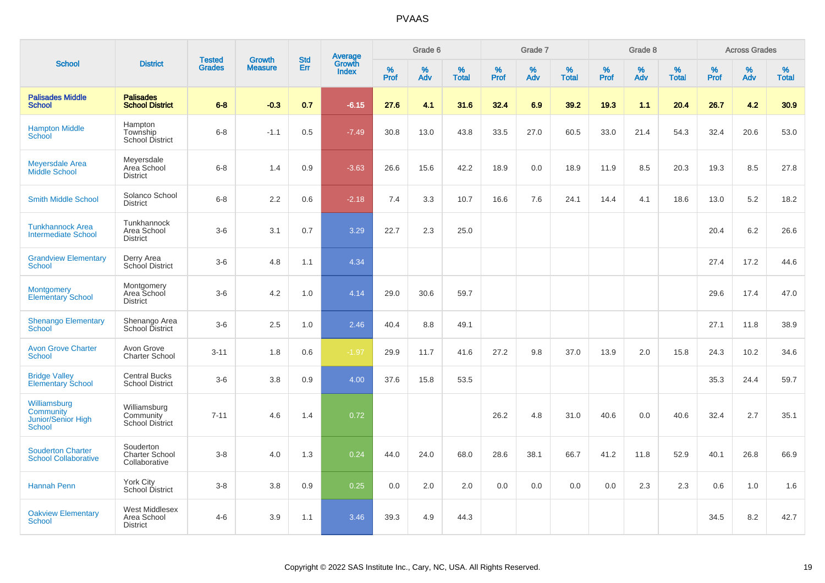|                                                                  |                                                     |                                | <b>Growth</b>  | <b>Std</b> |                                   |                     | Grade 6     |                   |                     | Grade 7     |                   |              | Grade 8     |                   |              | <b>Across Grades</b> |                   |
|------------------------------------------------------------------|-----------------------------------------------------|--------------------------------|----------------|------------|-----------------------------------|---------------------|-------------|-------------------|---------------------|-------------|-------------------|--------------|-------------|-------------------|--------------|----------------------|-------------------|
| <b>School</b>                                                    | <b>District</b>                                     | <b>Tested</b><br><b>Grades</b> | <b>Measure</b> | Err        | Average<br>Growth<br><b>Index</b> | $\%$<br><b>Prof</b> | $\%$<br>Adv | %<br><b>Total</b> | $\%$<br><b>Prof</b> | $\%$<br>Adv | %<br><b>Total</b> | $\%$<br>Prof | $\%$<br>Adv | %<br><b>Total</b> | $\%$<br>Prof | $\%$<br>Adv          | %<br><b>Total</b> |
| <b>Palisades Middle</b><br><b>School</b>                         | <b>Palisades</b><br><b>School District</b>          | $6 - 8$                        | $-0.3$         | 0.7        | $-6.15$                           | 27.6                | 4.1         | 31.6              | 32.4                | 6.9         | 39.2              | 19.3         | 1.1         | 20.4              | 26.7         | 4.2                  | 30.9              |
| <b>Hampton Middle</b><br>School                                  | Hampton<br>Township<br>School District              | $6 - 8$                        | $-1.1$         | 0.5        | $-7.49$                           | 30.8                | 13.0        | 43.8              | 33.5                | 27.0        | 60.5              | 33.0         | 21.4        | 54.3              | 32.4         | 20.6                 | 53.0              |
| <b>Meyersdale Area</b><br>Middle School                          | Meyersdale<br>Area School<br><b>District</b>        | $6 - 8$                        | 1.4            | 0.9        | $-3.63$                           | 26.6                | 15.6        | 42.2              | 18.9                | 0.0         | 18.9              | 11.9         | 8.5         | 20.3              | 19.3         | 8.5                  | 27.8              |
| <b>Smith Middle School</b>                                       | Solanco School<br><b>District</b>                   | $6 - 8$                        | 2.2            | 0.6        | $-2.18$                           | 7.4                 | 3.3         | 10.7              | 16.6                | 7.6         | 24.1              | 14.4         | 4.1         | 18.6              | 13.0         | 5.2                  | 18.2              |
| <b>Tunkhannock Area</b><br><b>Intermediate School</b>            | Tunkhannock<br>Area School<br><b>District</b>       | $3-6$                          | 3.1            | 0.7        | 3.29                              | 22.7                | 2.3         | 25.0              |                     |             |                   |              |             |                   | 20.4         | 6.2                  | 26.6              |
| <b>Grandview Elementary</b><br><b>School</b>                     | Derry Area<br>School District                       | $3-6$                          | 4.8            | 1.1        | 4.34                              |                     |             |                   |                     |             |                   |              |             |                   | 27.4         | 17.2                 | 44.6              |
| <b>Montgomery</b><br><b>Elementary School</b>                    | Montgomery<br>Area School<br><b>District</b>        | $3-6$                          | 4.2            | 1.0        | 4.14                              | 29.0                | 30.6        | 59.7              |                     |             |                   |              |             |                   | 29.6         | 17.4                 | 47.0              |
| <b>Shenango Elementary</b><br><b>School</b>                      | Shenango Area<br>School District                    | $3-6$                          | 2.5            | 1.0        | 2.46                              | 40.4                | 8.8         | 49.1              |                     |             |                   |              |             |                   | 27.1         | 11.8                 | 38.9              |
| <b>Avon Grove Charter</b><br><b>School</b>                       | Avon Grove<br><b>Charter School</b>                 | $3 - 11$                       | 1.8            | 0.6        | $-1.97$                           | 29.9                | 11.7        | 41.6              | 27.2                | 9.8         | 37.0              | 13.9         | 2.0         | 15.8              | 24.3         | 10.2                 | 34.6              |
| <b>Bridge Valley</b><br><b>Elementary School</b>                 | <b>Central Bucks</b><br><b>School District</b>      | $3-6$                          | 3.8            | $0.9\,$    | 4.00                              | 37.6                | 15.8        | 53.5              |                     |             |                   |              |             |                   | 35.3         | 24.4                 | 59.7              |
| Williamsburg<br>Community<br>Junior/Senior High<br><b>School</b> | Williamsburg<br>Community<br><b>School District</b> | $7 - 11$                       | 4.6            | 1.4        | 0.72                              |                     |             |                   | 26.2                | 4.8         | 31.0              | 40.6         | 0.0         | 40.6              | 32.4         | 2.7                  | 35.1              |
| <b>Souderton Charter</b><br><b>School Collaborative</b>          | Souderton<br><b>Charter School</b><br>Collaborative | $3 - 8$                        | 4.0            | 1.3        | 0.24                              | 44.0                | 24.0        | 68.0              | 28.6                | 38.1        | 66.7              | 41.2         | 11.8        | 52.9              | 40.1         | 26.8                 | 66.9              |
| <b>Hannah Penn</b>                                               | York City<br>School District                        | $3 - 8$                        | 3.8            | 0.9        | 0.25                              | 0.0                 | 2.0         | 2.0               | 0.0                 | 0.0         | 0.0               | 0.0          | 2.3         | 2.3               | 0.6          | 1.0                  | 1.6               |
| <b>Oakview Elementary</b><br><b>School</b>                       | West Middlesex<br>Area School<br><b>District</b>    | $4 - 6$                        | 3.9            | 1.1        | 3.46                              | 39.3                | 4.9         | 44.3              |                     |             |                   |              |             |                   | 34.5         | 8.2                  | 42.7              |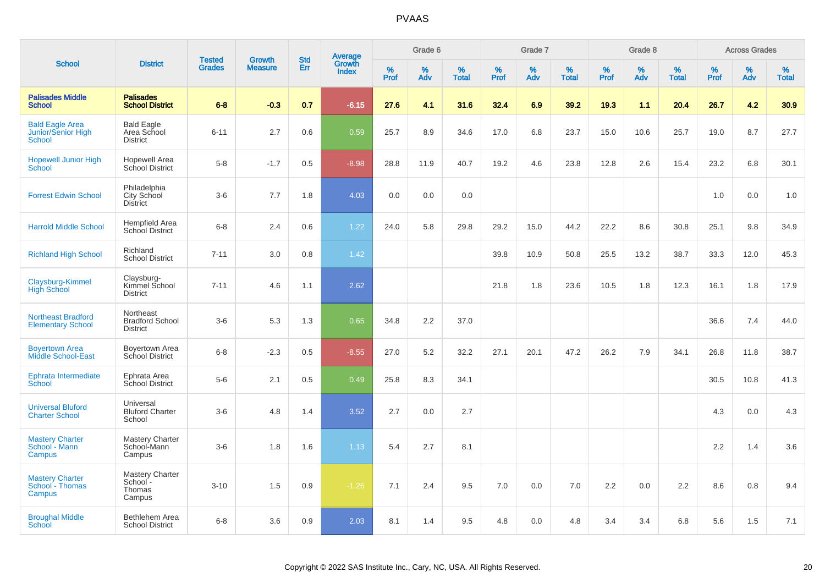|                                                               |                                                        |                                |                                 |                   |                                   |                  | Grade 6     |                   |           | Grade 7     |            |           | Grade 8  |                   |           | <b>Across Grades</b> |                   |
|---------------------------------------------------------------|--------------------------------------------------------|--------------------------------|---------------------------------|-------------------|-----------------------------------|------------------|-------------|-------------------|-----------|-------------|------------|-----------|----------|-------------------|-----------|----------------------|-------------------|
| <b>School</b>                                                 | <b>District</b>                                        | <b>Tested</b><br><b>Grades</b> | <b>Growth</b><br><b>Measure</b> | <b>Std</b><br>Err | <b>Average</b><br>Growth<br>Index | %<br><b>Prof</b> | $\%$<br>Adv | %<br><b>Total</b> | %<br>Prof | $\%$<br>Adv | %<br>Total | %<br>Prof | %<br>Adv | %<br><b>Total</b> | %<br>Prof | %<br>Adv             | %<br><b>Total</b> |
| <b>Palisades Middle</b><br><b>School</b>                      | <b>Palisades</b><br><b>School District</b>             | $6 - 8$                        | $-0.3$                          | 0.7               | $-6.15$                           | 27.6             | 4.1         | 31.6              | 32.4      | 6.9         | 39.2       | 19.3      | 1.1      | 20.4              | 26.7      | 4.2                  | 30.9              |
| <b>Bald Eagle Area</b><br><b>Junior/Senior High</b><br>School | <b>Bald Eagle</b><br>Area School<br><b>District</b>    | $6 - 11$                       | 2.7                             | 0.6               | 0.59                              | 25.7             | 8.9         | 34.6              | 17.0      | 6.8         | 23.7       | 15.0      | 10.6     | 25.7              | 19.0      | 8.7                  | 27.7              |
| <b>Hopewell Junior High</b><br>School                         | <b>Hopewell Area</b><br>School District                | $5-8$                          | $-1.7$                          | 0.5               | $-8.98$                           | 28.8             | 11.9        | 40.7              | 19.2      | 4.6         | 23.8       | 12.8      | 2.6      | 15.4              | 23.2      | 6.8                  | 30.1              |
| <b>Forrest Edwin School</b>                                   | Philadelphia<br>City School<br><b>District</b>         | $3-6$                          | 7.7                             | 1.8               | 4.03                              | 0.0              | 0.0         | 0.0               |           |             |            |           |          |                   | 1.0       | 0.0                  | 1.0               |
| <b>Harrold Middle School</b>                                  | Hempfield Area<br>School District                      | $6 - 8$                        | 2.4                             | 0.6               | 1.22                              | 24.0             | 5.8         | 29.8              | 29.2      | 15.0        | 44.2       | 22.2      | 8.6      | 30.8              | 25.1      | 9.8                  | 34.9              |
| <b>Richland High School</b>                                   | Richland<br><b>School District</b>                     | $7 - 11$                       | 3.0                             | 0.8               | 1.42                              |                  |             |                   | 39.8      | 10.9        | 50.8       | 25.5      | 13.2     | 38.7              | 33.3      | 12.0                 | 45.3              |
| Claysburg-Kimmel<br>High School                               | Claysburg-<br>Kimmel School<br><b>District</b>         | $7 - 11$                       | 4.6                             | 1.1               | 2.62                              |                  |             |                   | 21.8      | 1.8         | 23.6       | 10.5      | 1.8      | 12.3              | 16.1      | 1.8                  | 17.9              |
| <b>Northeast Bradford</b><br><b>Elementary School</b>         | Northeast<br><b>Bradford School</b><br><b>District</b> | $3-6$                          | 5.3                             | 1.3               | 0.65                              | 34.8             | 2.2         | 37.0              |           |             |            |           |          |                   | 36.6      | 7.4                  | 44.0              |
| <b>Boyertown Area</b><br>Middle School-East                   | Boyertown Area<br>School District                      | $6 - 8$                        | $-2.3$                          | 0.5               | $-8.55$                           | 27.0             | 5.2         | 32.2              | 27.1      | 20.1        | 47.2       | 26.2      | 7.9      | 34.1              | 26.8      | 11.8                 | 38.7              |
| Ephrata Intermediate<br>School                                | Ephrata Area<br>School District                        | $5-6$                          | 2.1                             | 0.5               | 0.49                              | 25.8             | 8.3         | 34.1              |           |             |            |           |          |                   | 30.5      | 10.8                 | 41.3              |
| <b>Universal Bluford</b><br><b>Charter School</b>             | Universal<br><b>Bluford Charter</b><br>School          | $3-6$                          | 4.8                             | 1.4               | 3.52                              | 2.7              | 0.0         | 2.7               |           |             |            |           |          |                   | 4.3       | 0.0                  | 4.3               |
| <b>Mastery Charter</b><br>School - Mann<br>Campus             | Mastery Charter<br>School-Mann<br>Campus               | $3-6$                          | 1.8                             | 1.6               | 1.13                              | 5.4              | 2.7         | 8.1               |           |             |            |           |          |                   | 2.2       | 1.4                  | 3.6               |
| <b>Mastery Charter</b><br>School - Thomas<br>Campus           | Mastery Charter<br>School -<br>Thomas<br>Campus        | $3 - 10$                       | 1.5                             | 0.9               | $-1.26$                           | 7.1              | 2.4         | 9.5               | 7.0       | 0.0         | 7.0        | 2.2       | 0.0      | 2.2               | 8.6       | 0.8                  | 9.4               |
| <b>Broughal Middle</b><br>School                              | <b>Bethlehem Area</b><br><b>School District</b>        | $6 - 8$                        | 3.6                             | 0.9               | 2.03                              | 8.1              | 1.4         | 9.5               | 4.8       | 0.0         | 4.8        | 3.4       | 3.4      | 6.8               | 5.6       | 1.5                  | 7.1               |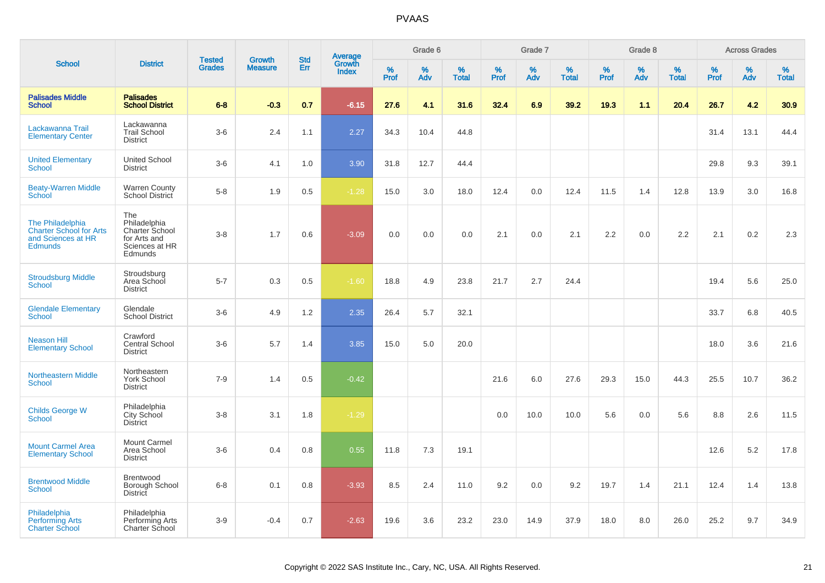|                                                                                            |                                                                                    |                                |                                 | <b>Std</b> |                                          |                  | Grade 6     |                   |           | Grade 7     |                   |           | Grade 8  |                   |              | <b>Across Grades</b> |                   |
|--------------------------------------------------------------------------------------------|------------------------------------------------------------------------------------|--------------------------------|---------------------------------|------------|------------------------------------------|------------------|-------------|-------------------|-----------|-------------|-------------------|-----------|----------|-------------------|--------------|----------------------|-------------------|
| <b>School</b>                                                                              | <b>District</b>                                                                    | <b>Tested</b><br><b>Grades</b> | <b>Growth</b><br><b>Measure</b> | Err        | <b>Average</b><br>Growth<br><b>Index</b> | %<br><b>Prof</b> | $\%$<br>Adv | %<br><b>Total</b> | %<br>Prof | $\%$<br>Adv | %<br><b>Total</b> | %<br>Prof | %<br>Adv | %<br><b>Total</b> | $\%$<br>Prof | $\%$<br>Adv          | %<br><b>Total</b> |
| <b>Palisades Middle</b><br><b>School</b>                                                   | <b>Palisades</b><br><b>School District</b>                                         | $6 - 8$                        | $-0.3$                          | 0.7        | $-6.15$                                  | 27.6             | 4.1         | 31.6              | 32.4      | 6.9         | 39.2              | 19.3      | 1.1      | 20.4              | 26.7         | 4.2                  | 30.9              |
| Lackawanna Trail<br><b>Elementary Center</b>                                               | Lackawanna<br><b>Trail School</b><br><b>District</b>                               | $3-6$                          | 2.4                             | 1.1        | 2.27                                     | 34.3             | 10.4        | 44.8              |           |             |                   |           |          |                   | 31.4         | 13.1                 | 44.4              |
| <b>United Elementary</b><br>School                                                         | <b>United School</b><br><b>District</b>                                            | $3-6$                          | 4.1                             | 1.0        | 3.90                                     | 31.8             | 12.7        | 44.4              |           |             |                   |           |          |                   | 29.8         | 9.3                  | 39.1              |
| <b>Beaty-Warren Middle</b><br>School                                                       | Warren County<br>School District                                                   | $5-8$                          | 1.9                             | 0.5        | $-1.28$                                  | 15.0             | 3.0         | 18.0              | 12.4      | 0.0         | 12.4              | 11.5      | 1.4      | 12.8              | 13.9         | 3.0                  | 16.8              |
| The Philadelphia<br><b>Charter School for Arts</b><br>and Sciences at HR<br><b>Edmunds</b> | The<br>Philadelphia<br>Charter School<br>for Arts and<br>Sciences at HR<br>Edmunds | $3-8$                          | 1.7                             | 0.6        | $-3.09$                                  | 0.0              | 0.0         | $0.0\,$           | 2.1       | 0.0         | 2.1               | 2.2       | 0.0      | 2.2               | 2.1          | 0.2                  | 2.3               |
| <b>Stroudsburg Middle</b><br><b>School</b>                                                 | Stroudsburg<br>Area School<br><b>District</b>                                      | $5 - 7$                        | 0.3                             | 0.5        | $-1.60$                                  | 18.8             | 4.9         | 23.8              | 21.7      | 2.7         | 24.4              |           |          |                   | 19.4         | 5.6                  | 25.0              |
| <b>Glendale Elementary</b><br><b>School</b>                                                | Glendale<br><b>School District</b>                                                 | $3-6$                          | 4.9                             | 1.2        | 2.35                                     | 26.4             | 5.7         | 32.1              |           |             |                   |           |          |                   | 33.7         | 6.8                  | 40.5              |
| <b>Neason Hill</b><br><b>Elementary School</b>                                             | Crawford<br>Central School<br><b>District</b>                                      | $3-6$                          | 5.7                             | 1.4        | 3.85                                     | 15.0             | 5.0         | 20.0              |           |             |                   |           |          |                   | 18.0         | 3.6                  | 21.6              |
| <b>Northeastern Middle</b><br><b>School</b>                                                | Northeastern<br>York School<br><b>District</b>                                     | $7 - 9$                        | 1.4                             | 0.5        | $-0.42$                                  |                  |             |                   | 21.6      | 6.0         | 27.6              | 29.3      | 15.0     | 44.3              | 25.5         | 10.7                 | 36.2              |
| <b>Childs George W</b><br><b>School</b>                                                    | Philadelphia<br>City School<br><b>District</b>                                     | $3-8$                          | 3.1                             | 1.8        | $-1.29$                                  |                  |             |                   | 0.0       | 10.0        | 10.0              | 5.6       | 0.0      | 5.6               | 8.8          | 2.6                  | 11.5              |
| <b>Mount Carmel Area</b><br><b>Elementary School</b>                                       | Mount Carmel<br>Area School<br><b>District</b>                                     | $3-6$                          | 0.4                             | 0.8        | 0.55                                     | 11.8             | 7.3         | 19.1              |           |             |                   |           |          |                   | 12.6         | 5.2                  | 17.8              |
| <b>Brentwood Middle</b><br><b>School</b>                                                   | <b>Brentwood</b><br>Borough School<br>District                                     | $6 - 8$                        | 0.1                             | 0.8        | $-3.93$                                  | 8.5              | 2.4         | 11.0              | 9.2       | 0.0         | 9.2               | 19.7      | 1.4      | 21.1              | 12.4         | 1.4                  | 13.8              |
| Philadelphia<br><b>Performing Arts</b><br><b>Charter School</b>                            | Philadelphia<br>Performing Arts<br><b>Charter School</b>                           | $3-9$                          | $-0.4$                          | 0.7        | $-2.63$                                  | 19.6             | 3.6         | 23.2              | 23.0      | 14.9        | 37.9              | 18.0      | 8.0      | 26.0              | 25.2         | 9.7                  | 34.9              |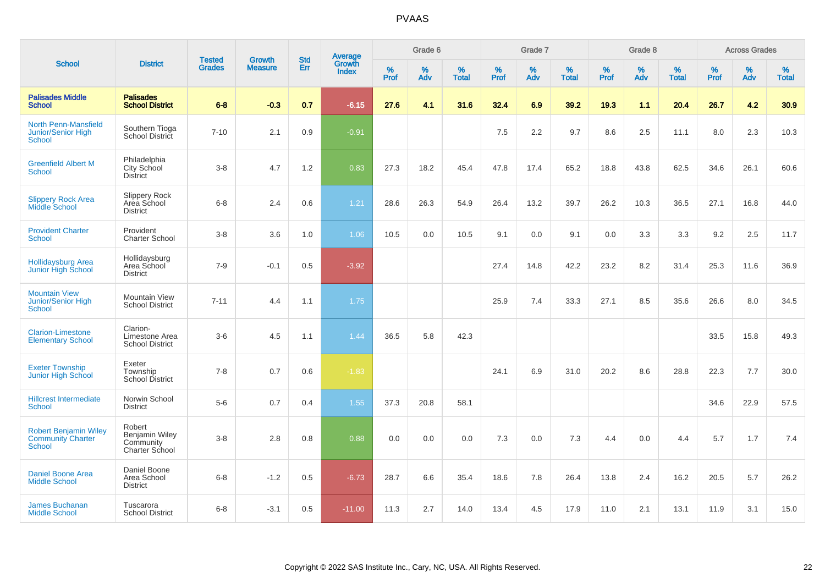|                                                                           |                                                         |                                | <b>Growth</b>  | <b>Std</b> | <b>Average</b><br>Growth |                  | Grade 6  |                   |           | Grade 7  |                   |           | Grade 8  |                   |           | <b>Across Grades</b> |                   |
|---------------------------------------------------------------------------|---------------------------------------------------------|--------------------------------|----------------|------------|--------------------------|------------------|----------|-------------------|-----------|----------|-------------------|-----------|----------|-------------------|-----------|----------------------|-------------------|
| <b>School</b>                                                             | <b>District</b>                                         | <b>Tested</b><br><b>Grades</b> | <b>Measure</b> | Err        | <b>Index</b>             | %<br><b>Prof</b> | %<br>Adv | %<br><b>Total</b> | %<br>Prof | %<br>Adv | %<br><b>Total</b> | %<br>Prof | %<br>Adv | %<br><b>Total</b> | %<br>Prof | $\%$<br>Adv          | %<br><b>Total</b> |
| <b>Palisades Middle</b><br><b>School</b>                                  | <b>Palisades</b><br><b>School District</b>              | $6 - 8$                        | $-0.3$         | 0.7        | $-6.15$                  | 27.6             | 4.1      | 31.6              | 32.4      | 6.9      | 39.2              | 19.3      | 1.1      | 20.4              | 26.7      | 4.2                  | 30.9              |
| <b>North Penn-Mansfield</b><br><b>Junior/Senior High</b><br>School        | Southern Tioga<br>School District                       | $7 - 10$                       | 2.1            | 0.9        | $-0.91$                  |                  |          |                   | 7.5       | 2.2      | 9.7               | 8.6       | 2.5      | 11.1              | 8.0       | 2.3                  | 10.3              |
| <b>Greenfield Albert M</b><br><b>School</b>                               | Philadelphia<br>City School<br><b>District</b>          | $3-8$                          | 4.7            | 1.2        | 0.83                     | 27.3             | 18.2     | 45.4              | 47.8      | 17.4     | 65.2              | 18.8      | 43.8     | 62.5              | 34.6      | 26.1                 | 60.6              |
| <b>Slippery Rock Area</b><br><b>Middle School</b>                         | Slippery Rock<br>Area School<br><b>District</b>         | $6 - 8$                        | 2.4            | 0.6        | 1.21                     | 28.6             | 26.3     | 54.9              | 26.4      | 13.2     | 39.7              | 26.2      | 10.3     | 36.5              | 27.1      | 16.8                 | 44.0              |
| <b>Provident Charter</b><br><b>School</b>                                 | Provident<br><b>Charter School</b>                      | $3 - 8$                        | 3.6            | 1.0        | 1.06                     | 10.5             | 0.0      | 10.5              | 9.1       | 0.0      | 9.1               | 0.0       | 3.3      | 3.3               | 9.2       | 2.5                  | 11.7              |
| Hollidaysburg Area<br>Junior High School                                  | Hollidaysburg<br>Area School<br><b>District</b>         | $7 - 9$                        | $-0.1$         | 0.5        | $-3.92$                  |                  |          |                   | 27.4      | 14.8     | 42.2              | 23.2      | 8.2      | 31.4              | 25.3      | 11.6                 | 36.9              |
| <b>Mountain View</b><br>Junior/Senior High<br><b>School</b>               | Mountain View<br><b>School District</b>                 | $7 - 11$                       | 4.4            | 1.1        | 1.75                     |                  |          |                   | 25.9      | 7.4      | 33.3              | 27.1      | 8.5      | 35.6              | 26.6      | 8.0                  | 34.5              |
| <b>Clarion-Limestone</b><br><b>Elementary School</b>                      | Clarion-<br>Limestone Area<br><b>School District</b>    | $3-6$                          | 4.5            | 1.1        | 1.44                     | 36.5             | 5.8      | 42.3              |           |          |                   |           |          |                   | 33.5      | 15.8                 | 49.3              |
| <b>Exeter Township</b><br>Junior High School                              | Exeter<br>Township<br><b>School District</b>            | $7 - 8$                        | 0.7            | 0.6        | $-1.83$                  |                  |          |                   | 24.1      | 6.9      | 31.0              | 20.2      | 8.6      | 28.8              | 22.3      | 7.7                  | 30.0              |
| <b>Hillcrest Intermediate</b><br>School                                   | Norwin School<br><b>District</b>                        | $5-6$                          | 0.7            | 0.4        | 1.55                     | 37.3             | 20.8     | 58.1              |           |          |                   |           |          |                   | 34.6      | 22.9                 | 57.5              |
| <b>Robert Benjamin Wiley</b><br><b>Community Charter</b><br><b>School</b> | Robert<br>Benjamin Wiley<br>Community<br>Charter School | $3-8$                          | 2.8            | 0.8        | 0.88                     | 0.0              | 0.0      | 0.0               | 7.3       | 0.0      | 7.3               | 4.4       | 0.0      | 4.4               | 5.7       | 1.7                  | 7.4               |
| <b>Daniel Boone Area</b><br><b>Middle School</b>                          | Daniel Boone<br>Area School<br><b>District</b>          | $6 - 8$                        | $-1.2$         | 0.5        | $-6.73$                  | 28.7             | 6.6      | 35.4              | 18.6      | 7.8      | 26.4              | 13.8      | 2.4      | 16.2              | 20.5      | 5.7                  | 26.2              |
| <b>James Buchanan</b><br><b>Middle School</b>                             | Tuscarora<br><b>School District</b>                     | $6 - 8$                        | $-3.1$         | 0.5        | $-11.00$                 | 11.3             | 2.7      | 14.0              | 13.4      | 4.5      | 17.9              | 11.0      | 2.1      | 13.1              | 11.9      | 3.1                  | 15.0              |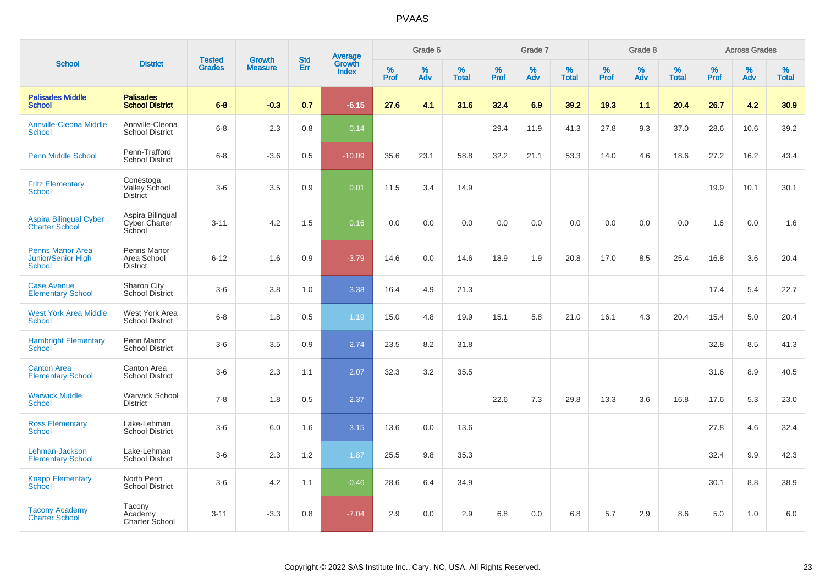|                                                                |                                               |                                |                                 | <b>Std</b> |                                          |                  | Grade 6     |                      |           | Grade 7  |                   |           | Grade 8  |                   |              | <b>Across Grades</b> |                   |
|----------------------------------------------------------------|-----------------------------------------------|--------------------------------|---------------------------------|------------|------------------------------------------|------------------|-------------|----------------------|-----------|----------|-------------------|-----------|----------|-------------------|--------------|----------------------|-------------------|
| <b>School</b>                                                  | <b>District</b>                               | <b>Tested</b><br><b>Grades</b> | <b>Growth</b><br><b>Measure</b> | Err        | <b>Average</b><br>Growth<br><b>Index</b> | %<br><b>Prof</b> | $\%$<br>Adv | $\%$<br><b>Total</b> | %<br>Prof | %<br>Adv | %<br><b>Total</b> | %<br>Prof | %<br>Adv | %<br><b>Total</b> | $\%$<br>Prof | $\%$<br>Adv          | %<br><b>Total</b> |
| <b>Palisades Middle</b><br><b>School</b>                       | <b>Palisades</b><br><b>School District</b>    | $6 - 8$                        | $-0.3$                          | 0.7        | $-6.15$                                  | 27.6             | 4.1         | 31.6                 | 32.4      | 6.9      | 39.2              | 19.3      | 1.1      | 20.4              | 26.7         | 4.2                  | 30.9              |
| <b>Annville-Cleona Middle</b><br>School                        | Annville-Cleona<br><b>School District</b>     | $6 - 8$                        | 2.3                             | 0.8        | 0.14                                     |                  |             |                      | 29.4      | 11.9     | 41.3              | 27.8      | 9.3      | 37.0              | 28.6         | 10.6                 | 39.2              |
| <b>Penn Middle School</b>                                      | Penn-Trafford<br><b>School District</b>       | $6 - 8$                        | $-3.6$                          | 0.5        | $-10.09$                                 | 35.6             | 23.1        | 58.8                 | 32.2      | 21.1     | 53.3              | 14.0      | 4.6      | 18.6              | 27.2         | 16.2                 | 43.4              |
| <b>Fritz Elementary</b><br><b>School</b>                       | Conestoga<br>Valley School<br><b>District</b> | $3-6$                          | 3.5                             | 0.9        | 0.01                                     | 11.5             | 3.4         | 14.9                 |           |          |                   |           |          |                   | 19.9         | 10.1                 | 30.1              |
| <b>Aspira Bilingual Cyber</b><br><b>Charter School</b>         | Aspira Bilingual<br>Cyber Charter<br>School   | $3 - 11$                       | 4.2                             | 1.5        | 0.16                                     | 0.0              | 0.0         | 0.0                  | 0.0       | 0.0      | 0.0               | 0.0       | 0.0      | 0.0               | 1.6          | 0.0                  | 1.6               |
| <b>Penns Manor Area</b><br>Junior/Senior High<br><b>School</b> | Penns Manor<br>Area School<br><b>District</b> | $6 - 12$                       | 1.6                             | 0.9        | $-3.79$                                  | 14.6             | 0.0         | 14.6                 | 18.9      | 1.9      | 20.8              | 17.0      | 8.5      | 25.4              | 16.8         | 3.6                  | 20.4              |
| <b>Case Avenue</b><br><b>Elementary School</b>                 | Sharon City<br><b>School District</b>         | $3-6$                          | 3.8                             | 1.0        | 3.38                                     | 16.4             | 4.9         | 21.3                 |           |          |                   |           |          |                   | 17.4         | 5.4                  | 22.7              |
| <b>West York Area Middle</b><br><b>School</b>                  | West York Area<br><b>School District</b>      | $6 - 8$                        | 1.8                             | 0.5        | 1.19                                     | 15.0             | 4.8         | 19.9                 | 15.1      | 5.8      | 21.0              | 16.1      | 4.3      | 20.4              | 15.4         | 5.0                  | 20.4              |
| <b>Hambright Elementary</b><br><b>School</b>                   | Penn Manor<br><b>School District</b>          | $3-6$                          | 3.5                             | 0.9        | 2.74                                     | 23.5             | 8.2         | 31.8                 |           |          |                   |           |          |                   | 32.8         | 8.5                  | 41.3              |
| <b>Canton Area</b><br><b>Elementary School</b>                 | Canton Area<br><b>School District</b>         | $3-6$                          | 2.3                             | 1.1        | 2.07                                     | 32.3             | 3.2         | 35.5                 |           |          |                   |           |          |                   | 31.6         | 8.9                  | 40.5              |
| <b>Warwick Middle</b><br><b>School</b>                         | <b>Warwick School</b><br><b>District</b>      | $7 - 8$                        | 1.8                             | 0.5        | 2.37                                     |                  |             |                      | 22.6      | 7.3      | 29.8              | 13.3      | 3.6      | 16.8              | 17.6         | 5.3                  | 23.0              |
| <b>Ross Elementary</b><br><b>School</b>                        | Lake-Lehman<br><b>School District</b>         | $3-6$                          | 6.0                             | 1.6        | 3.15                                     | 13.6             | 0.0         | 13.6                 |           |          |                   |           |          |                   | 27.8         | 4.6                  | 32.4              |
| Lehman-Jackson<br><b>Elementary School</b>                     | Lake-Lehman<br><b>School District</b>         | $3-6$                          | 2.3                             | 1.2        | 1.87                                     | 25.5             | 9.8         | 35.3                 |           |          |                   |           |          |                   | 32.4         | 9.9                  | 42.3              |
| <b>Knapp Elementary</b><br><b>School</b>                       | North Penn<br><b>School District</b>          | $3-6$                          | 4.2                             | 1.1        | $-0.46$                                  | 28.6             | 6.4         | 34.9                 |           |          |                   |           |          |                   | 30.1         | 8.8                  | 38.9              |
| <b>Tacony Academy</b><br><b>Charter School</b>                 | Tacony<br>Academy<br>Charter School           | $3 - 11$                       | $-3.3$                          | 0.8        | $-7.04$                                  | 2.9              | 0.0         | 2.9                  | 6.8       | 0.0      | 6.8               | 5.7       | 2.9      | 8.6               | 5.0          | 1.0                  | 6.0               |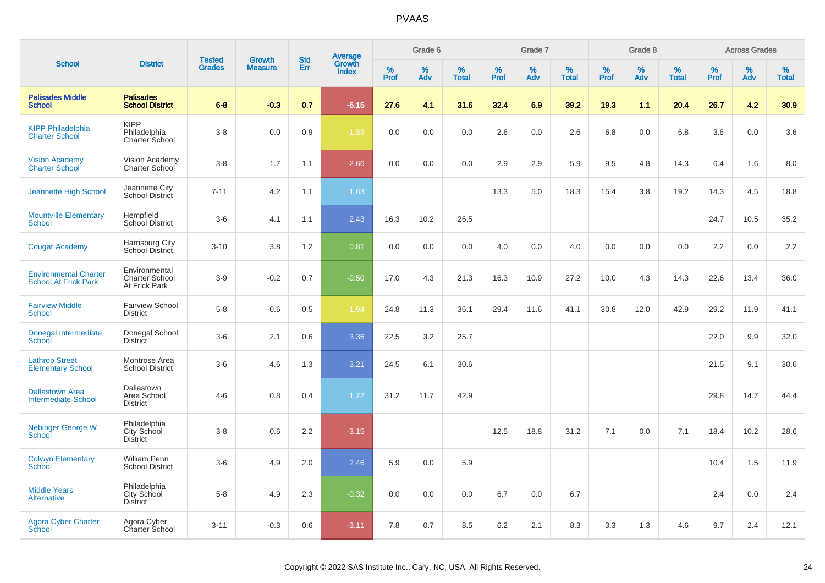|                                                             |                                                         |                                |                                 | <b>Std</b> |                                          |                     | Grade 6     |                   |              | Grade 7     |                      |              | Grade 8  |                   |                     | <b>Across Grades</b> |                   |
|-------------------------------------------------------------|---------------------------------------------------------|--------------------------------|---------------------------------|------------|------------------------------------------|---------------------|-------------|-------------------|--------------|-------------|----------------------|--------------|----------|-------------------|---------------------|----------------------|-------------------|
| <b>School</b>                                               | <b>District</b>                                         | <b>Tested</b><br><b>Grades</b> | <b>Growth</b><br><b>Measure</b> | Err        | <b>Average</b><br>Growth<br><b>Index</b> | $\%$<br><b>Prof</b> | $\%$<br>Adv | %<br><b>Total</b> | $\%$<br>Prof | $\%$<br>Adv | $\%$<br><b>Total</b> | $\%$<br>Prof | %<br>Adv | %<br><b>Total</b> | $\%$<br><b>Prof</b> | $\%$<br>Adv          | %<br><b>Total</b> |
| <b>Palisades Middle</b><br><b>School</b>                    | <b>Palisades</b><br><b>School District</b>              | $6 - 8$                        | $-0.3$                          | 0.7        | $-6.15$                                  | 27.6                | 4.1         | 31.6              | 32.4         | 6.9         | 39.2                 | 19.3         | 1.1      | 20.4              | 26.7                | 4.2                  | 30.9              |
| <b>KIPP Philadelphia</b><br><b>Charter School</b>           | <b>KIPP</b><br>Philadelphia<br>Charter School           | $3-8$                          | 0.0                             | 0.9        | $-1.89$                                  | 0.0                 | 0.0         | 0.0               | 2.6          | 0.0         | 2.6                  | 6.8          | 0.0      | 6.8               | 3.6                 | 0.0                  | 3.6               |
| <b>Vision Academy</b><br><b>Charter School</b>              | Vision Academy<br><b>Charter School</b>                 | $3-8$                          | 1.7                             | 1.1        | $-2.66$                                  | 0.0                 | 0.0         | 0.0               | 2.9          | 2.9         | 5.9                  | 9.5          | 4.8      | 14.3              | 6.4                 | 1.6                  | 8.0               |
| <b>Jeannette High School</b>                                | Jeannette City<br>School District                       | $7 - 11$                       | 4.2                             | 1.1        | 1.63                                     |                     |             |                   | 13.3         | 5.0         | 18.3                 | 15.4         | 3.8      | 19.2              | 14.3                | 4.5                  | 18.8              |
| <b>Mountville Elementary</b><br><b>School</b>               | Hempfield<br>School District                            | $3-6$                          | 4.1                             | 1.1        | 2.43                                     | 16.3                | 10.2        | 26.5              |              |             |                      |              |          |                   | 24.7                | 10.5                 | 35.2              |
| <b>Cougar Academy</b>                                       | Harrisburg City<br>School District                      | $3 - 10$                       | 3.8                             | 1.2        | 0.81                                     | 0.0                 | 0.0         | 0.0               | 4.0          | 0.0         | 4.0                  | 0.0          | 0.0      | 0.0               | 2.2                 | 0.0                  | 2.2               |
| <b>Environmental Charter</b><br><b>School At Frick Park</b> | Environmental<br><b>Charter School</b><br>At Frick Park | $3-9$                          | $-0.2$                          | 0.7        | $-0.50$                                  | 17.0                | 4.3         | 21.3              | 16.3         | 10.9        | 27.2                 | 10.0         | 4.3      | 14.3              | 22.6                | 13.4                 | 36.0              |
| <b>Fairview Middle</b><br><b>School</b>                     | <b>Fairview School</b><br><b>District</b>               | $5-8$                          | $-0.6$                          | 0.5        | $-1.94$                                  | 24.8                | 11.3        | 36.1              | 29.4         | 11.6        | 41.1                 | 30.8         | 12.0     | 42.9              | 29.2                | 11.9                 | 41.1              |
| Donegal Intermediate<br>School                              | Donegal School<br><b>District</b>                       | $3-6$                          | 2.1                             | 0.6        | 3.36                                     | 22.5                | 3.2         | 25.7              |              |             |                      |              |          |                   | 22.0                | 9.9                  | 32.0              |
| <b>Lathrop Street</b><br><b>Elementary School</b>           | Montrose Area<br><b>School District</b>                 | $3-6$                          | 4.6                             | 1.3        | 3.21                                     | 24.5                | 6.1         | 30.6              |              |             |                      |              |          |                   | 21.5                | 9.1                  | 30.6              |
| <b>Dallastown Area</b><br>Intermediate School               | Dallastown<br>Area School<br><b>District</b>            | $4 - 6$                        | 0.8                             | 0.4        | 1.72                                     | 31.2                | 11.7        | 42.9              |              |             |                      |              |          |                   | 29.8                | 14.7                 | 44.4              |
| <b>Nebinger George W</b><br>School                          | Philadelphia<br>City School<br><b>District</b>          | $3-8$                          | 0.6                             | 2.2        | $-3.15$                                  |                     |             |                   | 12.5         | 18.8        | 31.2                 | 7.1          | 0.0      | 7.1               | 18.4                | 10.2                 | 28.6              |
| <b>Colwyn Elementary</b><br><b>School</b>                   | William Penn<br><b>School District</b>                  | $3-6$                          | 4.9                             | 2.0        | 2.46                                     | 5.9                 | 0.0         | 5.9               |              |             |                      |              |          |                   | 10.4                | 1.5                  | 11.9              |
| <b>Middle Years</b><br><b>Alternative</b>                   | Philadelphia<br>City School<br><b>District</b>          | $5-8$                          | 4.9                             | 2.3        | $-0.32$                                  | 0.0                 | 0.0         | 0.0               | 6.7          | 0.0         | 6.7                  |              |          |                   | 2.4                 | 0.0                  | 2.4               |
| <b>Agora Cyber Charter</b><br>School                        | Agora Cyber<br>Charter School                           | $3 - 11$                       | $-0.3$                          | 0.6        | $-3.11$                                  | 7.8                 | 0.7         | 8.5               | 6.2          | 2.1         | 8.3                  | 3.3          | 1.3      | 4.6               | 9.7                 | 2.4                  | 12.1              |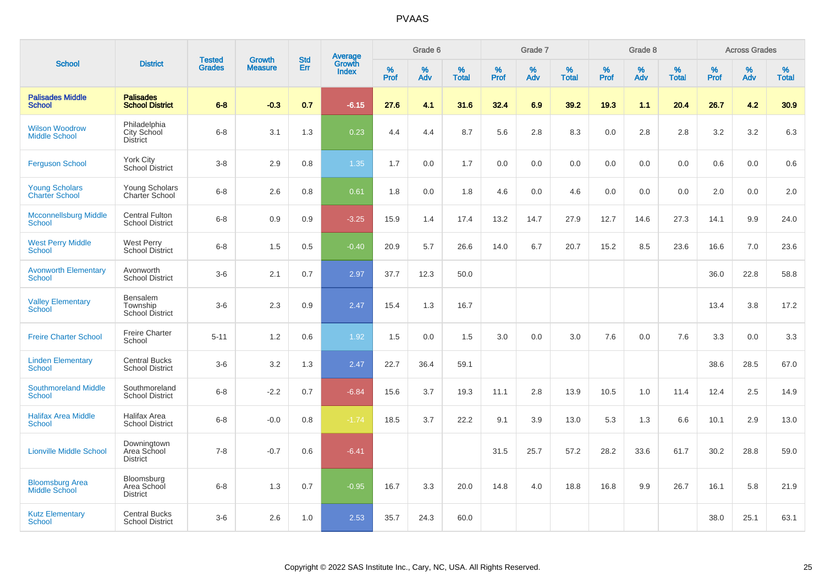|                                                |                                                 |                                |                                 | <b>Std</b> |                                          |                  | Grade 6  |                   |           | Grade 7  |                   |           | Grade 8  |                   |              | <b>Across Grades</b> |                   |
|------------------------------------------------|-------------------------------------------------|--------------------------------|---------------------------------|------------|------------------------------------------|------------------|----------|-------------------|-----------|----------|-------------------|-----------|----------|-------------------|--------------|----------------------|-------------------|
| <b>School</b>                                  | <b>District</b>                                 | <b>Tested</b><br><b>Grades</b> | <b>Growth</b><br><b>Measure</b> | Err        | <b>Average</b><br>Growth<br><b>Index</b> | %<br><b>Prof</b> | %<br>Adv | %<br><b>Total</b> | %<br>Prof | %<br>Adv | %<br><b>Total</b> | %<br>Prof | %<br>Adv | %<br><b>Total</b> | $\%$<br>Prof | $\%$<br>Adv          | %<br><b>Total</b> |
| <b>Palisades Middle</b><br><b>School</b>       | <b>Palisades</b><br><b>School District</b>      | $6 - 8$                        | $-0.3$                          | 0.7        | $-6.15$                                  | 27.6             | 4.1      | 31.6              | 32.4      | 6.9      | 39.2              | 19.3      | 1.1      | 20.4              | 26.7         | 4.2                  | 30.9              |
| <b>Wilson Woodrow</b><br><b>Middle School</b>  | Philadelphia<br>City School<br><b>District</b>  | $6 - 8$                        | 3.1                             | 1.3        | 0.23                                     | 4.4              | 4.4      | 8.7               | 5.6       | 2.8      | 8.3               | 0.0       | 2.8      | 2.8               | 3.2          | 3.2                  | 6.3               |
| <b>Ferguson School</b>                         | York City<br>School District                    | $3-8$                          | 2.9                             | 0.8        | 1.35                                     | 1.7              | 0.0      | 1.7               | 0.0       | 0.0      | 0.0               | 0.0       | 0.0      | 0.0               | 0.6          | 0.0                  | 0.6               |
| <b>Young Scholars</b><br><b>Charter School</b> | Young Scholars<br>Charter School                | $6 - 8$                        | 2.6                             | 0.8        | 0.61                                     | 1.8              | 0.0      | 1.8               | 4.6       | 0.0      | 4.6               | 0.0       | 0.0      | 0.0               | 2.0          | 0.0                  | 2.0               |
| <b>Mcconnellsburg Middle</b><br><b>School</b>  | <b>Central Fulton</b><br><b>School District</b> | $6 - 8$                        | 0.9                             | 0.9        | $-3.25$                                  | 15.9             | 1.4      | 17.4              | 13.2      | 14.7     | 27.9              | 12.7      | 14.6     | 27.3              | 14.1         | 9.9                  | 24.0              |
| <b>West Perry Middle</b><br><b>School</b>      | <b>West Perry</b><br><b>School District</b>     | $6-8$                          | 1.5                             | 0.5        | $-0.40$                                  | 20.9             | 5.7      | 26.6              | 14.0      | 6.7      | 20.7              | 15.2      | 8.5      | 23.6              | 16.6         | 7.0                  | 23.6              |
| <b>Avonworth Elementary</b><br>School          | Avonworth<br><b>School District</b>             | $3-6$                          | 2.1                             | 0.7        | 2.97                                     | 37.7             | 12.3     | 50.0              |           |          |                   |           |          |                   | 36.0         | 22.8                 | 58.8              |
| <b>Valley Elementary</b><br>School             | Bensalem<br>Township<br>School District         | $3-6$                          | 2.3                             | 0.9        | 2.47                                     | 15.4             | 1.3      | 16.7              |           |          |                   |           |          |                   | 13.4         | 3.8                  | 17.2              |
| <b>Freire Charter School</b>                   | <b>Freire Charter</b><br>School                 | $5 - 11$                       | 1.2                             | 0.6        | 1.92                                     | 1.5              | 0.0      | 1.5               | 3.0       | 0.0      | 3.0               | 7.6       | 0.0      | 7.6               | 3.3          | 0.0                  | 3.3               |
| <b>Linden Elementary</b><br><b>School</b>      | <b>Central Bucks</b><br><b>School District</b>  | $3-6$                          | 3.2                             | 1.3        | 2.47                                     | 22.7             | 36.4     | 59.1              |           |          |                   |           |          |                   | 38.6         | 28.5                 | 67.0              |
| <b>Southmoreland Middle</b><br><b>School</b>   | Southmoreland<br><b>School District</b>         | $6 - 8$                        | $-2.2$                          | 0.7        | $-6.84$                                  | 15.6             | 3.7      | 19.3              | 11.1      | 2.8      | 13.9              | 10.5      | 1.0      | 11.4              | 12.4         | 2.5                  | 14.9              |
| <b>Halifax Area Middle</b><br><b>School</b>    | Halifax Area<br><b>School District</b>          | $6 - 8$                        | $-0.0$                          | 0.8        | $-1.74$                                  | 18.5             | 3.7      | 22.2              | 9.1       | 3.9      | 13.0              | 5.3       | 1.3      | 6.6               | 10.1         | 2.9                  | 13.0              |
| <b>Lionville Middle School</b>                 | Downingtown<br>Area School<br><b>District</b>   | $7 - 8$                        | $-0.7$                          | 0.6        | $-6.41$                                  |                  |          |                   | 31.5      | 25.7     | 57.2              | 28.2      | 33.6     | 61.7              | 30.2         | 28.8                 | 59.0              |
| <b>Bloomsburg Area</b><br><b>Middle School</b> | Bloomsburg<br>Area School<br><b>District</b>    | $6 - 8$                        | 1.3                             | 0.7        | $-0.95$                                  | 16.7             | 3.3      | 20.0              | 14.8      | 4.0      | 18.8              | 16.8      | 9.9      | 26.7              | 16.1         | 5.8                  | 21.9              |
| <b>Kutz Elementary</b><br><b>School</b>        | <b>Central Bucks</b><br><b>School District</b>  | $3-6$                          | 2.6                             | 1.0        | 2.53                                     | 35.7             | 24.3     | 60.0              |           |          |                   |           |          |                   | 38.0         | 25.1                 | 63.1              |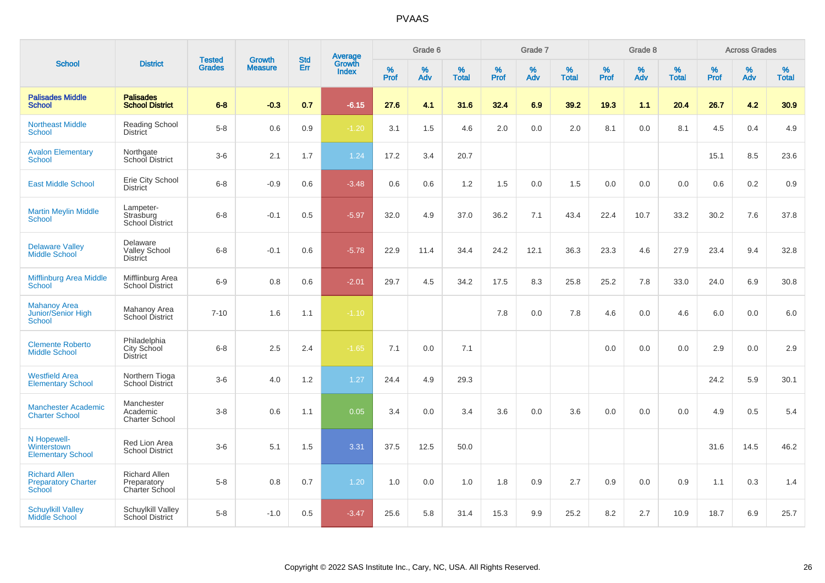|                                                                     |                                                       |                                | <b>Growth</b>  |                   |                                   |              | Grade 6     |                   |              | Grade 7     |                   |              | Grade 8     |                   |              | <b>Across Grades</b> |                      |
|---------------------------------------------------------------------|-------------------------------------------------------|--------------------------------|----------------|-------------------|-----------------------------------|--------------|-------------|-------------------|--------------|-------------|-------------------|--------------|-------------|-------------------|--------------|----------------------|----------------------|
| <b>School</b>                                                       | <b>District</b>                                       | <b>Tested</b><br><b>Grades</b> | <b>Measure</b> | <b>Std</b><br>Err | Average<br>Growth<br><b>Index</b> | $\%$<br>Prof | $\%$<br>Adv | %<br><b>Total</b> | $\%$<br>Prof | $\%$<br>Adv | %<br><b>Total</b> | $\%$<br>Prof | $\%$<br>Adv | %<br><b>Total</b> | $\%$<br>Prof | $\%$<br>Adv          | $\%$<br><b>Total</b> |
| <b>Palisades Middle</b><br><b>School</b>                            | <b>Palisades</b><br><b>School District</b>            | $6 - 8$                        | $-0.3$         | 0.7               | $-6.15$                           | 27.6         | 4.1         | 31.6              | 32.4         | 6.9         | 39.2              | 19.3         | 1.1         | 20.4              | 26.7         | 4.2                  | 30.9                 |
| <b>Northeast Middle</b><br><b>School</b>                            | <b>Reading School</b><br><b>District</b>              | $5-8$                          | 0.6            | 0.9               | $-1.20$                           | 3.1          | 1.5         | 4.6               | 2.0          | 0.0         | 2.0               | 8.1          | 0.0         | 8.1               | 4.5          | 0.4                  | 4.9                  |
| <b>Avalon Elementary</b><br><b>School</b>                           | Northgate<br>School District                          | $3-6$                          | 2.1            | 1.7               | 1.24                              | 17.2         | 3.4         | 20.7              |              |             |                   |              |             |                   | 15.1         | 8.5                  | 23.6                 |
| <b>East Middle School</b>                                           | Erie City School<br><b>District</b>                   | $6 - 8$                        | $-0.9$         | 0.6               | $-3.48$                           | 0.6          | 0.6         | 1.2               | 1.5          | 0.0         | 1.5               | 0.0          | 0.0         | 0.0               | 0.6          | 0.2                  | 0.9                  |
| <b>Martin Meylin Middle</b><br><b>School</b>                        | Lampeter-<br>Strasburg<br>School District             | $6 - 8$                        | $-0.1$         | 0.5               | $-5.97$                           | 32.0         | 4.9         | 37.0              | 36.2         | 7.1         | 43.4              | 22.4         | 10.7        | 33.2              | 30.2         | 7.6                  | 37.8                 |
| <b>Delaware Valley</b><br><b>Middle School</b>                      | Delaware<br><b>Valley School</b><br><b>District</b>   | $6 - 8$                        | $-0.1$         | 0.6               | $-5.78$                           | 22.9         | 11.4        | 34.4              | 24.2         | 12.1        | 36.3              | 23.3         | 4.6         | 27.9              | 23.4         | 9.4                  | 32.8                 |
| Mifflinburg Area Middle<br><b>School</b>                            | Mifflinburg Area<br>School District                   | $6-9$                          | 0.8            | 0.6               | $-2.01$                           | 29.7         | 4.5         | 34.2              | 17.5         | 8.3         | 25.8              | 25.2         | 7.8         | 33.0              | 24.0         | 6.9                  | 30.8                 |
| <b>Mahanoy Area</b><br><b>Junior/Senior High</b><br><b>School</b>   | Mahanoy Area<br>School District                       | $7 - 10$                       | 1.6            | 1.1               | $-1.10$                           |              |             |                   | 7.8          | 0.0         | 7.8               | 4.6          | 0.0         | 4.6               | 6.0          | 0.0                  | 6.0                  |
| <b>Clemente Roberto</b><br><b>Middle School</b>                     | Philadelphia<br>City School<br><b>District</b>        | $6 - 8$                        | 2.5            | 2.4               | $-1.65$                           | 7.1          | 0.0         | 7.1               |              |             |                   | 0.0          | 0.0         | 0.0               | 2.9          | 0.0                  | 2.9                  |
| <b>Westfield Area</b><br><b>Elementary School</b>                   | Northern Tioga<br><b>School District</b>              | $3-6$                          | 4.0            | 1.2               | 1.27                              | 24.4         | 4.9         | 29.3              |              |             |                   |              |             |                   | 24.2         | 5.9                  | 30.1                 |
| <b>Manchester Academic</b><br><b>Charter School</b>                 | Manchester<br>Academic<br><b>Charter School</b>       | $3 - 8$                        | 0.6            | 1.1               | 0.05                              | 3.4          | 0.0         | 3.4               | 3.6          | 0.0         | 3.6               | 0.0          | 0.0         | 0.0               | 4.9          | 0.5                  | 5.4                  |
| N Hopewell-<br>Winterstown<br><b>Elementary School</b>              | Red Lion Area<br><b>School District</b>               | $3-6$                          | 5.1            | 1.5               | 3.31                              | 37.5         | 12.5        | 50.0              |              |             |                   |              |             |                   | 31.6         | 14.5                 | 46.2                 |
| <b>Richard Allen</b><br><b>Preparatory Charter</b><br><b>School</b> | <b>Richard Allen</b><br>Preparatory<br>Charter School | $5-8$                          | 0.8            | 0.7               | 1.20                              | 1.0          | 0.0         | 1.0               | 1.8          | 0.9         | 2.7               | 0.9          | 0.0         | 0.9               | 1.1          | 0.3                  | 1.4                  |
| <b>Schuylkill Valley</b><br><b>Middle School</b>                    | <b>Schuylkill Valley</b><br>School District           | $5-8$                          | $-1.0$         | 0.5               | $-3.47$                           | 25.6         | 5.8         | 31.4              | 15.3         | 9.9         | 25.2              | 8.2          | 2.7         | 10.9              | 18.7         | 6.9                  | 25.7                 |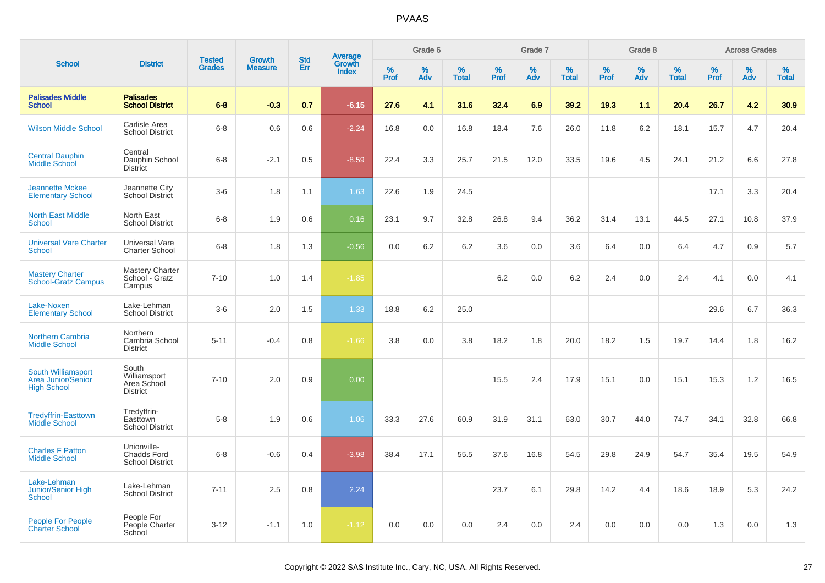|                                                                       |                                                             |                                |                                 | <b>Std</b> |                                          |                  | Grade 6  |                   |           | Grade 7  |                   |           | Grade 8  |                   |              | <b>Across Grades</b> |                   |
|-----------------------------------------------------------------------|-------------------------------------------------------------|--------------------------------|---------------------------------|------------|------------------------------------------|------------------|----------|-------------------|-----------|----------|-------------------|-----------|----------|-------------------|--------------|----------------------|-------------------|
| <b>School</b>                                                         | <b>District</b>                                             | <b>Tested</b><br><b>Grades</b> | <b>Growth</b><br><b>Measure</b> | Err        | <b>Average</b><br>Growth<br><b>Index</b> | %<br><b>Prof</b> | %<br>Adv | %<br><b>Total</b> | %<br>Prof | %<br>Adv | %<br><b>Total</b> | %<br>Prof | %<br>Adv | %<br><b>Total</b> | $\%$<br>Prof | %<br>Adv             | %<br><b>Total</b> |
| <b>Palisades Middle</b><br><b>School</b>                              | <b>Palisades</b><br><b>School District</b>                  | $6-8$                          | $-0.3$                          | 0.7        | $-6.15$                                  | 27.6             | 4.1      | 31.6              | 32.4      | 6.9      | 39.2              | 19.3      | 1.1      | 20.4              | 26.7         | 4.2                  | 30.9              |
| <b>Wilson Middle School</b>                                           | Carlisle Area<br><b>School District</b>                     | $6 - 8$                        | 0.6                             | 0.6        | $-2.24$                                  | 16.8             | 0.0      | 16.8              | 18.4      | 7.6      | 26.0              | 11.8      | 6.2      | 18.1              | 15.7         | 4.7                  | 20.4              |
| <b>Central Dauphin</b><br>Middle School                               | Central<br>Dauphin School<br><b>District</b>                | $6 - 8$                        | $-2.1$                          | 0.5        | $-8.59$                                  | 22.4             | 3.3      | 25.7              | 21.5      | 12.0     | 33.5              | 19.6      | 4.5      | 24.1              | 21.2         | 6.6                  | 27.8              |
| <b>Jeannette Mckee</b><br><b>Elementary School</b>                    | Jeannette City<br>School District                           | $3-6$                          | 1.8                             | 1.1        | 1.63                                     | 22.6             | 1.9      | 24.5              |           |          |                   |           |          |                   | 17.1         | 3.3                  | 20.4              |
| <b>North East Middle</b><br><b>School</b>                             | North East<br><b>School District</b>                        | $6 - 8$                        | 1.9                             | 0.6        | 0.16                                     | 23.1             | 9.7      | 32.8              | 26.8      | 9.4      | 36.2              | 31.4      | 13.1     | 44.5              | 27.1         | 10.8                 | 37.9              |
| <b>Universal Vare Charter</b><br><b>School</b>                        | <b>Universal Vare</b><br><b>Charter School</b>              | $6-8$                          | 1.8                             | 1.3        | $-0.56$                                  | 0.0              | 6.2      | 6.2               | 3.6       | 0.0      | 3.6               | 6.4       | 0.0      | 6.4               | 4.7          | 0.9                  | 5.7               |
| <b>Mastery Charter</b><br><b>School-Gratz Campus</b>                  | <b>Mastery Charter</b><br>School - Gratz<br>Campus          | $7 - 10$                       | $1.0$                           | 1.4        | $-1.85$                                  |                  |          |                   | 6.2       | 0.0      | 6.2               | 2.4       | 0.0      | 2.4               | 4.1          | 0.0                  | 4.1               |
| Lake-Noxen<br><b>Elementary School</b>                                | Lake-Lehman<br><b>School District</b>                       | $3-6$                          | 2.0                             | 1.5        | 1.33                                     | 18.8             | 6.2      | 25.0              |           |          |                   |           |          |                   | 29.6         | 6.7                  | 36.3              |
| <b>Northern Cambria</b><br><b>Middle School</b>                       | Northern<br>Cambria School<br><b>District</b>               | $5 - 11$                       | $-0.4$                          | 0.8        | $-1.66$                                  | 3.8              | 0.0      | 3.8               | 18.2      | 1.8      | 20.0              | 18.2      | 1.5      | 19.7              | 14.4         | 1.8                  | 16.2              |
| South Williamsport<br><b>Area Junior/Senior</b><br><b>High School</b> | South<br>Williamsport<br>Area School<br><b>District</b>     | $7 - 10$                       | 2.0                             | 0.9        | 0.00                                     |                  |          |                   | 15.5      | 2.4      | 17.9              | 15.1      | 0.0      | 15.1              | 15.3         | 1.2                  | 16.5              |
| <b>Tredyffrin-Easttown</b><br><b>Middle School</b>                    | Tredyffrin-<br>Easttown<br><b>School District</b>           | $5-8$                          | 1.9                             | 0.6        | 1.06                                     | 33.3             | 27.6     | 60.9              | 31.9      | 31.1     | 63.0              | 30.7      | 44.0     | 74.7              | 34.1         | 32.8                 | 66.8              |
| <b>Charles F Patton</b><br><b>Middle School</b>                       | Unionville-<br><b>Chadds Ford</b><br><b>School District</b> | $6-8$                          | $-0.6$                          | 0.4        | $-3.98$                                  | 38.4             | 17.1     | 55.5              | 37.6      | 16.8     | 54.5              | 29.8      | 24.9     | 54.7              | 35.4         | 19.5                 | 54.9              |
| Lake-Lehman<br><b>Junior/Senior High</b><br><b>School</b>             | Lake-Lehman<br><b>School District</b>                       | $7 - 11$                       | 2.5                             | 0.8        | 2.24                                     |                  |          |                   | 23.7      | 6.1      | 29.8              | 14.2      | 4.4      | 18.6              | 18.9         | 5.3                  | 24.2              |
| <b>People For People</b><br><b>Charter School</b>                     | People For<br>People Charter<br>School                      | $3 - 12$                       | $-1.1$                          | 1.0        | $-1.12$                                  | 0.0              | 0.0      | 0.0               | 2.4       | 0.0      | 2.4               | 0.0       | 0.0      | 0.0               | 1.3          | 0.0                  | 1.3               |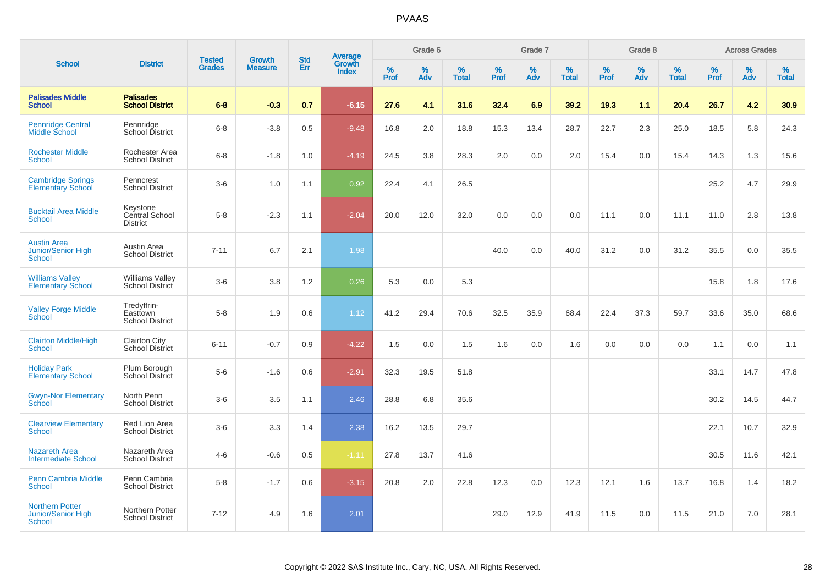|                                                               |                                                   | <b>Tested</b> | <b>Growth</b>  | <b>Std</b> |                                          |                  | Grade 6     |                   |              | Grade 7  |                   |           | Grade 8  |                   |           | <b>Across Grades</b> |                   |
|---------------------------------------------------------------|---------------------------------------------------|---------------|----------------|------------|------------------------------------------|------------------|-------------|-------------------|--------------|----------|-------------------|-----------|----------|-------------------|-----------|----------------------|-------------------|
| <b>School</b>                                                 | <b>District</b>                                   | <b>Grades</b> | <b>Measure</b> | Err        | <b>Average</b><br>Growth<br><b>Index</b> | %<br><b>Prof</b> | $\%$<br>Adv | %<br><b>Total</b> | $\%$<br>Prof | %<br>Adv | %<br><b>Total</b> | %<br>Prof | %<br>Adv | %<br><b>Total</b> | %<br>Prof | $\%$<br>Adv          | %<br><b>Total</b> |
| <b>Palisades Middle</b><br><b>School</b>                      | <b>Palisades</b><br><b>School District</b>        | $6 - 8$       | $-0.3$         | 0.7        | $-6.15$                                  | 27.6             | 4.1         | 31.6              | 32.4         | 6.9      | 39.2              | 19.3      | 1.1      | 20.4              | 26.7      | 4.2                  | 30.9              |
| <b>Pennridge Central</b><br>Middle School                     | Pennridge<br>School District                      | $6 - 8$       | $-3.8$         | 0.5        | $-9.48$                                  | 16.8             | 2.0         | 18.8              | 15.3         | 13.4     | 28.7              | 22.7      | 2.3      | 25.0              | 18.5      | 5.8                  | 24.3              |
| <b>Rochester Middle</b><br>School                             | Rochester Area<br><b>School District</b>          | $6 - 8$       | $-1.8$         | 1.0        | $-4.19$                                  | 24.5             | 3.8         | 28.3              | 2.0          | 0.0      | 2.0               | 15.4      | 0.0      | 15.4              | 14.3      | 1.3                  | 15.6              |
| <b>Cambridge Springs</b><br><b>Elementary School</b>          | Penncrest<br><b>School District</b>               | $3-6$         | 1.0            | 1.1        | 0.92                                     | 22.4             | 4.1         | 26.5              |              |          |                   |           |          |                   | 25.2      | 4.7                  | 29.9              |
| <b>Bucktail Area Middle</b><br><b>School</b>                  | Keystone<br>Central School<br><b>District</b>     | $5-8$         | $-2.3$         | 1.1        | $-2.04$                                  | 20.0             | 12.0        | 32.0              | 0.0          | 0.0      | 0.0               | 11.1      | 0.0      | 11.1              | 11.0      | 2.8                  | 13.8              |
| <b>Austin Area</b><br>Junior/Senior High<br><b>School</b>     | Austin Area<br><b>School District</b>             | $7 - 11$      | 6.7            | 2.1        | 1.98                                     |                  |             |                   | 40.0         | 0.0      | 40.0              | 31.2      | 0.0      | 31.2              | 35.5      | 0.0                  | 35.5              |
| <b>Williams Valley</b><br><b>Elementary School</b>            | <b>Williams Valley</b><br>School District         | $3-6$         | 3.8            | 1.2        | 0.26                                     | 5.3              | 0.0         | 5.3               |              |          |                   |           |          |                   | 15.8      | 1.8                  | 17.6              |
| <b>Valley Forge Middle</b><br><b>School</b>                   | Tredyffrin-<br>Easttown<br><b>School District</b> | $5 - 8$       | 1.9            | 0.6        | 1.12                                     | 41.2             | 29.4        | 70.6              | 32.5         | 35.9     | 68.4              | 22.4      | 37.3     | 59.7              | 33.6      | 35.0                 | 68.6              |
| <b>Clairton Middle/High</b><br><b>School</b>                  | <b>Clairton City</b><br><b>School District</b>    | $6 - 11$      | $-0.7$         | 0.9        | $-4.22$                                  | 1.5              | 0.0         | 1.5               | 1.6          | 0.0      | 1.6               | 0.0       | 0.0      | 0.0               | 1.1       | 0.0                  | 1.1               |
| <b>Holiday Park</b><br><b>Elementary School</b>               | Plum Borough<br>School District                   | $5-6$         | $-1.6$         | 0.6        | $-2.91$                                  | 32.3             | 19.5        | 51.8              |              |          |                   |           |          |                   | 33.1      | 14.7                 | 47.8              |
| <b>Gwyn-Nor Elementary</b><br><b>School</b>                   | North Penn<br><b>School District</b>              | $3-6$         | 3.5            | 1.1        | 2.46                                     | 28.8             | 6.8         | 35.6              |              |          |                   |           |          |                   | 30.2      | 14.5                 | 44.7              |
| <b>Clearview Elementary</b><br><b>School</b>                  | Red Lion Area<br><b>School District</b>           | $3-6$         | 3.3            | 1.4        | 2.38                                     | 16.2             | 13.5        | 29.7              |              |          |                   |           |          |                   | 22.1      | 10.7                 | 32.9              |
| Nazareth Area<br><b>Intermediate School</b>                   | Nazareth Area<br><b>School District</b>           | $4-6$         | $-0.6$         | 0.5        | $-1.11$                                  | 27.8             | 13.7        | 41.6              |              |          |                   |           |          |                   | 30.5      | 11.6                 | 42.1              |
| <b>Penn Cambria Middle</b><br>School                          | Penn Cambria<br><b>School District</b>            | $5 - 8$       | $-1.7$         | 0.6        | $-3.15$                                  | 20.8             | 2.0         | 22.8              | 12.3         | 0.0      | 12.3              | 12.1      | 1.6      | 13.7              | 16.8      | 1.4                  | 18.2              |
| <b>Northern Potter</b><br><b>Junior/Senior High</b><br>School | Northern Potter<br><b>School District</b>         | $7 - 12$      | 4.9            | 1.6        | 2.01                                     |                  |             |                   | 29.0         | 12.9     | 41.9              | 11.5      | 0.0      | 11.5              | 21.0      | 7.0                  | 28.1              |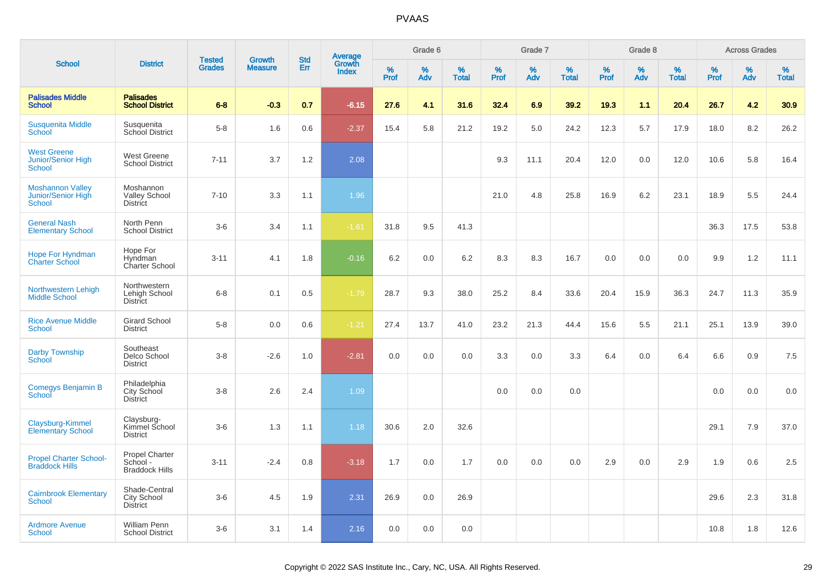|                                                                  |                                                     |                                |                                 | <b>Std</b> |                                          |           | Grade 6  |                   |           | Grade 7  |            |           | Grade 8  |                   |           | <b>Across Grades</b> |                   |
|------------------------------------------------------------------|-----------------------------------------------------|--------------------------------|---------------------------------|------------|------------------------------------------|-----------|----------|-------------------|-----------|----------|------------|-----------|----------|-------------------|-----------|----------------------|-------------------|
| <b>School</b>                                                    | <b>District</b>                                     | <b>Tested</b><br><b>Grades</b> | <b>Growth</b><br><b>Measure</b> | Err        | <b>Average</b><br>Growth<br><b>Index</b> | %<br>Prof | %<br>Adv | %<br><b>Total</b> | %<br>Prof | %<br>Adv | %<br>Total | %<br>Prof | %<br>Adv | %<br><b>Total</b> | %<br>Prof | %<br>Adv             | %<br><b>Total</b> |
| <b>Palisades Middle</b><br><b>School</b>                         | <b>Palisades</b><br><b>School District</b>          | $6 - 8$                        | $-0.3$                          | 0.7        | $-6.15$                                  | 27.6      | 4.1      | 31.6              | 32.4      | 6.9      | 39.2       | 19.3      | 1.1      | 20.4              | 26.7      | 4.2                  | 30.9              |
| <b>Susquenita Middle</b><br>School                               | Susquenita<br>School District                       | $5-8$                          | 1.6                             | 0.6        | $-2.37$                                  | 15.4      | 5.8      | 21.2              | 19.2      | 5.0      | 24.2       | 12.3      | 5.7      | 17.9              | 18.0      | 8.2                  | 26.2              |
| <b>West Greene</b><br><b>Junior/Senior High</b><br><b>School</b> | <b>West Greene</b><br><b>School District</b>        | $7 - 11$                       | 3.7                             | 1.2        | 2.08                                     |           |          |                   | 9.3       | 11.1     | 20.4       | 12.0      | 0.0      | 12.0              | 10.6      | 5.8                  | 16.4              |
| <b>Moshannon Valley</b><br>Junior/Senior High<br><b>School</b>   | Moshannon<br><b>Valley School</b><br>District       | $7 - 10$                       | 3.3                             | 1.1        | 1.96                                     |           |          |                   | 21.0      | 4.8      | 25.8       | 16.9      | 6.2      | 23.1              | 18.9      | 5.5                  | 24.4              |
| <b>General Nash</b><br><b>Elementary School</b>                  | North Penn<br><b>School District</b>                | $3-6$                          | 3.4                             | 1.1        | $-1.61$                                  | 31.8      | 9.5      | 41.3              |           |          |            |           |          |                   | 36.3      | 17.5                 | 53.8              |
| <b>Hope For Hyndman</b><br><b>Charter School</b>                 | Hope For<br>Hyndman<br>Charter School               | $3 - 11$                       | 4.1                             | 1.8        | $-0.16$                                  | 6.2       | 0.0      | 6.2               | 8.3       | 8.3      | 16.7       | 0.0       | 0.0      | 0.0               | 9.9       | 1.2                  | 11.1              |
| Northwestern Lehigh<br><b>Middle School</b>                      | Northwestern<br>Lehigh School<br><b>District</b>    | $6 - 8$                        | 0.1                             | 0.5        | $-1.79$                                  | 28.7      | 9.3      | 38.0              | 25.2      | 8.4      | 33.6       | 20.4      | 15.9     | 36.3              | 24.7      | 11.3                 | 35.9              |
| <b>Rice Avenue Middle</b><br><b>School</b>                       | <b>Girard School</b><br><b>District</b>             | $5 - 8$                        | 0.0                             | 0.6        | $-1.21$                                  | 27.4      | 13.7     | 41.0              | 23.2      | 21.3     | 44.4       | 15.6      | 5.5      | 21.1              | 25.1      | 13.9                 | 39.0              |
| <b>Darby Township</b><br><b>School</b>                           | Southeast<br>Delco School<br><b>District</b>        | $3-8$                          | $-2.6$                          | 1.0        | $-2.81$                                  | 0.0       | 0.0      | 0.0               | 3.3       | 0.0      | 3.3        | 6.4       | 0.0      | 6.4               | 6.6       | 0.9                  | 7.5               |
| Comegys Benjamin B<br><b>School</b>                              | Philadelphia<br>City School<br><b>District</b>      | $3-8$                          | 2.6                             | 2.4        | 1.09                                     |           |          |                   | 0.0       | 0.0      | 0.0        |           |          |                   | 0.0       | 0.0                  | 0.0               |
| Claysburg-Kimmel<br><b>Elementary School</b>                     | Claysburg-<br>Kimmel School<br><b>District</b>      | $3-6$                          | 1.3                             | 1.1        | 1.18                                     | 30.6      | 2.0      | 32.6              |           |          |            |           |          |                   | 29.1      | 7.9                  | 37.0              |
| <b>Propel Charter School-</b><br><b>Braddock Hills</b>           | Propel Charter<br>School -<br><b>Braddock Hills</b> | $3 - 11$                       | $-2.4$                          | 0.8        | $-3.18$                                  | 1.7       | 0.0      | 1.7               | 0.0       | 0.0      | 0.0        | 2.9       | 0.0      | 2.9               | 1.9       | 0.6                  | 2.5               |
| <b>Cairnbrook Elementary</b><br><b>School</b>                    | Shade-Central<br>City School<br><b>District</b>     | $3-6$                          | 4.5                             | 1.9        | 2.31                                     | 26.9      | 0.0      | 26.9              |           |          |            |           |          |                   | 29.6      | 2.3                  | 31.8              |
| <b>Ardmore Avenue</b><br><b>School</b>                           | William Penn<br><b>School District</b>              | $3-6$                          | 3.1                             | 1.4        | 2.16                                     | 0.0       | 0.0      | 0.0               |           |          |            |           |          |                   | 10.8      | 1.8                  | 12.6              |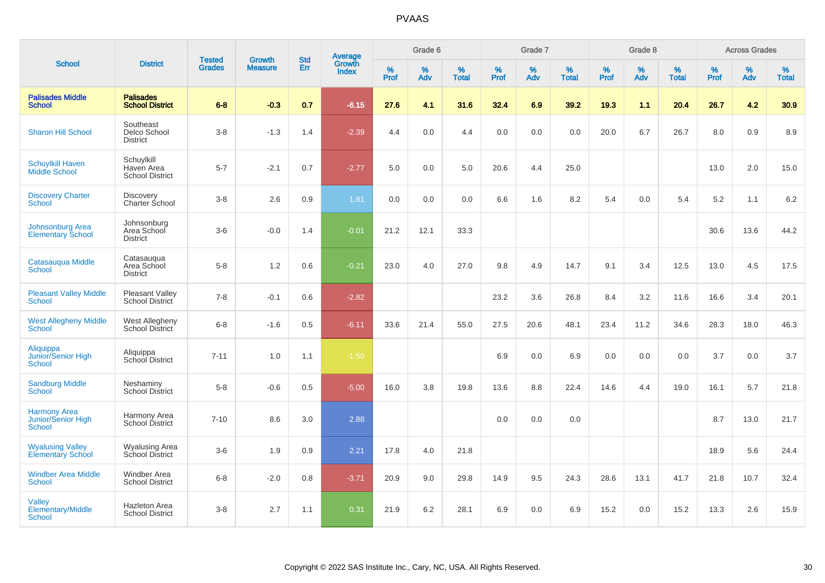|                                                            |                                                    |                                |                                 | <b>Std</b> |                                          |           | Grade 6  |                   |           | Grade 7  |                   |           | Grade 8  |                   |              | <b>Across Grades</b> |                   |
|------------------------------------------------------------|----------------------------------------------------|--------------------------------|---------------------------------|------------|------------------------------------------|-----------|----------|-------------------|-----------|----------|-------------------|-----------|----------|-------------------|--------------|----------------------|-------------------|
| <b>School</b>                                              | <b>District</b>                                    | <b>Tested</b><br><b>Grades</b> | <b>Growth</b><br><b>Measure</b> | Err        | <b>Average</b><br>Growth<br><b>Index</b> | %<br>Prof | %<br>Adv | %<br><b>Total</b> | %<br>Prof | %<br>Adv | %<br><b>Total</b> | %<br>Prof | %<br>Adv | %<br><b>Total</b> | $\%$<br>Prof | %<br>Adv             | %<br><b>Total</b> |
| <b>Palisades Middle</b><br><b>School</b>                   | <b>Palisades</b><br><b>School District</b>         | $6 - 8$                        | $-0.3$                          | 0.7        | $-6.15$                                  | 27.6      | 4.1      | 31.6              | 32.4      | 6.9      | 39.2              | 19.3      | 1.1      | 20.4              | 26.7         | 4.2                  | 30.9              |
| <b>Sharon Hill School</b>                                  | Southeast<br>Delco School<br><b>District</b>       | $3 - 8$                        | $-1.3$                          | 1.4        | $-2.39$                                  | 4.4       | 0.0      | 4.4               | 0.0       | 0.0      | 0.0               | 20.0      | 6.7      | 26.7              | 8.0          | 0.9                  | 8.9               |
| <b>Schuylkill Haven</b><br>Middle School                   | Schuylkill<br>Haven Area<br><b>School District</b> | $5 - 7$                        | $-2.1$                          | 0.7        | $-2.77$                                  | 5.0       | 0.0      | 5.0               | 20.6      | 4.4      | 25.0              |           |          |                   | 13.0         | 2.0                  | 15.0              |
| <b>Discovery Charter</b><br>School                         | <b>Discovery</b><br><b>Charter School</b>          | $3 - 8$                        | 2.6                             | 0.9        | 1.81                                     | 0.0       | 0.0      | 0.0               | 6.6       | 1.6      | 8.2               | 5.4       | 0.0      | 5.4               | 5.2          | 1.1                  | 6.2               |
| <b>Johnsonburg Area</b><br><b>Elementary School</b>        | Johnsonburg<br>Area School<br><b>District</b>      | $3-6$                          | $-0.0$                          | 1.4        | $-0.01$                                  | 21.2      | 12.1     | 33.3              |           |          |                   |           |          |                   | 30.6         | 13.6                 | 44.2              |
| Catasauqua Middle<br><b>School</b>                         | Catasauqua<br>Area School<br><b>District</b>       | $5-8$                          | 1.2                             | 0.6        | $-0.21$                                  | 23.0      | 4.0      | 27.0              | 9.8       | 4.9      | 14.7              | 9.1       | 3.4      | 12.5              | 13.0         | 4.5                  | 17.5              |
| <b>Pleasant Valley Middle</b><br><b>School</b>             | <b>Pleasant Valley</b><br>School District          | $7 - 8$                        | $-0.1$                          | 0.6        | $-2.82$                                  |           |          |                   | 23.2      | 3.6      | 26.8              | 8.4       | 3.2      | 11.6              | 16.6         | 3.4                  | 20.1              |
| <b>West Allegheny Middle</b><br><b>School</b>              | West Allegheny<br>School District                  | $6 - 8$                        | $-1.6$                          | 0.5        | $-6.11$                                  | 33.6      | 21.4     | 55.0              | 27.5      | 20.6     | 48.1              | 23.4      | 11.2     | 34.6              | 28.3         | 18.0                 | 46.3              |
| Aliquippa<br>Junior/Senior High<br><b>School</b>           | Aliquippa<br>School District                       | $7 - 11$                       | 1.0                             | 1.1        | $-1.50$                                  |           |          |                   | 6.9       | 0.0      | 6.9               | 0.0       | 0.0      | 0.0               | 3.7          | 0.0                  | 3.7               |
| <b>Sandburg Middle</b><br>School                           | Neshaminy<br>School District                       | $5 - 8$                        | $-0.6$                          | 0.5        | $-5.00$                                  | 16.0      | 3.8      | 19.8              | 13.6      | 8.8      | 22.4              | 14.6      | 4.4      | 19.0              | 16.1         | 5.7                  | 21.8              |
| <b>Harmony Area</b><br><b>Junior/Senior High</b><br>School | Harmony Area<br>School District                    | $7 - 10$                       | 8.6                             | 3.0        | 2.88                                     |           |          |                   | 0.0       | 0.0      | 0.0               |           |          |                   | 8.7          | 13.0                 | 21.7              |
| <b>Wyalusing Valley</b><br><b>Elementary School</b>        | <b>Wyalusing Area</b><br>School District           | $3-6$                          | 1.9                             | 0.9        | 2.21                                     | 17.8      | 4.0      | 21.8              |           |          |                   |           |          |                   | 18.9         | 5.6                  | 24.4              |
| <b>Windber Area Middle</b><br><b>School</b>                | Windber Area<br><b>School District</b>             | $6 - 8$                        | $-2.0$                          | 0.8        | $-3.71$                                  | 20.9      | 9.0      | 29.8              | 14.9      | 9.5      | 24.3              | 28.6      | 13.1     | 41.7              | 21.8         | 10.7                 | 32.4              |
| Valley<br><b>Elementary/Middle</b><br>School               | <b>Hazleton Area</b><br><b>School District</b>     | $3 - 8$                        | 2.7                             | 1.1        | 0.31                                     | 21.9      | 6.2      | 28.1              | 6.9       | 0.0      | 6.9               | 15.2      | 0.0      | 15.2              | 13.3         | 2.6                  | 15.9              |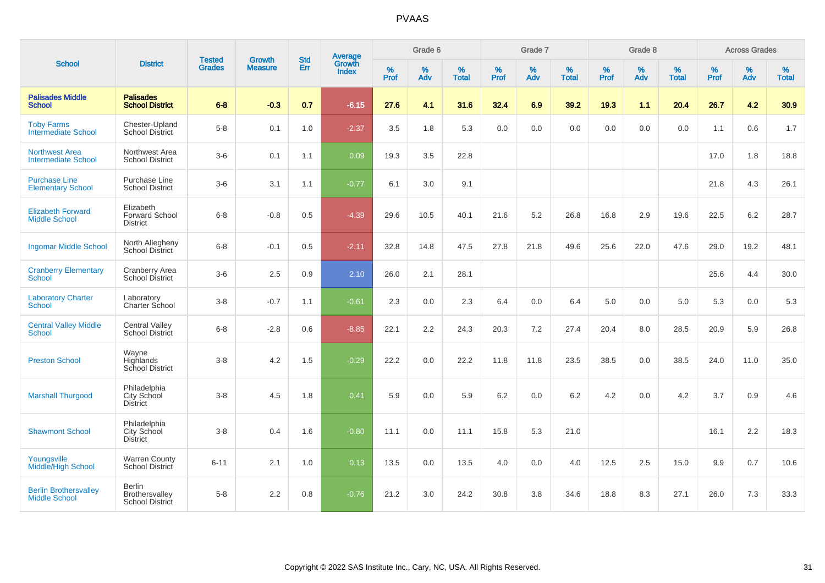|                                                      |                                                       |                                |                                 | <b>Std</b> |                                          |                  | Grade 6  |                   |                  | Grade 7  |                   |                  | Grade 8  |                   |                  | <b>Across Grades</b> |                   |
|------------------------------------------------------|-------------------------------------------------------|--------------------------------|---------------------------------|------------|------------------------------------------|------------------|----------|-------------------|------------------|----------|-------------------|------------------|----------|-------------------|------------------|----------------------|-------------------|
| <b>School</b>                                        | <b>District</b>                                       | <b>Tested</b><br><b>Grades</b> | <b>Growth</b><br><b>Measure</b> | Err        | <b>Average</b><br>Growth<br><b>Index</b> | %<br><b>Prof</b> | %<br>Adv | %<br><b>Total</b> | %<br><b>Prof</b> | %<br>Adv | %<br><b>Total</b> | %<br><b>Prof</b> | %<br>Adv | %<br><b>Total</b> | %<br><b>Prof</b> | %<br>Adv             | %<br><b>Total</b> |
| <b>Palisades Middle</b><br><b>School</b>             | <b>Palisades</b><br><b>School District</b>            | $6 - 8$                        | $-0.3$                          | 0.7        | $-6.15$                                  | 27.6             | 4.1      | 31.6              | 32.4             | 6.9      | 39.2              | 19.3             | 1.1      | 20.4              | 26.7             | 4.2                  | 30.9              |
| <b>Toby Farms</b><br><b>Intermediate School</b>      | Chester-Upland<br><b>School District</b>              | $5-8$                          | 0.1                             | 1.0        | $-2.37$                                  | 3.5              | 1.8      | 5.3               | 0.0              | 0.0      | 0.0               | 0.0              | 0.0      | 0.0               | 1.1              | 0.6                  | 1.7               |
| <b>Northwest Area</b><br><b>Intermediate School</b>  | Northwest Area<br><b>School District</b>              | $3-6$                          | 0.1                             | 1.1        | 0.09                                     | 19.3             | 3.5      | 22.8              |                  |          |                   |                  |          |                   | 17.0             | 1.8                  | 18.8              |
| <b>Purchase Line</b><br><b>Elementary School</b>     | Purchase Line<br><b>School District</b>               | $3-6$                          | 3.1                             | 1.1        | $-0.77$                                  | 6.1              | 3.0      | 9.1               |                  |          |                   |                  |          |                   | 21.8             | 4.3                  | 26.1              |
| <b>Elizabeth Forward</b><br><b>Middle School</b>     | Elizabeth<br><b>Forward School</b><br><b>District</b> | $6 - 8$                        | $-0.8$                          | 0.5        | $-4.39$                                  | 29.6             | 10.5     | 40.1              | 21.6             | 5.2      | 26.8              | 16.8             | 2.9      | 19.6              | 22.5             | 6.2                  | 28.7              |
| <b>Ingomar Middle School</b>                         | North Allegheny<br><b>School District</b>             | $6 - 8$                        | $-0.1$                          | 0.5        | $-2.11$                                  | 32.8             | 14.8     | 47.5              | 27.8             | 21.8     | 49.6              | 25.6             | 22.0     | 47.6              | 29.0             | 19.2                 | 48.1              |
| <b>Cranberry Elementary</b><br>School                | Cranberry Area<br>School District                     | $3-6$                          | 2.5                             | 0.9        | 2.10                                     | 26.0             | 2.1      | 28.1              |                  |          |                   |                  |          |                   | 25.6             | 4.4                  | 30.0              |
| <b>Laboratory Charter</b><br><b>School</b>           | Laboratory<br>Charter School                          | $3-8$                          | $-0.7$                          | 1.1        | $-0.61$                                  | 2.3              | 0.0      | 2.3               | 6.4              | 0.0      | 6.4               | $5.0\,$          | 0.0      | 5.0               | 5.3              | 0.0                  | 5.3               |
| <b>Central Valley Middle</b><br><b>School</b>        | <b>Central Valley</b><br>School District              | $6 - 8$                        | $-2.8$                          | 0.6        | $-8.85$                                  | 22.1             | 2.2      | 24.3              | 20.3             | 7.2      | 27.4              | 20.4             | 8.0      | 28.5              | 20.9             | 5.9                  | 26.8              |
| <b>Preston School</b>                                | Wayne<br>Highlands<br>School District                 | $3 - 8$                        | 4.2                             | 1.5        | $-0.29$                                  | 22.2             | 0.0      | 22.2              | 11.8             | 11.8     | 23.5              | 38.5             | 0.0      | 38.5              | 24.0             | 11.0                 | 35.0              |
| <b>Marshall Thurgood</b>                             | Philadelphia<br>City School<br><b>District</b>        | $3 - 8$                        | 4.5                             | 1.8        | 0.41                                     | 5.9              | 0.0      | 5.9               | 6.2              | 0.0      | 6.2               | 4.2              | 0.0      | 4.2               | 3.7              | 0.9                  | 4.6               |
| <b>Shawmont School</b>                               | Philadelphia<br>City School<br><b>District</b>        | $3-8$                          | 0.4                             | 1.6        | $-0.80$                                  | 11.1             | 0.0      | 11.1              | 15.8             | 5.3      | 21.0              |                  |          |                   | 16.1             | 2.2                  | 18.3              |
| Youngsville<br><b>Middle/High School</b>             | <b>Warren County</b><br>School District               | $6 - 11$                       | 2.1                             | 1.0        | 0.13                                     | 13.5             | 0.0      | 13.5              | 4.0              | 0.0      | 4.0               | 12.5             | 2.5      | 15.0              | 9.9              | 0.7                  | 10.6              |
| <b>Berlin Brothersvalley</b><br><b>Middle School</b> | <b>Berlin</b><br>Brothersvalley<br>School District    | $5-8$                          | 2.2                             | 0.8        | $-0.76$                                  | 21.2             | 3.0      | 24.2              | 30.8             | $3.8\,$  | 34.6              | 18.8             | 8.3      | 27.1              | 26.0             | 7.3                  | 33.3              |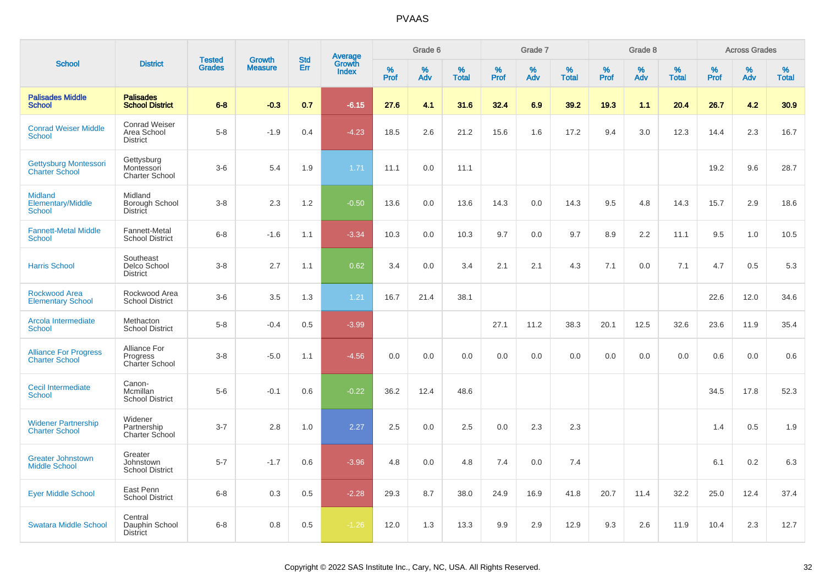|                                                             |                                                        |                                |                                 |                   |                                          |                  | Grade 6     |                   |              | Grade 7     |                      |              | Grade 8  |                   |              | <b>Across Grades</b> |                   |
|-------------------------------------------------------------|--------------------------------------------------------|--------------------------------|---------------------------------|-------------------|------------------------------------------|------------------|-------------|-------------------|--------------|-------------|----------------------|--------------|----------|-------------------|--------------|----------------------|-------------------|
| <b>School</b>                                               | <b>District</b>                                        | <b>Tested</b><br><b>Grades</b> | <b>Growth</b><br><b>Measure</b> | <b>Std</b><br>Err | <b>Average</b><br>Growth<br><b>Index</b> | %<br><b>Prof</b> | $\%$<br>Adv | %<br><b>Total</b> | $\%$<br>Prof | $\%$<br>Adv | $\%$<br><b>Total</b> | $\%$<br>Prof | %<br>Adv | %<br><b>Total</b> | $\%$<br>Prof | %<br>Adv             | %<br><b>Total</b> |
| <b>Palisades Middle</b><br><b>School</b>                    | <b>Palisades</b><br><b>School District</b>             | $6 - 8$                        | $-0.3$                          | 0.7               | $-6.15$                                  | 27.6             | 4.1         | 31.6              | 32.4         | 6.9         | 39.2                 | 19.3         | 1.1      | 20.4              | 26.7         | 4.2                  | 30.9              |
| <b>Conrad Weiser Middle</b><br><b>School</b>                | <b>Conrad Weiser</b><br>Area School<br><b>District</b> | $5-8$                          | $-1.9$                          | 0.4               | $-4.23$                                  | 18.5             | 2.6         | 21.2              | 15.6         | 1.6         | 17.2                 | 9.4          | 3.0      | 12.3              | 14.4         | 2.3                  | 16.7              |
| <b>Gettysburg Montessori</b><br><b>Charter School</b>       | Gettysburg<br>Montessori<br><b>Charter School</b>      | $3-6$                          | 5.4                             | 1.9               | 1.71                                     | 11.1             | 0.0         | 11.1              |              |             |                      |              |          |                   | 19.2         | 9.6                  | 28.7              |
| <b>Midland</b><br><b>Elementary/Middle</b><br><b>School</b> | Midland<br>Borough School<br><b>District</b>           | $3-8$                          | 2.3                             | 1.2               | $-0.50$                                  | 13.6             | 0.0         | 13.6              | 14.3         | 0.0         | 14.3                 | 9.5          | 4.8      | 14.3              | 15.7         | 2.9                  | 18.6              |
| <b>Fannett-Metal Middle</b><br><b>School</b>                | Fannett-Metal<br><b>School District</b>                | $6 - 8$                        | $-1.6$                          | 1.1               | $-3.34$                                  | 10.3             | 0.0         | 10.3              | 9.7          | 0.0         | 9.7                  | 8.9          | 2.2      | 11.1              | 9.5          | 1.0                  | 10.5              |
| <b>Harris School</b>                                        | Southeast<br>Delco School<br><b>District</b>           | $3-8$                          | 2.7                             | 1.1               | 0.62                                     | 3.4              | 0.0         | 3.4               | 2.1          | 2.1         | 4.3                  | 7.1          | 0.0      | 7.1               | 4.7          | 0.5                  | 5.3               |
| <b>Rockwood Area</b><br><b>Elementary School</b>            | Rockwood Area<br><b>School District</b>                | $3-6$                          | 3.5                             | 1.3               | 1.21                                     | 16.7             | 21.4        | 38.1              |              |             |                      |              |          |                   | 22.6         | 12.0                 | 34.6              |
| Arcola Intermediate<br>School                               | Methacton<br><b>School District</b>                    | $5-8$                          | $-0.4$                          | 0.5               | $-3.99$                                  |                  |             |                   | 27.1         | 11.2        | 38.3                 | 20.1         | 12.5     | 32.6              | 23.6         | 11.9                 | 35.4              |
| <b>Alliance For Progress</b><br><b>Charter School</b>       | Alliance For<br>Progress<br>Charter School             | $3-8$                          | $-5.0$                          | 1.1               | $-4.56$                                  | 0.0              | 0.0         | 0.0               | 0.0          | 0.0         | 0.0                  | 0.0          | 0.0      | 0.0               | 0.6          | 0.0                  | 0.6               |
| Cecil Intermediate<br><b>School</b>                         | Canon-<br>Mcmillan<br><b>School District</b>           | $5-6$                          | $-0.1$                          | 0.6               | $-0.22$                                  | 36.2             | 12.4        | 48.6              |              |             |                      |              |          |                   | 34.5         | 17.8                 | 52.3              |
| <b>Widener Partnership</b><br><b>Charter School</b>         | Widener<br>Partnership<br><b>Charter School</b>        | $3 - 7$                        | 2.8                             | 1.0               | 2.27                                     | 2.5              | 0.0         | 2.5               | 0.0          | 2.3         | 2.3                  |              |          |                   | 1.4          | 0.5                  | 1.9               |
| <b>Greater Johnstown</b><br><b>Middle School</b>            | Greater<br>Johnstown<br><b>School District</b>         | $5 - 7$                        | $-1.7$                          | 0.6               | $-3.96$                                  | 4.8              | 0.0         | 4.8               | 7.4          | 0.0         | 7.4                  |              |          |                   | 6.1          | 0.2                  | 6.3               |
| <b>Eyer Middle School</b>                                   | East Penn<br><b>School District</b>                    | $6 - 8$                        | 0.3                             | 0.5               | $-2.28$                                  | 29.3             | 8.7         | 38.0              | 24.9         | 16.9        | 41.8                 | 20.7         | 11.4     | 32.2              | 25.0         | 12.4                 | 37.4              |
| <b>Swatara Middle School</b>                                | Central<br>Dauphin School<br><b>District</b>           | $6 - 8$                        | 0.8                             | 0.5               | $-1.26$                                  | 12.0             | 1.3         | 13.3              | 9.9          | 2.9         | 12.9                 | 9.3          | 2.6      | 11.9              | 10.4         | 2.3                  | 12.7              |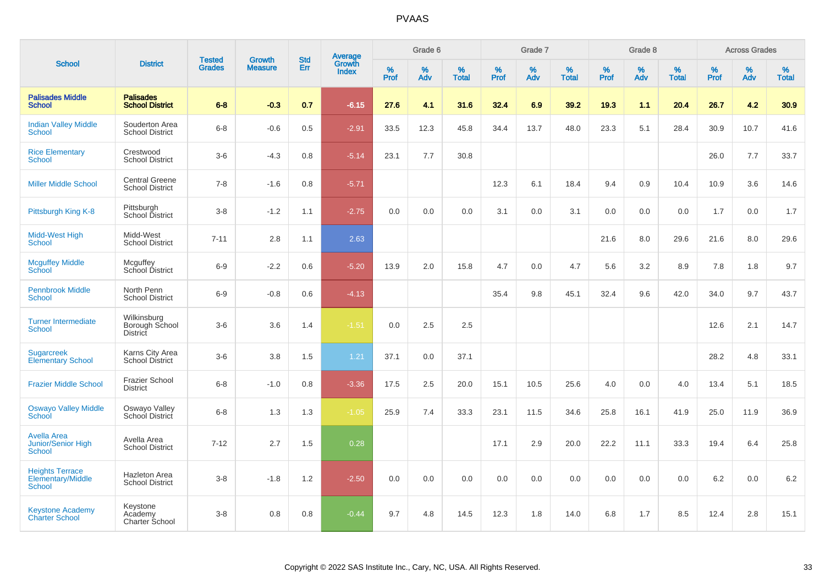|                                                           |                                                  |                                |                                 | <b>Std</b> |                                          |                  | Grade 6     |                   |              | Grade 7     |                   |           | Grade 8  |                   |              | <b>Across Grades</b> |                   |
|-----------------------------------------------------------|--------------------------------------------------|--------------------------------|---------------------------------|------------|------------------------------------------|------------------|-------------|-------------------|--------------|-------------|-------------------|-----------|----------|-------------------|--------------|----------------------|-------------------|
| <b>School</b>                                             | <b>District</b>                                  | <b>Tested</b><br><b>Grades</b> | <b>Growth</b><br><b>Measure</b> | Err        | <b>Average</b><br>Growth<br><b>Index</b> | %<br><b>Prof</b> | $\%$<br>Adv | %<br><b>Total</b> | $\%$<br>Prof | $\%$<br>Adv | %<br><b>Total</b> | %<br>Prof | %<br>Adv | %<br><b>Total</b> | $\%$<br>Prof | $\%$<br>Adv          | %<br><b>Total</b> |
| <b>Palisades Middle</b><br><b>School</b>                  | <b>Palisades</b><br><b>School District</b>       | $6 - 8$                        | $-0.3$                          | 0.7        | $-6.15$                                  | 27.6             | 4.1         | 31.6              | 32.4         | 6.9         | 39.2              | 19.3      | 1.1      | 20.4              | 26.7         | 4.2                  | 30.9              |
| <b>Indian Valley Middle</b><br><b>School</b>              | Souderton Area<br><b>School District</b>         | $6 - 8$                        | $-0.6$                          | 0.5        | $-2.91$                                  | 33.5             | 12.3        | 45.8              | 34.4         | 13.7        | 48.0              | 23.3      | 5.1      | 28.4              | 30.9         | 10.7                 | 41.6              |
| <b>Rice Elementary</b><br>School                          | Crestwood<br><b>School District</b>              | $3-6$                          | $-4.3$                          | 0.8        | $-5.14$                                  | 23.1             | 7.7         | 30.8              |              |             |                   |           |          |                   | 26.0         | 7.7                  | 33.7              |
| <b>Miller Middle School</b>                               | <b>Central Greene</b><br><b>School District</b>  | $7 - 8$                        | $-1.6$                          | 0.8        | $-5.71$                                  |                  |             |                   | 12.3         | 6.1         | 18.4              | 9.4       | 0.9      | 10.4              | 10.9         | 3.6                  | 14.6              |
| Pittsburgh King K-8                                       | Pittsburgh<br>School District                    | $3 - 8$                        | $-1.2$                          | 1.1        | $-2.75$                                  | 0.0              | 0.0         | 0.0               | 3.1          | 0.0         | 3.1               | 0.0       | 0.0      | 0.0               | 1.7          | 0.0                  | 1.7               |
| Midd-West High<br>School                                  | Midd-West<br><b>School District</b>              | $7 - 11$                       | 2.8                             | 1.1        | 2.63                                     |                  |             |                   |              |             |                   | 21.6      | 8.0      | 29.6              | 21.6         | 8.0                  | 29.6              |
| <b>Mcguffey Middle</b><br>School                          | Mcguffey<br>School District                      | $6-9$                          | $-2.2$                          | 0.6        | $-5.20$                                  | 13.9             | 2.0         | 15.8              | 4.7          | 0.0         | 4.7               | 5.6       | 3.2      | 8.9               | 7.8          | 1.8                  | 9.7               |
| <b>Pennbrook Middle</b><br><b>School</b>                  | North Penn<br><b>School District</b>             | $6-9$                          | $-0.8$                          | 0.6        | $-4.13$                                  |                  |             |                   | 35.4         | 9.8         | 45.1              | 32.4      | 9.6      | 42.0              | 34.0         | 9.7                  | 43.7              |
| <b>Turner Intermediate</b><br>School                      | Wilkinsburg<br>Borough School<br><b>District</b> | $3 - 6$                        | 3.6                             | 1.4        | $-1.51$                                  | 0.0              | 2.5         | 2.5               |              |             |                   |           |          |                   | 12.6         | 2.1                  | 14.7              |
| <b>Sugarcreek</b><br><b>Elementary School</b>             | Karns City Area<br><b>School District</b>        | $3-6$                          | 3.8                             | 1.5        | 1.21                                     | 37.1             | 0.0         | 37.1              |              |             |                   |           |          |                   | 28.2         | 4.8                  | 33.1              |
| <b>Frazier Middle School</b>                              | <b>Frazier School</b><br><b>District</b>         | $6 - 8$                        | $-1.0$                          | 0.8        | $-3.36$                                  | 17.5             | 2.5         | 20.0              | 15.1         | 10.5        | 25.6              | 4.0       | 0.0      | 4.0               | 13.4         | 5.1                  | 18.5              |
| <b>Oswayo Valley Middle</b><br>School                     | Oswayo Valley<br>School District                 | $6 - 8$                        | 1.3                             | 1.3        | $-1.05$                                  | 25.9             | 7.4         | 33.3              | 23.1         | 11.5        | 34.6              | 25.8      | 16.1     | 41.9              | 25.0         | 11.9                 | 36.9              |
| <b>Avella Area</b><br>Junior/Senior High<br><b>School</b> | Avella Area<br><b>School District</b>            | $7 - 12$                       | 2.7                             | 1.5        | 0.28                                     |                  |             |                   | 17.1         | 2.9         | 20.0              | 22.2      | 11.1     | 33.3              | 19.4         | 6.4                  | 25.8              |
| <b>Heights Terrace</b><br>Elementary/Middle<br>School     | Hazleton Area<br><b>School District</b>          | $3 - 8$                        | $-1.8$                          | 1.2        | $-2.50$                                  | 0.0              | 0.0         | 0.0               | 0.0          | 0.0         | 0.0               | 0.0       | 0.0      | 0.0               | 6.2          | 0.0                  | $6.2\,$           |
| <b>Keystone Academy</b><br><b>Charter School</b>          | Keystone<br>Academy<br>Charter School            | $3 - 8$                        | 0.8                             | 0.8        | $-0.44$                                  | 9.7              | 4.8         | 14.5              | 12.3         | 1.8         | 14.0              | 6.8       | 1.7      | 8.5               | 12.4         | 2.8                  | 15.1              |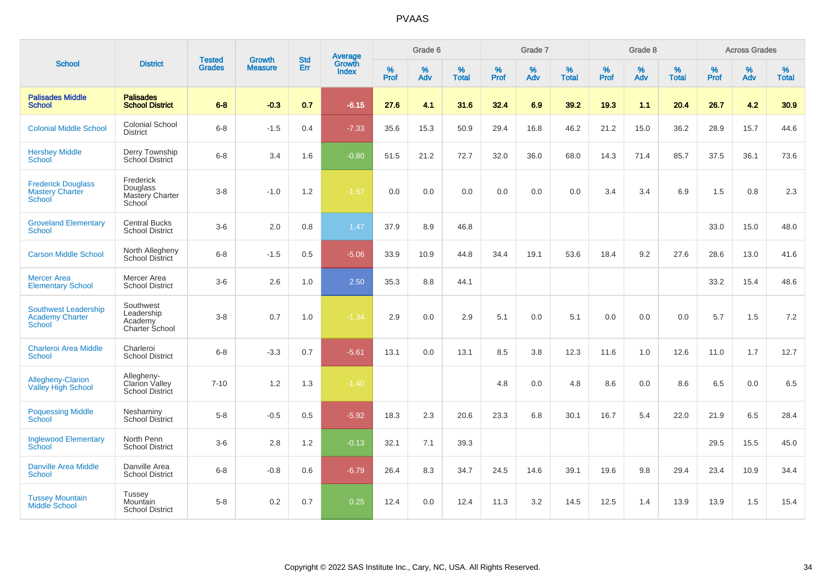|                                                                        |                                                        |                                |                                 | <b>Std</b> |                                          |                  | Grade 6     |                   |           | Grade 7  |                   |           | Grade 8  |                   |              | <b>Across Grades</b> |                   |
|------------------------------------------------------------------------|--------------------------------------------------------|--------------------------------|---------------------------------|------------|------------------------------------------|------------------|-------------|-------------------|-----------|----------|-------------------|-----------|----------|-------------------|--------------|----------------------|-------------------|
| <b>School</b>                                                          | <b>District</b>                                        | <b>Tested</b><br><b>Grades</b> | <b>Growth</b><br><b>Measure</b> | Err        | <b>Average</b><br>Growth<br><b>Index</b> | %<br><b>Prof</b> | $\%$<br>Adv | %<br><b>Total</b> | %<br>Prof | %<br>Adv | %<br><b>Total</b> | %<br>Prof | %<br>Adv | %<br><b>Total</b> | $\%$<br>Prof | $\%$<br>Adv          | %<br><b>Total</b> |
| <b>Palisades Middle</b><br><b>School</b>                               | <b>Palisades</b><br><b>School District</b>             | $6 - 8$                        | $-0.3$                          | 0.7        | $-6.15$                                  | 27.6             | 4.1         | 31.6              | 32.4      | 6.9      | 39.2              | 19.3      | 1.1      | 20.4              | 26.7         | 4.2                  | 30.9              |
| <b>Colonial Middle School</b>                                          | <b>Colonial School</b><br><b>District</b>              | $6 - 8$                        | $-1.5$                          | 0.4        | $-7.33$                                  | 35.6             | 15.3        | 50.9              | 29.4      | 16.8     | 46.2              | 21.2      | 15.0     | 36.2              | 28.9         | 15.7                 | 44.6              |
| <b>Hershey Middle</b><br><b>School</b>                                 | Derry Township<br>School District                      | $6 - 8$                        | 3.4                             | 1.6        | $-0.80$                                  | 51.5             | 21.2        | 72.7              | 32.0      | 36.0     | 68.0              | 14.3      | 71.4     | 85.7              | 37.5         | 36.1                 | 73.6              |
| <b>Frederick Douglass</b><br><b>Mastery Charter</b><br>School          | Frederick<br>Douglass<br>Mastery Charter<br>School     | $3-8$                          | $-1.0$                          | 1.2        | $-1.57$                                  | 0.0              | 0.0         | 0.0               | 0.0       | 0.0      | 0.0               | 3.4       | 3.4      | 6.9               | 1.5          | 0.8                  | 2.3               |
| <b>Groveland Elementary</b><br><b>School</b>                           | <b>Central Bucks</b><br><b>School District</b>         | $3-6$                          | 2.0                             | 0.8        | 1.47                                     | 37.9             | 8.9         | 46.8              |           |          |                   |           |          |                   | 33.0         | 15.0                 | 48.0              |
| <b>Carson Middle School</b>                                            | North Allegheny<br><b>School District</b>              | $6 - 8$                        | $-1.5$                          | 0.5        | $-5.06$                                  | 33.9             | 10.9        | 44.8              | 34.4      | 19.1     | 53.6              | 18.4      | 9.2      | 27.6              | 28.6         | 13.0                 | 41.6              |
| <b>Mercer Area</b><br><b>Elementary School</b>                         | Mercer Area<br><b>School District</b>                  | $3-6$                          | 2.6                             | 1.0        | 2.50                                     | 35.3             | 8.8         | 44.1              |           |          |                   |           |          |                   | 33.2         | 15.4                 | 48.6              |
| <b>Southwest Leadership</b><br><b>Academy Charter</b><br><b>School</b> | Southwest<br>Leadership<br>Academy<br>Charter School   | $3-8$                          | 0.7                             | 1.0        | $-1.34$                                  | 2.9              | 0.0         | 2.9               | 5.1       | 0.0      | 5.1               | 0.0       | 0.0      | 0.0               | 5.7          | 1.5                  | 7.2               |
| <b>Charleroi Area Middle</b><br><b>School</b>                          | Charleroi<br><b>School District</b>                    | $6 - 8$                        | $-3.3$                          | 0.7        | $-5.61$                                  | 13.1             | 0.0         | 13.1              | 8.5       | 3.8      | 12.3              | 11.6      | 1.0      | 12.6              | 11.0         | 1.7                  | 12.7              |
| <b>Allegheny-Clarion</b><br><b>Valley High School</b>                  | Allegheny-<br>Clarion Valley<br><b>School District</b> | $7 - 10$                       | 1.2                             | 1.3        | $-1.40$                                  |                  |             |                   | 4.8       | 0.0      | 4.8               | 8.6       | 0.0      | 8.6               | 6.5          | 0.0                  | 6.5               |
| <b>Poquessing Middle</b><br>School                                     | Neshaminy<br><b>School District</b>                    | $5-8$                          | $-0.5$                          | 0.5        | $-5.92$                                  | 18.3             | 2.3         | 20.6              | 23.3      | 6.8      | 30.1              | 16.7      | 5.4      | 22.0              | 21.9         | 6.5                  | 28.4              |
| <b>Inglewood Elementary</b><br>School                                  | North Penn<br><b>School District</b>                   | $3-6$                          | 2.8                             | 1.2        | $-0.13$                                  | 32.1             | 7.1         | 39.3              |           |          |                   |           |          |                   | 29.5         | 15.5                 | 45.0              |
| <b>Danville Area Middle</b><br><b>School</b>                           | Danville Area<br><b>School District</b>                | $6 - 8$                        | $-0.8$                          | 0.6        | $-6.79$                                  | 26.4             | 8.3         | 34.7              | 24.5      | 14.6     | 39.1              | 19.6      | 9.8      | 29.4              | 23.4         | 10.9                 | 34.4              |
| <b>Tussey Mountain</b><br>Middle School                                | Tussey<br>Mountain<br><b>School District</b>           | $5-8$                          | 0.2                             | 0.7        | 0.25                                     | 12.4             | 0.0         | 12.4              | 11.3      | 3.2      | 14.5              | 12.5      | 1.4      | 13.9              | 13.9         | 1.5                  | 15.4              |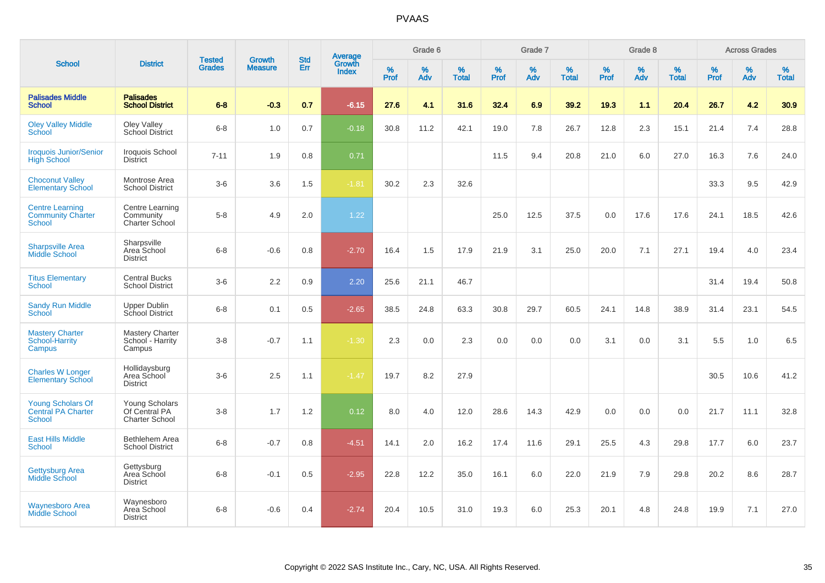|                                                                     |                                                          |                                |                                 |                   |                                          |                     | Grade 6     |                   |              | Grade 7     |                   |              | Grade 8     |                   |              | <b>Across Grades</b> |                   |
|---------------------------------------------------------------------|----------------------------------------------------------|--------------------------------|---------------------------------|-------------------|------------------------------------------|---------------------|-------------|-------------------|--------------|-------------|-------------------|--------------|-------------|-------------------|--------------|----------------------|-------------------|
| <b>School</b>                                                       | <b>District</b>                                          | <b>Tested</b><br><b>Grades</b> | <b>Growth</b><br><b>Measure</b> | <b>Std</b><br>Err | <b>Average</b><br>Growth<br><b>Index</b> | $\%$<br><b>Prof</b> | $\%$<br>Adv | %<br><b>Total</b> | $\%$<br>Prof | $\%$<br>Adv | %<br><b>Total</b> | $\%$<br>Prof | $\%$<br>Adv | %<br><b>Total</b> | $\%$<br>Prof | $\%$<br>Adv          | %<br><b>Total</b> |
| <b>Palisades Middle</b><br><b>School</b>                            | <b>Palisades</b><br><b>School District</b>               | $6 - 8$                        | $-0.3$                          | 0.7               | $-6.15$                                  | 27.6                | 4.1         | 31.6              | 32.4         | 6.9         | 39.2              | 19.3         | 1.1         | 20.4              | 26.7         | 4.2                  | 30.9              |
| <b>Oley Valley Middle</b><br>School                                 | Oley Valley<br>School District                           | $6 - 8$                        | 1.0                             | 0.7               | $-0.18$                                  | 30.8                | 11.2        | 42.1              | 19.0         | 7.8         | 26.7              | 12.8         | 2.3         | 15.1              | 21.4         | 7.4                  | 28.8              |
| <b>Iroquois Junior/Senior</b><br><b>High School</b>                 | Iroquois School<br><b>District</b>                       | $7 - 11$                       | 1.9                             | 0.8               | 0.71                                     |                     |             |                   | 11.5         | 9.4         | 20.8              | 21.0         | 6.0         | 27.0              | 16.3         | 7.6                  | 24.0              |
| <b>Choconut Valley</b><br><b>Elementary School</b>                  | Montrose Area<br><b>School District</b>                  | $3-6$                          | 3.6                             | 1.5               | $-1.81$                                  | 30.2                | 2.3         | 32.6              |              |             |                   |              |             |                   | 33.3         | 9.5                  | 42.9              |
| <b>Centre Learning</b><br><b>Community Charter</b><br><b>School</b> | Centre Learning<br>Community<br>Charter School           | $5-8$                          | 4.9                             | 2.0               | 1.22                                     |                     |             |                   | 25.0         | 12.5        | 37.5              | 0.0          | 17.6        | 17.6              | 24.1         | 18.5                 | 42.6              |
| <b>Sharpsville Area</b><br><b>Middle School</b>                     | Sharpsville<br>Area School<br><b>District</b>            | $6 - 8$                        | $-0.6$                          | 0.8               | $-2.70$                                  | 16.4                | 1.5         | 17.9              | 21.9         | 3.1         | 25.0              | 20.0         | 7.1         | 27.1              | 19.4         | 4.0                  | 23.4              |
| <b>Titus Elementary</b><br>School                                   | <b>Central Bucks</b><br><b>School District</b>           | $3-6$                          | 2.2                             | 0.9               | 2.20                                     | 25.6                | 21.1        | 46.7              |              |             |                   |              |             |                   | 31.4         | 19.4                 | 50.8              |
| <b>Sandy Run Middle</b><br><b>School</b>                            | Upper Dublin<br><b>School District</b>                   | $6 - 8$                        | 0.1                             | 0.5               | $-2.65$                                  | 38.5                | 24.8        | 63.3              | 30.8         | 29.7        | 60.5              | 24.1         | 14.8        | 38.9              | 31.4         | 23.1                 | 54.5              |
| <b>Mastery Charter</b><br>School-Harrity<br>Campus                  | <b>Mastery Charter</b><br>School - Harrity<br>Campus     | $3-8$                          | $-0.7$                          | 1.1               | $-1.30$                                  | 2.3                 | 0.0         | 2.3               | 0.0          | 0.0         | 0.0               | 3.1          | 0.0         | 3.1               | 5.5          | 1.0                  | 6.5               |
| <b>Charles W Longer</b><br><b>Elementary School</b>                 | Hollidaysburg<br>Area School<br><b>District</b>          | $3-6$                          | 2.5                             | 1.1               | $-1.47$                                  | 19.7                | 8.2         | 27.9              |              |             |                   |              |             |                   | 30.5         | 10.6                 | 41.2              |
| Young Scholars Of<br><b>Central PA Charter</b><br>School            | Young Scholars<br>Of Central PA<br><b>Charter School</b> | $3-8$                          | 1.7                             | 1.2               | 0.12                                     | 8.0                 | 4.0         | 12.0              | 28.6         | 14.3        | 42.9              | 0.0          | 0.0         | 0.0               | 21.7         | 11.1                 | 32.8              |
| <b>East Hills Middle</b><br><b>School</b>                           | Bethlehem Area<br><b>School District</b>                 | $6 - 8$                        | $-0.7$                          | 0.8               | $-4.51$                                  | 14.1                | 2.0         | 16.2              | 17.4         | 11.6        | 29.1              | 25.5         | 4.3         | 29.8              | 17.7         | 6.0                  | 23.7              |
| Gettysburg Area<br><b>Middle School</b>                             | Gettysburg<br>Area School<br><b>District</b>             | $6 - 8$                        | $-0.1$                          | 0.5               | $-2.95$                                  | 22.8                | 12.2        | 35.0              | 16.1         | 6.0         | 22.0              | 21.9         | 7.9         | 29.8              | 20.2         | 8.6                  | 28.7              |
| <b>Waynesboro Area</b><br>Middle School                             | Waynesboro<br>Area School<br><b>District</b>             | $6 - 8$                        | $-0.6$                          | 0.4               | $-2.74$                                  | 20.4                | 10.5        | 31.0              | 19.3         | 6.0         | 25.3              | 20.1         | 4.8         | 24.8              | 19.9         | 7.1                  | 27.0              |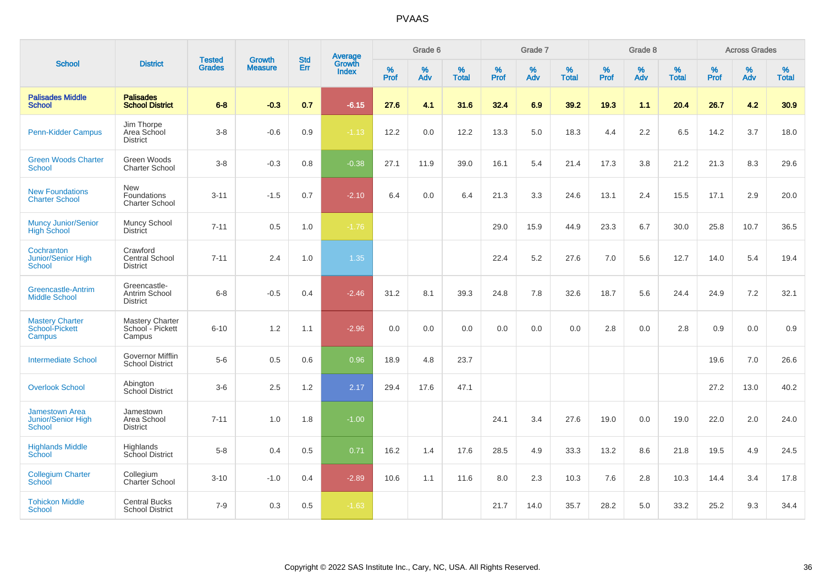| <b>School</b>                                                       | <b>District</b>                                      | <b>Tested</b><br><b>Grades</b> | <b>Growth</b><br><b>Measure</b> | <b>Std</b><br>Err | Average<br>Growth<br><b>Index</b> | Grade 6   |          |                   | Grade 7             |          |                   | Grade 8   |          |                   | <b>Across Grades</b> |             |                   |
|---------------------------------------------------------------------|------------------------------------------------------|--------------------------------|---------------------------------|-------------------|-----------------------------------|-----------|----------|-------------------|---------------------|----------|-------------------|-----------|----------|-------------------|----------------------|-------------|-------------------|
|                                                                     |                                                      |                                |                                 |                   |                                   | %<br>Prof | %<br>Adv | %<br><b>Total</b> | $\%$<br><b>Prof</b> | %<br>Adv | %<br><b>Total</b> | %<br>Prof | %<br>Adv | %<br><b>Total</b> | $\%$<br>Prof         | $\%$<br>Adv | %<br><b>Total</b> |
| <b>Palisades Middle</b><br><b>School</b>                            | <b>Palisades</b><br><b>School District</b>           | $6 - 8$                        | $-0.3$                          | 0.7               | $-6.15$                           | 27.6      | 4.1      | 31.6              | 32.4                | 6.9      | 39.2              | 19.3      | 1.1      | 20.4              | 26.7                 | 4.2         | 30.9              |
| <b>Penn-Kidder Campus</b>                                           | Jim Thorpe<br>Area School<br><b>District</b>         | $3-8$                          | $-0.6$                          | 0.9               | $-1.13$                           | 12.2      | 0.0      | 12.2              | 13.3                | 5.0      | 18.3              | 4.4       | 2.2      | 6.5               | 14.2                 | 3.7         | 18.0              |
| <b>Green Woods Charter</b><br><b>School</b>                         | Green Woods<br><b>Charter School</b>                 | $3 - 8$                        | $-0.3$                          | 0.8               | $-0.38$                           | 27.1      | 11.9     | 39.0              | 16.1                | 5.4      | 21.4              | 17.3      | 3.8      | 21.2              | 21.3                 | 8.3         | 29.6              |
| <b>New Foundations</b><br><b>Charter School</b>                     | New<br>Foundations<br><b>Charter School</b>          | $3 - 11$                       | $-1.5$                          | 0.7               | $-2.10$                           | 6.4       | 0.0      | 6.4               | 21.3                | 3.3      | 24.6              | 13.1      | 2.4      | 15.5              | 17.1                 | 2.9         | 20.0              |
| <b>Muncy Junior/Senior</b><br><b>High School</b>                    | Muncy School<br><b>District</b>                      | $7 - 11$                       | 0.5                             | 1.0               | $-1.76$                           |           |          |                   | 29.0                | 15.9     | 44.9              | 23.3      | 6.7      | 30.0              | 25.8                 | 10.7        | 36.5              |
| Cochranton<br><b>Junior/Senior High</b><br>School                   | Crawford<br>Central School<br><b>District</b>        | $7 - 11$                       | 2.4                             | 1.0               | 1.35                              |           |          |                   | 22.4                | 5.2      | 27.6              | 7.0       | 5.6      | 12.7              | 14.0                 | 5.4         | 19.4              |
| <b>Greencastle-Antrim</b><br><b>Middle School</b>                   | Greencastle-<br>Antrim School<br><b>District</b>     | $6 - 8$                        | $-0.5$                          | 0.4               | $-2.46$                           | 31.2      | 8.1      | 39.3              | 24.8                | 7.8      | 32.6              | 18.7      | 5.6      | 24.4              | 24.9                 | 7.2         | 32.1              |
| <b>Mastery Charter</b><br>School-Pickett<br>Campus                  | <b>Mastery Charter</b><br>School - Pickett<br>Campus | $6 - 10$                       | 1.2                             | 1.1               | $-2.96$                           | 0.0       | 0.0      | 0.0               | 0.0                 | 0.0      | 0.0               | 2.8       | 0.0      | 2.8               | 0.9                  | 0.0         | 0.9               |
| <b>Intermediate School</b>                                          | Governor Mifflin<br>School District                  | $5-6$                          | 0.5                             | 0.6               | 0.96                              | 18.9      | 4.8      | 23.7              |                     |          |                   |           |          |                   | 19.6                 | 7.0         | 26.6              |
| <b>Overlook School</b>                                              | Abington<br>School District                          | $3-6$                          | 2.5                             | 1.2               | 2.17                              | 29.4      | 17.6     | 47.1              |                     |          |                   |           |          |                   | 27.2                 | 13.0        | 40.2              |
| <b>Jamestown Area</b><br><b>Junior/Senior High</b><br><b>School</b> | Jamestown<br>Area School<br><b>District</b>          | $7 - 11$                       | 1.0                             | 1.8               | $-1.00$                           |           |          |                   | 24.1                | 3.4      | 27.6              | 19.0      | 0.0      | 19.0              | 22.0                 | 2.0         | 24.0              |
| <b>Highlands Middle</b><br>School                                   | Highlands<br>School District                         | $5 - 8$                        | 0.4                             | 0.5               | 0.71                              | 16.2      | 1.4      | 17.6              | 28.5                | 4.9      | 33.3              | 13.2      | 8.6      | 21.8              | 19.5                 | 4.9         | 24.5              |
| <b>Collegium Charter</b><br>School                                  | Collegium<br>Charter School                          | $3 - 10$                       | $-1.0$                          | 0.4               | $-2.89$                           | 10.6      | 1.1      | 11.6              | 8.0                 | 2.3      | 10.3              | 7.6       | 2.8      | 10.3              | 14.4                 | 3.4         | 17.8              |
| <b>Tohickon Middle</b><br><b>School</b>                             | <b>Central Bucks</b><br><b>School District</b>       | $7 - 9$                        | 0.3                             | 0.5               | $-1.63$                           |           |          |                   | 21.7                | 14.0     | 35.7              | 28.2      | 5.0      | 33.2              | 25.2                 | 9.3         | 34.4              |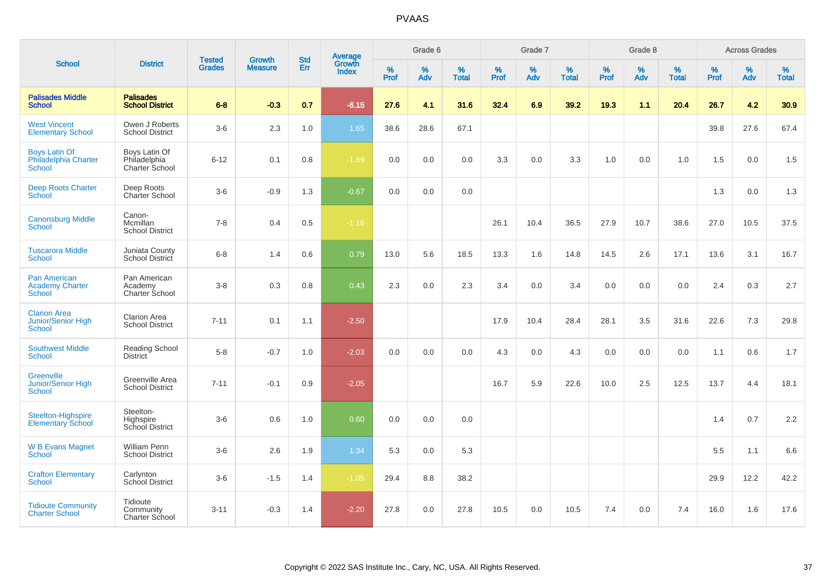|                                                                   |                                                 |                                |                          | <b>Std</b> |                                          |                  | Grade 6  |                   |           | Grade 7  |                   |           | Grade 8  |                   |           | <b>Across Grades</b> |                   |
|-------------------------------------------------------------------|-------------------------------------------------|--------------------------------|--------------------------|------------|------------------------------------------|------------------|----------|-------------------|-----------|----------|-------------------|-----------|----------|-------------------|-----------|----------------------|-------------------|
| <b>School</b>                                                     | <b>District</b>                                 | <b>Tested</b><br><b>Grades</b> | Growth<br><b>Measure</b> | Err        | <b>Average</b><br>Growth<br><b>Index</b> | %<br><b>Prof</b> | %<br>Adv | %<br><b>Total</b> | %<br>Prof | %<br>Adv | %<br><b>Total</b> | %<br>Prof | %<br>Adv | %<br><b>Total</b> | %<br>Prof | $\%$<br>Adv          | %<br><b>Total</b> |
| <b>Palisades Middle</b><br><b>School</b>                          | <b>Palisades</b><br><b>School District</b>      | $6 - 8$                        | $-0.3$                   | 0.7        | $-6.15$                                  | 27.6             | 4.1      | 31.6              | 32.4      | 6.9      | 39.2              | 19.3      | 1.1      | 20.4              | 26.7      | 4.2                  | 30.9              |
| <b>West Vincent</b><br><b>Elementary School</b>                   | Owen J Roberts<br><b>School District</b>        | $3-6$                          | 2.3                      | 1.0        | 1.65                                     | 38.6             | 28.6     | 67.1              |           |          |                   |           |          |                   | 39.8      | 27.6                 | 67.4              |
| <b>Boys Latin Of</b><br>Philadelphia Charter<br><b>School</b>     | Boys Latin Of<br>Philadelphia<br>Charter School | $6 - 12$                       | 0.1                      | 0.8        | $-1.69$                                  | 0.0              | 0.0      | 0.0               | 3.3       | 0.0      | 3.3               | 1.0       | 0.0      | 1.0               | 1.5       | 0.0                  | 1.5               |
| <b>Deep Roots Charter</b><br>School                               | Deep Roots<br><b>Charter School</b>             | $3-6$                          | $-0.9$                   | 1.3        | $-0.67$                                  | 0.0              | 0.0      | 0.0               |           |          |                   |           |          |                   | 1.3       | 0.0                  | 1.3               |
| <b>Canonsburg Middle</b><br>School                                | Canon-<br>Mcmillan<br><b>School District</b>    | $7 - 8$                        | 0.4                      | 0.5        | $-1.16$                                  |                  |          |                   | 26.1      | 10.4     | 36.5              | 27.9      | 10.7     | 38.6              | 27.0      | 10.5                 | 37.5              |
| <b>Tuscarora Middle</b><br><b>School</b>                          | Juniata County<br>School District               | $6 - 8$                        | 1.4                      | 0.6        | 0.79                                     | 13.0             | 5.6      | 18.5              | 13.3      | 1.6      | 14.8              | 14.5      | 2.6      | 17.1              | 13.6      | 3.1                  | 16.7              |
| <b>Pan American</b><br><b>Academy Charter</b><br><b>School</b>    | Pan American<br>Academy<br>Charter School       | $3-8$                          | 0.3                      | 0.8        | 0.43                                     | 2.3              | 0.0      | 2.3               | 3.4       | 0.0      | 3.4               | 0.0       | 0.0      | 0.0               | 2.4       | 0.3                  | 2.7               |
| <b>Clarion Area</b><br><b>Junior/Senior High</b><br><b>School</b> | <b>Clarion Area</b><br><b>School District</b>   | $7 - 11$                       | 0.1                      | 1.1        | $-2.50$                                  |                  |          |                   | 17.9      | 10.4     | 28.4              | 28.1      | 3.5      | 31.6              | 22.6      | 7.3                  | 29.8              |
| <b>Southwest Middle</b><br><b>School</b>                          | Reading School<br><b>District</b>               | $5 - 8$                        | $-0.7$                   | 1.0        | $-2.03$                                  | 0.0              | 0.0      | 0.0               | 4.3       | 0.0      | 4.3               | 0.0       | 0.0      | 0.0               | 1.1       | 0.6                  | 1.7               |
| Greenville<br><b>Junior/Senior High</b><br><b>School</b>          | Greenville Area<br><b>School District</b>       | $7 - 11$                       | $-0.1$                   | 0.9        | $-2.05$                                  |                  |          |                   | 16.7      | 5.9      | 22.6              | 10.0      | 2.5      | 12.5              | 13.7      | 4.4                  | 18.1              |
| Steelton-Highspire<br><b>Elementary School</b>                    | Steelton-<br>Highspire<br>School District       | $3-6$                          | 0.6                      | 1.0        | 0.60                                     | 0.0              | 0.0      | 0.0               |           |          |                   |           |          |                   | 1.4       | 0.7                  | 2.2               |
| <b>W B Evans Magnet</b><br><b>School</b>                          | <b>William Penn</b><br><b>School District</b>   | $3-6$                          | 2.6                      | 1.9        | 1.34                                     | 5.3              | 0.0      | 5.3               |           |          |                   |           |          |                   | 5.5       | 1.1                  | 6.6               |
| <b>Crafton Elementary</b><br><b>School</b>                        | Carlynton<br>School District                    | $3-6$                          | $-1.5$                   | 1.4        | $-1.05$                                  | 29.4             | 8.8      | 38.2              |           |          |                   |           |          |                   | 29.9      | 12.2                 | 42.2              |
| <b>Tidioute Community</b><br><b>Charter School</b>                | Tidioute<br>Community<br><b>Charter School</b>  | $3 - 11$                       | $-0.3$                   | 1.4        | $-2.20$                                  | 27.8             | 0.0      | 27.8              | 10.5      | 0.0      | 10.5              | 7.4       | 0.0      | 7.4               | 16.0      | 1.6                  | 17.6              |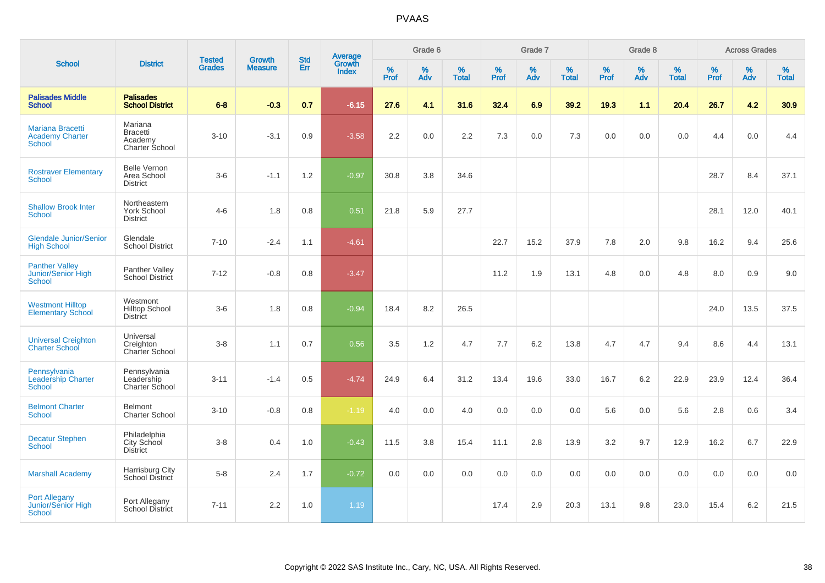|                                                                    |                                                         |                                | <b>Growth</b>  | <b>Std</b> |                                          |           | Grade 6  |                   |           | Grade 7  |                   |           | Grade 8  |                   |           | <b>Across Grades</b> |                   |
|--------------------------------------------------------------------|---------------------------------------------------------|--------------------------------|----------------|------------|------------------------------------------|-----------|----------|-------------------|-----------|----------|-------------------|-----------|----------|-------------------|-----------|----------------------|-------------------|
| <b>School</b>                                                      | <b>District</b>                                         | <b>Tested</b><br><b>Grades</b> | <b>Measure</b> | Err        | <b>Average</b><br>Growth<br><b>Index</b> | %<br>Prof | %<br>Adv | %<br><b>Total</b> | %<br>Prof | %<br>Adv | %<br><b>Total</b> | %<br>Prof | %<br>Adv | %<br><b>Total</b> | %<br>Prof | %<br>Adv             | %<br><b>Total</b> |
| <b>Palisades Middle</b><br><b>School</b>                           | <b>Palisades</b><br><b>School District</b>              | $6 - 8$                        | $-0.3$         | 0.7        | $-6.15$                                  | 27.6      | 4.1      | 31.6              | 32.4      | 6.9      | 39.2              | 19.3      | 1.1      | 20.4              | 26.7      | 4.2                  | 30.9              |
| <b>Mariana Bracetti</b><br><b>Academy Charter</b><br><b>School</b> | Mariana<br><b>Bracetti</b><br>Academy<br>Charter School | $3 - 10$                       | $-3.1$         | 0.9        | $-3.58$                                  | 2.2       | 0.0      | 2.2               | 7.3       | 0.0      | 7.3               | 0.0       | 0.0      | 0.0               | 4.4       | 0.0                  | 4.4               |
| <b>Rostraver Elementary</b><br><b>School</b>                       | <b>Belle Vernon</b><br>Area School<br><b>District</b>   | $3-6$                          | $-1.1$         | 1.2        | $-0.97$                                  | 30.8      | 3.8      | 34.6              |           |          |                   |           |          |                   | 28.7      | 8.4                  | 37.1              |
| <b>Shallow Brook Inter</b><br><b>School</b>                        | Northeastern<br><b>York School</b><br><b>District</b>   | $4 - 6$                        | 1.8            | 0.8        | 0.51                                     | 21.8      | 5.9      | 27.7              |           |          |                   |           |          |                   | 28.1      | 12.0                 | 40.1              |
| <b>Glendale Junior/Senior</b><br><b>High School</b>                | Glendale<br><b>School District</b>                      | $7 - 10$                       | $-2.4$         | 1.1        | $-4.61$                                  |           |          |                   | 22.7      | 15.2     | 37.9              | 7.8       | 2.0      | 9.8               | 16.2      | 9.4                  | 25.6              |
| <b>Panther Valley</b><br>Junior/Senior High<br>School              | Panther Valley<br><b>School District</b>                | $7 - 12$                       | $-0.8$         | 0.8        | $-3.47$                                  |           |          |                   | 11.2      | 1.9      | 13.1              | 4.8       | 0.0      | 4.8               | 8.0       | 0.9                  | 9.0               |
| <b>Westmont Hilltop</b><br><b>Elementary School</b>                | Westmont<br><b>Hilltop School</b><br><b>District</b>    | $3-6$                          | 1.8            | 0.8        | $-0.94$                                  | 18.4      | 8.2      | 26.5              |           |          |                   |           |          |                   | 24.0      | 13.5                 | 37.5              |
| <b>Universal Creighton</b><br><b>Charter School</b>                | Universal<br>Creighton<br>Charter School                | $3-8$                          | 1.1            | 0.7        | 0.56                                     | 3.5       | 1.2      | 4.7               | 7.7       | 6.2      | 13.8              | 4.7       | 4.7      | 9.4               | 8.6       | 4.4                  | 13.1              |
| Pennsylvania<br><b>Leadership Charter</b><br><b>School</b>         | Pennsylvania<br>Leadership<br><b>Charter School</b>     | $3 - 11$                       | $-1.4$         | 0.5        | $-4.74$                                  | 24.9      | 6.4      | 31.2              | 13.4      | 19.6     | 33.0              | 16.7      | 6.2      | 22.9              | 23.9      | 12.4                 | 36.4              |
| <b>Belmont Charter</b><br><b>School</b>                            | Belmont<br><b>Charter School</b>                        | $3 - 10$                       | $-0.8$         | 0.8        | $-1.19$                                  | 4.0       | 0.0      | 4.0               | 0.0       | 0.0      | 0.0               | 5.6       | 0.0      | 5.6               | 2.8       | 0.6                  | 3.4               |
| <b>Decatur Stephen</b><br>School                                   | Philadelphia<br>City School<br><b>District</b>          | $3 - 8$                        | 0.4            | 1.0        | $-0.43$                                  | 11.5      | 3.8      | 15.4              | 11.1      | 2.8      | 13.9              | 3.2       | 9.7      | 12.9              | 16.2      | 6.7                  | 22.9              |
| <b>Marshall Academy</b>                                            | Harrisburg City<br>School District                      | $5-8$                          | 2.4            | 1.7        | $-0.72$                                  | 0.0       | 0.0      | 0.0               | 0.0       | 0.0      | 0.0               | 0.0       | 0.0      | 0.0               | 0.0       | 0.0                  | 0.0               |
| <b>Port Allegany</b><br><b>Junior/Senior High</b><br><b>School</b> | Port Allegany<br>School District                        | $7 - 11$                       | 2.2            | 1.0        | 1.19                                     |           |          |                   | 17.4      | 2.9      | 20.3              | 13.1      | 9.8      | 23.0              | 15.4      | 6.2                  | 21.5              |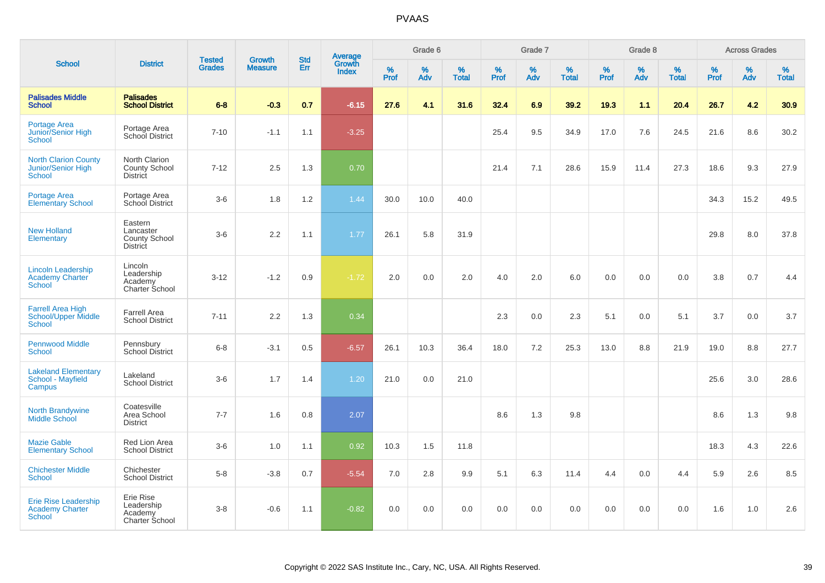|                                                                      |                                                          |                                |                                 | <b>Std</b> |                                          |                  | Grade 6  |                   |           | Grade 7  |                   |                  | Grade 8  |                   |              | <b>Across Grades</b> |                   |
|----------------------------------------------------------------------|----------------------------------------------------------|--------------------------------|---------------------------------|------------|------------------------------------------|------------------|----------|-------------------|-----------|----------|-------------------|------------------|----------|-------------------|--------------|----------------------|-------------------|
| <b>School</b>                                                        | <b>District</b>                                          | <b>Tested</b><br><b>Grades</b> | <b>Growth</b><br><b>Measure</b> | Err        | <b>Average</b><br>Growth<br><b>Index</b> | %<br><b>Prof</b> | %<br>Adv | %<br><b>Total</b> | %<br>Prof | %<br>Adv | %<br><b>Total</b> | %<br><b>Prof</b> | %<br>Adv | %<br><b>Total</b> | $\%$<br>Prof | %<br>Adv             | %<br><b>Total</b> |
| <b>Palisades Middle</b><br><b>School</b>                             | <b>Palisades</b><br><b>School District</b>               | $6 - 8$                        | $-0.3$                          | 0.7        | $-6.15$                                  | 27.6             | 4.1      | 31.6              | 32.4      | 6.9      | 39.2              | 19.3             | 1.1      | 20.4              | 26.7         | 4.2                  | 30.9              |
| <b>Portage Area</b><br>Junior/Senior High<br><b>School</b>           | Portage Area<br>School District                          | $7 - 10$                       | $-1.1$                          | 1.1        | $-3.25$                                  |                  |          |                   | 25.4      | 9.5      | 34.9              | 17.0             | 7.6      | 24.5              | 21.6         | 8.6                  | 30.2              |
| <b>North Clarion County</b><br>Junior/Senior High<br><b>School</b>   | North Clarion<br>County School<br><b>District</b>        | $7 - 12$                       | 2.5                             | 1.3        | 0.70                                     |                  |          |                   | 21.4      | 7.1      | 28.6              | 15.9             | 11.4     | 27.3              | 18.6         | 9.3                  | 27.9              |
| <b>Portage Area</b><br><b>Elementary School</b>                      | Portage Area<br>School District                          | $3-6$                          | 1.8                             | 1.2        | 1.44                                     | 30.0             | 10.0     | 40.0              |           |          |                   |                  |          |                   | 34.3         | 15.2                 | 49.5              |
| <b>New Holland</b><br>Elementary                                     | Eastern<br>Lancaster<br>County School<br><b>District</b> | $3-6$                          | 2.2                             | 1.1        | 1.77                                     | 26.1             | 5.8      | 31.9              |           |          |                   |                  |          |                   | 29.8         | 8.0                  | 37.8              |
| <b>Lincoln Leadership</b><br><b>Academy Charter</b><br><b>School</b> | Lincoln<br>Leadership<br>Academy<br>Charter School       | $3 - 12$                       | $-1.2$                          | 0.9        | $-1.72$                                  | 2.0              | 0.0      | 2.0               | 4.0       | 2.0      | 6.0               | 0.0              | 0.0      | 0.0               | 3.8          | 0.7                  | 4.4               |
| <b>Farrell Area High</b><br>School/Upper Middle<br><b>School</b>     | <b>Farrell Area</b><br><b>School District</b>            | $7 - 11$                       | 2.2                             | 1.3        | 0.34                                     |                  |          |                   | 2.3       | 0.0      | 2.3               | 5.1              | 0.0      | 5.1               | 3.7          | 0.0                  | 3.7               |
| <b>Pennwood Middle</b><br><b>School</b>                              | Pennsbury<br><b>School District</b>                      | $6-8$                          | $-3.1$                          | 0.5        | $-6.57$                                  | 26.1             | 10.3     | 36.4              | 18.0      | 7.2      | 25.3              | 13.0             | 8.8      | 21.9              | 19.0         | 8.8                  | 27.7              |
| <b>Lakeland Elementary</b><br>School - Mayfield<br>Campus            | Lakeland<br><b>School District</b>                       | $3-6$                          | 1.7                             | 1.4        | 1.20                                     | 21.0             | 0.0      | 21.0              |           |          |                   |                  |          |                   | 25.6         | 3.0                  | 28.6              |
| North Brandywine<br><b>Middle School</b>                             | Coatesville<br>Area School<br><b>District</b>            | $7 - 7$                        | 1.6                             | 0.8        | 2.07                                     |                  |          |                   | 8.6       | 1.3      | 9.8               |                  |          |                   | 8.6          | 1.3                  | 9.8               |
| <b>Mazie Gable</b><br><b>Elementary School</b>                       | Red Lion Area<br><b>School District</b>                  | $3-6$                          | 1.0                             | 1.1        | 0.92                                     | 10.3             | 1.5      | 11.8              |           |          |                   |                  |          |                   | 18.3         | 4.3                  | 22.6              |
| <b>Chichester Middle</b><br><b>School</b>                            | Chichester<br><b>School District</b>                     | $5 - 8$                        | $-3.8$                          | 0.7        | $-5.54$                                  | 7.0              | 2.8      | 9.9               | 5.1       | 6.3      | 11.4              | 4.4              | 0.0      | 4.4               | 5.9          | 2.6                  | 8.5               |
| Erie Rise Leadership<br><b>Academy Charter</b><br><b>School</b>      | Erie Rise<br>Leadership<br>Academy<br>Charter School     | $3 - 8$                        | $-0.6$                          | 1.1        | $-0.82$                                  | 0.0              | 0.0      | 0.0               | 0.0       | 0.0      | 0.0               | 0.0              | 0.0      | 0.0               | 1.6          | 1.0                  | 2.6               |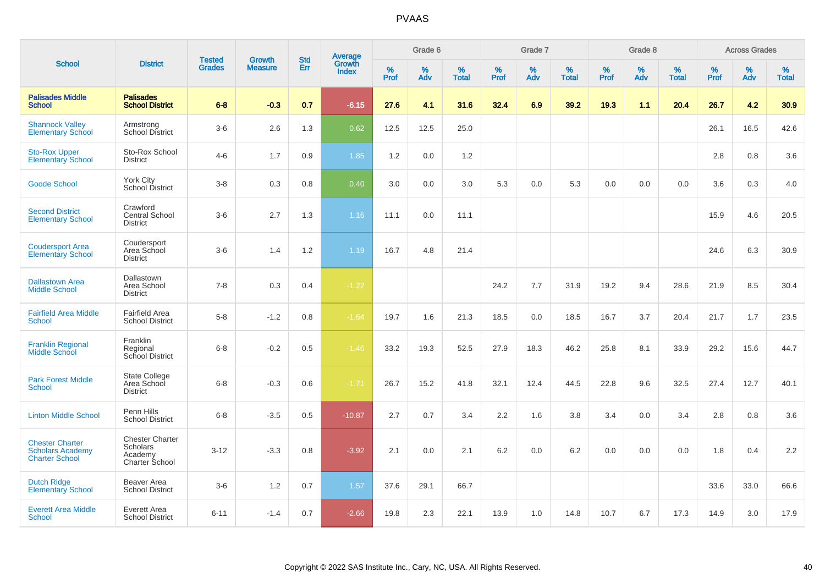|                                                                            |                                                                 |                                | <b>Growth</b>  | <b>Std</b> |                                          |                  | Grade 6     |                   |              | Grade 7  |                   |           | Grade 8  |                   |              | <b>Across Grades</b> |                   |
|----------------------------------------------------------------------------|-----------------------------------------------------------------|--------------------------------|----------------|------------|------------------------------------------|------------------|-------------|-------------------|--------------|----------|-------------------|-----------|----------|-------------------|--------------|----------------------|-------------------|
| <b>School</b>                                                              | <b>District</b>                                                 | <b>Tested</b><br><b>Grades</b> | <b>Measure</b> | Err        | <b>Average</b><br>Growth<br><b>Index</b> | %<br><b>Prof</b> | $\%$<br>Adv | %<br><b>Total</b> | $\%$<br>Prof | %<br>Adv | %<br><b>Total</b> | %<br>Prof | %<br>Adv | %<br><b>Total</b> | $\%$<br>Prof | $\%$<br>Adv          | %<br><b>Total</b> |
| <b>Palisades Middle</b><br><b>School</b>                                   | <b>Palisades</b><br><b>School District</b>                      | $6 - 8$                        | $-0.3$         | 0.7        | $-6.15$                                  | 27.6             | 4.1         | 31.6              | 32.4         | 6.9      | 39.2              | 19.3      | 1.1      | 20.4              | 26.7         | 4.2                  | 30.9              |
| <b>Shannock Valley</b><br><b>Elementary School</b>                         | Armstrong<br><b>School District</b>                             | $3-6$                          | 2.6            | 1.3        | 0.62                                     | 12.5             | 12.5        | 25.0              |              |          |                   |           |          |                   | 26.1         | 16.5                 | 42.6              |
| <b>Sto-Rox Upper</b><br><b>Elementary School</b>                           | Sto-Rox School<br><b>District</b>                               | $4 - 6$                        | 1.7            | 0.9        | 1.85                                     | 1.2              | 0.0         | 1.2               |              |          |                   |           |          |                   | 2.8          | 0.8                  | 3.6               |
| <b>Goode School</b>                                                        | York City<br>School District                                    | $3-8$                          | 0.3            | 0.8        | 0.40                                     | 3.0              | 0.0         | 3.0               | 5.3          | 0.0      | 5.3               | 0.0       | 0.0      | 0.0               | 3.6          | 0.3                  | 4.0               |
| <b>Second District</b><br><b>Elementary School</b>                         | Crawford<br>Central School<br><b>District</b>                   | $3-6$                          | 2.7            | 1.3        | 1.16                                     | 11.1             | 0.0         | 11.1              |              |          |                   |           |          |                   | 15.9         | 4.6                  | 20.5              |
| <b>Coudersport Area</b><br><b>Elementary School</b>                        | Coudersport<br>Area School<br><b>District</b>                   | $3-6$                          | 1.4            | 1.2        | 1.19                                     | 16.7             | 4.8         | 21.4              |              |          |                   |           |          |                   | 24.6         | 6.3                  | 30.9              |
| <b>Dallastown Area</b><br><b>Middle School</b>                             | Dallastown<br>Area School<br><b>District</b>                    | $7 - 8$                        | 0.3            | 0.4        | $-1.22$                                  |                  |             |                   | 24.2         | 7.7      | 31.9              | 19.2      | 9.4      | 28.6              | 21.9         | 8.5                  | 30.4              |
| <b>Fairfield Area Middle</b><br><b>School</b>                              | <b>Fairfield Area</b><br><b>School District</b>                 | $5-8$                          | $-1.2$         | 0.8        | $-1.64$                                  | 19.7             | 1.6         | 21.3              | 18.5         | 0.0      | 18.5              | 16.7      | 3.7      | 20.4              | 21.7         | 1.7                  | 23.5              |
| <b>Franklin Regional</b><br><b>Middle School</b>                           | Franklin<br>Regional<br>School District                         | $6 - 8$                        | $-0.2$         | 0.5        | $-1.46$                                  | 33.2             | 19.3        | 52.5              | 27.9         | 18.3     | 46.2              | 25.8      | 8.1      | 33.9              | 29.2         | 15.6                 | 44.7              |
| <b>Park Forest Middle</b><br><b>School</b>                                 | State College<br>Area School<br><b>District</b>                 | $6 - 8$                        | $-0.3$         | 0.6        | $-1.71$                                  | 26.7             | 15.2        | 41.8              | 32.1         | 12.4     | 44.5              | 22.8      | 9.6      | 32.5              | 27.4         | 12.7                 | 40.1              |
| <b>Linton Middle School</b>                                                | Penn Hills<br><b>School District</b>                            | $6 - 8$                        | $-3.5$         | 0.5        | $-10.87$                                 | 2.7              | 0.7         | 3.4               | 2.2          | 1.6      | 3.8               | 3.4       | 0.0      | 3.4               | 2.8          | 0.8                  | 3.6               |
| <b>Chester Charter</b><br><b>Scholars Academy</b><br><b>Charter School</b> | <b>Chester Charter</b><br>Scholars<br>Academy<br>Charter School | $3 - 12$                       | $-3.3$         | 0.8        | $-3.92$                                  | 2.1              | 0.0         | 2.1               | 6.2          | 0.0      | 6.2               | 0.0       | 0.0      | 0.0               | 1.8          | 0.4                  | 2.2               |
| <b>Dutch Ridge</b><br><b>Elementary School</b>                             | Beaver Area<br><b>School District</b>                           | $3-6$                          | 1.2            | 0.7        | 1.57                                     | 37.6             | 29.1        | 66.7              |              |          |                   |           |          |                   | 33.6         | 33.0                 | 66.6              |
| <b>Everett Area Middle</b><br><b>School</b>                                | Everett Area<br><b>School District</b>                          | $6 - 11$                       | $-1.4$         | 0.7        | $-2.66$                                  | 19.8             | 2.3         | 22.1              | 13.9         | 1.0      | 14.8              | 10.7      | 6.7      | 17.3              | 14.9         | 3.0                  | 17.9              |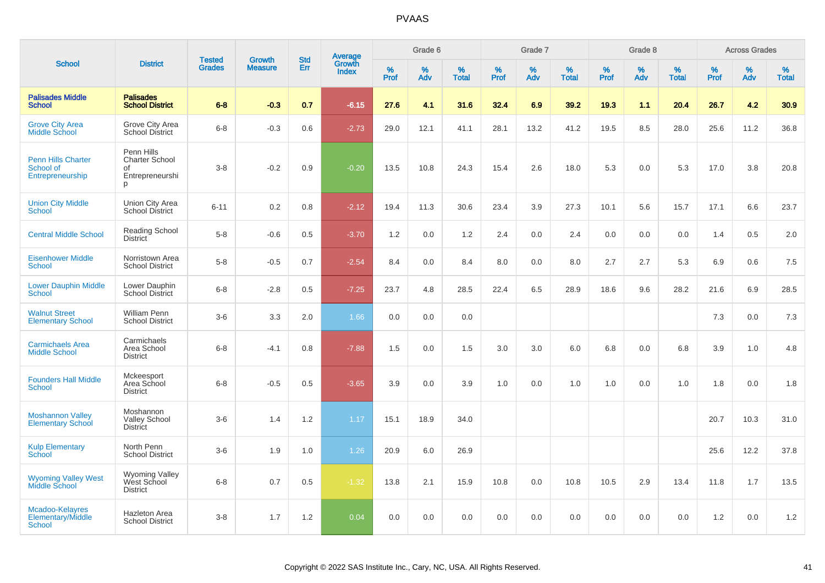|                                                            |                                                                   | <b>Tested</b> | <b>Growth</b>  | <b>Std</b> |                                          |                  | Grade 6  |                   |              | Grade 7  |                      |              | Grade 8  |                   |              | <b>Across Grades</b> |                   |
|------------------------------------------------------------|-------------------------------------------------------------------|---------------|----------------|------------|------------------------------------------|------------------|----------|-------------------|--------------|----------|----------------------|--------------|----------|-------------------|--------------|----------------------|-------------------|
| <b>School</b>                                              | <b>District</b>                                                   | <b>Grades</b> | <b>Measure</b> | Err        | <b>Average</b><br>Growth<br><b>Index</b> | %<br><b>Prof</b> | %<br>Adv | %<br><b>Total</b> | $\%$<br>Prof | %<br>Adv | $\%$<br><b>Total</b> | $\%$<br>Prof | %<br>Adv | %<br><b>Total</b> | $\%$<br>Prof | %<br>Adv             | %<br><b>Total</b> |
| <b>Palisades Middle</b><br><b>School</b>                   | <b>Palisades</b><br><b>School District</b>                        | $6 - 8$       | $-0.3$         | 0.7        | $-6.15$                                  | 27.6             | 4.1      | 31.6              | 32.4         | 6.9      | 39.2                 | 19.3         | 1.1      | 20.4              | 26.7         | 4.2                  | 30.9              |
| <b>Grove City Area</b><br><b>Middle School</b>             | Grove City Area<br><b>School District</b>                         | $6 - 8$       | $-0.3$         | 0.6        | $-2.73$                                  | 29.0             | 12.1     | 41.1              | 28.1         | 13.2     | 41.2                 | 19.5         | 8.5      | 28.0              | 25.6         | 11.2                 | 36.8              |
| <b>Penn Hills Charter</b><br>School of<br>Entrepreneurship | Penn Hills<br><b>Charter School</b><br>οf<br>Entrepreneurshi<br>p | $3 - 8$       | $-0.2$         | 0.9        | $-0.20$                                  | 13.5             | 10.8     | 24.3              | 15.4         | 2.6      | 18.0                 | 5.3          | 0.0      | 5.3               | 17.0         | 3.8                  | 20.8              |
| <b>Union City Middle</b><br><b>School</b>                  | Union City Area<br><b>School District</b>                         | $6 - 11$      | 0.2            | 0.8        | $-2.12$                                  | 19.4             | 11.3     | 30.6              | 23.4         | 3.9      | 27.3                 | 10.1         | 5.6      | 15.7              | 17.1         | 6.6                  | 23.7              |
| <b>Central Middle School</b>                               | <b>Reading School</b><br><b>District</b>                          | $5 - 8$       | $-0.6$         | 0.5        | $-3.70$                                  | 1.2              | 0.0      | 1.2               | 2.4          | 0.0      | 2.4                  | 0.0          | 0.0      | 0.0               | 1.4          | 0.5                  | 2.0               |
| <b>Eisenhower Middle</b><br>School                         | Norristown Area<br><b>School District</b>                         | $5-8$         | $-0.5$         | 0.7        | $-2.54$                                  | 8.4              | 0.0      | 8.4               | 8.0          | 0.0      | 8.0                  | 2.7          | 2.7      | 5.3               | 6.9          | 0.6                  | 7.5               |
| <b>Lower Dauphin Middle</b><br><b>School</b>               | Lower Dauphin<br><b>School District</b>                           | $6 - 8$       | $-2.8$         | 0.5        | $-7.25$                                  | 23.7             | 4.8      | 28.5              | 22.4         | 6.5      | 28.9                 | 18.6         | 9.6      | 28.2              | 21.6         | 6.9                  | 28.5              |
| <b>Walnut Street</b><br><b>Elementary School</b>           | William Penn<br><b>School District</b>                            | $3-6$         | 3.3            | 2.0        | 1.66                                     | 0.0              | 0.0      | 0.0               |              |          |                      |              |          |                   | 7.3          | 0.0                  | 7.3               |
| <b>Carmichaels Area</b><br><b>Middle School</b>            | Carmichaels<br>Area School<br><b>District</b>                     | $6 - 8$       | $-4.1$         | 0.8        | $-7.88$                                  | 1.5              | 0.0      | 1.5               | 3.0          | 3.0      | 6.0                  | 6.8          | 0.0      | 6.8               | 3.9          | 1.0                  | 4.8               |
| <b>Founders Hall Middle</b><br><b>School</b>               | Mckeesport<br>Area School<br><b>District</b>                      | $6 - 8$       | $-0.5$         | 0.5        | $-3.65$                                  | 3.9              | 0.0      | 3.9               | 1.0          | 0.0      | 1.0                  | 1.0          | 0.0      | 1.0               | 1.8          | $0.0\,$              | 1.8               |
| <b>Moshannon Valley</b><br><b>Elementary School</b>        | Moshannon<br><b>Valley School</b><br><b>District</b>              | $3-6$         | 1.4            | 1.2        | 1.17                                     | 15.1             | 18.9     | 34.0              |              |          |                      |              |          |                   | 20.7         | 10.3                 | 31.0              |
| <b>Kulp Elementary</b><br>School                           | North Penn<br><b>School District</b>                              | $3-6$         | 1.9            | 1.0        | 1.26                                     | 20.9             | 6.0      | 26.9              |              |          |                      |              |          |                   | 25.6         | 12.2                 | 37.8              |
| <b>Wyoming Valley West<br/>Middle School</b>               | <b>Wyoming Valley</b><br>West School<br><b>District</b>           | $6 - 8$       | 0.7            | 0.5        | $-1.32$                                  | 13.8             | 2.1      | 15.9              | 10.8         | 0.0      | 10.8                 | 10.5         | 2.9      | 13.4              | 11.8         | 1.7                  | 13.5              |
| Mcadoo-Kelayres<br>Elementary/Middle<br><b>School</b>      | <b>Hazleton Area</b><br><b>School District</b>                    | $3 - 8$       | 1.7            | 1.2        | 0.04                                     | 0.0              | 0.0      | 0.0               | 0.0          | 0.0      | 0.0                  | 0.0          | 0.0      | 0.0               | 1.2          | 0.0                  | 1.2               |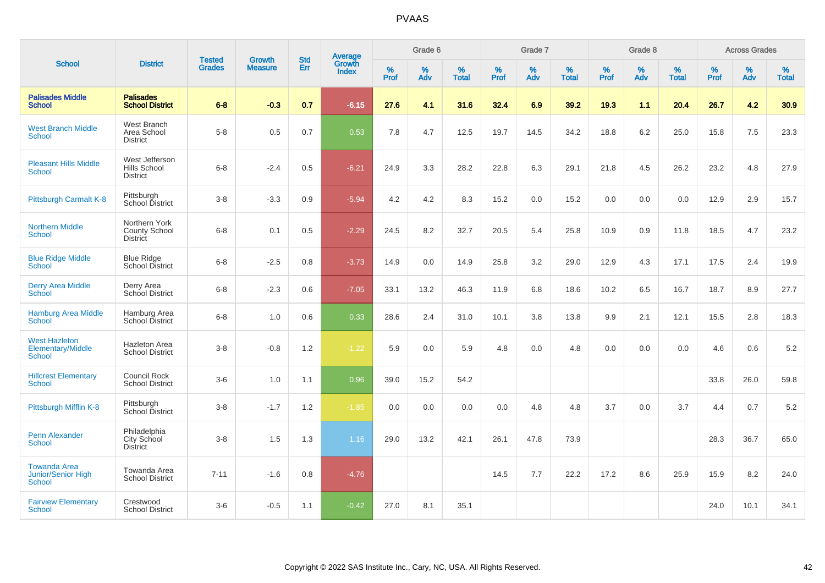|                                                            |                                                   |                                | <b>Growth</b>  | <b>Std</b> |                                          |           | Grade 6     |                   |           | Grade 7  |                   |           | Grade 8  |                   |              | <b>Across Grades</b> |                   |
|------------------------------------------------------------|---------------------------------------------------|--------------------------------|----------------|------------|------------------------------------------|-----------|-------------|-------------------|-----------|----------|-------------------|-----------|----------|-------------------|--------------|----------------------|-------------------|
| <b>School</b>                                              | <b>District</b>                                   | <b>Tested</b><br><b>Grades</b> | <b>Measure</b> | Err        | <b>Average</b><br>Growth<br><b>Index</b> | %<br>Prof | $\%$<br>Adv | %<br><b>Total</b> | %<br>Prof | %<br>Adv | %<br><b>Total</b> | %<br>Prof | %<br>Adv | %<br><b>Total</b> | $\%$<br>Prof | $\%$<br>Adv          | %<br><b>Total</b> |
| <b>Palisades Middle</b><br><b>School</b>                   | <b>Palisades</b><br><b>School District</b>        | $6-8$                          | $-0.3$         | 0.7        | $-6.15$                                  | 27.6      | 4.1         | 31.6              | 32.4      | 6.9      | 39.2              | 19.3      | 1.1      | 20.4              | 26.7         | 4.2                  | 30.9              |
| <b>West Branch Middle</b><br>School                        | West Branch<br>Area School<br><b>District</b>     | $5-8$                          | 0.5            | 0.7        | 0.53                                     | 7.8       | 4.7         | 12.5              | 19.7      | 14.5     | 34.2              | 18.8      | 6.2      | 25.0              | 15.8         | 7.5                  | 23.3              |
| <b>Pleasant Hills Middle</b><br><b>School</b>              | West Jefferson<br>Hills School<br><b>District</b> | $6 - 8$                        | $-2.4$         | 0.5        | $-6.21$                                  | 24.9      | 3.3         | 28.2              | 22.8      | 6.3      | 29.1              | 21.8      | 4.5      | 26.2              | 23.2         | 4.8                  | 27.9              |
| Pittsburgh Carmalt K-8                                     | Pittsburgh<br>School District                     | $3-8$                          | $-3.3$         | 0.9        | $-5.94$                                  | 4.2       | 4.2         | 8.3               | 15.2      | 0.0      | 15.2              | 0.0       | 0.0      | 0.0               | 12.9         | 2.9                  | 15.7              |
| <b>Northern Middle</b><br><b>School</b>                    | Northern York<br>County School<br><b>District</b> | $6 - 8$                        | 0.1            | $0.5\,$    | $-2.29$                                  | 24.5      | 8.2         | 32.7              | 20.5      | 5.4      | 25.8              | 10.9      | 0.9      | 11.8              | 18.5         | 4.7                  | 23.2              |
| <b>Blue Ridge Middle</b><br><b>School</b>                  | <b>Blue Ridge</b><br><b>School District</b>       | $6 - 8$                        | $-2.5$         | 0.8        | $-3.73$                                  | 14.9      | 0.0         | 14.9              | 25.8      | 3.2      | 29.0              | 12.9      | 4.3      | 17.1              | 17.5         | 2.4                  | 19.9              |
| <b>Derry Area Middle</b><br><b>School</b>                  | Derry Area<br>School District                     | $6-8$                          | $-2.3$         | 0.6        | $-7.05$                                  | 33.1      | 13.2        | 46.3              | 11.9      | 6.8      | 18.6              | 10.2      | 6.5      | 16.7              | 18.7         | 8.9                  | 27.7              |
| <b>Hamburg Area Middle</b><br><b>School</b>                | Hamburg Area<br>School District                   | $6 - 8$                        | 1.0            | 0.6        | 0.33                                     | 28.6      | 2.4         | 31.0              | 10.1      | 3.8      | 13.8              | 9.9       | 2.1      | 12.1              | 15.5         | 2.8                  | 18.3              |
| <b>West Hazleton</b><br>Elementary/Middle<br>School        | <b>Hazleton Area</b><br><b>School District</b>    | $3-8$                          | $-0.8$         | $1.2$      | $-1.22$                                  | 5.9       | 0.0         | 5.9               | 4.8       | 0.0      | 4.8               | 0.0       | 0.0      | 0.0               | 4.6          | 0.6                  | 5.2               |
| <b>Hillcrest Elementary</b><br><b>School</b>               | Council Rock<br><b>School District</b>            | $3-6$                          | 1.0            | 1.1        | 0.96                                     | 39.0      | 15.2        | 54.2              |           |          |                   |           |          |                   | 33.8         | 26.0                 | 59.8              |
| Pittsburgh Mifflin K-8                                     | Pittsburgh<br>School District                     | $3 - 8$                        | $-1.7$         | $1.2\,$    | $-1.85$                                  | 0.0       | 0.0         | 0.0               | 0.0       | 4.8      | 4.8               | 3.7       | 0.0      | 3.7               | 4.4          | 0.7                  | $5.2\,$           |
| <b>Penn Alexander</b><br>School                            | Philadelphia<br>City School<br><b>District</b>    | $3 - 8$                        | 1.5            | 1.3        | 1.16                                     | 29.0      | 13.2        | 42.1              | 26.1      | 47.8     | 73.9              |           |          |                   | 28.3         | 36.7                 | 65.0              |
| <b>Towanda Area</b><br><b>Junior/Senior High</b><br>School | Towanda Area<br><b>School District</b>            | $7 - 11$                       | $-1.6$         | 0.8        | $-4.76$                                  |           |             |                   | 14.5      | 7.7      | 22.2              | 17.2      | 8.6      | 25.9              | 15.9         | 8.2                  | 24.0              |
| <b>Fairview Elementary</b><br>School                       | Crestwood<br><b>School District</b>               | $3-6$                          | $-0.5$         | 1.1        | $-0.42$                                  | 27.0      | 8.1         | 35.1              |           |          |                   |           |          |                   | 24.0         | 10.1                 | 34.1              |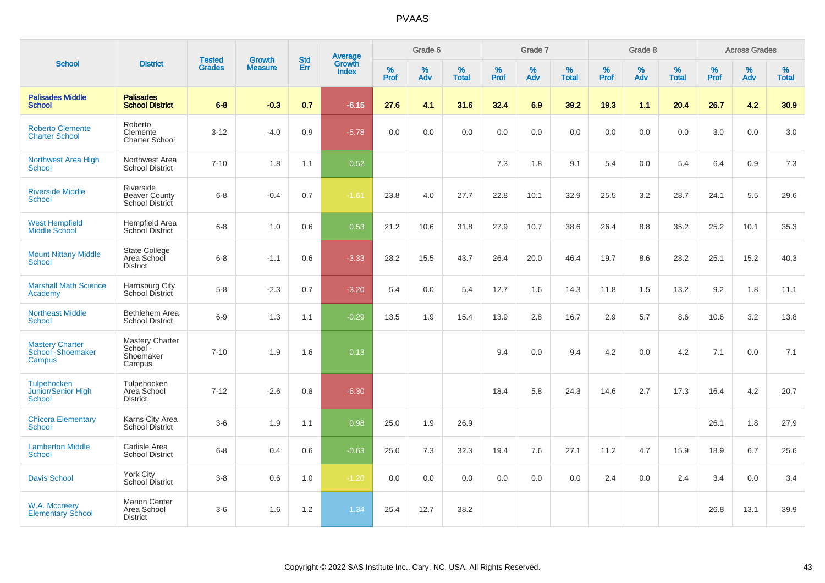|                                                           |                                                        |                                |                          | <b>Std</b> |                                          |           | Grade 6  |                   |           | Grade 7  |                   |           | Grade 8  |                   |           | <b>Across Grades</b> |                   |
|-----------------------------------------------------------|--------------------------------------------------------|--------------------------------|--------------------------|------------|------------------------------------------|-----------|----------|-------------------|-----------|----------|-------------------|-----------|----------|-------------------|-----------|----------------------|-------------------|
| <b>School</b>                                             | <b>District</b>                                        | <b>Tested</b><br><b>Grades</b> | Growth<br><b>Measure</b> | Err        | <b>Average</b><br>Growth<br><b>Index</b> | %<br>Prof | %<br>Adv | %<br><b>Total</b> | %<br>Prof | %<br>Adv | %<br><b>Total</b> | %<br>Prof | %<br>Adv | %<br><b>Total</b> | %<br>Prof | %<br>Adv             | %<br><b>Total</b> |
| <b>Palisades Middle</b><br><b>School</b>                  | <b>Palisades</b><br><b>School District</b>             | $6 - 8$                        | $-0.3$                   | 0.7        | $-6.15$                                  | 27.6      | 4.1      | 31.6              | 32.4      | 6.9      | 39.2              | 19.3      | 1.1      | 20.4              | 26.7      | 4.2                  | 30.9 <sub>2</sub> |
| <b>Roberto Clemente</b><br><b>Charter School</b>          | Roberto<br>Clemente<br><b>Charter School</b>           | $3 - 12$                       | $-4.0$                   | 0.9        | $-5.78$                                  | 0.0       | 0.0      | 0.0               | 0.0       | 0.0      | 0.0               | 0.0       | 0.0      | 0.0               | 3.0       | 0.0                  | 3.0               |
| Northwest Area High<br><b>School</b>                      | Northwest Area<br><b>School District</b>               | $7 - 10$                       | 1.8                      | 1.1        | 0.52                                     |           |          |                   | 7.3       | 1.8      | 9.1               | 5.4       | 0.0      | 5.4               | 6.4       | 0.9                  | 7.3               |
| <b>Riverside Middle</b><br><b>School</b>                  | Riverside<br><b>Beaver County</b><br>School District   | $6 - 8$                        | $-0.4$                   | 0.7        | $-1.61$                                  | 23.8      | 4.0      | 27.7              | 22.8      | 10.1     | 32.9              | 25.5      | 3.2      | 28.7              | 24.1      | 5.5                  | 29.6              |
| <b>West Hempfield</b><br><b>Middle School</b>             | <b>Hempfield Area</b><br><b>School District</b>        | $6 - 8$                        | 1.0                      | 0.6        | 0.53                                     | 21.2      | 10.6     | 31.8              | 27.9      | 10.7     | 38.6              | 26.4      | 8.8      | 35.2              | 25.2      | 10.1                 | 35.3              |
| <b>Mount Nittany Middle</b><br><b>School</b>              | <b>State College</b><br>Area School<br><b>District</b> | $6 - 8$                        | $-1.1$                   | 0.6        | $-3.33$                                  | 28.2      | 15.5     | 43.7              | 26.4      | 20.0     | 46.4              | 19.7      | 8.6      | 28.2              | 25.1      | 15.2                 | 40.3              |
| <b>Marshall Math Science</b><br>Academy                   | Harrisburg City<br>School District                     | $5-8$                          | $-2.3$                   | 0.7        | $-3.20$                                  | 5.4       | 0.0      | 5.4               | 12.7      | 1.6      | 14.3              | 11.8      | 1.5      | 13.2              | 9.2       | 1.8                  | 11.1              |
| <b>Northeast Middle</b><br><b>School</b>                  | Bethlehem Area<br><b>School District</b>               | $6-9$                          | 1.3                      | 1.1        | $-0.29$                                  | 13.5      | 1.9      | 15.4              | 13.9      | 2.8      | 16.7              | 2.9       | 5.7      | 8.6               | 10.6      | 3.2                  | 13.8              |
| <b>Mastery Charter</b><br>School - Shoemaker<br>Campus    | Mastery Charter<br>School-<br>Shoemaker<br>Campus      | $7 - 10$                       | 1.9                      | 1.6        | 0.13                                     |           |          |                   | 9.4       | 0.0      | 9.4               | 4.2       | 0.0      | 4.2               | 7.1       | 0.0                  | 7.1               |
| <b>Tulpehocken</b><br>Junior/Senior High<br><b>School</b> | Tulpehocken<br>Area School<br><b>District</b>          | $7 - 12$                       | $-2.6$                   | 0.8        | $-6.30$                                  |           |          |                   | 18.4      | 5.8      | 24.3              | 14.6      | 2.7      | 17.3              | 16.4      | 4.2                  | 20.7              |
| <b>Chicora Elementary</b><br><b>School</b>                | Karns City Area<br>School District                     | $3-6$                          | 1.9                      | 1.1        | 0.98                                     | 25.0      | 1.9      | 26.9              |           |          |                   |           |          |                   | 26.1      | 1.8                  | 27.9              |
| <b>Lamberton Middle</b><br><b>School</b>                  | Carlisle Area<br><b>School District</b>                | $6 - 8$                        | 0.4                      | 0.6        | $-0.63$                                  | 25.0      | 7.3      | 32.3              | 19.4      | 7.6      | 27.1              | 11.2      | 4.7      | 15.9              | 18.9      | 6.7                  | 25.6              |
| <b>Davis School</b>                                       | <b>York City</b><br>School District                    | $3 - 8$                        | 0.6                      | 1.0        | $-1.20$                                  | 0.0       | 0.0      | 0.0               | 0.0       | 0.0      | 0.0               | 2.4       | 0.0      | 2.4               | 3.4       | 0.0                  | 3.4               |
| W.A. Mccreery<br><b>Elementary School</b>                 | <b>Marion Center</b><br>Area School<br><b>District</b> | $3-6$                          | 1.6                      | 1.2        | 1.34                                     | 25.4      | 12.7     | 38.2              |           |          |                   |           |          |                   | 26.8      | 13.1                 | 39.9              |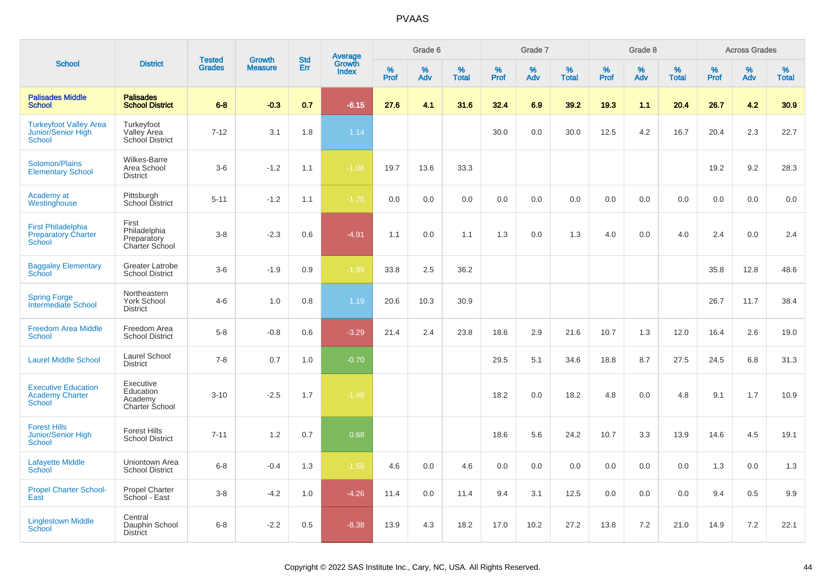|                                                                       |                                                            |                                |                                 | <b>Std</b> |                                          |                  | Grade 6  |                   |           | Grade 7  |                   |           | Grade 8  |                   |           | <b>Across Grades</b> |                   |
|-----------------------------------------------------------------------|------------------------------------------------------------|--------------------------------|---------------------------------|------------|------------------------------------------|------------------|----------|-------------------|-----------|----------|-------------------|-----------|----------|-------------------|-----------|----------------------|-------------------|
| <b>School</b>                                                         | <b>District</b>                                            | <b>Tested</b><br><b>Grades</b> | <b>Growth</b><br><b>Measure</b> | Err        | <b>Average</b><br>Growth<br><b>Index</b> | %<br><b>Prof</b> | %<br>Adv | %<br><b>Total</b> | %<br>Prof | %<br>Adv | %<br><b>Total</b> | %<br>Prof | %<br>Adv | %<br><b>Total</b> | %<br>Prof | %<br>Adv             | %<br><b>Total</b> |
| <b>Palisades Middle</b><br><b>School</b>                              | <b>Palisades</b><br><b>School District</b>                 | $6 - 8$                        | $-0.3$                          | 0.7        | $-6.15$                                  | 27.6             | 4.1      | 31.6              | 32.4      | 6.9      | 39.2              | 19.3      | 1.1      | 20.4              | 26.7      | 4.2                  | 30.9              |
| <b>Turkeyfoot Valley Area</b><br>Junior/Senior High<br><b>School</b>  | Turkeyfoot<br>Valley Area<br>School District               | $7 - 12$                       | 3.1                             | 1.8        | 1.14                                     |                  |          |                   | 30.0      | 0.0      | 30.0              | 12.5      | 4.2      | 16.7              | 20.4      | 2.3                  | 22.7              |
| Solomon/Plains<br><b>Elementary School</b>                            | <b>Wilkes-Barre</b><br>Area School<br><b>District</b>      | $3-6$                          | $-1.2$                          | 1.1        | $-1.08$                                  | 19.7             | 13.6     | 33.3              |           |          |                   |           |          |                   | 19.2      | 9.2                  | 28.3              |
| Academy at<br>Westinghouse                                            | Pittsburgh<br>School District                              | $5 - 11$                       | $-1.2$                          | 1.1        | $-1.75$                                  | 0.0              | 0.0      | 0.0               | 0.0       | 0.0      | 0.0               | 0.0       | 0.0      | 0.0               | 0.0       | 0.0                  | 0.0               |
| <b>First Philadelphia</b><br><b>Preparatory Charter</b><br>School     | First<br>Philadelphia<br>Preparatory<br>Charter School     | $3 - 8$                        | $-2.3$                          | 0.6        | $-4.91$                                  | 1.1              | 0.0      | 1.1               | 1.3       | 0.0      | 1.3               | 4.0       | 0.0      | 4.0               | 2.4       | $0.0\,$              | 2.4               |
| <b>Baggaley Elementary</b><br><b>School</b>                           | Greater Latrobe<br><b>School District</b>                  | $3-6$                          | $-1.9$                          | 0.9        | $-1.99$                                  | 33.8             | 2.5      | 36.2              |           |          |                   |           |          |                   | 35.8      | 12.8                 | 48.6              |
| <b>Spring Forge</b><br>Intermediate School                            | Northeastern<br><b>York School</b><br><b>District</b>      | $4-6$                          | 1.0                             | 0.8        | 1.19                                     | 20.6             | 10.3     | 30.9              |           |          |                   |           |          |                   | 26.7      | 11.7                 | 38.4              |
| <b>Freedom Area Middle</b><br><b>School</b>                           | Freedom Area<br><b>School District</b>                     | $5-8$                          | $-0.8$                          | 0.6        | $-3.29$                                  | 21.4             | 2.4      | 23.8              | 18.6      | 2.9      | 21.6              | 10.7      | 1.3      | 12.0              | 16.4      | 2.6                  | 19.0              |
| <b>Laurel Middle School</b>                                           | Laurel School<br><b>District</b>                           | $7 - 8$                        | 0.7                             | 1.0        | $-0.70$                                  |                  |          |                   | 29.5      | 5.1      | 34.6              | 18.8      | 8.7      | 27.5              | 24.5      | 6.8                  | 31.3              |
| <b>Executive Education</b><br><b>Academy Charter</b><br><b>School</b> | Executive<br>Education<br>Academy<br><b>Charter School</b> | $3 - 10$                       | $-2.5$                          | 1.7        | $-1.48$                                  |                  |          |                   | 18.2      | 0.0      | 18.2              | 4.8       | 0.0      | 4.8               | 9.1       | 1.7                  | 10.9              |
| <b>Forest Hills</b><br><b>Junior/Senior High</b><br><b>School</b>     | <b>Forest Hills</b><br><b>School District</b>              | $7 - 11$                       | 1.2                             | 0.7        | 0.68                                     |                  |          |                   | 18.6      | 5.6      | 24.2              | 10.7      | 3.3      | 13.9              | 14.6      | 4.5                  | 19.1              |
| <b>Lafayette Middle</b><br>School                                     | Uniontown Area<br><b>School District</b>                   | $6 - 8$                        | $-0.4$                          | 1.3        | $-1.58$                                  | 4.6              | 0.0      | 4.6               | 0.0       | 0.0      | 0.0               | 0.0       | 0.0      | 0.0               | 1.3       | 0.0                  | 1.3               |
| <b>Propel Charter School-</b><br>East                                 | <b>Propel Charter</b><br>School - East                     | $3 - 8$                        | $-4.2$                          | 1.0        | $-4.26$                                  | 11.4             | 0.0      | 11.4              | 9.4       | 3.1      | 12.5              | 0.0       | 0.0      | 0.0               | 9.4       | 0.5                  | 9.9               |
| <b>Linglestown Middle</b><br><b>School</b>                            | Central<br>Dauphin School<br><b>District</b>               | $6 - 8$                        | $-2.2$                          | 0.5        | $-8.38$                                  | 13.9             | 4.3      | 18.2              | 17.0      | 10.2     | 27.2              | 13.8      | 7.2      | 21.0              | 14.9      | 7.2                  | 22.1              |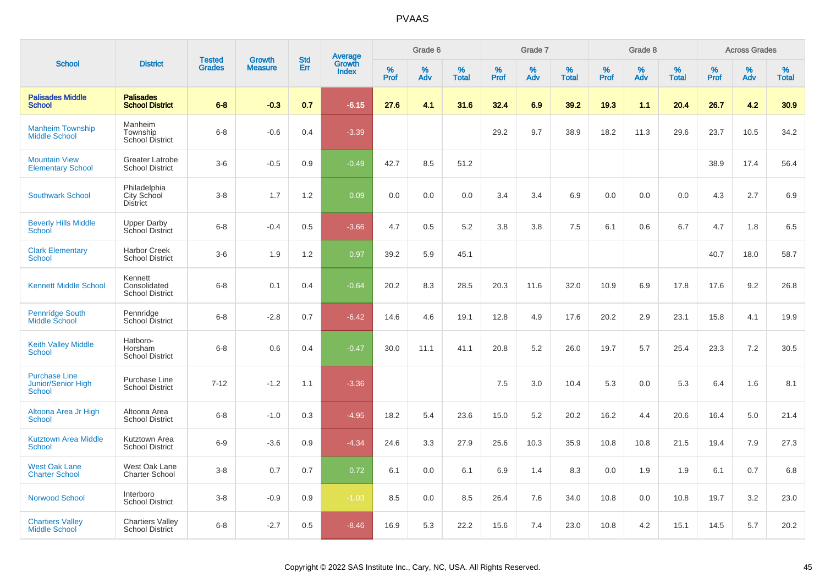|                                                             |                                                   |                                |                                 |                   |                                          |                  | Grade 6  |                   |           | Grade 7  |                   |           | Grade 8  |                   |           | <b>Across Grades</b> |                   |
|-------------------------------------------------------------|---------------------------------------------------|--------------------------------|---------------------------------|-------------------|------------------------------------------|------------------|----------|-------------------|-----------|----------|-------------------|-----------|----------|-------------------|-----------|----------------------|-------------------|
| <b>School</b>                                               | <b>District</b>                                   | <b>Tested</b><br><b>Grades</b> | <b>Growth</b><br><b>Measure</b> | <b>Std</b><br>Err | <b>Average</b><br>Growth<br><b>Index</b> | %<br><b>Prof</b> | %<br>Adv | %<br><b>Total</b> | %<br>Prof | %<br>Adv | %<br><b>Total</b> | %<br>Prof | %<br>Adv | %<br><b>Total</b> | %<br>Prof | %<br>Adv             | %<br><b>Total</b> |
| <b>Palisades Middle</b><br><b>School</b>                    | <b>Palisades</b><br><b>School District</b>        | $6 - 8$                        | $-0.3$                          | 0.7               | $-6.15$                                  | 27.6             | 4.1      | 31.6              | 32.4      | 6.9      | 39.2              | 19.3      | 1.1      | 20.4              | 26.7      | 4.2                  | 30.9              |
| <b>Manheim Township</b><br><b>Middle School</b>             | Manheim<br>Township<br><b>School District</b>     | $6 - 8$                        | $-0.6$                          | 0.4               | $-3.39$                                  |                  |          |                   | 29.2      | 9.7      | 38.9              | 18.2      | 11.3     | 29.6              | 23.7      | 10.5                 | 34.2              |
| <b>Mountain View</b><br><b>Elementary School</b>            | <b>Greater Latrobe</b><br><b>School District</b>  | $3-6$                          | $-0.5$                          | 0.9               | $-0.49$                                  | 42.7             | 8.5      | 51.2              |           |          |                   |           |          |                   | 38.9      | 17.4                 | 56.4              |
| <b>Southwark School</b>                                     | Philadelphia<br>City School<br><b>District</b>    | $3 - 8$                        | 1.7                             | 1.2               | 0.09                                     | 0.0              | 0.0      | 0.0               | 3.4       | 3.4      | 6.9               | 0.0       | 0.0      | 0.0               | 4.3       | 2.7                  | 6.9               |
| <b>Beverly Hills Middle</b><br>School                       | <b>Upper Darby</b><br>School District             | $6 - 8$                        | $-0.4$                          | 0.5               | $-3.66$                                  | 4.7              | 0.5      | 5.2               | 3.8       | 3.8      | 7.5               | 6.1       | 0.6      | 6.7               | 4.7       | 1.8                  | 6.5               |
| <b>Clark Elementary</b><br>School                           | <b>Harbor Creek</b><br><b>School District</b>     | $3-6$                          | 1.9                             | 1.2               | 0.97                                     | 39.2             | 5.9      | 45.1              |           |          |                   |           |          |                   | 40.7      | 18.0                 | 58.7              |
| <b>Kennett Middle School</b>                                | Kennett<br>Consolidated<br><b>School District</b> | $6 - 8$                        | 0.1                             | 0.4               | $-0.64$                                  | 20.2             | 8.3      | 28.5              | 20.3      | 11.6     | 32.0              | 10.9      | 6.9      | 17.8              | 17.6      | 9.2                  | 26.8              |
| <b>Pennridge South</b><br>Middle School                     | Pennridge<br>School District                      | $6 - 8$                        | $-2.8$                          | 0.7               | $-6.42$                                  | 14.6             | 4.6      | 19.1              | 12.8      | 4.9      | 17.6              | 20.2      | 2.9      | 23.1              | 15.8      | 4.1                  | 19.9              |
| <b>Keith Valley Middle</b><br>School                        | Hatboro-<br>Horsham<br><b>School District</b>     | $6 - 8$                        | 0.6                             | 0.4               | $-0.47$                                  | 30.0             | 11.1     | 41.1              | 20.8      | 5.2      | 26.0              | 19.7      | 5.7      | 25.4              | 23.3      | 7.2                  | 30.5              |
| <b>Purchase Line</b><br><b>Junior/Senior High</b><br>School | Purchase Line<br><b>School District</b>           | $7 - 12$                       | $-1.2$                          | 1.1               | $-3.36$                                  |                  |          |                   | 7.5       | 3.0      | 10.4              | 5.3       | 0.0      | 5.3               | 6.4       | 1.6                  | 8.1               |
| Altoona Area Jr High<br><b>School</b>                       | Altoona Area<br><b>School District</b>            | $6 - 8$                        | $-1.0$                          | 0.3               | $-4.95$                                  | 18.2             | 5.4      | 23.6              | 15.0      | 5.2      | 20.2              | 16.2      | 4.4      | 20.6              | 16.4      | 5.0                  | 21.4              |
| <b>Kutztown Area Middle</b><br><b>School</b>                | Kutztown Area<br><b>School District</b>           | $6-9$                          | $-3.6$                          | 0.9               | $-4.34$                                  | 24.6             | 3.3      | 27.9              | 25.6      | 10.3     | 35.9              | 10.8      | 10.8     | 21.5              | 19.4      | 7.9                  | 27.3              |
| <b>West Oak Lane</b><br><b>Charter School</b>               | West Oak Lane<br><b>Charter School</b>            | $3 - 8$                        | 0.7                             | 0.7               | 0.72                                     | 6.1              | 0.0      | 6.1               | 6.9       | 1.4      | 8.3               | 0.0       | 1.9      | 1.9               | 6.1       | 0.7                  | 6.8               |
| Norwood School                                              | Interboro<br><b>School District</b>               | $3 - 8$                        | $-0.9$                          | 0.9               | $-1.03$                                  | 8.5              | 0.0      | 8.5               | 26.4      | 7.6      | 34.0              | 10.8      | 0.0      | 10.8              | 19.7      | 3.2                  | 23.0              |
| <b>Chartiers Valley</b><br><b>Middle School</b>             | <b>Chartiers Valley</b><br><b>School District</b> | $6 - 8$                        | $-2.7$                          | 0.5               | $-8.46$                                  | 16.9             | 5.3      | 22.2              | 15.6      | 7.4      | 23.0              | 10.8      | 4.2      | 15.1              | 14.5      | 5.7                  | 20.2              |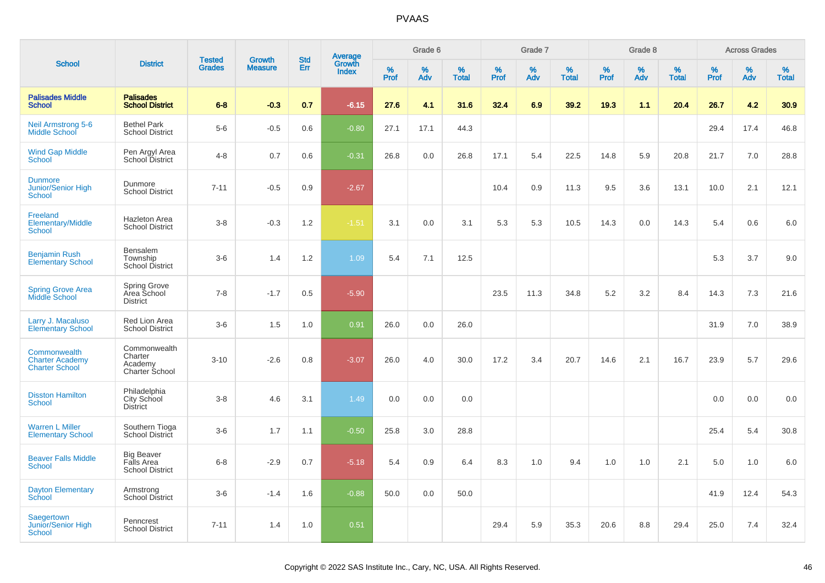|                                                                 |                                                           | <b>Tested</b> | <b>Growth</b>  | <b>Std</b> |                                          |                  | Grade 6  |                   |           | Grade 7  |                   |           | Grade 8  |                   |           | <b>Across Grades</b> |                   |
|-----------------------------------------------------------------|-----------------------------------------------------------|---------------|----------------|------------|------------------------------------------|------------------|----------|-------------------|-----------|----------|-------------------|-----------|----------|-------------------|-----------|----------------------|-------------------|
| <b>School</b>                                                   | <b>District</b>                                           | <b>Grades</b> | <b>Measure</b> | Err        | <b>Average</b><br>Growth<br><b>Index</b> | %<br><b>Prof</b> | %<br>Adv | %<br><b>Total</b> | %<br>Prof | %<br>Adv | %<br><b>Total</b> | %<br>Prof | %<br>Adv | %<br><b>Total</b> | %<br>Prof | %<br>Adv             | %<br><b>Total</b> |
| <b>Palisades Middle</b><br><b>School</b>                        | <b>Palisades</b><br><b>School District</b>                | $6 - 8$       | $-0.3$         | 0.7        | $-6.15$                                  | 27.6             | 4.1      | 31.6              | 32.4      | 6.9      | 39.2              | 19.3      | 1.1      | 20.4              | 26.7      | 4.2                  | 30.9              |
| <b>Neil Armstrong 5-6</b><br><b>Middle School</b>               | <b>Bethel Park</b><br><b>School District</b>              | $5-6$         | $-0.5$         | 0.6        | $-0.80$                                  | 27.1             | 17.1     | 44.3              |           |          |                   |           |          |                   | 29.4      | 17.4                 | 46.8              |
| <b>Wind Gap Middle</b><br><b>School</b>                         | Pen Argyl Area<br>School District                         | $4 - 8$       | 0.7            | 0.6        | $-0.31$                                  | 26.8             | 0.0      | 26.8              | 17.1      | 5.4      | 22.5              | 14.8      | 5.9      | 20.8              | 21.7      | 7.0                  | 28.8              |
| <b>Dunmore</b><br>Junior/Senior High<br><b>School</b>           | Dunmore<br><b>School District</b>                         | $7 - 11$      | $-0.5$         | 0.9        | $-2.67$                                  |                  |          |                   | 10.4      | 0.9      | 11.3              | 9.5       | 3.6      | 13.1              | 10.0      | 2.1                  | 12.1              |
| Freeland<br><b>Elementary/Middle</b><br><b>School</b>           | <b>Hazleton Area</b><br><b>School District</b>            | $3 - 8$       | $-0.3$         | 1.2        | $-1.51$                                  | 3.1              | 0.0      | 3.1               | 5.3       | 5.3      | 10.5              | 14.3      | 0.0      | 14.3              | 5.4       | 0.6                  | 6.0               |
| <b>Benjamin Rush</b><br><b>Elementary School</b>                | Bensalem<br>Township<br>School District                   | $3-6$         | 1.4            | 1.2        | 1.09                                     | 5.4              | 7.1      | 12.5              |           |          |                   |           |          |                   | 5.3       | 3.7                  | 9.0               |
| <b>Spring Grove Area</b><br>Middle School                       | Spring Grove<br>Area School<br><b>District</b>            | $7 - 8$       | $-1.7$         | 0.5        | $-5.90$                                  |                  |          |                   | 23.5      | 11.3     | 34.8              | 5.2       | 3.2      | 8.4               | 14.3      | 7.3                  | 21.6              |
| Larry J. Macaluso<br><b>Elementary School</b>                   | Red Lion Area<br><b>School District</b>                   | $3-6$         | 1.5            | 1.0        | 0.91                                     | 26.0             | 0.0      | 26.0              |           |          |                   |           |          |                   | 31.9      | 7.0                  | 38.9              |
| Commonwealth<br><b>Charter Academy</b><br><b>Charter School</b> | Commonwealth<br>Charter<br>Academy<br>Charter School      | $3 - 10$      | $-2.6$         | 0.8        | $-3.07$                                  | 26.0             | 4.0      | 30.0              | 17.2      | 3.4      | 20.7              | 14.6      | 2.1      | 16.7              | 23.9      | 5.7                  | 29.6              |
| <b>Disston Hamilton</b><br><b>School</b>                        | Philadelphia<br>City School<br><b>District</b>            | $3 - 8$       | 4.6            | 3.1        | 1.49                                     | 0.0              | 0.0      | 0.0               |           |          |                   |           |          |                   | 0.0       | 0.0                  | 0.0               |
| <b>Warren L Miller</b><br><b>Elementary School</b>              | Southern Tioga<br>School District                         | $3-6$         | 1.7            | 1.1        | $-0.50$                                  | 25.8             | 3.0      | 28.8              |           |          |                   |           |          |                   | 25.4      | 5.4                  | 30.8              |
| <b>Beaver Falls Middle</b><br><b>School</b>                     | <b>Big Beaver</b><br>Falls Area<br><b>School District</b> | $6 - 8$       | $-2.9$         | 0.7        | $-5.18$                                  | 5.4              | 0.9      | 6.4               | 8.3       | 1.0      | 9.4               | 1.0       | 1.0      | 2.1               | 5.0       | 1.0                  | 6.0               |
| <b>Dayton Elementary</b><br>School                              | Armstrong<br>School District                              | $3-6$         | $-1.4$         | 1.6        | $-0.88$                                  | 50.0             | 0.0      | 50.0              |           |          |                   |           |          |                   | 41.9      | 12.4                 | 54.3              |
| Saegertown<br><b>Junior/Senior High</b><br><b>School</b>        | Penncrest<br><b>School District</b>                       | $7 - 11$      | 1.4            | 1.0        | 0.51                                     |                  |          |                   | 29.4      | 5.9      | 35.3              | 20.6      | 8.8      | 29.4              | 25.0      | 7.4                  | 32.4              |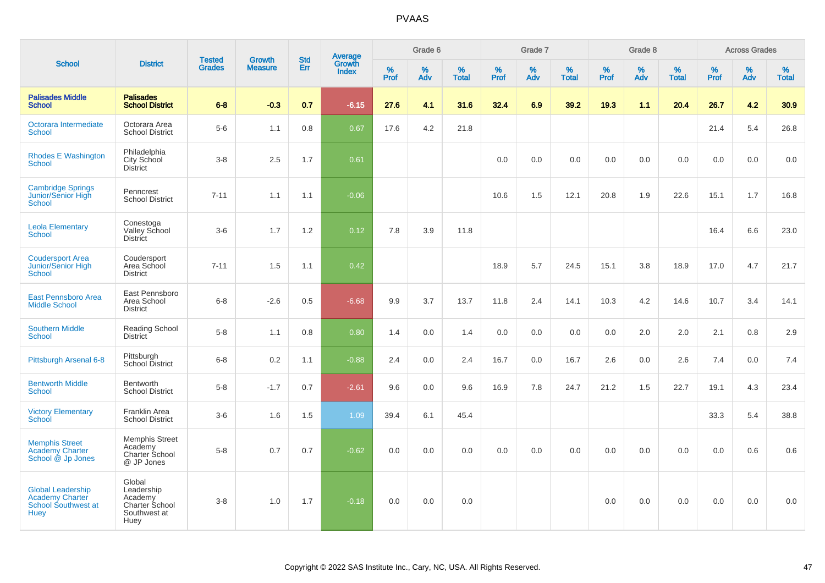|                                                                                          |                                                                           |                                |                                 | <b>Std</b> |                                          |                  | Grade 6  |                   |           | Grade 7  |                   |           | Grade 8  |                   |              | <b>Across Grades</b> |                   |
|------------------------------------------------------------------------------------------|---------------------------------------------------------------------------|--------------------------------|---------------------------------|------------|------------------------------------------|------------------|----------|-------------------|-----------|----------|-------------------|-----------|----------|-------------------|--------------|----------------------|-------------------|
| <b>School</b>                                                                            | <b>District</b>                                                           | <b>Tested</b><br><b>Grades</b> | <b>Growth</b><br><b>Measure</b> | <b>Err</b> | <b>Average</b><br>Growth<br><b>Index</b> | %<br><b>Prof</b> | %<br>Adv | %<br><b>Total</b> | %<br>Prof | %<br>Adv | %<br><b>Total</b> | %<br>Prof | %<br>Adv | %<br><b>Total</b> | $\%$<br>Prof | %<br>Adv             | %<br><b>Total</b> |
| <b>Palisades Middle</b><br><b>School</b>                                                 | <b>Palisades</b><br><b>School District</b>                                | $6 - 8$                        | $-0.3$                          | 0.7        | $-6.15$                                  | 27.6             | 4.1      | 31.6              | 32.4      | 6.9      | 39.2              | 19.3      | 1.1      | 20.4              | 26.7         | 4.2                  | 30.9              |
| Octorara Intermediate<br><b>School</b>                                                   | Octorara Area<br><b>School District</b>                                   | $5-6$                          | 1.1                             | 0.8        | 0.67                                     | 17.6             | 4.2      | 21.8              |           |          |                   |           |          |                   | 21.4         | 5.4                  | 26.8              |
| <b>Rhodes E Washington</b><br><b>School</b>                                              | Philadelphia<br>City School<br><b>District</b>                            | $3-8$                          | 2.5                             | 1.7        | 0.61                                     |                  |          |                   | 0.0       | 0.0      | 0.0               | 0.0       | 0.0      | 0.0               | 0.0          | 0.0                  | 0.0               |
| <b>Cambridge Springs</b><br>Junior/Senior High<br>School                                 | Penncrest<br><b>School District</b>                                       | $7 - 11$                       | 1.1                             | 1.1        | $-0.06$                                  |                  |          |                   | 10.6      | 1.5      | 12.1              | 20.8      | 1.9      | 22.6              | 15.1         | 1.7                  | 16.8              |
| <b>Leola Elementary</b><br>School                                                        | Conestoga<br>Valley School<br><b>District</b>                             | $3-6$                          | 1.7                             | 1.2        | 0.12                                     | 7.8              | 3.9      | 11.8              |           |          |                   |           |          |                   | 16.4         | 6.6                  | 23.0              |
| <b>Coudersport Area</b><br>Junior/Senior High<br>School                                  | Coudersport<br>Area School<br><b>District</b>                             | $7 - 11$                       | 1.5                             | 1.1        | 0.42                                     |                  |          |                   | 18.9      | 5.7      | 24.5              | 15.1      | 3.8      | 18.9              | 17.0         | 4.7                  | 21.7              |
| East Pennsboro Area<br><b>Middle School</b>                                              | East Pennsboro<br>Area School<br><b>District</b>                          | $6 - 8$                        | $-2.6$                          | 0.5        | $-6.68$                                  | 9.9              | 3.7      | 13.7              | 11.8      | 2.4      | 14.1              | 10.3      | 4.2      | 14.6              | 10.7         | 3.4                  | 14.1              |
| <b>Southern Middle</b><br>School                                                         | Reading School<br>District                                                | $5-8$                          | 1.1                             | 0.8        | 0.80                                     | 1.4              | 0.0      | 1.4               | 0.0       | 0.0      | 0.0               | 0.0       | 2.0      | 2.0               | 2.1          | 0.8                  | 2.9               |
| Pittsburgh Arsenal 6-8                                                                   | Pittsburgh<br>School District                                             | $6 - 8$                        | 0.2                             | 1.1        | $-0.88$                                  | 2.4              | 0.0      | 2.4               | 16.7      | 0.0      | 16.7              | 2.6       | 0.0      | 2.6               | 7.4          | 0.0                  | 7.4               |
| <b>Bentworth Middle</b><br><b>School</b>                                                 | Bentworth<br><b>School District</b>                                       | $5-8$                          | $-1.7$                          | 0.7        | $-2.61$                                  | 9.6              | 0.0      | 9.6               | 16.9      | 7.8      | 24.7              | 21.2      | 1.5      | 22.7              | 19.1         | 4.3                  | 23.4              |
| <b>Victory Elementary</b><br>School                                                      | <b>Franklin Area</b><br><b>School District</b>                            | $3-6$                          | 1.6                             | 1.5        | 1.09                                     | 39.4             | 6.1      | 45.4              |           |          |                   |           |          |                   | 33.3         | 5.4                  | 38.8              |
| <b>Memphis Street</b><br><b>Academy Charter</b><br>School @ Jp Jones                     | <b>Memphis Street</b><br>Academy<br>Charter School<br>@ JP Jones          | $5-8$                          | 0.7                             | 0.7        | $-0.62$                                  | 0.0              | 0.0      | 0.0               | 0.0       | 0.0      | 0.0               | 0.0       | 0.0      | 0.0               | 0.0          | 0.6                  | 0.6               |
| <b>Global Leadership</b><br><b>Academy Charter</b><br>School Southwest at<br><b>Huey</b> | Global<br>Leadership<br>Academy<br>Charter School<br>Southwest at<br>Huey | $3-8$                          | 1.0                             | 1.7        | $-0.18$                                  | 0.0              | 0.0      | 0.0               |           |          |                   | 0.0       | 0.0      | 0.0               | 0.0          | 0.0                  | 0.0               |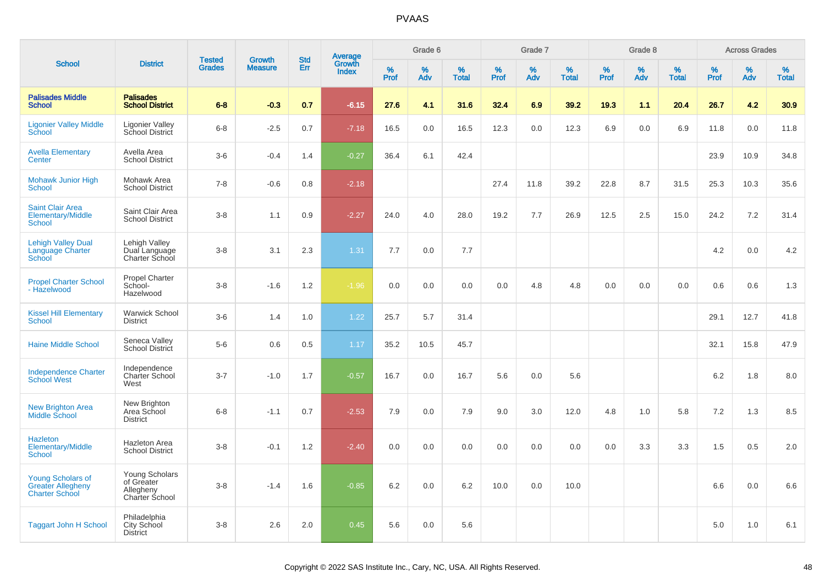|                                                                               |                                                                    |                                |                                 | <b>Std</b> |                                          |           | Grade 6  |                   |           | Grade 7  |                   |           | Grade 8  |                   |           | <b>Across Grades</b> |                   |
|-------------------------------------------------------------------------------|--------------------------------------------------------------------|--------------------------------|---------------------------------|------------|------------------------------------------|-----------|----------|-------------------|-----------|----------|-------------------|-----------|----------|-------------------|-----------|----------------------|-------------------|
| <b>School</b>                                                                 | <b>District</b>                                                    | <b>Tested</b><br><b>Grades</b> | <b>Growth</b><br><b>Measure</b> | <b>Err</b> | <b>Average</b><br>Growth<br><b>Index</b> | %<br>Prof | %<br>Adv | %<br><b>Total</b> | %<br>Prof | %<br>Adv | %<br><b>Total</b> | %<br>Prof | %<br>Adv | %<br><b>Total</b> | %<br>Prof | %<br>Adv             | %<br><b>Total</b> |
| <b>Palisades Middle</b><br><b>School</b>                                      | <b>Palisades</b><br><b>School District</b>                         | $6 - 8$                        | $-0.3$                          | 0.7        | $-6.15$                                  | 27.6      | 4.1      | 31.6              | 32.4      | 6.9      | 39.2              | 19.3      | 1.1      | 20.4              | 26.7      | 4.2                  | 30.9              |
| <b>Ligonier Valley Middle</b><br>School                                       | <b>Ligonier Valley</b><br>School District                          | $6 - 8$                        | $-2.5$                          | 0.7        | $-7.18$                                  | 16.5      | 0.0      | 16.5              | 12.3      | 0.0      | 12.3              | 6.9       | 0.0      | 6.9               | 11.8      | 0.0                  | 11.8              |
| <b>Avella Elementary</b><br>Center                                            | Avella Area<br><b>School District</b>                              | $3-6$                          | $-0.4$                          | 1.4        | $-0.27$                                  | 36.4      | 6.1      | 42.4              |           |          |                   |           |          |                   | 23.9      | 10.9                 | 34.8              |
| <b>Mohawk Junior High</b><br><b>School</b>                                    | Mohawk Area<br><b>School District</b>                              | $7 - 8$                        | $-0.6$                          | 0.8        | $-2.18$                                  |           |          |                   | 27.4      | 11.8     | 39.2              | 22.8      | 8.7      | 31.5              | 25.3      | 10.3                 | 35.6              |
| <b>Saint Clair Area</b><br>Elementary/Middle<br>School                        | Saint Clair Area<br><b>School District</b>                         | $3-8$                          | 1.1                             | 0.9        | $-2.27$                                  | 24.0      | 4.0      | 28.0              | 19.2      | 7.7      | 26.9              | 12.5      | 2.5      | 15.0              | 24.2      | 7.2                  | 31.4              |
| <b>Lehigh Valley Dual</b><br>Language Charter<br>School                       | Lehigh Valley<br>Dual Language<br>Charter School                   | $3 - 8$                        | 3.1                             | 2.3        | 1.31                                     | 7.7       | 0.0      | 7.7               |           |          |                   |           |          |                   | 4.2       | 0.0                  | 4.2               |
| <b>Propel Charter School</b><br>- Hazelwood                                   | Propel Charter<br>School-<br>Hazelwood                             | $3-8$                          | $-1.6$                          | 1.2        | $-1.96$                                  | 0.0       | 0.0      | 0.0               | 0.0       | 4.8      | 4.8               | 0.0       | 0.0      | 0.0               | 0.6       | 0.6                  | 1.3               |
| <b>Kissel Hill Elementary</b><br><b>School</b>                                | <b>Warwick School</b><br><b>District</b>                           | $3-6$                          | 1.4                             | 1.0        | 1.22                                     | 25.7      | 5.7      | 31.4              |           |          |                   |           |          |                   | 29.1      | 12.7                 | 41.8              |
| <b>Haine Middle School</b>                                                    | Seneca Valley<br>School District                                   | $5-6$                          | 0.6                             | 0.5        | 1.17                                     | 35.2      | 10.5     | 45.7              |           |          |                   |           |          |                   | 32.1      | 15.8                 | 47.9              |
| <b>Independence Charter</b><br><b>School West</b>                             | Independence<br><b>Charter School</b><br>West                      | $3 - 7$                        | $-1.0$                          | 1.7        | $-0.57$                                  | 16.7      | 0.0      | 16.7              | 5.6       | 0.0      | 5.6               |           |          |                   | 6.2       | 1.8                  | 8.0               |
| <b>New Brighton Area</b><br>Middle School                                     | New Brighton<br>Area School<br><b>District</b>                     | $6 - 8$                        | $-1.1$                          | 0.7        | $-2.53$                                  | 7.9       | 0.0      | 7.9               | 9.0       | 3.0      | 12.0              | 4.8       | 1.0      | 5.8               | 7.2       | 1.3                  | 8.5               |
| <b>Hazleton</b><br><b>Elementary/Middle</b><br><b>School</b>                  | <b>Hazleton Area</b><br><b>School District</b>                     | $3 - 8$                        | $-0.1$                          | 1.2        | $-2.40$                                  | 0.0       | 0.0      | 0.0               | 0.0       | 0.0      | 0.0               | 0.0       | 3.3      | 3.3               | 1.5       | 0.5                  | 2.0               |
| <b>Young Scholars of</b><br><b>Greater Allegheny</b><br><b>Charter School</b> | Young Scholars<br>of Greater<br>Allegheny<br><b>Charter School</b> | $3 - 8$                        | $-1.4$                          | 1.6        | $-0.85$                                  | 6.2       | 0.0      | 6.2               | 10.0      | 0.0      | 10.0              |           |          |                   | 6.6       | 0.0                  | 6.6               |
| <b>Taggart John H School</b>                                                  | Philadelphia<br>City School<br><b>District</b>                     | $3 - 8$                        | 2.6                             | 2.0        | 0.45                                     | 5.6       | 0.0      | 5.6               |           |          |                   |           |          |                   | 5.0       | 1.0                  | 6.1               |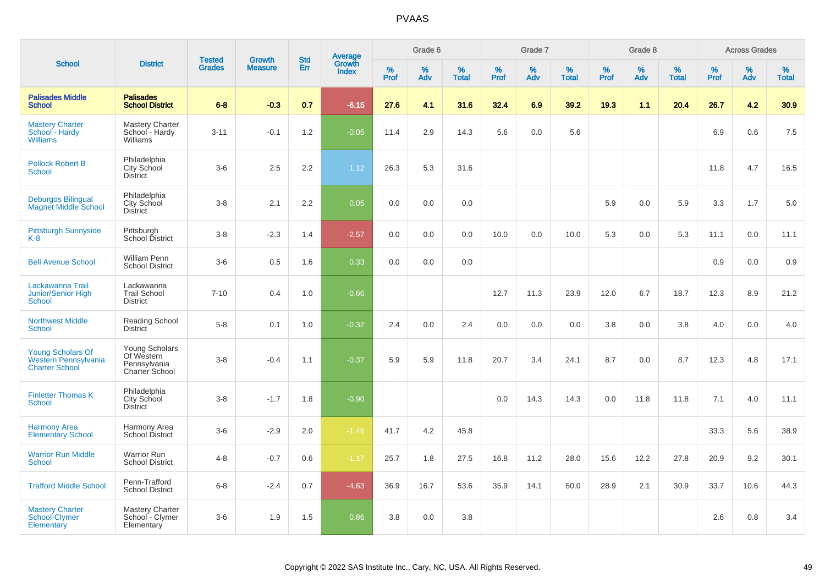|                                                                           |                                                                       |                                | <b>Growth</b>  | <b>Std</b> |                                          |                     | Grade 6     |                      |              | Grade 7     |                      |              | Grade 8     |                      |                     | <b>Across Grades</b> |                      |
|---------------------------------------------------------------------------|-----------------------------------------------------------------------|--------------------------------|----------------|------------|------------------------------------------|---------------------|-------------|----------------------|--------------|-------------|----------------------|--------------|-------------|----------------------|---------------------|----------------------|----------------------|
| <b>School</b>                                                             | <b>District</b>                                                       | <b>Tested</b><br><b>Grades</b> | <b>Measure</b> | Err        | <b>Average</b><br>Growth<br><b>Index</b> | $\%$<br><b>Prof</b> | $\%$<br>Adv | $\%$<br><b>Total</b> | $\%$<br>Prof | $\%$<br>Adv | $\%$<br><b>Total</b> | $\%$<br>Prof | $\%$<br>Adv | $\%$<br><b>Total</b> | $\%$<br><b>Prof</b> | $\%$<br>Adv          | $\%$<br><b>Total</b> |
| <b>Palisades Middle</b><br><b>School</b>                                  | <b>Palisades</b><br><b>School District</b>                            | $6 - 8$                        | $-0.3$         | 0.7        | $-6.15$                                  | 27.6                | 4.1         | 31.6                 | 32.4         | 6.9         | 39.2                 | 19.3         | 1.1         | 20.4                 | 26.7                | 4.2                  | 30.9                 |
| <b>Mastery Charter</b><br>School - Hardy<br><b>Williams</b>               | <b>Mastery Charter</b><br>School - Hardy<br>Williams                  | $3 - 11$                       | $-0.1$         | 1.2        | $-0.05$                                  | 11.4                | 2.9         | 14.3                 | 5.6          | 0.0         | 5.6                  |              |             |                      | 6.9                 | 0.6                  | 7.5                  |
| <b>Pollock Robert B</b><br><b>School</b>                                  | Philadelphia<br><b>City School</b><br><b>District</b>                 | $3-6$                          | 2.5            | 2.2        | 1.12                                     | 26.3                | 5.3         | 31.6                 |              |             |                      |              |             |                      | 11.8                | 4.7                  | 16.5                 |
| <b>Deburgos Bilingual</b><br><b>Magnet Middle School</b>                  | Philadelphia<br>City School<br><b>District</b>                        | $3-8$                          | 2.1            | 2.2        | 0.05                                     | 0.0                 | $0.0\,$     | 0.0                  |              |             |                      | 5.9          | 0.0         | 5.9                  | 3.3                 | 1.7                  | $5.0\,$              |
| <b>Pittsburgh Sunnyside</b><br>$K-8$                                      | Pittsburgh<br>School District                                         | $3 - 8$                        | $-2.3$         | 1.4        | $-2.57$                                  | 0.0                 | 0.0         | 0.0                  | 10.0         | 0.0         | 10.0                 | 5.3          | 0.0         | 5.3                  | 11.1                | 0.0                  | 11.1                 |
| <b>Bell Avenue School</b>                                                 | <b>William Penn</b><br><b>School District</b>                         | $3-6$                          | 0.5            | 1.6        | 0.33                                     | 0.0                 | 0.0         | 0.0                  |              |             |                      |              |             |                      | 0.9                 | 0.0                  | 0.9                  |
| Lackawanna Trail<br>Junior/Senior High<br><b>School</b>                   | Lackawanna<br><b>Trail School</b><br><b>District</b>                  | $7 - 10$                       | 0.4            | 1.0        | $-0.66$                                  |                     |             |                      | 12.7         | 11.3        | 23.9                 | 12.0         | 6.7         | 18.7                 | 12.3                | 8.9                  | 21.2                 |
| <b>Northwest Middle</b><br><b>School</b>                                  | <b>Reading School</b><br><b>District</b>                              | $5-8$                          | 0.1            | 1.0        | $-0.32$                                  | 2.4                 | 0.0         | 2.4                  | 0.0          | 0.0         | 0.0                  | 3.8          | 0.0         | 3.8                  | 4.0                 | 0.0                  | 4.0                  |
| <b>Young Scholars Of</b><br>Western Pennsylvania<br><b>Charter School</b> | <b>Young Scholars</b><br>Of Western<br>Pennsylvania<br>Charter School | $3-8$                          | $-0.4$         | 1.1        | $-0.37$                                  | 5.9                 | 5.9         | 11.8                 | 20.7         | 3.4         | 24.1                 | 8.7          | 0.0         | 8.7                  | 12.3                | 4.8                  | 17.1                 |
| <b>Finletter Thomas K</b><br><b>School</b>                                | Philadelphia<br><b>City School</b><br><b>District</b>                 | $3-8$                          | $-1.7$         | 1.8        | $-0.90$                                  |                     |             |                      | 0.0          | 14.3        | 14.3                 | 0.0          | 11.8        | 11.8                 | 7.1                 | 4.0                  | 11.1                 |
| <b>Harmony Area</b><br><b>Elementary School</b>                           | Harmony Area<br>School District                                       | $3-6$                          | $-2.9$         | 2.0        | $-1.46$                                  | 41.7                | 4.2         | 45.8                 |              |             |                      |              |             |                      | 33.3                | 5.6                  | 38.9                 |
| <b>Warrior Run Middle</b><br><b>School</b>                                | <b>Warrior Run</b><br><b>School District</b>                          | $4 - 8$                        | $-0.7$         | 0.6        | $-1.17$                                  | 25.7                | 1.8         | 27.5                 | 16.8         | 11.2        | 28.0                 | 15.6         | 12.2        | 27.8                 | 20.9                | 9.2                  | 30.1                 |
| <b>Trafford Middle School</b>                                             | Penn-Trafford<br><b>School District</b>                               | $6-8$                          | $-2.4$         | 0.7        | $-4.63$                                  | 36.9                | 16.7        | 53.6                 | 35.9         | 14.1        | 50.0                 | 28.9         | 2.1         | 30.9                 | 33.7                | 10.6                 | 44.3                 |
| <b>Mastery Charter</b><br>School-Clymer<br>Elementary                     | <b>Mastery Charter</b><br>School - Clymer<br>Elementary               | $3-6$                          | 1.9            | 1.5        | 0.86                                     | 3.8                 | 0.0         | 3.8                  |              |             |                      |              |             |                      | 2.6                 | 0.8                  | 3.4                  |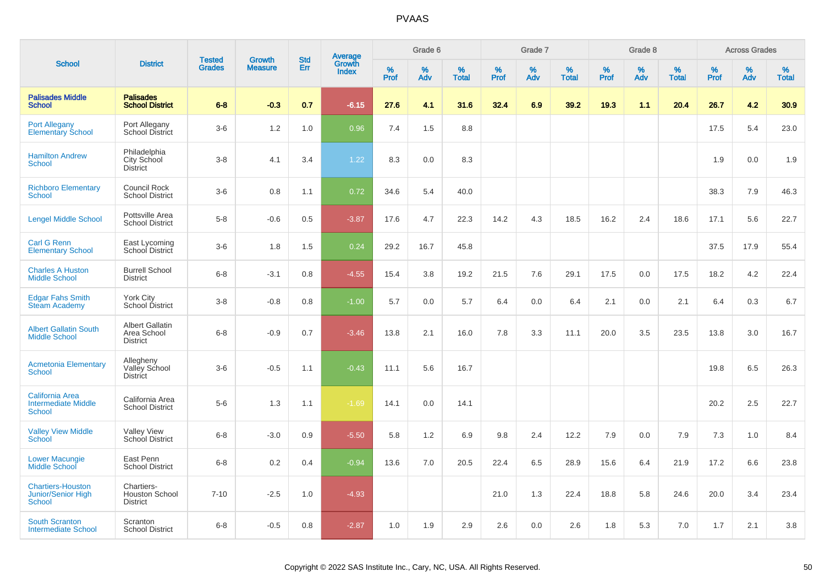|                                                                        |                                                          |                                |                                 | <b>Std</b> |                                          |                  | Grade 6  |                   |           | Grade 7  |                   |           | Grade 8  |                   |           | <b>Across Grades</b> |                   |
|------------------------------------------------------------------------|----------------------------------------------------------|--------------------------------|---------------------------------|------------|------------------------------------------|------------------|----------|-------------------|-----------|----------|-------------------|-----------|----------|-------------------|-----------|----------------------|-------------------|
| <b>School</b>                                                          | <b>District</b>                                          | <b>Tested</b><br><b>Grades</b> | <b>Growth</b><br><b>Measure</b> | Err        | <b>Average</b><br>Growth<br><b>Index</b> | %<br><b>Prof</b> | %<br>Adv | %<br><b>Total</b> | %<br>Prof | %<br>Adv | %<br><b>Total</b> | %<br>Prof | %<br>Adv | %<br><b>Total</b> | %<br>Prof | %<br>Adv             | %<br><b>Total</b> |
| <b>Palisades Middle</b><br><b>School</b>                               | <b>Palisades</b><br><b>School District</b>               | $6 - 8$                        | $-0.3$                          | 0.7        | $-6.15$                                  | 27.6             | 4.1      | 31.6              | 32.4      | 6.9      | 39.2              | 19.3      | 1.1      | 20.4              | 26.7      | 4.2                  | 30.9              |
| <b>Port Allegany</b><br>Elementary School                              | Port Allegany<br>School District                         | $3-6$                          | 1.2                             | 1.0        | 0.96                                     | 7.4              | 1.5      | 8.8               |           |          |                   |           |          |                   | 17.5      | 5.4                  | 23.0              |
| <b>Hamilton Andrew</b><br><b>School</b>                                | Philadelphia<br>City School<br><b>District</b>           | $3-8$                          | 4.1                             | 3.4        | 1.22                                     | 8.3              | 0.0      | 8.3               |           |          |                   |           |          |                   | 1.9       | 0.0                  | 1.9               |
| <b>Richboro Elementary</b><br>School                                   | Council Rock<br><b>School District</b>                   | $3-6$                          | 0.8                             | 1.1        | 0.72                                     | 34.6             | 5.4      | 40.0              |           |          |                   |           |          |                   | 38.3      | 7.9                  | 46.3              |
| <b>Lengel Middle School</b>                                            | Pottsville Area<br><b>School District</b>                | $5-8$                          | $-0.6$                          | 0.5        | $-3.87$                                  | 17.6             | 4.7      | 22.3              | 14.2      | 4.3      | 18.5              | 16.2      | 2.4      | 18.6              | 17.1      | 5.6                  | 22.7              |
| <b>Carl G Renn</b><br><b>Elementary School</b>                         | East Lycoming<br>School District                         | $3-6$                          | 1.8                             | 1.5        | 0.24                                     | 29.2             | 16.7     | 45.8              |           |          |                   |           |          |                   | 37.5      | 17.9                 | 55.4              |
| <b>Charles A Huston</b><br><b>Middle School</b>                        | <b>Burrell School</b><br><b>District</b>                 | $6 - 8$                        | $-3.1$                          | 0.8        | $-4.55$                                  | 15.4             | 3.8      | 19.2              | 21.5      | 7.6      | 29.1              | 17.5      | 0.0      | 17.5              | 18.2      | 4.2                  | 22.4              |
| <b>Edgar Fahs Smith</b><br><b>Steam Academy</b>                        | <b>York City</b><br>School District                      | $3 - 8$                        | $-0.8$                          | 0.8        | $-1.00$                                  | 5.7              | 0.0      | 5.7               | 6.4       | 0.0      | 6.4               | 2.1       | 0.0      | 2.1               | 6.4       | 0.3                  | 6.7               |
| <b>Albert Gallatin South</b><br><b>Middle School</b>                   | <b>Albert Gallatin</b><br>Area School<br><b>District</b> | $6-8$                          | $-0.9$                          | 0.7        | $-3.46$                                  | 13.8             | 2.1      | 16.0              | 7.8       | 3.3      | 11.1              | 20.0      | 3.5      | 23.5              | 13.8      | 3.0                  | 16.7              |
| <b>Acmetonia Elementary</b><br><b>School</b>                           | Allegheny<br>Valley School<br><b>District</b>            | $3-6$                          | $-0.5$                          | 1.1        | $-0.43$                                  | 11.1             | 5.6      | 16.7              |           |          |                   |           |          |                   | 19.8      | 6.5                  | 26.3              |
| <b>California Area</b><br><b>Intermediate Middle</b><br><b>School</b>  | California Area<br><b>School District</b>                | $5-6$                          | 1.3                             | 1.1        | $-1.69$                                  | 14.1             | 0.0      | 14.1              |           |          |                   |           |          |                   | 20.2      | 2.5                  | 22.7              |
| <b>Valley View Middle</b><br><b>School</b>                             | <b>Valley View</b><br>School District                    | $6 - 8$                        | $-3.0$                          | 0.9        | $-5.50$                                  | 5.8              | 1.2      | 6.9               | 9.8       | 2.4      | 12.2              | 7.9       | 0.0      | 7.9               | 7.3       | 1.0                  | 8.4               |
| <b>Lower Macungie</b><br>Middle School                                 | East Penn<br><b>School District</b>                      | $6 - 8$                        | 0.2                             | 0.4        | $-0.94$                                  | 13.6             | 7.0      | 20.5              | 22.4      | 6.5      | 28.9              | 15.6      | 6.4      | 21.9              | 17.2      | 6.6                  | 23.8              |
| <b>Chartiers-Houston</b><br><b>Junior/Senior High</b><br><b>School</b> | Chartiers-<br><b>Houston School</b><br><b>District</b>   | $7 - 10$                       | $-2.5$                          | 1.0        | $-4.93$                                  |                  |          |                   | 21.0      | 1.3      | 22.4              | 18.8      | 5.8      | 24.6              | 20.0      | 3.4                  | 23.4              |
| <b>South Scranton</b><br><b>Intermediate School</b>                    | Scranton<br><b>School District</b>                       | $6 - 8$                        | $-0.5$                          | 0.8        | $-2.87$                                  | 1.0              | 1.9      | 2.9               | 2.6       | 0.0      | 2.6               | 1.8       | 5.3      | 7.0               | 1.7       | 2.1                  | 3.8               |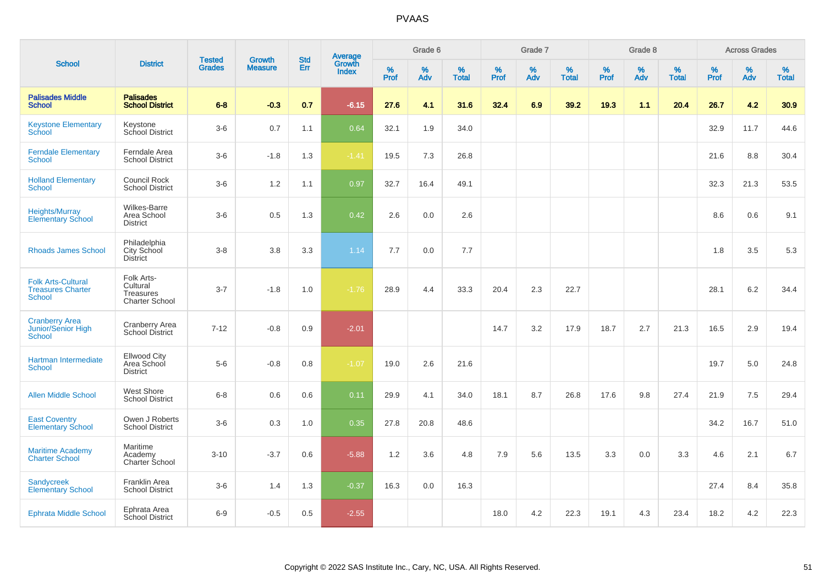| <b>School</b>                                                          |                                                              |                                |                                 | <b>Std</b> |                                          |           | Grade 6  |                   |           | Grade 7  |                   |           | Grade 8  |                   |              | <b>Across Grades</b> |                   |
|------------------------------------------------------------------------|--------------------------------------------------------------|--------------------------------|---------------------------------|------------|------------------------------------------|-----------|----------|-------------------|-----------|----------|-------------------|-----------|----------|-------------------|--------------|----------------------|-------------------|
|                                                                        | <b>District</b>                                              | <b>Tested</b><br><b>Grades</b> | <b>Growth</b><br><b>Measure</b> | Err        | <b>Average</b><br>Growth<br><b>Index</b> | %<br>Prof | %<br>Adv | %<br><b>Total</b> | %<br>Prof | %<br>Adv | %<br><b>Total</b> | %<br>Prof | %<br>Adv | %<br><b>Total</b> | $\%$<br>Prof | $\%$<br>Adv          | %<br><b>Total</b> |
| <b>Palisades Middle</b><br><b>School</b>                               | <b>Palisades</b><br><b>School District</b>                   | $6 - 8$                        | $-0.3$                          | 0.7        | $-6.15$                                  | 27.6      | 4.1      | 31.6              | 32.4      | 6.9      | 39.2              | 19.3      | 1.1      | 20.4              | 26.7         | 4.2                  | 30.9              |
| <b>Keystone Elementary</b><br>School                                   | Keystone<br>School District                                  | $3-6$                          | 0.7                             | 1.1        | 0.64                                     | 32.1      | 1.9      | 34.0              |           |          |                   |           |          |                   | 32.9         | 11.7                 | 44.6              |
| <b>Ferndale Elementary</b><br><b>School</b>                            | Ferndale Area<br><b>School District</b>                      | $3-6$                          | $-1.8$                          | 1.3        | $-1.41$                                  | 19.5      | 7.3      | 26.8              |           |          |                   |           |          |                   | 21.6         | 8.8                  | 30.4              |
| <b>Holland Elementary</b><br><b>School</b>                             | Council Rock<br><b>School District</b>                       | $3-6$                          | 1.2                             | 1.1        | 0.97                                     | 32.7      | 16.4     | 49.1              |           |          |                   |           |          |                   | 32.3         | 21.3                 | 53.5              |
| <b>Heights/Murray</b><br><b>Elementary School</b>                      | Wilkes-Barre<br>Area School<br><b>District</b>               | $3-6$                          | 0.5                             | 1.3        | 0.42                                     | 2.6       | 0.0      | 2.6               |           |          |                   |           |          |                   | 8.6          | 0.6                  | 9.1               |
| <b>Rhoads James School</b>                                             | Philadelphia<br><b>City School</b><br><b>District</b>        | $3-8$                          | 3.8                             | 3.3        | 1.14                                     | 7.7       | 0.0      | 7.7               |           |          |                   |           |          |                   | 1.8          | 3.5                  | 5.3               |
| <b>Folk Arts-Cultural</b><br><b>Treasures Charter</b><br><b>School</b> | Folk Arts-<br>Cultural<br>Treasures<br><b>Charter School</b> | $3 - 7$                        | $-1.8$                          | 1.0        | $-1.76$                                  | 28.9      | 4.4      | 33.3              | 20.4      | 2.3      | 22.7              |           |          |                   | 28.1         | 6.2                  | 34.4              |
| <b>Cranberry Area</b><br><b>Junior/Senior High</b><br><b>School</b>    | Cranberry Area<br>School District                            | $7 - 12$                       | $-0.8$                          | 0.9        | $-2.01$                                  |           |          |                   | 14.7      | 3.2      | 17.9              | 18.7      | 2.7      | 21.3              | 16.5         | 2.9                  | 19.4              |
| Hartman Intermediate<br><b>School</b>                                  | Ellwood City<br>Area School<br><b>District</b>               | $5-6$                          | $-0.8$                          | 0.8        | $-1.07$                                  | 19.0      | 2.6      | 21.6              |           |          |                   |           |          |                   | 19.7         | 5.0                  | 24.8              |
| <b>Allen Middle School</b>                                             | West Shore<br><b>School District</b>                         | $6-8$                          | 0.6                             | 0.6        | 0.11                                     | 29.9      | 4.1      | 34.0              | 18.1      | 8.7      | 26.8              | 17.6      | 9.8      | 27.4              | 21.9         | 7.5                  | 29.4              |
| <b>East Coventry</b><br><b>Elementary School</b>                       | Owen J Roberts<br><b>School District</b>                     | $3-6$                          | 0.3                             | 1.0        | 0.35                                     | 27.8      | 20.8     | 48.6              |           |          |                   |           |          |                   | 34.2         | 16.7                 | 51.0              |
| <b>Maritime Academy</b><br><b>Charter School</b>                       | Maritime<br>Academy<br>Charter School                        | $3 - 10$                       | $-3.7$                          | 0.6        | $-5.88$                                  | 1.2       | 3.6      | 4.8               | 7.9       | 5.6      | 13.5              | 3.3       | 0.0      | 3.3               | 4.6          | 2.1                  | 6.7               |
| <b>Sandycreek</b><br><b>Elementary School</b>                          | Franklin Area<br><b>School District</b>                      | $3-6$                          | 1.4                             | 1.3        | $-0.37$                                  | 16.3      | 0.0      | 16.3              |           |          |                   |           |          |                   | 27.4         | 8.4                  | 35.8              |
| <b>Ephrata Middle School</b>                                           | Ephrata Area<br><b>School District</b>                       | $6-9$                          | $-0.5$                          | 0.5        | $-2.55$                                  |           |          |                   | 18.0      | 4.2      | 22.3              | 19.1      | 4.3      | 23.4              | 18.2         | 4.2                  | 22.3              |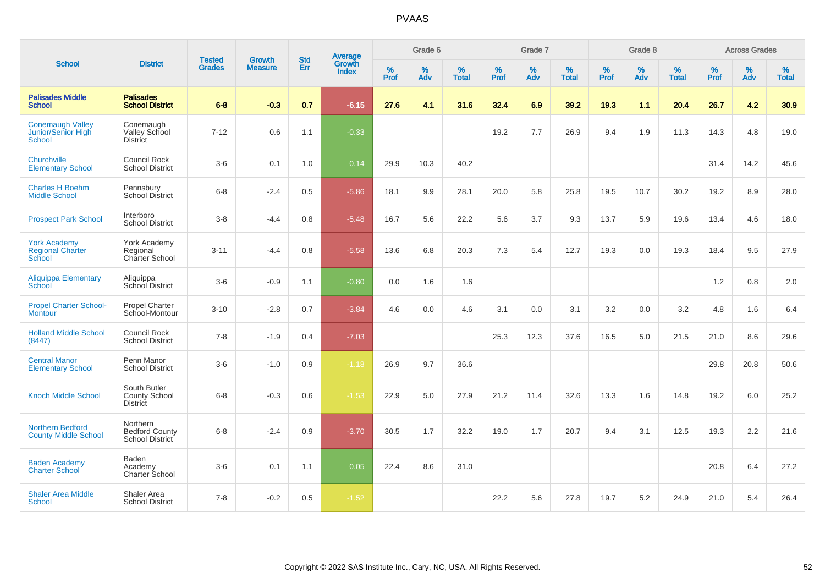| <b>School</b>                                            |                                                         |                                |                                 | <b>Std</b>    |                                          |                  | Grade 6  |                   |                  | Grade 7  |                   |                  | Grade 8  |                   |                  | <b>Across Grades</b> |                   |
|----------------------------------------------------------|---------------------------------------------------------|--------------------------------|---------------------------------|---------------|------------------------------------------|------------------|----------|-------------------|------------------|----------|-------------------|------------------|----------|-------------------|------------------|----------------------|-------------------|
|                                                          | <b>District</b>                                         | <b>Tested</b><br><b>Grades</b> | <b>Growth</b><br><b>Measure</b> | Err           | <b>Average</b><br>Growth<br><b>Index</b> | %<br><b>Prof</b> | %<br>Adv | %<br><b>Total</b> | %<br><b>Prof</b> | %<br>Adv | %<br><b>Total</b> | %<br><b>Prof</b> | %<br>Adv | %<br><b>Total</b> | %<br><b>Prof</b> | %<br>Adv             | %<br><b>Total</b> |
| <b>Palisades Middle</b><br><b>School</b>                 | <b>Palisades</b><br><b>School District</b>              | $6 - 8$                        | $-0.3$                          | 0.7           | $-6.15$                                  | 27.6             | 4.1      | 31.6              | 32.4             | 6.9      | 39.2              | 19.3             | 1.1      | 20.4              | 26.7             | 4.2                  | 30.9              |
| <b>Conemaugh Valley</b><br>Junior/Senior High<br>School  | Conemaugh<br>Valley School<br><b>District</b>           | $7 - 12$                       | 0.6                             | 1.1           | $-0.33$                                  |                  |          |                   | 19.2             | 7.7      | 26.9              | 9.4              | 1.9      | 11.3              | 14.3             | 4.8                  | 19.0              |
| Churchville<br><b>Elementary School</b>                  | <b>Council Rock</b><br><b>School District</b>           | $3-6$                          | 0.1                             | 1.0           | 0.14                                     | 29.9             | 10.3     | 40.2              |                  |          |                   |                  |          |                   | 31.4             | 14.2                 | 45.6              |
| <b>Charles H Boehm</b><br><b>Middle School</b>           | Pennsbury<br><b>School District</b>                     | $6 - 8$                        | $-2.4$                          | 0.5           | $-5.86$                                  | 18.1             | 9.9      | 28.1              | 20.0             | 5.8      | 25.8              | 19.5             | 10.7     | 30.2              | 19.2             | 8.9                  | 28.0              |
| <b>Prospect Park School</b>                              | Interboro<br><b>School District</b>                     | $3-8$                          | $-4.4$                          | 0.8           | $-5.48$                                  | 16.7             | 5.6      | 22.2              | 5.6              | 3.7      | 9.3               | 13.7             | 5.9      | 19.6              | 13.4             | 4.6                  | 18.0              |
| <b>York Academy</b><br><b>Regional Charter</b><br>School | York Academy<br>Regional<br><b>Charter School</b>       | $3 - 11$                       | $-4.4$                          | 0.8           | $-5.58$                                  | 13.6             | 6.8      | 20.3              | 7.3              | 5.4      | 12.7              | 19.3             | 0.0      | 19.3              | 18.4             | 9.5                  | 27.9              |
| <b>Aliquippa Elementary</b><br>School                    | Aliquippa<br>School District                            | $3-6$                          | $-0.9$                          | 1.1           | $-0.80$                                  | 0.0              | 1.6      | 1.6               |                  |          |                   |                  |          |                   | 1.2              | 0.8                  | 2.0               |
| <b>Propel Charter School-</b><br><b>Montour</b>          | <b>Propel Charter</b><br>School-Montour                 | $3 - 10$                       | $-2.8$                          | 0.7           | $-3.84$                                  | 4.6              | 0.0      | 4.6               | 3.1              | 0.0      | 3.1               | 3.2              | 0.0      | 3.2               | 4.8              | 1.6                  | 6.4               |
| <b>Holland Middle School</b><br>(8447)                   | <b>Council Rock</b><br><b>School District</b>           | $7 - 8$                        | $-1.9$                          | $0.4^{\circ}$ | $-7.03$                                  |                  |          |                   | 25.3             | 12.3     | 37.6              | 16.5             | 5.0      | 21.5              | 21.0             | 8.6                  | 29.6              |
| <b>Central Manor</b><br><b>Elementary School</b>         | Penn Manor<br><b>School District</b>                    | $3-6$                          | $-1.0$                          | 0.9           | $-1.18$                                  | 26.9             | 9.7      | 36.6              |                  |          |                   |                  |          |                   | 29.8             | 20.8                 | 50.6              |
| <b>Knoch Middle School</b>                               | South Butler<br><b>County School</b><br><b>District</b> | $6 - 8$                        | $-0.3$                          | 0.6           | $-1.53$                                  | 22.9             | 5.0      | 27.9              | 21.2             | 11.4     | 32.6              | 13.3             | 1.6      | 14.8              | 19.2             | 6.0                  | 25.2              |
| <b>Northern Bedford</b><br><b>County Middle School</b>   | Northern<br><b>Bedford County</b><br>School District    | $6 - 8$                        | $-2.4$                          | 0.9           | $-3.70$                                  | 30.5             | 1.7      | 32.2              | 19.0             | 1.7      | 20.7              | 9.4              | 3.1      | 12.5              | 19.3             | 2.2                  | 21.6              |
| <b>Baden Academy</b><br><b>Charter School</b>            | Baden<br>Academy<br>Charter School                      | $3-6$                          | 0.1                             | 1.1           | 0.05                                     | 22.4             | 8.6      | 31.0              |                  |          |                   |                  |          |                   | 20.8             | 6.4                  | 27.2              |
| <b>Shaler Area Middle</b><br>School                      | Shaler Area<br><b>School District</b>                   | $7 - 8$                        | $-0.2$                          | 0.5           | $-1.52$                                  |                  |          |                   | 22.2             | 5.6      | 27.8              | 19.7             | 5.2      | 24.9              | 21.0             | 5.4                  | 26.4              |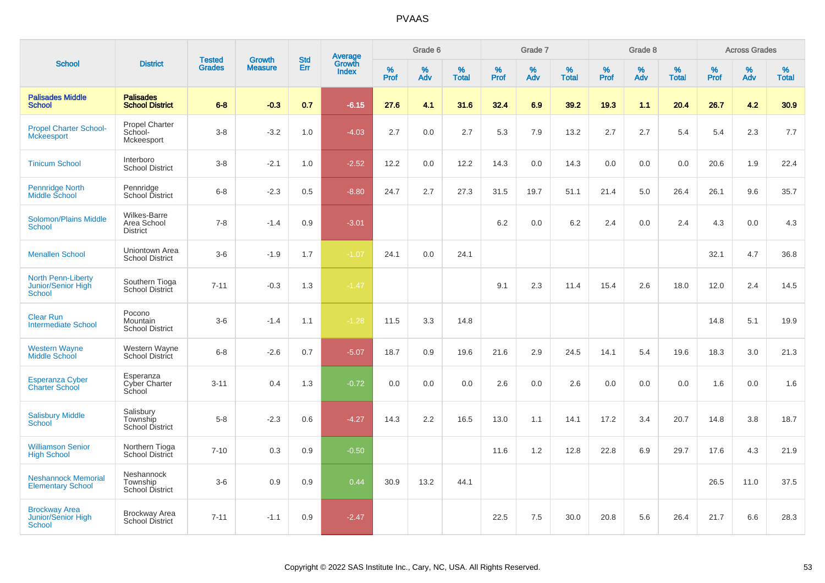|                                                                  |                                                  |                                |                          | <b>Std</b> |                                          |                  | Grade 6  |                   |           | Grade 7  |                   |              | Grade 8  |                   |           | <b>Across Grades</b> |                   |
|------------------------------------------------------------------|--------------------------------------------------|--------------------------------|--------------------------|------------|------------------------------------------|------------------|----------|-------------------|-----------|----------|-------------------|--------------|----------|-------------------|-----------|----------------------|-------------------|
| <b>School</b>                                                    | <b>District</b>                                  | <b>Tested</b><br><b>Grades</b> | Growth<br><b>Measure</b> | Err        | <b>Average</b><br>Growth<br><b>Index</b> | %<br><b>Prof</b> | %<br>Adv | %<br><b>Total</b> | %<br>Prof | %<br>Adv | %<br><b>Total</b> | $\%$<br>Prof | %<br>Adv | %<br><b>Total</b> | %<br>Prof | %<br>Adv             | %<br><b>Total</b> |
| <b>Palisades Middle</b><br><b>School</b>                         | <b>Palisades</b><br><b>School District</b>       | $6 - 8$                        | $-0.3$                   | 0.7        | $-6.15$                                  | 27.6             | 4.1      | 31.6              | 32.4      | 6.9      | 39.2              | 19.3         | 1.1      | 20.4              | 26.7      | 4.2                  | 30.9 <sub>2</sub> |
| <b>Propel Charter School-</b><br><b>Mckeesport</b>               | <b>Propel Charter</b><br>School-<br>Mckeesport   | $3-8$                          | $-3.2$                   | 1.0        | $-4.03$                                  | 2.7              | 0.0      | 2.7               | 5.3       | 7.9      | 13.2              | 2.7          | 2.7      | 5.4               | 5.4       | 2.3                  | 7.7               |
| <b>Tinicum School</b>                                            | Interboro<br><b>School District</b>              | $3-8$                          | $-2.1$                   | 1.0        | $-2.52$                                  | 12.2             | 0.0      | 12.2              | 14.3      | 0.0      | 14.3              | 0.0          | 0.0      | 0.0               | 20.6      | 1.9                  | 22.4              |
| Pennridge North<br>Middle School                                 | Pennridge<br>School District                     | $6-8$                          | $-2.3$                   | 0.5        | $-8.80$                                  | 24.7             | 2.7      | 27.3              | 31.5      | 19.7     | 51.1              | 21.4         | 5.0      | 26.4              | 26.1      | 9.6                  | 35.7              |
| <b>Solomon/Plains Middle</b><br><b>School</b>                    | Wilkes-Barre<br>Area School<br><b>District</b>   | $7 - 8$                        | $-1.4$                   | 0.9        | $-3.01$                                  |                  |          |                   | 6.2       | 0.0      | 6.2               | 2.4          | 0.0      | 2.4               | 4.3       | 0.0                  | 4.3               |
| <b>Menallen School</b>                                           | Uniontown Area<br><b>School District</b>         | $3-6$                          | $-1.9$                   | 1.7        | $-1.07$                                  | 24.1             | 0.0      | 24.1              |           |          |                   |              |          |                   | 32.1      | 4.7                  | 36.8              |
| <b>North Penn-Liberty</b><br>Junior/Senior High<br><b>School</b> | Southern Tioga<br><b>School District</b>         | $7 - 11$                       | $-0.3$                   | 1.3        | $-1.47$                                  |                  |          |                   | 9.1       | 2.3      | 11.4              | 15.4         | 2.6      | 18.0              | 12.0      | 2.4                  | 14.5              |
| <b>Clear Run</b><br><b>Intermediate School</b>                   | Pocono<br>Mountain<br><b>School District</b>     | $3-6$                          | $-1.4$                   | 1.1        | $-1.28$                                  | 11.5             | 3.3      | 14.8              |           |          |                   |              |          |                   | 14.8      | 5.1                  | 19.9              |
| <b>Western Wayne</b><br><b>Middle School</b>                     | Western Wayne<br><b>School District</b>          | $6 - 8$                        | $-2.6$                   | 0.7        | $-5.07$                                  | 18.7             | 0.9      | 19.6              | 21.6      | 2.9      | 24.5              | 14.1         | 5.4      | 19.6              | 18.3      | 3.0                  | 21.3              |
| <b>Esperanza Cyber</b><br><b>Charter School</b>                  | Esperanza<br>Cyber Charter<br>School             | $3 - 11$                       | 0.4                      | 1.3        | $-0.72$                                  | 0.0              | 0.0      | 0.0               | 2.6       | 0.0      | 2.6               | 0.0          | 0.0      | 0.0               | 1.6       | 0.0                  | 1.6               |
| <b>Salisbury Middle</b><br><b>School</b>                         | Salisbury<br>Township<br><b>School District</b>  | $5-8$                          | $-2.3$                   | 0.6        | $-4.27$                                  | 14.3             | 2.2      | 16.5              | 13.0      | 1.1      | 14.1              | 17.2         | 3.4      | 20.7              | 14.8      | 3.8                  | 18.7              |
| <b>Williamson Senior</b><br><b>High School</b>                   | Northern Tioga<br>School District                | $7 - 10$                       | 0.3                      | 0.9        | $-0.50$                                  |                  |          |                   | 11.6      | 1.2      | 12.8              | 22.8         | 6.9      | 29.7              | 17.6      | 4.3                  | 21.9              |
| <b>Neshannock Memorial</b><br><b>Elementary School</b>           | Neshannock<br>Township<br><b>School District</b> | $3-6$                          | 0.9                      | 0.9        | 0.44                                     | 30.9             | 13.2     | 44.1              |           |          |                   |              |          |                   | 26.5      | 11.0                 | 37.5              |
| <b>Brockway Area</b><br>Junior/Senior High<br>School             | <b>Brockway Area</b><br><b>School District</b>   | $7 - 11$                       | $-1.1$                   | 0.9        | $-2.47$                                  |                  |          |                   | 22.5      | 7.5      | 30.0              | 20.8         | 5.6      | 26.4              | 21.7      | 6.6                  | 28.3              |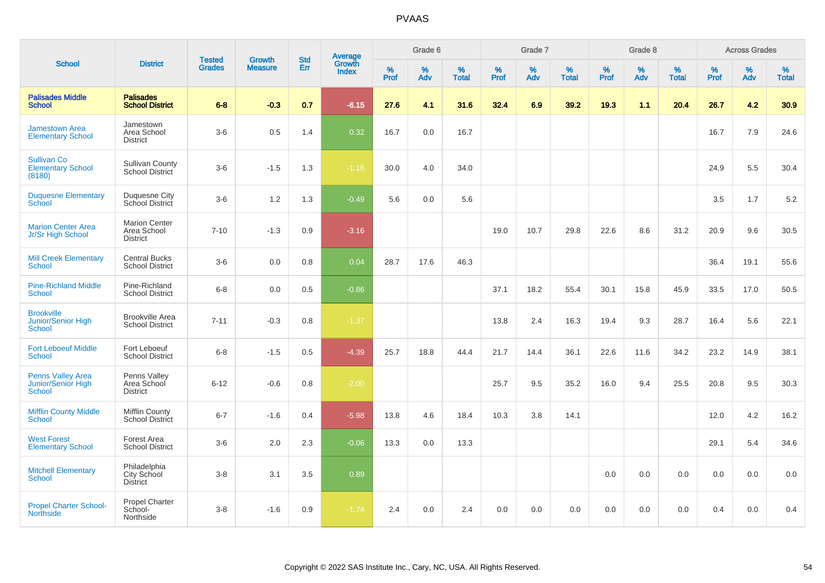|                                                          |                                                        |                                |                                 | <b>Std</b> |                                   |                  | Grade 6     |                   |           | Grade 7     |                   |           | Grade 8  |                   |           | <b>Across Grades</b> |                   |
|----------------------------------------------------------|--------------------------------------------------------|--------------------------------|---------------------------------|------------|-----------------------------------|------------------|-------------|-------------------|-----------|-------------|-------------------|-----------|----------|-------------------|-----------|----------------------|-------------------|
| <b>School</b>                                            | <b>District</b>                                        | <b>Tested</b><br><b>Grades</b> | <b>Growth</b><br><b>Measure</b> | Err        | <b>Average</b><br>Growth<br>Index | %<br><b>Prof</b> | $\%$<br>Adv | %<br><b>Total</b> | %<br>Prof | $\%$<br>Adv | %<br><b>Total</b> | %<br>Prof | %<br>Adv | %<br><b>Total</b> | %<br>Prof | %<br>Adv             | %<br><b>Total</b> |
| <b>Palisades Middle</b><br><b>School</b>                 | <b>Palisades</b><br><b>School District</b>             | $6 - 8$                        | $-0.3$                          | 0.7        | $-6.15$                           | 27.6             | 4.1         | 31.6              | 32.4      | 6.9         | 39.2              | 19.3      | 1.1      | 20.4              | 26.7      | 4.2                  | 30.9              |
| <b>Jamestown Area</b><br><b>Elementary School</b>        | Jamestown<br>Area School<br><b>District</b>            | $3-6$                          | 0.5                             | 1.4        | 0.32                              | 16.7             | 0.0         | 16.7              |           |             |                   |           |          |                   | 16.7      | 7.9                  | 24.6              |
| <b>Sullivan Co</b><br><b>Elementary School</b><br>(8180) | <b>Sullivan County</b><br>School District              | $3-6$                          | $-1.5$                          | 1.3        | $-1.16$                           | 30.0             | 4.0         | 34.0              |           |             |                   |           |          |                   | 24.9      | 5.5                  | 30.4              |
| <b>Duquesne Elementary</b><br>School                     | <b>Duquesne City</b><br>School District                | $3-6$                          | 1.2                             | 1.3        | $-0.49$                           | 5.6              | 0.0         | 5.6               |           |             |                   |           |          |                   | 3.5       | 1.7                  | 5.2               |
| <b>Marion Center Area</b><br>Jr/Sr High School           | <b>Marion Center</b><br>Area School<br><b>District</b> | $7 - 10$                       | $-1.3$                          | 0.9        | $-3.16$                           |                  |             |                   | 19.0      | 10.7        | 29.8              | 22.6      | 8.6      | 31.2              | 20.9      | 9.6                  | 30.5              |
| <b>Mill Creek Elementary</b><br><b>School</b>            | <b>Central Bucks</b><br><b>School District</b>         | $3-6$                          | 0.0                             | 0.8        | 0.04                              | 28.7             | 17.6        | 46.3              |           |             |                   |           |          |                   | 36.4      | 19.1                 | 55.6              |
| <b>Pine-Richland Middle</b><br><b>School</b>             | Pine-Richland<br><b>School District</b>                | $6 - 8$                        | 0.0                             | 0.5        | $-0.86$                           |                  |             |                   | 37.1      | 18.2        | 55.4              | 30.1      | 15.8     | 45.9              | 33.5      | 17.0                 | 50.5              |
| <b>Brookville</b><br>Junior/Senior High<br>School        | <b>Brookville Area</b><br><b>School District</b>       | $7 - 11$                       | $-0.3$                          | 0.8        | $-1.37$                           |                  |             |                   | 13.8      | 2.4         | 16.3              | 19.4      | 9.3      | 28.7              | 16.4      | 5.6                  | 22.1              |
| <b>Fort Leboeuf Middle</b><br>School                     | Fort Leboeuf<br><b>School District</b>                 | $6 - 8$                        | $-1.5$                          | 0.5        | $-4.39$                           | 25.7             | 18.8        | 44.4              | 21.7      | 14.4        | 36.1              | 22.6      | 11.6     | 34.2              | 23.2      | 14.9                 | 38.1              |
| <b>Penns Valley Area</b><br>Junior/Senior High<br>School | Penns Valley<br>Area School<br><b>District</b>         | $6 - 12$                       | $-0.6$                          | 0.8        | $-2.00$                           |                  |             |                   | 25.7      | 9.5         | 35.2              | 16.0      | 9.4      | 25.5              | 20.8      | 9.5                  | 30.3              |
| <b>Mifflin County Middle</b><br>School                   | <b>Mifflin County</b><br><b>School District</b>        | $6 - 7$                        | $-1.6$                          | 0.4        | $-5.98$                           | 13.8             | 4.6         | 18.4              | 10.3      | 3.8         | 14.1              |           |          |                   | 12.0      | 4.2                  | 16.2              |
| <b>West Forest</b><br><b>Elementary School</b>           | Forest Area<br><b>School District</b>                  | $3-6$                          | 2.0                             | 2.3        | $-0.06$                           | 13.3             | 0.0         | 13.3              |           |             |                   |           |          |                   | 29.1      | 5.4                  | 34.6              |
| <b>Mitchell Elementary</b><br><b>School</b>              | Philadelphia<br>City School<br><b>District</b>         | $3 - 8$                        | 3.1                             | 3.5        | 0.89                              |                  |             |                   |           |             |                   | 0.0       | 0.0      | 0.0               | 0.0       | 0.0                  | 0.0               |
| <b>Propel Charter School-</b><br><b>Northside</b>        | Propel Charter<br>School-<br>Northside                 | $3 - 8$                        | $-1.6$                          | 0.9        | $-1.74$                           | 2.4              | 0.0         | 2.4               | 0.0       | 0.0         | 0.0               | 0.0       | 0.0      | 0.0               | 0.4       | 0.0                  | 0.4               |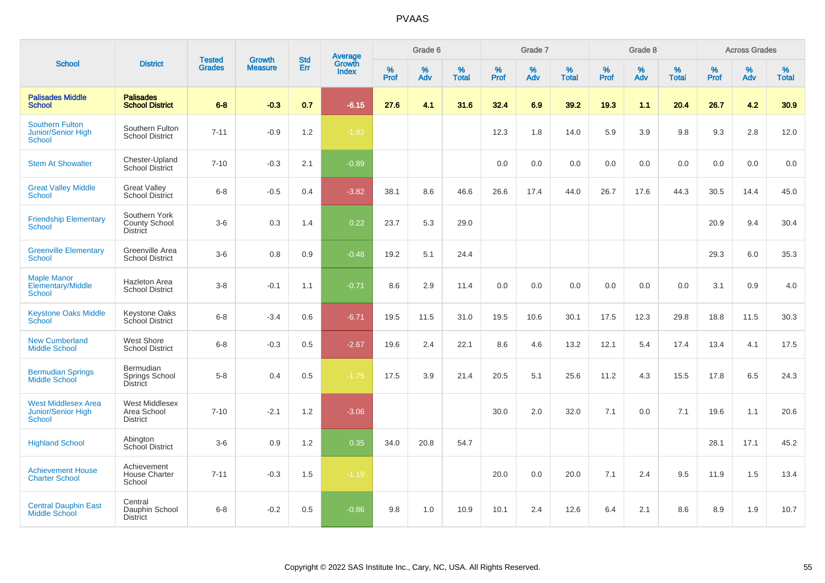|                                                                          |                                                          |                                |                                 | <b>Std</b> |                                          |           | Grade 6  |                   |           | Grade 7  |                   |           | Grade 8  |                   |              | <b>Across Grades</b> |                   |
|--------------------------------------------------------------------------|----------------------------------------------------------|--------------------------------|---------------------------------|------------|------------------------------------------|-----------|----------|-------------------|-----------|----------|-------------------|-----------|----------|-------------------|--------------|----------------------|-------------------|
| <b>School</b>                                                            | <b>District</b>                                          | <b>Tested</b><br><b>Grades</b> | <b>Growth</b><br><b>Measure</b> | Err        | <b>Average</b><br>Growth<br><b>Index</b> | %<br>Prof | %<br>Adv | %<br><b>Total</b> | %<br>Prof | %<br>Adv | %<br><b>Total</b> | %<br>Prof | %<br>Adv | %<br><b>Total</b> | $\%$<br>Prof | %<br>Adv             | %<br><b>Total</b> |
| <b>Palisades Middle</b><br><b>School</b>                                 | <b>Palisades</b><br><b>School District</b>               | $6 - 8$                        | $-0.3$                          | 0.7        | $-6.15$                                  | 27.6      | 4.1      | 31.6              | 32.4      | 6.9      | 39.2              | 19.3      | 1.1      | 20.4              | 26.7         | 4.2                  | 30.9              |
| <b>Southern Fulton</b><br><b>Junior/Senior High</b><br><b>School</b>     | Southern Fulton<br><b>School District</b>                | $7 - 11$                       | $-0.9$                          | 1.2        | $-1.82$                                  |           |          |                   | 12.3      | 1.8      | 14.0              | 5.9       | 3.9      | 9.8               | 9.3          | 2.8                  | 12.0              |
| <b>Stem At Showalter</b>                                                 | Chester-Upland<br><b>School District</b>                 | $7 - 10$                       | $-0.3$                          | 2.1        | $-0.89$                                  |           |          |                   | 0.0       | 0.0      | 0.0               | 0.0       | 0.0      | 0.0               | 0.0          | 0.0                  | 0.0               |
| <b>Great Valley Middle</b><br>School                                     | <b>Great Valley</b><br><b>School District</b>            | $6 - 8$                        | $-0.5$                          | 0.4        | $-3.82$                                  | 38.1      | 8.6      | 46.6              | 26.6      | 17.4     | 44.0              | 26.7      | 17.6     | 44.3              | 30.5         | 14.4                 | 45.0              |
| <b>Friendship Elementary</b><br><b>School</b>                            | Southern York<br><b>County School</b><br><b>District</b> | $3-6$                          | 0.3                             | 1.4        | 0.22                                     | 23.7      | 5.3      | 29.0              |           |          |                   |           |          |                   | 20.9         | 9.4                  | 30.4              |
| <b>Greenville Elementary</b><br><b>School</b>                            | Greenville Area<br><b>School District</b>                | $3-6$                          | 0.8                             | 0.9        | $-0.48$                                  | 19.2      | 5.1      | 24.4              |           |          |                   |           |          |                   | 29.3         | 6.0                  | 35.3              |
| <b>Maple Manor</b><br><b>Elementary/Middle</b><br><b>School</b>          | <b>Hazleton Area</b><br><b>School District</b>           | $3 - 8$                        | $-0.1$                          | 1.1        | $-0.71$                                  | 8.6       | 2.9      | 11.4              | 0.0       | 0.0      | 0.0               | 0.0       | 0.0      | 0.0               | 3.1          | 0.9                  | 4.0               |
| <b>Keystone Oaks Middle</b><br>School                                    | <b>Keystone Oaks</b><br>School District                  | $6 - 8$                        | $-3.4$                          | 0.6        | $-6.71$                                  | 19.5      | 11.5     | 31.0              | 19.5      | 10.6     | 30.1              | 17.5      | 12.3     | 29.8              | 18.8         | 11.5                 | 30.3              |
| <b>New Cumberland</b><br><b>Middle School</b>                            | West Shore<br><b>School District</b>                     | $6 - 8$                        | $-0.3$                          | 0.5        | $-2.67$                                  | 19.6      | 2.4      | 22.1              | 8.6       | 4.6      | 13.2              | 12.1      | 5.4      | 17.4              | 13.4         | 4.1                  | 17.5              |
| <b>Bermudian Springs</b><br>Middle School                                | Bermudian<br>Springs School<br>District                  | $5-8$                          | 0.4                             | 0.5        | $-1.75$                                  | 17.5      | 3.9      | 21.4              | 20.5      | 5.1      | 25.6              | 11.2      | 4.3      | 15.5              | 17.8         | 6.5                  | 24.3              |
| <b>West Middlesex Area</b><br><b>Junior/Senior High</b><br><b>School</b> | <b>West Middlesex</b><br>Area School<br><b>District</b>  | $7 - 10$                       | $-2.1$                          | 1.2        | $-3.06$                                  |           |          |                   | 30.0      | 2.0      | 32.0              | 7.1       | 0.0      | 7.1               | 19.6         | 1.1                  | 20.6              |
| <b>Highland School</b>                                                   | Abington<br>School District                              | $3-6$                          | 0.9                             | 1.2        | 0.35                                     | 34.0      | 20.8     | 54.7              |           |          |                   |           |          |                   | 28.1         | 17.1                 | 45.2              |
| <b>Achievement House</b><br><b>Charter School</b>                        | Achievement<br><b>House Charter</b><br>School            | $7 - 11$                       | $-0.3$                          | 1.5        | $-1.19$                                  |           |          |                   | 20.0      | 0.0      | 20.0              | 7.1       | 2.4      | 9.5               | 11.9         | 1.5                  | 13.4              |
| <b>Central Dauphin East</b><br><b>Middle School</b>                      | Central<br>Dauphin School<br><b>District</b>             | $6 - 8$                        | $-0.2$                          | 0.5        | $-0.86$                                  | 9.8       | 1.0      | 10.9              | 10.1      | 2.4      | 12.6              | 6.4       | 2.1      | 8.6               | 8.9          | 1.9                  | 10.7              |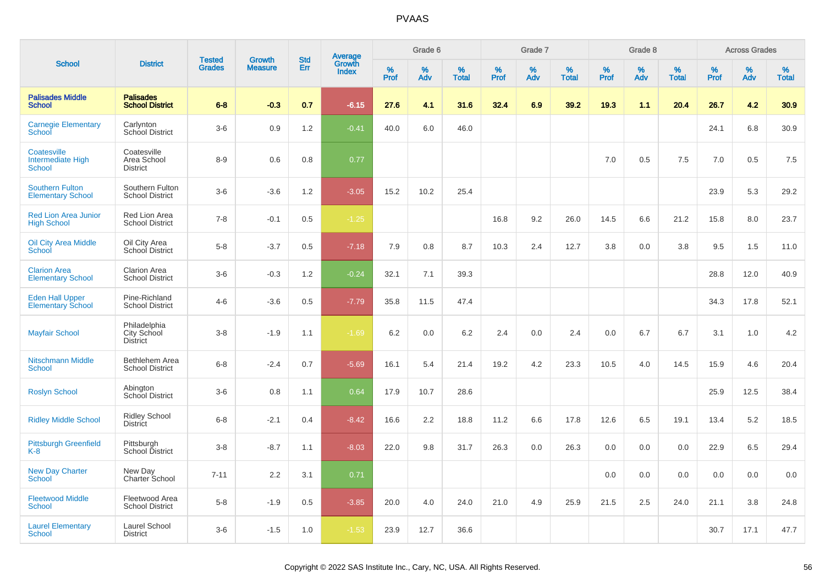|                                                          |                                                |                                |                                 | <b>Std</b> |                                          |                  | Grade 6  |                   |           | Grade 7  |                   |           | Grade 8  |                   |           | <b>Across Grades</b> |                   |
|----------------------------------------------------------|------------------------------------------------|--------------------------------|---------------------------------|------------|------------------------------------------|------------------|----------|-------------------|-----------|----------|-------------------|-----------|----------|-------------------|-----------|----------------------|-------------------|
| <b>School</b>                                            | <b>District</b>                                | <b>Tested</b><br><b>Grades</b> | <b>Growth</b><br><b>Measure</b> | Err        | <b>Average</b><br>Growth<br><b>Index</b> | %<br><b>Prof</b> | %<br>Adv | %<br><b>Total</b> | %<br>Prof | %<br>Adv | %<br><b>Total</b> | %<br>Prof | %<br>Adv | %<br><b>Total</b> | %<br>Prof | %<br>Adv             | %<br><b>Total</b> |
| <b>Palisades Middle</b><br><b>School</b>                 | <b>Palisades</b><br><b>School District</b>     | $6 - 8$                        | $-0.3$                          | 0.7        | $-6.15$                                  | 27.6             | 4.1      | 31.6              | 32.4      | 6.9      | 39.2              | 19.3      | 1.1      | 20.4              | 26.7      | 4.2                  | 30.9              |
| <b>Carnegie Elementary</b><br>School                     | Carlynton<br>School District                   | $3-6$                          | 0.9                             | 1.2        | $-0.41$                                  | 40.0             | 6.0      | 46.0              |           |          |                   |           |          |                   | 24.1      | 6.8                  | 30.9              |
| Coatesville<br><b>Intermediate High</b><br><b>School</b> | Coatesville<br>Area School<br><b>District</b>  | $8 - 9$                        | 0.6                             | 0.8        | 0.77                                     |                  |          |                   |           |          |                   | 7.0       | 0.5      | 7.5               | 7.0       | 0.5                  | 7.5               |
| <b>Southern Fulton</b><br><b>Elementary School</b>       | Southern Fulton<br><b>School District</b>      | $3-6$                          | $-3.6$                          | 1.2        | $-3.05$                                  | 15.2             | 10.2     | 25.4              |           |          |                   |           |          |                   | 23.9      | 5.3                  | 29.2              |
| <b>Red Lion Area Junior</b><br><b>High School</b>        | Red Lion Area<br><b>School District</b>        | $7 - 8$                        | $-0.1$                          | 0.5        | $-1.25$                                  |                  |          |                   | 16.8      | 9.2      | 26.0              | 14.5      | 6.6      | 21.2              | 15.8      | 8.0                  | 23.7              |
| <b>Oil City Area Middle</b><br>School                    | Oil City Area<br>School District               | $5-8$                          | $-3.7$                          | 0.5        | $-7.18$                                  | 7.9              | 0.8      | 8.7               | 10.3      | 2.4      | 12.7              | 3.8       | 0.0      | 3.8               | 9.5       | 1.5                  | 11.0              |
| <b>Clarion Area</b><br><b>Elementary School</b>          | <b>Clarion Area</b><br><b>School District</b>  | $3-6$                          | $-0.3$                          | 1.2        | $-0.24$                                  | 32.1             | 7.1      | 39.3              |           |          |                   |           |          |                   | 28.8      | 12.0                 | 40.9              |
| <b>Eden Hall Upper</b><br><b>Elementary School</b>       | Pine-Richland<br><b>School District</b>        | $4 - 6$                        | $-3.6$                          | 0.5        | $-7.79$                                  | 35.8             | 11.5     | 47.4              |           |          |                   |           |          |                   | 34.3      | 17.8                 | 52.1              |
| <b>Mayfair School</b>                                    | Philadelphia<br>City School<br><b>District</b> | $3 - 8$                        | $-1.9$                          | 1.1        | $-1.69$                                  | 6.2              | 0.0      | 6.2               | 2.4       | 0.0      | 2.4               | 0.0       | 6.7      | 6.7               | 3.1       | 1.0                  | 4.2               |
| <b>Nitschmann Middle</b><br><b>School</b>                | Bethlehem Area<br><b>School District</b>       | $6 - 8$                        | $-2.4$                          | 0.7        | $-5.69$                                  | 16.1             | 5.4      | 21.4              | 19.2      | 4.2      | 23.3              | 10.5      | 4.0      | 14.5              | 15.9      | 4.6                  | 20.4              |
| <b>Roslyn School</b>                                     | Abington<br><b>School District</b>             | $3-6$                          | 0.8                             | 1.1        | 0.64                                     | 17.9             | 10.7     | 28.6              |           |          |                   |           |          |                   | 25.9      | 12.5                 | 38.4              |
| <b>Ridley Middle School</b>                              | <b>Ridley School</b><br><b>District</b>        | $6 - 8$                        | $-2.1$                          | 0.4        | $-8.42$                                  | 16.6             | 2.2      | 18.8              | 11.2      | 6.6      | 17.8              | 12.6      | 6.5      | 19.1              | 13.4      | 5.2                  | 18.5              |
| <b>Pittsburgh Greenfield</b><br>K-8                      | Pittsburgh<br>School District                  | $3-8$                          | $-8.7$                          | 1.1        | $-8.03$                                  | 22.0             | 9.8      | 31.7              | 26.3      | 0.0      | 26.3              | 0.0       | 0.0      | 0.0               | 22.9      | 6.5                  | 29.4              |
| <b>New Day Charter</b><br><b>School</b>                  | New Day<br>Charter School                      | $7 - 11$                       | 2.2                             | 3.1        | 0.71                                     |                  |          |                   |           |          |                   | 0.0       | 0.0      | 0.0               | 0.0       | 0.0                  | 0.0               |
| <b>Fleetwood Middle</b><br><b>School</b>                 | Fleetwood Area<br><b>School District</b>       | $5 - 8$                        | $-1.9$                          | 0.5        | $-3.85$                                  | 20.0             | 4.0      | 24.0              | 21.0      | 4.9      | 25.9              | 21.5      | 2.5      | 24.0              | 21.1      | 3.8                  | 24.8              |
| <b>Laurel Elementary</b><br>School                       | Laurel School<br><b>District</b>               | $3-6$                          | $-1.5$                          | 1.0        | $-1.53$                                  | 23.9             | 12.7     | 36.6              |           |          |                   |           |          |                   | 30.7      | 17.1                 | 47.7              |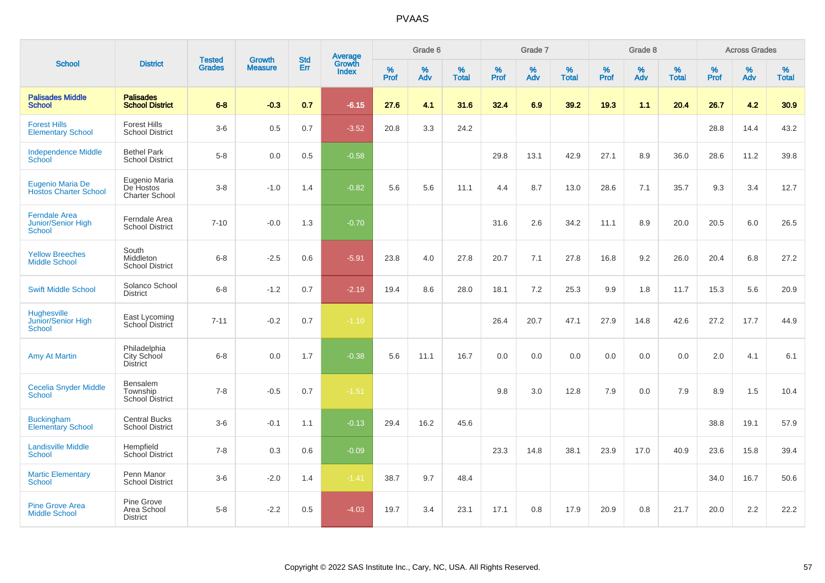| <b>School</b>                                               |                                                     |                                | <b>Growth</b>  | <b>Std</b> |                                          |                     | Grade 6     |                   |              | Grade 7     |                      |              | Grade 8  |                   |              | <b>Across Grades</b> |                   |
|-------------------------------------------------------------|-----------------------------------------------------|--------------------------------|----------------|------------|------------------------------------------|---------------------|-------------|-------------------|--------------|-------------|----------------------|--------------|----------|-------------------|--------------|----------------------|-------------------|
|                                                             | <b>District</b>                                     | <b>Tested</b><br><b>Grades</b> | <b>Measure</b> | <b>Err</b> | <b>Average</b><br>Growth<br><b>Index</b> | $\%$<br><b>Prof</b> | $\%$<br>Adv | %<br><b>Total</b> | $\%$<br>Prof | $\%$<br>Adv | $\%$<br><b>Total</b> | $\%$<br>Prof | %<br>Adv | %<br><b>Total</b> | $\%$<br>Prof | $\%$<br>Adv          | %<br><b>Total</b> |
| <b>Palisades Middle</b><br><b>School</b>                    | <b>Palisades</b><br><b>School District</b>          | $6 - 8$                        | $-0.3$         | 0.7        | $-6.15$                                  | 27.6                | 4.1         | 31.6              | 32.4         | 6.9         | 39.2                 | 19.3         | 1.1      | 20.4              | 26.7         | 4.2                  | 30.9 <sub>2</sub> |
| <b>Forest Hills</b><br><b>Elementary School</b>             | <b>Forest Hills</b><br><b>School District</b>       | $3-6$                          | 0.5            | 0.7        | $-3.52$                                  | 20.8                | 3.3         | 24.2              |              |             |                      |              |          |                   | 28.8         | 14.4                 | 43.2              |
| <b>Independence Middle</b><br><b>School</b>                 | <b>Bethel Park</b><br><b>School District</b>        | $5-8$                          | 0.0            | 0.5        | $-0.58$                                  |                     |             |                   | 29.8         | 13.1        | 42.9                 | 27.1         | 8.9      | 36.0              | 28.6         | 11.2                 | 39.8              |
| Eugenio Maria De<br><b>Hostos Charter School</b>            | Eugenio Maria<br>De Hostos<br><b>Charter School</b> | $3 - 8$                        | $-1.0$         | 1.4        | $-0.82$                                  | 5.6                 | 5.6         | 11.1              | 4.4          | 8.7         | 13.0                 | 28.6         | 7.1      | 35.7              | 9.3          | 3.4                  | 12.7              |
| <b>Ferndale Area</b><br><b>Junior/Senior High</b><br>School | Ferndale Area<br><b>School District</b>             | $7 - 10$                       | $-0.0$         | 1.3        | $-0.70$                                  |                     |             |                   | 31.6         | 2.6         | 34.2                 | 11.1         | 8.9      | 20.0              | 20.5         | 6.0                  | 26.5              |
| <b>Yellow Breeches</b><br><b>Middle School</b>              | South<br>Middleton<br><b>School District</b>        | $6 - 8$                        | $-2.5$         | 0.6        | $-5.91$                                  | 23.8                | 4.0         | 27.8              | 20.7         | 7.1         | 27.8                 | 16.8         | 9.2      | 26.0              | 20.4         | 6.8                  | 27.2              |
| <b>Swift Middle School</b>                                  | Solanco School<br><b>District</b>                   | $6 - 8$                        | $-1.2$         | 0.7        | $-2.19$                                  | 19.4                | 8.6         | 28.0              | 18.1         | 7.2         | 25.3                 | 9.9          | 1.8      | 11.7              | 15.3         | 5.6                  | 20.9              |
| <b>Hughesville</b><br>Junior/Senior High<br><b>School</b>   | East Lycoming<br>School District                    | $7 - 11$                       | $-0.2$         | 0.7        | $-1.10$                                  |                     |             |                   | 26.4         | 20.7        | 47.1                 | 27.9         | 14.8     | 42.6              | 27.2         | 17.7                 | 44.9              |
| <b>Amy At Martin</b>                                        | Philadelphia<br>City School<br>District             | $6-8$                          | 0.0            | 1.7        | $-0.38$                                  | 5.6                 | 11.1        | 16.7              | 0.0          | 0.0         | 0.0                  | 0.0          | 0.0      | 0.0               | 2.0          | 4.1                  | 6.1               |
| <b>Cecelia Snyder Middle</b><br>School                      | Bensalem<br>Township<br><b>School District</b>      | $7 - 8$                        | $-0.5$         | 0.7        | $-1.51$                                  |                     |             |                   | 9.8          | 3.0         | 12.8                 | 7.9          | 0.0      | 7.9               | 8.9          | 1.5                  | 10.4              |
| <b>Buckingham</b><br><b>Elementary School</b>               | <b>Central Bucks</b><br><b>School District</b>      | $3-6$                          | $-0.1$         | 1.1        | $-0.13$                                  | 29.4                | 16.2        | 45.6              |              |             |                      |              |          |                   | 38.8         | 19.1                 | 57.9              |
| <b>Landisville Middle</b><br><b>School</b>                  | Hempfield<br><b>School District</b>                 | $7 - 8$                        | 0.3            | 0.6        | $-0.09$                                  |                     |             |                   | 23.3         | 14.8        | 38.1                 | 23.9         | 17.0     | 40.9              | 23.6         | 15.8                 | 39.4              |
| <b>Martic Elementary</b><br>School                          | Penn Manor<br><b>School District</b>                | $3-6$                          | $-2.0$         | 1.4        | $-1.41$                                  | 38.7                | 9.7         | 48.4              |              |             |                      |              |          |                   | 34.0         | 16.7                 | 50.6              |
| <b>Pine Grove Area</b><br><b>Middle School</b>              | Pine Grove<br>Area School<br><b>District</b>        | $5-8$                          | $-2.2$         | 0.5        | $-4.03$                                  | 19.7                | 3.4         | 23.1              | 17.1         | 0.8         | 17.9                 | 20.9         | 0.8      | 21.7              | 20.0         | 2.2                  | 22.2              |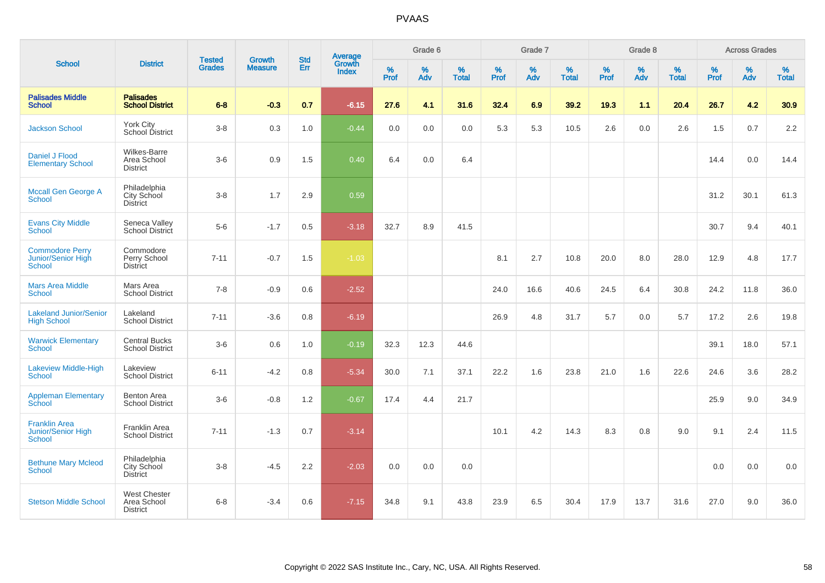|                                                               |                                                       |                                | <b>Growth</b>  | <b>Std</b> |                                          |                  | Grade 6  |                   |                     | Grade 7  |                   |              | Grade 8  |                   |              | <b>Across Grades</b> |                   |
|---------------------------------------------------------------|-------------------------------------------------------|--------------------------------|----------------|------------|------------------------------------------|------------------|----------|-------------------|---------------------|----------|-------------------|--------------|----------|-------------------|--------------|----------------------|-------------------|
| <b>School</b>                                                 | <b>District</b>                                       | <b>Tested</b><br><b>Grades</b> | <b>Measure</b> | Err        | <b>Average</b><br>Growth<br><b>Index</b> | %<br><b>Prof</b> | %<br>Adv | %<br><b>Total</b> | $\%$<br><b>Prof</b> | %<br>Adv | %<br><b>Total</b> | $\%$<br>Prof | %<br>Adv | %<br><b>Total</b> | $\%$<br>Prof | $\%$<br>Adv          | %<br><b>Total</b> |
| <b>Palisades Middle</b><br><b>School</b>                      | <b>Palisades</b><br><b>School District</b>            | $6 - 8$                        | $-0.3$         | 0.7        | $-6.15$                                  | 27.6             | 4.1      | 31.6              | 32.4                | 6.9      | 39.2              | 19.3         | 1.1      | 20.4              | 26.7         | 4.2                  | 30.9              |
| <b>Jackson School</b>                                         | York City<br>School District                          | $3 - 8$                        | 0.3            | 1.0        | $-0.44$                                  | 0.0              | 0.0      | 0.0               | 5.3                 | 5.3      | 10.5              | 2.6          | 0.0      | 2.6               | 1.5          | 0.7                  | 2.2               |
| Daniel J Flood<br><b>Elementary School</b>                    | Wilkes-Barre<br>Area School<br><b>District</b>        | $3-6$                          | 0.9            | 1.5        | 0.40                                     | 6.4              | 0.0      | 6.4               |                     |          |                   |              |          |                   | 14.4         | 0.0                  | 14.4              |
| <b>Mccall Gen George A</b><br><b>School</b>                   | Philadelphia<br>City School<br>District               | $3 - 8$                        | 1.7            | 2.9        | 0.59                                     |                  |          |                   |                     |          |                   |              |          |                   | 31.2         | 30.1                 | 61.3              |
| <b>Evans City Middle</b><br><b>School</b>                     | Seneca Valley<br>School District                      | $5-6$                          | $-1.7$         | 0.5        | $-3.18$                                  | 32.7             | 8.9      | 41.5              |                     |          |                   |              |          |                   | 30.7         | 9.4                  | 40.1              |
| <b>Commodore Perry</b><br>Junior/Senior High<br><b>School</b> | Commodore<br>Perry School<br><b>District</b>          | $7 - 11$                       | $-0.7$         | 1.5        | $-1.03$                                  |                  |          |                   | 8.1                 | 2.7      | 10.8              | 20.0         | 8.0      | 28.0              | 12.9         | 4.8                  | 17.7              |
| <b>Mars Area Middle</b><br><b>School</b>                      | Mars Area<br><b>School District</b>                   | $7 - 8$                        | $-0.9$         | 0.6        | $-2.52$                                  |                  |          |                   | 24.0                | 16.6     | 40.6              | 24.5         | 6.4      | 30.8              | 24.2         | 11.8                 | 36.0              |
| <b>Lakeland Junior/Senior</b><br><b>High School</b>           | Lakeland<br><b>School District</b>                    | $7 - 11$                       | $-3.6$         | 0.8        | $-6.19$                                  |                  |          |                   | 26.9                | 4.8      | 31.7              | 5.7          | 0.0      | 5.7               | 17.2         | 2.6                  | 19.8              |
| <b>Warwick Elementary</b><br><b>School</b>                    | <b>Central Bucks</b><br><b>School District</b>        | $3-6$                          | 0.6            | 1.0        | $-0.19$                                  | 32.3             | 12.3     | 44.6              |                     |          |                   |              |          |                   | 39.1         | 18.0                 | 57.1              |
| <b>Lakeview Middle-High</b><br><b>School</b>                  | Lakeview<br><b>School District</b>                    | $6 - 11$                       | $-4.2$         | 0.8        | $-5.34$                                  | 30.0             | 7.1      | 37.1              | 22.2                | 1.6      | 23.8              | 21.0         | 1.6      | 22.6              | 24.6         | 3.6                  | 28.2              |
| <b>Appleman Elementary</b><br>School                          | <b>Benton Area</b><br><b>School District</b>          | $3-6$                          | $-0.8$         | 1.2        | $-0.67$                                  | 17.4             | 4.4      | 21.7              |                     |          |                   |              |          |                   | 25.9         | 9.0                  | 34.9              |
| <b>Franklin Area</b><br>Junior/Senior High<br><b>School</b>   | Franklin Area<br><b>School District</b>               | $7 - 11$                       | $-1.3$         | 0.7        | $-3.14$                                  |                  |          |                   | 10.1                | 4.2      | 14.3              | 8.3          | 0.8      | 9.0               | 9.1          | 2.4                  | 11.5              |
| <b>Bethune Mary Mcleod</b><br><b>School</b>                   | Philadelphia<br>City School<br>District               | $3 - 8$                        | $-4.5$         | 2.2        | $-2.03$                                  | 0.0              | 0.0      | 0.0               |                     |          |                   |              |          |                   | 0.0          | 0.0                  | 0.0               |
| <b>Stetson Middle School</b>                                  | <b>West Chester</b><br>Area School<br><b>District</b> | $6 - 8$                        | $-3.4$         | 0.6        | $-7.15$                                  | 34.8             | 9.1      | 43.8              | 23.9                | 6.5      | 30.4              | 17.9         | 13.7     | 31.6              | 27.0         | 9.0                  | 36.0              |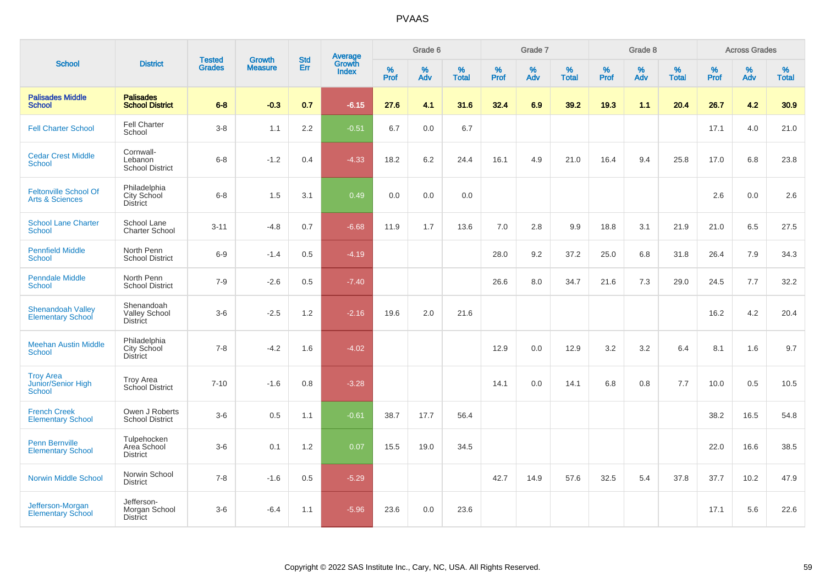|                                                            |                                                       |                                |                                 |                   |                                          |           | Grade 6     |                   |           | Grade 7  |                   |           | Grade 8  |                   |           | <b>Across Grades</b> |                   |
|------------------------------------------------------------|-------------------------------------------------------|--------------------------------|---------------------------------|-------------------|------------------------------------------|-----------|-------------|-------------------|-----------|----------|-------------------|-----------|----------|-------------------|-----------|----------------------|-------------------|
| <b>School</b>                                              | <b>District</b>                                       | <b>Tested</b><br><b>Grades</b> | <b>Growth</b><br><b>Measure</b> | <b>Std</b><br>Err | <b>Average</b><br>Growth<br><b>Index</b> | %<br>Prof | $\%$<br>Adv | %<br><b>Total</b> | %<br>Prof | %<br>Adv | %<br><b>Total</b> | %<br>Prof | %<br>Adv | %<br><b>Total</b> | %<br>Prof | $\%$<br>Adv          | %<br><b>Total</b> |
| <b>Palisades Middle</b><br><b>School</b>                   | <b>Palisades</b><br><b>School District</b>            | $6-8$                          | $-0.3$                          | 0.7               | $-6.15$                                  | 27.6      | 4.1         | 31.6              | 32.4      | 6.9      | 39.2              | 19.3      | 1.1      | 20.4              | 26.7      | 4.2                  | 30.9              |
| <b>Fell Charter School</b>                                 | <b>Fell Charter</b><br>School                         | $3-8$                          | 1.1                             | 2.2               | $-0.51$                                  | 6.7       | 0.0         | 6.7               |           |          |                   |           |          |                   | 17.1      | 4.0                  | 21.0              |
| <b>Cedar Crest Middle</b><br><b>School</b>                 | Cornwall-<br>Lebanon<br><b>School District</b>        | $6 - 8$                        | $-1.2$                          | 0.4               | $-4.33$                                  | 18.2      | 6.2         | 24.4              | 16.1      | 4.9      | 21.0              | 16.4      | 9.4      | 25.8              | 17.0      | 6.8                  | 23.8              |
| <b>Feltonville School Of</b><br><b>Arts &amp; Sciences</b> | Philadelphia<br>City School<br><b>District</b>        | $6 - 8$                        | 1.5                             | 3.1               | 0.49                                     | 0.0       | 0.0         | 0.0               |           |          |                   |           |          |                   | 2.6       | 0.0                  | 2.6               |
| <b>School Lane Charter</b><br><b>School</b>                | School Lane<br><b>Charter School</b>                  | $3 - 11$                       | $-4.8$                          | 0.7               | $-6.68$                                  | 11.9      | 1.7         | 13.6              | 7.0       | 2.8      | 9.9               | 18.8      | 3.1      | 21.9              | 21.0      | 6.5                  | 27.5              |
| <b>Pennfield Middle</b><br><b>School</b>                   | North Penn<br><b>School District</b>                  | $6-9$                          | $-1.4$                          | 0.5               | $-4.19$                                  |           |             |                   | 28.0      | 9.2      | 37.2              | 25.0      | 6.8      | 31.8              | 26.4      | 7.9                  | 34.3              |
| <b>Penndale Middle</b><br><b>School</b>                    | North Penn<br><b>School District</b>                  | $7-9$                          | $-2.6$                          | 0.5               | $-7.40$                                  |           |             |                   | 26.6      | 8.0      | 34.7              | 21.6      | 7.3      | 29.0              | 24.5      | 7.7                  | 32.2              |
| <b>Shenandoah Valley</b><br><b>Elementary School</b>       | Shenandoah<br><b>Valley School</b><br><b>District</b> | $3-6$                          | $-2.5$                          | 1.2               | $-2.16$                                  | 19.6      | 2.0         | 21.6              |           |          |                   |           |          |                   | 16.2      | 4.2                  | 20.4              |
| <b>Meehan Austin Middle</b><br><b>School</b>               | Philadelphia<br>City School<br><b>District</b>        | $7 - 8$                        | $-4.2$                          | 1.6               | $-4.02$                                  |           |             |                   | 12.9      | 0.0      | 12.9              | 3.2       | 3.2      | 6.4               | 8.1       | 1.6                  | 9.7               |
| <b>Troy Area</b><br>Junior/Senior High<br><b>School</b>    | <b>Troy Area</b><br>School District                   | $7 - 10$                       | $-1.6$                          | 0.8               | $-3.28$                                  |           |             |                   | 14.1      | 0.0      | 14.1              | 6.8       | 0.8      | 7.7               | 10.0      | 0.5                  | 10.5              |
| <b>French Creek</b><br><b>Elementary School</b>            | Owen J Roberts<br><b>School District</b>              | $3-6$                          | $0.5\,$                         | 1.1               | $-0.61$                                  | 38.7      | 17.7        | 56.4              |           |          |                   |           |          |                   | 38.2      | 16.5                 | 54.8              |
| Penn Bernville<br><b>Elementary School</b>                 | Tulpehocken<br>Area School<br><b>District</b>         | $3-6$                          | 0.1                             | 1.2               | 0.07                                     | 15.5      | 19.0        | 34.5              |           |          |                   |           |          |                   | 22.0      | 16.6                 | 38.5              |
| <b>Norwin Middle School</b>                                | Norwin School<br><b>District</b>                      | $7 - 8$                        | $-1.6$                          | 0.5               | $-5.29$                                  |           |             |                   | 42.7      | 14.9     | 57.6              | 32.5      | 5.4      | 37.8              | 37.7      | 10.2                 | 47.9              |
| Jefferson-Morgan<br><b>Elementary School</b>               | Jefferson-<br>Morgan School<br><b>District</b>        | $3-6$                          | $-6.4$                          | 1.1               | $-5.96$                                  | 23.6      | 0.0         | 23.6              |           |          |                   |           |          |                   | 17.1      | 5.6                  | 22.6              |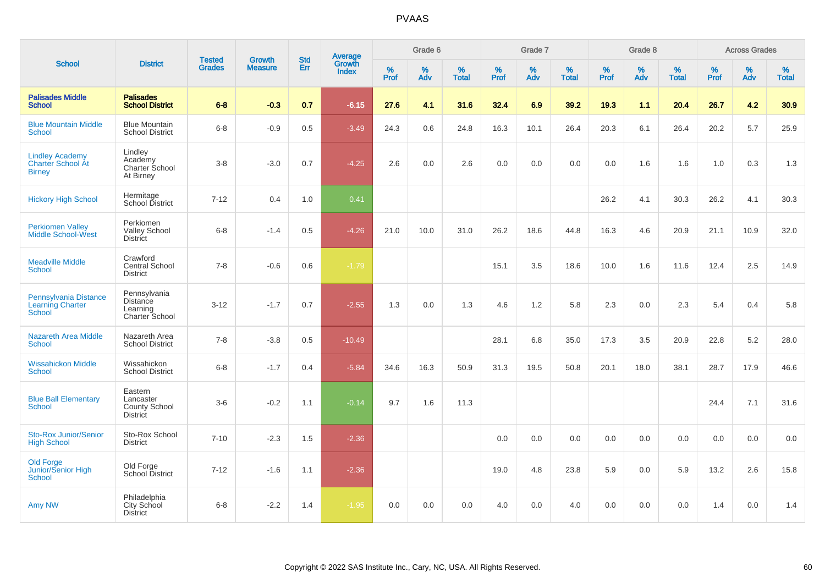|                                                                     |                                                          |                                |                                 | <b>Std</b> |                                          |           | Grade 6  |                   |           | Grade 7  |                   |           | Grade 8  |                   |           | <b>Across Grades</b> |                   |
|---------------------------------------------------------------------|----------------------------------------------------------|--------------------------------|---------------------------------|------------|------------------------------------------|-----------|----------|-------------------|-----------|----------|-------------------|-----------|----------|-------------------|-----------|----------------------|-------------------|
| <b>School</b>                                                       | <b>District</b>                                          | <b>Tested</b><br><b>Grades</b> | <b>Growth</b><br><b>Measure</b> | Err        | <b>Average</b><br>Growth<br><b>Index</b> | %<br>Prof | %<br>Adv | %<br><b>Total</b> | %<br>Prof | %<br>Adv | %<br><b>Total</b> | %<br>Prof | %<br>Adv | %<br><b>Total</b> | %<br>Prof | %<br>Adv             | %<br><b>Total</b> |
| <b>Palisades Middle</b><br><b>School</b>                            | <b>Palisades</b><br><b>School District</b>               | $6 - 8$                        | $-0.3$                          | 0.7        | $-6.15$                                  | 27.6      | 4.1      | 31.6              | 32.4      | 6.9      | 39.2              | 19.3      | 1.1      | 20.4              | 26.7      | 4.2                  | 30.9              |
| <b>Blue Mountain Middle</b><br><b>School</b>                        | <b>Blue Mountain</b><br><b>School District</b>           | $6 - 8$                        | $-0.9$                          | 0.5        | $-3.49$                                  | 24.3      | 0.6      | 24.8              | 16.3      | 10.1     | 26.4              | 20.3      | 6.1      | 26.4              | 20.2      | 5.7                  | 25.9              |
| <b>Lindley Academy</b><br><b>Charter School At</b><br><b>Birney</b> | Lindley<br>Academy<br>Charter School<br>At Birney        | $3 - 8$                        | $-3.0$                          | 0.7        | $-4.25$                                  | 2.6       | 0.0      | 2.6               | 0.0       | 0.0      | 0.0               | 0.0       | 1.6      | 1.6               | 1.0       | 0.3                  | 1.3               |
| <b>Hickory High School</b>                                          | Hermitage<br>School District                             | $7 - 12$                       | 0.4                             | 1.0        | 0.41                                     |           |          |                   |           |          |                   | 26.2      | 4.1      | 30.3              | 26.2      | 4.1                  | 30.3              |
| <b>Perkiomen Valley</b><br><b>Middle School-West</b>                | Perkiomen<br><b>Valley School</b><br><b>District</b>     | $6 - 8$                        | $-1.4$                          | 0.5        | $-4.26$                                  | 21.0      | 10.0     | 31.0              | 26.2      | 18.6     | 44.8              | 16.3      | 4.6      | 20.9              | 21.1      | 10.9                 | 32.0              |
| <b>Meadville Middle</b><br><b>School</b>                            | Crawford<br><b>Central School</b><br><b>District</b>     | $7 - 8$                        | $-0.6$                          | 0.6        | $-1.79$                                  |           |          |                   | 15.1      | 3.5      | 18.6              | 10.0      | 1.6      | 11.6              | 12.4      | 2.5                  | 14.9              |
| Pennsylvania Distance<br>Learning Charter<br><b>School</b>          | Pennsylvania<br>Distance<br>Learning<br>Charter School   | $3 - 12$                       | $-1.7$                          | 0.7        | $-2.55$                                  | 1.3       | 0.0      | 1.3               | 4.6       | 1.2      | 5.8               | 2.3       | 0.0      | 2.3               | 5.4       | 0.4                  | 5.8               |
| <b>Nazareth Area Middle</b><br><b>School</b>                        | Nazareth Area<br><b>School District</b>                  | $7 - 8$                        | $-3.8$                          | 0.5        | $-10.49$                                 |           |          |                   | 28.1      | 6.8      | 35.0              | 17.3      | 3.5      | 20.9              | 22.8      | 5.2                  | 28.0              |
| <b>Wissahickon Middle</b><br><b>School</b>                          | Wissahickon<br><b>School District</b>                    | $6-8$                          | $-1.7$                          | 0.4        | $-5.84$                                  | 34.6      | 16.3     | 50.9              | 31.3      | 19.5     | 50.8              | 20.1      | 18.0     | 38.1              | 28.7      | 17.9                 | 46.6              |
| <b>Blue Ball Elementary</b><br><b>School</b>                        | Eastern<br>Lancaster<br>County School<br><b>District</b> | $3-6$                          | $-0.2$                          | 1.1        | $-0.14$                                  | 9.7       | 1.6      | 11.3              |           |          |                   |           |          |                   | 24.4      | 7.1                  | 31.6              |
| <b>Sto-Rox Junior/Senior</b><br><b>High School</b>                  | Sto-Rox School<br><b>District</b>                        | $7 - 10$                       | $-2.3$                          | 1.5        | $-2.36$                                  |           |          |                   | 0.0       | 0.0      | 0.0               | 0.0       | 0.0      | 0.0               | 0.0       | 0.0                  | 0.0               |
| <b>Old Forge</b><br>Junior/Senior High<br><b>School</b>             | Old Forge<br>School District                             | $7 - 12$                       | $-1.6$                          | 1.1        | $-2.36$                                  |           |          |                   | 19.0      | 4.8      | 23.8              | 5.9       | 0.0      | 5.9               | 13.2      | 2.6                  | 15.8              |
| Amy NW                                                              | Philadelphia<br><b>City School</b><br><b>District</b>    | $6 - 8$                        | $-2.2$                          | 1.4        | $-1.95$                                  | 0.0       | 0.0      | 0.0               | 4.0       | 0.0      | 4.0               | 0.0       | 0.0      | 0.0               | 1.4       | 0.0                  | 1.4               |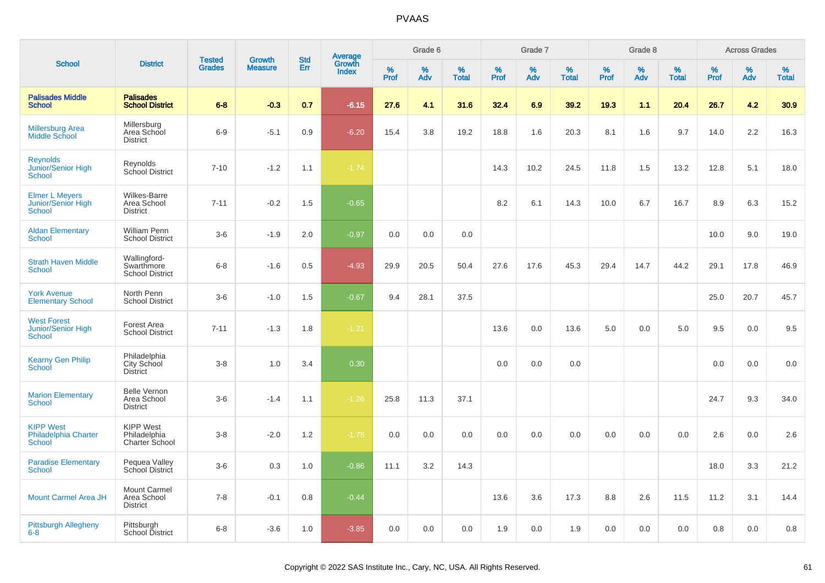|                                                                     |                                                       |                                |                                 | <b>Std</b> |                                          |           | Grade 6  |                   |           | Grade 7  |                   |           | Grade 8  |                   |           | <b>Across Grades</b> |                   |
|---------------------------------------------------------------------|-------------------------------------------------------|--------------------------------|---------------------------------|------------|------------------------------------------|-----------|----------|-------------------|-----------|----------|-------------------|-----------|----------|-------------------|-----------|----------------------|-------------------|
| <b>School</b>                                                       | <b>District</b>                                       | <b>Tested</b><br><b>Grades</b> | <b>Growth</b><br><b>Measure</b> | <b>Err</b> | <b>Average</b><br>Growth<br><b>Index</b> | %<br>Prof | %<br>Adv | %<br><b>Total</b> | %<br>Prof | %<br>Adv | %<br><b>Total</b> | %<br>Prof | %<br>Adv | %<br><b>Total</b> | %<br>Prof | %<br>Adv             | %<br><b>Total</b> |
| <b>Palisades Middle</b><br><b>School</b>                            | <b>Palisades</b><br><b>School District</b>            | $6 - 8$                        | $-0.3$                          | 0.7        | $-6.15$                                  | 27.6      | 4.1      | 31.6              | 32.4      | 6.9      | 39.2              | 19.3      | 1.1      | 20.4              | 26.7      | 4.2                  | 30.9              |
| <b>Millersburg Area</b><br>Middle School                            | Millersburg<br>Area School<br><b>District</b>         | $6-9$                          | $-5.1$                          | 0.9        | $-6.20$                                  | 15.4      | 3.8      | 19.2              | 18.8      | 1.6      | 20.3              | 8.1       | 1.6      | 9.7               | 14.0      | 2.2                  | 16.3              |
| <b>Reynolds</b><br>Junior/Senior High<br><b>School</b>              | Reynolds<br>School District                           | $7 - 10$                       | $-1.2$                          | 1.1        | $-1.74$                                  |           |          |                   | 14.3      | 10.2     | 24.5              | 11.8      | 1.5      | 13.2              | 12.8      | 5.1                  | 18.0              |
| <b>Elmer L Meyers</b><br><b>Junior/Senior High</b><br><b>School</b> | <b>Wilkes-Barre</b><br>Area School<br><b>District</b> | $7 - 11$                       | $-0.2$                          | 1.5        | $-0.65$                                  |           |          |                   | 8.2       | 6.1      | 14.3              | 10.0      | 6.7      | 16.7              | 8.9       | 6.3                  | 15.2              |
| <b>Aldan Elementary</b><br><b>School</b>                            | <b>William Penn</b><br><b>School District</b>         | $3-6$                          | $-1.9$                          | 2.0        | $-0.97$                                  | 0.0       | 0.0      | 0.0               |           |          |                   |           |          |                   | 10.0      | 9.0                  | 19.0              |
| <b>Strath Haven Middle</b><br><b>School</b>                         | Wallingford-<br>Swarthmore<br><b>School District</b>  | $6 - 8$                        | $-1.6$                          | 0.5        | $-4.93$                                  | 29.9      | 20.5     | 50.4              | 27.6      | 17.6     | 45.3              | 29.4      | 14.7     | 44.2              | 29.1      | 17.8                 | 46.9              |
| <b>York Avenue</b><br><b>Elementary School</b>                      | North Penn<br><b>School District</b>                  | $3-6$                          | $-1.0$                          | 1.5        | $-0.67$                                  | 9.4       | 28.1     | 37.5              |           |          |                   |           |          |                   | 25.0      | 20.7                 | 45.7              |
| <b>West Forest</b><br>Junior/Senior High<br><b>School</b>           | Forest Area<br><b>School District</b>                 | $7 - 11$                       | $-1.3$                          | 1.8        | $-1.21$                                  |           |          |                   | 13.6      | 0.0      | 13.6              | 5.0       | 0.0      | 5.0               | 9.5       | 0.0                  | 9.5               |
| <b>Kearny Gen Philip</b><br>School                                  | Philadelphia<br>City School<br><b>District</b>        | $3 - 8$                        | 1.0                             | 3.4        | 0.30                                     |           |          |                   | 0.0       | 0.0      | 0.0               |           |          |                   | 0.0       | 0.0                  | 0.0               |
| <b>Marion Elementary</b><br><b>School</b>                           | <b>Belle Vernon</b><br>Area School<br><b>District</b> | $3-6$                          | $-1.4$                          | 1.1        | $-1.26$                                  | 25.8      | 11.3     | 37.1              |           |          |                   |           |          |                   | 24.7      | 9.3                  | 34.0              |
| <b>KIPP West</b><br>Philadelphia Charter<br><b>School</b>           | <b>KIPP West</b><br>Philadelphia<br>Charter School    | $3 - 8$                        | $-2.0$                          | 1.2        | $-1.75$                                  | 0.0       | 0.0      | 0.0               | 0.0       | 0.0      | 0.0               | 0.0       | 0.0      | 0.0               | 2.6       | 0.0                  | 2.6               |
| <b>Paradise Elementary</b><br><b>School</b>                         | Pequea Valley<br>School District                      | $3-6$                          | 0.3                             | 1.0        | $-0.86$                                  | 11.1      | 3.2      | 14.3              |           |          |                   |           |          |                   | 18.0      | 3.3                  | 21.2              |
| <b>Mount Carmel Area JH</b>                                         | Mount Carmel<br>Area School<br><b>District</b>        | $7 - 8$                        | $-0.1$                          | 0.8        | $-0.44$                                  |           |          |                   | 13.6      | 3.6      | 17.3              | 8.8       | 2.6      | 11.5              | 11.2      | 3.1                  | 14.4              |
| <b>Pittsburgh Allegheny</b><br>$6 - 8$                              | Pittsburgh<br>School District                         | $6 - 8$                        | $-3.6$                          | 1.0        | $-3.85$                                  | 0.0       | 0.0      | 0.0               | 1.9       | 0.0      | 1.9               | 0.0       | 0.0      | 0.0               | 0.8       | 0.0                  | 0.8               |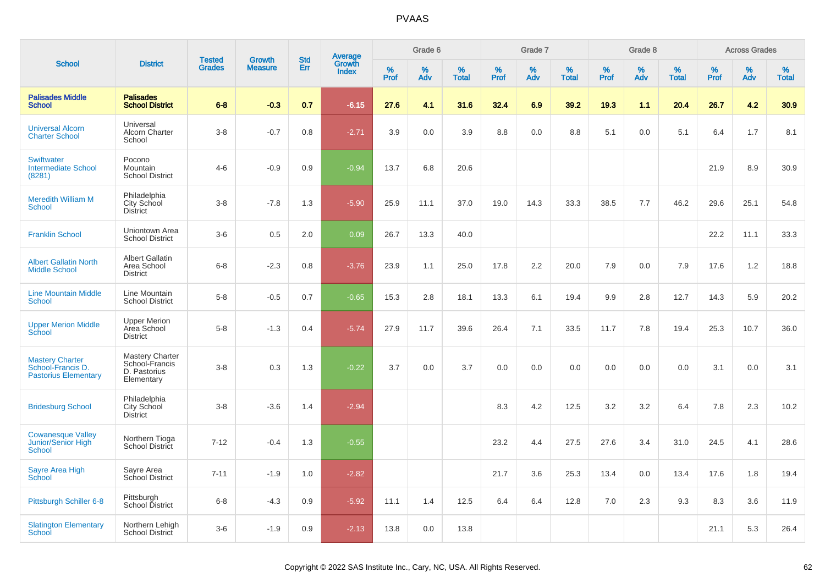|                                                                            |                                                                 |                                |                                 | <b>Std</b> |                                          |           | Grade 6  |                   |           | Grade 7  |                   |           | Grade 8  |                   |           | <b>Across Grades</b> |                   |
|----------------------------------------------------------------------------|-----------------------------------------------------------------|--------------------------------|---------------------------------|------------|------------------------------------------|-----------|----------|-------------------|-----------|----------|-------------------|-----------|----------|-------------------|-----------|----------------------|-------------------|
| <b>School</b>                                                              | <b>District</b>                                                 | <b>Tested</b><br><b>Grades</b> | <b>Growth</b><br><b>Measure</b> | <b>Err</b> | <b>Average</b><br>Growth<br><b>Index</b> | %<br>Prof | %<br>Adv | %<br><b>Total</b> | %<br>Prof | %<br>Adv | %<br><b>Total</b> | %<br>Prof | %<br>Adv | %<br><b>Total</b> | %<br>Prof | %<br>Adv             | %<br><b>Total</b> |
| <b>Palisades Middle</b><br><b>School</b>                                   | <b>Palisades</b><br><b>School District</b>                      | $6 - 8$                        | $-0.3$                          | 0.7        | $-6.15$                                  | 27.6      | 4.1      | 31.6              | 32.4      | 6.9      | 39.2              | 19.3      | 1.1      | 20.4              | 26.7      | 4.2                  | 30.9              |
| <b>Universal Alcorn</b><br><b>Charter School</b>                           | Universal<br>Alcorn Charter<br>School                           | $3 - 8$                        | $-0.7$                          | 0.8        | $-2.71$                                  | 3.9       | 0.0      | 3.9               | 8.8       | 0.0      | 8.8               | 5.1       | 0.0      | 5.1               | 6.4       | 1.7                  | 8.1               |
| <b>Swiftwater</b><br><b>Intermediate School</b><br>(8281)                  | Pocono<br><b>Mountain</b><br><b>School District</b>             | $4 - 6$                        | $-0.9$                          | 0.9        | $-0.94$                                  | 13.7      | 6.8      | 20.6              |           |          |                   |           |          |                   | 21.9      | 8.9                  | 30.9              |
| <b>Meredith William M</b><br>School                                        | Philadelphia<br>City School<br>District                         | $3 - 8$                        | $-7.8$                          | 1.3        | $-5.90$                                  | 25.9      | 11.1     | 37.0              | 19.0      | 14.3     | 33.3              | 38.5      | 7.7      | 46.2              | 29.6      | 25.1                 | 54.8              |
| <b>Franklin School</b>                                                     | Uniontown Area<br><b>School District</b>                        | $3-6$                          | 0.5                             | 2.0        | 0.09                                     | 26.7      | 13.3     | 40.0              |           |          |                   |           |          |                   | 22.2      | 11.1                 | 33.3              |
| <b>Albert Gallatin North</b><br><b>Middle School</b>                       | <b>Albert Gallatin</b><br>Area School<br><b>District</b>        | $6 - 8$                        | $-2.3$                          | 0.8        | $-3.76$                                  | 23.9      | 1.1      | 25.0              | 17.8      | 2.2      | 20.0              | 7.9       | 0.0      | 7.9               | 17.6      | 1.2                  | 18.8              |
| <b>Line Mountain Middle</b><br><b>School</b>                               | Line Mountain<br><b>School District</b>                         | $5 - 8$                        | $-0.5$                          | 0.7        | $-0.65$                                  | 15.3      | 2.8      | 18.1              | 13.3      | 6.1      | 19.4              | 9.9       | 2.8      | 12.7              | 14.3      | 5.9                  | 20.2              |
| <b>Upper Merion Middle</b><br>School                                       | <b>Upper Merion</b><br>Area School<br><b>District</b>           | $5-8$                          | $-1.3$                          | 0.4        | $-5.74$                                  | 27.9      | 11.7     | 39.6              | 26.4      | 7.1      | 33.5              | 11.7      | 7.8      | 19.4              | 25.3      | 10.7                 | 36.0              |
| <b>Mastery Charter</b><br>School-Francis D.<br><b>Pastorius Elementary</b> | Mastery Charter<br>School-Francis<br>D. Pastorius<br>Elementary | $3-8$                          | 0.3                             | 1.3        | $-0.22$                                  | 3.7       | 0.0      | 3.7               | 0.0       | 0.0      | 0.0               | 0.0       | 0.0      | 0.0               | 3.1       | 0.0                  | 3.1               |
| <b>Bridesburg School</b>                                                   | Philadelphia<br>City School<br>District                         | $3 - 8$                        | $-3.6$                          | 1.4        | $-2.94$                                  |           |          |                   | 8.3       | 4.2      | 12.5              | 3.2       | 3.2      | 6.4               | 7.8       | 2.3                  | 10.2              |
| <b>Cowanesque Valley</b><br>Junior/Senior High<br>School                   | Northern Tioga<br>School District                               | $7 - 12$                       | $-0.4$                          | 1.3        | $-0.55$                                  |           |          |                   | 23.2      | 4.4      | 27.5              | 27.6      | 3.4      | 31.0              | 24.5      | 4.1                  | 28.6              |
| Sayre Area High<br>School                                                  | Sayre Area<br>School District                                   | $7 - 11$                       | $-1.9$                          | 1.0        | $-2.82$                                  |           |          |                   | 21.7      | 3.6      | 25.3              | 13.4      | 0.0      | 13.4              | 17.6      | 1.8                  | 19.4              |
| Pittsburgh Schiller 6-8                                                    | Pittsburgh<br>School District                                   | $6 - 8$                        | $-4.3$                          | 0.9        | $-5.92$                                  | 11.1      | 1.4      | 12.5              | 6.4       | 6.4      | 12.8              | 7.0       | 2.3      | 9.3               | 8.3       | 3.6                  | 11.9              |
| <b>Slatington Elementary</b><br>School                                     | Northern Lehigh<br><b>School District</b>                       | $3-6$                          | $-1.9$                          | 0.9        | $-2.13$                                  | 13.8      | 0.0      | 13.8              |           |          |                   |           |          |                   | 21.1      | 5.3                  | 26.4              |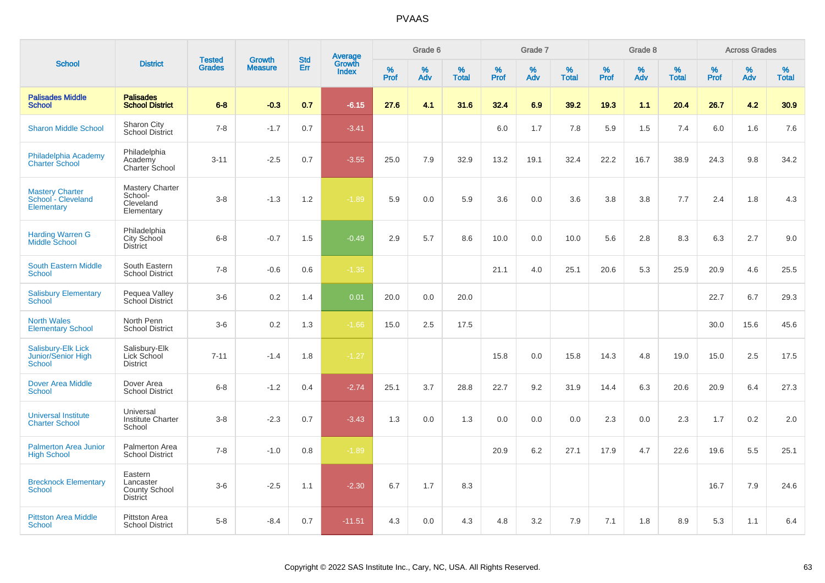|                                                            |                                                                 | <b>Tested</b> | <b>Growth</b>  | <b>Std</b> |                                          |                  | Grade 6     |                   |              | Grade 7  |                   |              | Grade 8  |                   |              | <b>Across Grades</b> |                   |
|------------------------------------------------------------|-----------------------------------------------------------------|---------------|----------------|------------|------------------------------------------|------------------|-------------|-------------------|--------------|----------|-------------------|--------------|----------|-------------------|--------------|----------------------|-------------------|
| <b>School</b>                                              | <b>District</b>                                                 | <b>Grades</b> | <b>Measure</b> | Err        | <b>Average</b><br>Growth<br><b>Index</b> | %<br><b>Prof</b> | $\%$<br>Adv | %<br><b>Total</b> | $\%$<br>Prof | %<br>Adv | %<br><b>Total</b> | $\%$<br>Prof | %<br>Adv | %<br><b>Total</b> | $\%$<br>Prof | %<br>Adv             | %<br><b>Total</b> |
| <b>Palisades Middle</b><br><b>School</b>                   | <b>Palisades</b><br><b>School District</b>                      | $6 - 8$       | $-0.3$         | 0.7        | $-6.15$                                  | 27.6             | 4.1         | 31.6              | 32.4         | 6.9      | 39.2              | 19.3         | 1.1      | 20.4              | 26.7         | 4.2                  | 30.9              |
| <b>Sharon Middle School</b>                                | Sharon City<br><b>School District</b>                           | $7 - 8$       | $-1.7$         | 0.7        | $-3.41$                                  |                  |             |                   | 6.0          | 1.7      | 7.8               | 5.9          | 1.5      | 7.4               | 6.0          | 1.6                  | 7.6               |
| Philadelphia Academy<br><b>Charter School</b>              | Philadelphia<br>Academy<br>Charter School                       | $3 - 11$      | $-2.5$         | 0.7        | $-3.55$                                  | 25.0             | 7.9         | 32.9              | 13.2         | 19.1     | 32.4              | 22.2         | 16.7     | 38.9              | 24.3         | 9.8                  | 34.2              |
| <b>Mastery Charter</b><br>School - Cleveland<br>Elementary | Mastery Charter<br>School-<br>Cleveland<br>Elementary           | $3 - 8$       | $-1.3$         | 1.2        | $-1.89$                                  | 5.9              | 0.0         | 5.9               | 3.6          | 0.0      | 3.6               | 3.8          | 3.8      | 7.7               | 2.4          | 1.8                  | 4.3               |
| <b>Harding Warren G</b><br><b>Middle School</b>            | Philadelphia<br>City School<br><b>District</b>                  | $6-8$         | $-0.7$         | 1.5        | $-0.49$                                  | 2.9              | 5.7         | 8.6               | 10.0         | 0.0      | 10.0              | 5.6          | 2.8      | 8.3               | 6.3          | 2.7                  | 9.0               |
| <b>South Eastern Middle</b><br><b>School</b>               | South Eastern<br><b>School District</b>                         | $7 - 8$       | $-0.6$         | 0.6        | $-1.35$                                  |                  |             |                   | 21.1         | 4.0      | 25.1              | 20.6         | 5.3      | 25.9              | 20.9         | 4.6                  | 25.5              |
| <b>Salisbury Elementary</b><br><b>School</b>               | Pequea Valley<br>School District                                | $3-6$         | 0.2            | 1.4        | 0.01                                     | 20.0             | 0.0         | 20.0              |              |          |                   |              |          |                   | 22.7         | 6.7                  | 29.3              |
| <b>North Wales</b><br><b>Elementary School</b>             | North Penn<br><b>School District</b>                            | $3-6$         | 0.2            | 1.3        | $-1.66$                                  | 15.0             | 2.5         | 17.5              |              |          |                   |              |          |                   | 30.0         | 15.6                 | 45.6              |
| Salisbury-Elk Lick<br><b>Junior/Senior High</b><br>School  | Salisbury-Elk<br>Lick School<br><b>District</b>                 | $7 - 11$      | $-1.4$         | 1.8        | $-1.27$                                  |                  |             |                   | 15.8         | 0.0      | 15.8              | 14.3         | 4.8      | 19.0              | 15.0         | 2.5                  | 17.5              |
| <b>Dover Area Middle</b><br>School                         | Dover Area<br><b>School District</b>                            | $6 - 8$       | $-1.2$         | 0.4        | $-2.74$                                  | 25.1             | 3.7         | 28.8              | 22.7         | 9.2      | 31.9              | 14.4         | 6.3      | 20.6              | 20.9         | 6.4                  | 27.3              |
| <b>Universal Institute</b><br><b>Charter School</b>        | Universal<br><b>Institute Charter</b><br>School                 | $3 - 8$       | $-2.3$         | 0.7        | $-3.43$                                  | 1.3              | 0.0         | 1.3               | 0.0          | 0.0      | 0.0               | 2.3          | 0.0      | 2.3               | 1.7          | 0.2                  | 2.0               |
| <b>Palmerton Area Junior</b><br><b>High School</b>         | Palmerton Area<br><b>School District</b>                        | $7 - 8$       | $-1.0$         | 0.8        | $-1.89$                                  |                  |             |                   | 20.9         | 6.2      | 27.1              | 17.9         | 4.7      | 22.6              | 19.6         | 5.5                  | 25.1              |
| <b>Brecknock Elementary</b><br><b>School</b>               | Eastern<br>Lancaster<br><b>County School</b><br><b>District</b> | $3-6$         | $-2.5$         | 1.1        | $-2.30$                                  | 6.7              | 1.7         | 8.3               |              |          |                   |              |          |                   | 16.7         | 7.9                  | 24.6              |
| <b>Pittston Area Middle</b><br>School                      | <b>Pittston Area</b><br><b>School District</b>                  | $5-8$         | $-8.4$         | 0.7        | $-11.51$                                 | 4.3              | 0.0         | 4.3               | 4.8          | 3.2      | 7.9               | 7.1          | 1.8      | 8.9               | 5.3          | 1.1                  | 6.4               |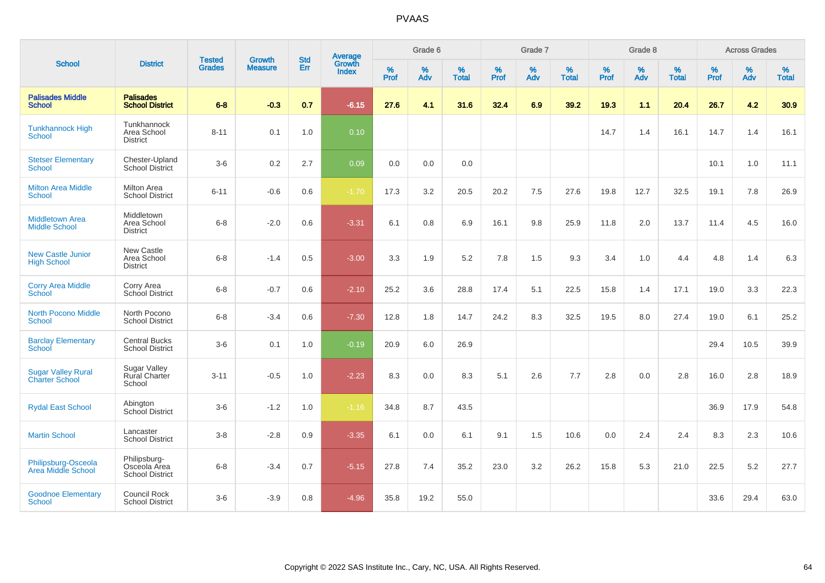| <b>School</b>                                      |                                                        |                                |                                 | <b>Std</b> |                                          |              | Grade 6     |                   |                  | Grade 7         |                   |                     | Grade 8  |                   |              | <b>Across Grades</b> |                   |
|----------------------------------------------------|--------------------------------------------------------|--------------------------------|---------------------------------|------------|------------------------------------------|--------------|-------------|-------------------|------------------|-----------------|-------------------|---------------------|----------|-------------------|--------------|----------------------|-------------------|
|                                                    | <b>District</b>                                        | <b>Tested</b><br><b>Grades</b> | <b>Growth</b><br><b>Measure</b> | Err        | <b>Average</b><br>Growth<br><b>Index</b> | $\%$<br>Prof | $\%$<br>Adv | %<br><b>Total</b> | %<br><b>Prof</b> | %<br><b>Adv</b> | %<br><b>Total</b> | $\%$<br><b>Prof</b> | %<br>Adv | %<br><b>Total</b> | $\%$<br>Prof | $\%$<br>Adv          | %<br><b>Total</b> |
| <b>Palisades Middle</b><br><b>School</b>           | <b>Palisades</b><br><b>School District</b>             | $6 - 8$                        | $-0.3$                          | 0.7        | $-6.15$                                  | 27.6         | 4.1         | 31.6              | 32.4             | 6.9             | 39.2              | 19.3                | 1.1      | 20.4              | 26.7         | 4.2                  | 30.9              |
| <b>Tunkhannock High</b><br><b>School</b>           | Tunkhannock<br>Area School<br><b>District</b>          | $8 - 11$                       | 0.1                             | 1.0        | 0.10                                     |              |             |                   |                  |                 |                   | 14.7                | 1.4      | 16.1              | 14.7         | 1.4                  | 16.1              |
| <b>Stetser Elementary</b><br><b>School</b>         | Chester-Upland<br>School District                      | $3-6$                          | 0.2                             | 2.7        | 0.09                                     | 0.0          | 0.0         | 0.0               |                  |                 |                   |                     |          |                   | 10.1         | 1.0                  | 11.1              |
| <b>Milton Area Middle</b><br><b>School</b>         | <b>Milton Area</b><br><b>School District</b>           | $6 - 11$                       | $-0.6$                          | 0.6        | $-1.70$                                  | 17.3         | 3.2         | 20.5              | 20.2             | 7.5             | 27.6              | 19.8                | 12.7     | 32.5              | 19.1         | 7.8                  | 26.9              |
| <b>Middletown Area</b><br><b>Middle School</b>     | Middletown<br>Area School<br><b>District</b>           | $6 - 8$                        | $-2.0$                          | 0.6        | $-3.31$                                  | 6.1          | 0.8         | 6.9               | 16.1             | 9.8             | 25.9              | 11.8                | 2.0      | 13.7              | 11.4         | 4.5                  | 16.0              |
| <b>New Castle Junior</b><br><b>High School</b>     | New Castle<br>Area School<br><b>District</b>           | $6 - 8$                        | $-1.4$                          | 0.5        | $-3.00$                                  | 3.3          | 1.9         | 5.2               | 7.8              | 1.5             | 9.3               | 3.4                 | 1.0      | 4.4               | 4.8          | 1.4                  | 6.3               |
| <b>Corry Area Middle</b><br><b>School</b>          | Corry Area<br>School District                          | $6 - 8$                        | $-0.7$                          | 0.6        | $-2.10$                                  | 25.2         | 3.6         | 28.8              | 17.4             | 5.1             | 22.5              | 15.8                | 1.4      | 17.1              | 19.0         | 3.3                  | 22.3              |
| <b>North Pocono Middle</b><br><b>School</b>        | North Pocono<br><b>School District</b>                 | $6 - 8$                        | $-3.4$                          | 0.6        | $-7.30$                                  | 12.8         | 1.8         | 14.7              | 24.2             | 8.3             | 32.5              | 19.5                | 8.0      | 27.4              | 19.0         | 6.1                  | 25.2              |
| <b>Barclay Elementary</b><br>School                | <b>Central Bucks</b><br><b>School District</b>         | $3-6$                          | 0.1                             | 1.0        | $-0.19$                                  | 20.9         | 6.0         | 26.9              |                  |                 |                   |                     |          |                   | 29.4         | 10.5                 | 39.9              |
| <b>Sugar Valley Rural</b><br><b>Charter School</b> | <b>Sugar Valley</b><br><b>Rural Charter</b><br>School  | $3 - 11$                       | $-0.5$                          | 1.0        | $-2.23$                                  | 8.3          | 0.0         | 8.3               | 5.1              | 2.6             | 7.7               | 2.8                 | 0.0      | 2.8               | 16.0         | 2.8                  | 18.9              |
| <b>Rydal East School</b>                           | Abington<br>School District                            | $3-6$                          | $-1.2$                          | 1.0        | $-1.16$                                  | 34.8         | 8.7         | 43.5              |                  |                 |                   |                     |          |                   | 36.9         | 17.9                 | 54.8              |
| <b>Martin School</b>                               | Lancaster<br><b>School District</b>                    | $3-8$                          | $-2.8$                          | 0.9        | $-3.35$                                  | 6.1          | 0.0         | 6.1               | 9.1              | 1.5             | 10.6              | 0.0                 | 2.4      | 2.4               | 8.3          | 2.3                  | 10.6              |
| Philipsburg-Osceola<br>Area Middle School          | Philipsburg-<br>Osceola Area<br><b>School District</b> | $6 - 8$                        | $-3.4$                          | 0.7        | $-5.15$                                  | 27.8         | 7.4         | 35.2              | 23.0             | 3.2             | 26.2              | 15.8                | 5.3      | 21.0              | 22.5         | 5.2                  | 27.7              |
| <b>Goodnoe Elementary</b><br><b>School</b>         | Council Rock<br><b>School District</b>                 | $3-6$                          | $-3.9$                          | 0.8        | $-4.96$                                  | 35.8         | 19.2        | 55.0              |                  |                 |                   |                     |          |                   | 33.6         | 29.4                 | 63.0              |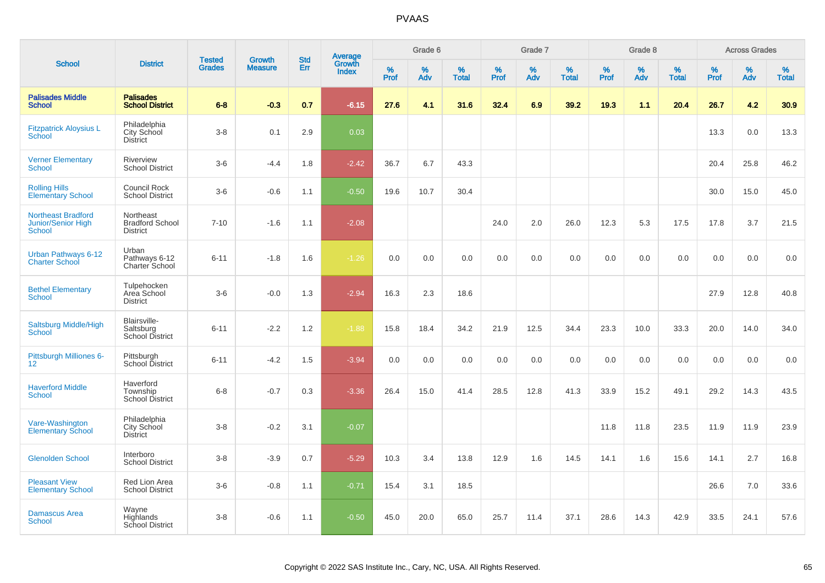| <b>School</b>                                                    |                                                        |                                |                          | <b>Std</b> |                                   |                  | Grade 6     |                   |              | Grade 7     |                      |                     | Grade 8  |                   |              | <b>Across Grades</b> |                   |
|------------------------------------------------------------------|--------------------------------------------------------|--------------------------------|--------------------------|------------|-----------------------------------|------------------|-------------|-------------------|--------------|-------------|----------------------|---------------------|----------|-------------------|--------------|----------------------|-------------------|
|                                                                  | <b>District</b>                                        | <b>Tested</b><br><b>Grades</b> | Growth<br><b>Measure</b> | Err        | Average<br>Growth<br><b>Index</b> | %<br><b>Prof</b> | $\%$<br>Adv | %<br><b>Total</b> | $\%$<br>Prof | $\%$<br>Adv | $\%$<br><b>Total</b> | $\%$<br><b>Prof</b> | %<br>Adv | %<br><b>Total</b> | $\%$<br>Prof | $\%$<br>Adv          | %<br><b>Total</b> |
| <b>Palisades Middle</b><br><b>School</b>                         | <b>Palisades</b><br><b>School District</b>             | $6 - 8$                        | $-0.3$                   | 0.7        | $-6.15$                           | 27.6             | 4.1         | 31.6              | 32.4         | 6.9         | 39.2                 | 19.3                | 1.1      | 20.4              | 26.7         | 4.2                  | 30.9              |
| <b>Fitzpatrick Aloysius L</b><br>School                          | Philadelphia<br>City School<br><b>District</b>         | $3 - 8$                        | 0.1                      | 2.9        | 0.03                              |                  |             |                   |              |             |                      |                     |          |                   | 13.3         | 0.0                  | 13.3              |
| <b>Verner Elementary</b><br><b>School</b>                        | Riverview<br><b>School District</b>                    | $3-6$                          | $-4.4$                   | 1.8        | $-2.42$                           | 36.7             | 6.7         | 43.3              |              |             |                      |                     |          |                   | 20.4         | 25.8                 | 46.2              |
| <b>Rolling Hills</b><br><b>Elementary School</b>                 | Council Rock<br><b>School District</b>                 | $3-6$                          | $-0.6$                   | 1.1        | $-0.50$                           | 19.6             | 10.7        | 30.4              |              |             |                      |                     |          |                   | 30.0         | 15.0                 | 45.0              |
| <b>Northeast Bradford</b><br><b>Junior/Senior High</b><br>School | Northeast<br><b>Bradford School</b><br><b>District</b> | $7 - 10$                       | $-1.6$                   | 1.1        | $-2.08$                           |                  |             |                   | 24.0         | 2.0         | 26.0                 | 12.3                | 5.3      | 17.5              | 17.8         | 3.7                  | 21.5              |
| Urban Pathways 6-12<br><b>Charter School</b>                     | Urban<br>Pathways 6-12<br>Charter School               | $6 - 11$                       | $-1.8$                   | 1.6        | $-1.26$                           | 0.0              | 0.0         | 0.0               | 0.0          | 0.0         | 0.0                  | 0.0                 | 0.0      | 0.0               | 0.0          | 0.0                  | 0.0               |
| <b>Bethel Elementary</b><br>School                               | Tulpehocken<br>Area School<br><b>District</b>          | $3-6$                          | $-0.0$                   | 1.3        | $-2.94$                           | 16.3             | 2.3         | 18.6              |              |             |                      |                     |          |                   | 27.9         | 12.8                 | 40.8              |
| Saltsburg Middle/High<br><b>School</b>                           | Blairsville-<br>Saltsburg<br><b>School District</b>    | $6 - 11$                       | $-2.2$                   | 1.2        | $-1.88$                           | 15.8             | 18.4        | 34.2              | 21.9         | 12.5        | 34.4                 | 23.3                | 10.0     | 33.3              | 20.0         | 14.0                 | 34.0              |
| Pittsburgh Milliones 6-<br>12 <sup>2</sup>                       | Pittsburgh<br>School District                          | $6 - 11$                       | $-4.2$                   | 1.5        | $-3.94$                           | 0.0              | 0.0         | 0.0               | 0.0          | 0.0         | 0.0                  | 0.0                 | 0.0      | 0.0               | 0.0          | 0.0                  | 0.0               |
| <b>Haverford Middle</b><br><b>School</b>                         | Haverford<br>Township<br><b>School District</b>        | $6 - 8$                        | $-0.7$                   | 0.3        | $-3.36$                           | 26.4             | 15.0        | 41.4              | 28.5         | 12.8        | 41.3                 | 33.9                | 15.2     | 49.1              | 29.2         | 14.3                 | 43.5              |
| Vare-Washington<br><b>Elementary School</b>                      | Philadelphia<br>City School<br><b>District</b>         | $3-8$                          | $-0.2$                   | 3.1        | $-0.07$                           |                  |             |                   |              |             |                      | 11.8                | 11.8     | 23.5              | 11.9         | 11.9                 | 23.9              |
| <b>Glenolden School</b>                                          | Interboro<br><b>School District</b>                    | $3 - 8$                        | $-3.9$                   | 0.7        | $-5.29$                           | 10.3             | 3.4         | 13.8              | 12.9         | 1.6         | 14.5                 | 14.1                | 1.6      | 15.6              | 14.1         | 2.7                  | 16.8              |
| <b>Pleasant View</b><br><b>Elementary School</b>                 | Red Lion Area<br><b>School District</b>                | $3-6$                          | $-0.8$                   | 1.1        | $-0.71$                           | 15.4             | 3.1         | 18.5              |              |             |                      |                     |          |                   | 26.6         | 7.0                  | 33.6              |
| <b>Damascus Area</b><br><b>School</b>                            | Wayne<br>Highlands<br><b>School District</b>           | $3 - 8$                        | $-0.6$                   | 1.1        | $-0.50$                           | 45.0             | 20.0        | 65.0              | 25.7         | 11.4        | 37.1                 | 28.6                | 14.3     | 42.9              | 33.5         | 24.1                 | 57.6              |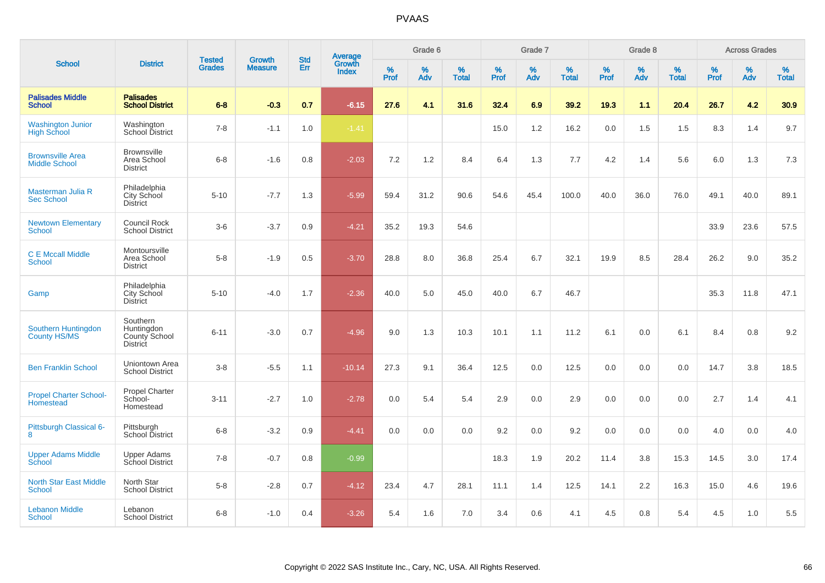|                                                 |                                                            |                                |                                 |                   |                                          |                  | Grade 6     |                   |           | Grade 7  |                   |           | Grade 8     |                   |           | <b>Across Grades</b> |                   |
|-------------------------------------------------|------------------------------------------------------------|--------------------------------|---------------------------------|-------------------|------------------------------------------|------------------|-------------|-------------------|-----------|----------|-------------------|-----------|-------------|-------------------|-----------|----------------------|-------------------|
| <b>School</b>                                   | <b>District</b>                                            | <b>Tested</b><br><b>Grades</b> | <b>Growth</b><br><b>Measure</b> | <b>Std</b><br>Err | <b>Average</b><br>Growth<br><b>Index</b> | %<br><b>Prof</b> | $\%$<br>Adv | %<br><b>Total</b> | %<br>Prof | %<br>Adv | %<br><b>Total</b> | %<br>Prof | $\%$<br>Adv | %<br><b>Total</b> | %<br>Prof | $\%$<br>Adv          | %<br><b>Total</b> |
| <b>Palisades Middle</b><br><b>School</b>        | <b>Palisades</b><br><b>School District</b>                 | $6 - 8$                        | $-0.3$                          | 0.7               | $-6.15$                                  | 27.6             | 4.1         | 31.6              | 32.4      | 6.9      | 39.2              | 19.3      | 1.1         | 20.4              | 26.7      | 4.2                  | 30.9              |
| <b>Washington Junior</b><br><b>High School</b>  | Washington<br>School District                              | $7 - 8$                        | $-1.1$                          | 1.0               | $-1.41$                                  |                  |             |                   | 15.0      | 1.2      | 16.2              | 0.0       | 1.5         | 1.5               | 8.3       | 1.4                  | 9.7               |
| <b>Brownsville Area</b><br><b>Middle School</b> | <b>Brownsville</b><br>Area School<br><b>District</b>       | $6 - 8$                        | $-1.6$                          | 0.8               | $-2.03$                                  | 7.2              | 1.2         | 8.4               | 6.4       | 1.3      | 7.7               | 4.2       | 1.4         | 5.6               | 6.0       | 1.3                  | 7.3               |
| Masterman Julia R<br><b>Sec School</b>          | Philadelphia<br>City School<br><b>District</b>             | $5 - 10$                       | $-7.7$                          | 1.3               | $-5.99$                                  | 59.4             | 31.2        | 90.6              | 54.6      | 45.4     | 100.0             | 40.0      | 36.0        | 76.0              | 49.1      | 40.0                 | 89.1              |
| <b>Newtown Elementary</b><br>School             | <b>Council Rock</b><br><b>School District</b>              | $3-6$                          | $-3.7$                          | 0.9               | $-4.21$                                  | 35.2             | 19.3        | 54.6              |           |          |                   |           |             |                   | 33.9      | 23.6                 | 57.5              |
| <b>C E Mccall Middle</b><br><b>School</b>       | Montoursville<br>Area School<br><b>District</b>            | $5-8$                          | $-1.9$                          | 0.5               | $-3.70$                                  | 28.8             | 8.0         | 36.8              | 25.4      | 6.7      | 32.1              | 19.9      | 8.5         | 28.4              | 26.2      | 9.0                  | 35.2              |
| Gamp                                            | Philadelphia<br><b>City School</b><br><b>District</b>      | $5 - 10$                       | $-4.0$                          | 1.7               | $-2.36$                                  | 40.0             | 5.0         | 45.0              | 40.0      | 6.7      | 46.7              |           |             |                   | 35.3      | 11.8                 | 47.1              |
| Southern Huntingdon<br>County HS/MS             | Southern<br>Huntingdon<br>County School<br><b>District</b> | $6 - 11$                       | $-3.0$                          | 0.7               | $-4.96$                                  | 9.0              | 1.3         | 10.3              | 10.1      | 1.1      | 11.2              | 6.1       | 0.0         | 6.1               | 8.4       | 0.8                  | 9.2               |
| <b>Ben Franklin School</b>                      | Uniontown Area<br><b>School District</b>                   | $3-8$                          | $-5.5$                          | 1.1               | $-10.14$                                 | 27.3             | 9.1         | 36.4              | 12.5      | 0.0      | 12.5              | 0.0       | 0.0         | 0.0               | 14.7      | 3.8                  | 18.5              |
| <b>Propel Charter School-</b><br>Homestead      | Propel Charter<br>School-<br>Homestead                     | $3 - 11$                       | $-2.7$                          | 1.0               | $-2.78$                                  | 0.0              | 5.4         | 5.4               | 2.9       | 0.0      | 2.9               | 0.0       | 0.0         | 0.0               | 2.7       | 1.4                  | 4.1               |
| Pittsburgh Classical 6-<br>8                    | Pittsburgh<br>School District                              | $6 - 8$                        | $-3.2$                          | 0.9               | $-4.41$                                  | 0.0              | 0.0         | 0.0               | 9.2       | 0.0      | 9.2               | 0.0       | 0.0         | 0.0               | 4.0       | 0.0                  | 4.0               |
| <b>Upper Adams Middle</b><br>School             | <b>Upper Adams</b><br>School District                      | $7 - 8$                        | $-0.7$                          | 0.8               | $-0.99$                                  |                  |             |                   | 18.3      | 1.9      | 20.2              | 11.4      | 3.8         | 15.3              | 14.5      | 3.0                  | 17.4              |
| <b>North Star East Middle</b><br><b>School</b>  | North Star<br><b>School District</b>                       | $5-8$                          | $-2.8$                          | 0.7               | $-4.12$                                  | 23.4             | 4.7         | 28.1              | 11.1      | 1.4      | 12.5              | 14.1      | 2.2         | 16.3              | 15.0      | 4.6                  | 19.6              |
| <b>Lebanon Middle</b><br><b>School</b>          | Lebanon<br><b>School District</b>                          | $6 - 8$                        | $-1.0$                          | 0.4               | $-3.26$                                  | 5.4              | 1.6         | 7.0               | 3.4       | 0.6      | 4.1               | 4.5       | 0.8         | 5.4               | 4.5       | 1.0                  | 5.5               |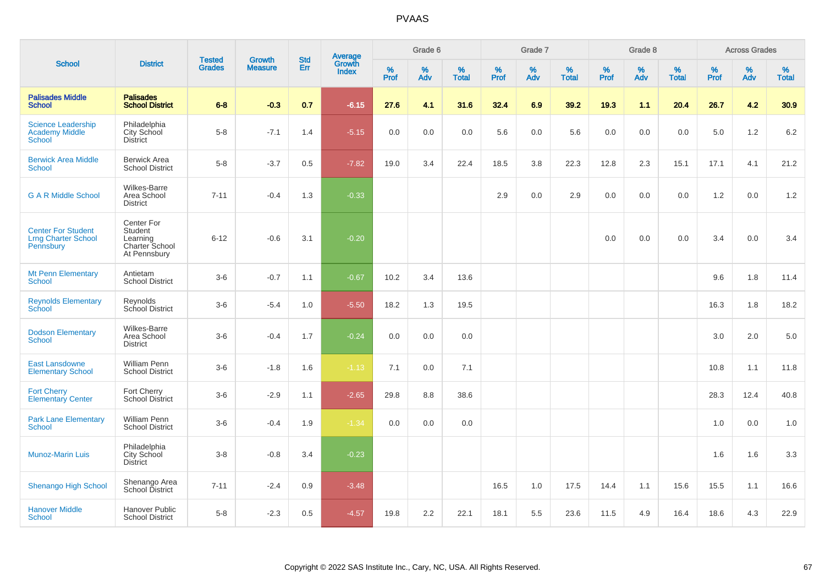| <b>School</b>                                                        |                                                                     | <b>Tested</b> | <b>Growth</b>  | <b>Std</b> |                                          |                  | Grade 6  |                   |           | Grade 7  |                   |           | Grade 8  |                   |           | <b>Across Grades</b> |                   |
|----------------------------------------------------------------------|---------------------------------------------------------------------|---------------|----------------|------------|------------------------------------------|------------------|----------|-------------------|-----------|----------|-------------------|-----------|----------|-------------------|-----------|----------------------|-------------------|
|                                                                      | <b>District</b>                                                     | <b>Grades</b> | <b>Measure</b> | Err        | <b>Average</b><br>Growth<br><b>Index</b> | %<br><b>Prof</b> | %<br>Adv | %<br><b>Total</b> | %<br>Prof | %<br>Adv | %<br><b>Total</b> | %<br>Prof | %<br>Adv | %<br><b>Total</b> | %<br>Prof | %<br>Adv             | %<br><b>Total</b> |
| <b>Palisades Middle</b><br><b>School</b>                             | <b>Palisades</b><br><b>School District</b>                          | $6 - 8$       | $-0.3$         | 0.7        | $-6.15$                                  | 27.6             | 4.1      | 31.6              | 32.4      | 6.9      | 39.2              | 19.3      | 1.1      | 20.4              | 26.7      | 4.2                  | 30.9              |
| <b>Science Leadership</b><br><b>Academy Middle</b><br><b>School</b>  | Philadelphia<br>City School<br>District                             | $5-8$         | $-7.1$         | 1.4        | $-5.15$                                  | 0.0              | 0.0      | 0.0               | 5.6       | 0.0      | 5.6               | 0.0       | 0.0      | 0.0               | 5.0       | 1.2                  | $6.2\,$           |
| <b>Berwick Area Middle</b><br><b>School</b>                          | <b>Berwick Area</b><br><b>School District</b>                       | $5-8$         | $-3.7$         | 0.5        | $-7.82$                                  | 19.0             | 3.4      | 22.4              | 18.5      | 3.8      | 22.3              | 12.8      | 2.3      | 15.1              | 17.1      | 4.1                  | 21.2              |
| <b>G A R Middle School</b>                                           | Wilkes-Barre<br>Area School<br><b>District</b>                      | $7 - 11$      | $-0.4$         | 1.3        | $-0.33$                                  |                  |          |                   | 2.9       | 0.0      | 2.9               | 0.0       | 0.0      | 0.0               | 1.2       | 0.0                  | 1.2               |
| <b>Center For Student</b><br><b>Lrng Charter School</b><br>Pennsbury | Center For<br>Student<br>Learning<br>Charter School<br>At Pennsbury | $6 - 12$      | $-0.6$         | 3.1        | $-0.20$                                  |                  |          |                   |           |          |                   | 0.0       | 0.0      | 0.0               | 3.4       | 0.0                  | 3.4               |
| <b>Mt Penn Elementary</b><br><b>School</b>                           | Antietam<br><b>School District</b>                                  | $3-6$         | $-0.7$         | 1.1        | $-0.67$                                  | 10.2             | 3.4      | 13.6              |           |          |                   |           |          |                   | 9.6       | 1.8                  | 11.4              |
| <b>Reynolds Elementary</b><br><b>School</b>                          | Reynolds<br>School District                                         | $3-6$         | $-5.4$         | 1.0        | $-5.50$                                  | 18.2             | 1.3      | 19.5              |           |          |                   |           |          |                   | 16.3      | 1.8                  | 18.2              |
| <b>Dodson Elementary</b><br><b>School</b>                            | Wilkes-Barre<br>Area School<br><b>District</b>                      | $3-6$         | $-0.4$         | 1.7        | $-0.24$                                  | 0.0              | 0.0      | 0.0               |           |          |                   |           |          |                   | 3.0       | 2.0                  | 5.0               |
| <b>East Lansdowne</b><br><b>Elementary School</b>                    | <b>William Penn</b><br><b>School District</b>                       | $3-6$         | $-1.8$         | 1.6        | $-1.13$                                  | 7.1              | 0.0      | 7.1               |           |          |                   |           |          |                   | 10.8      | 1.1                  | 11.8              |
| <b>Fort Cherry</b><br><b>Elementary Center</b>                       | Fort Cherry<br><b>School District</b>                               | $3-6$         | $-2.9$         | 1.1        | $-2.65$                                  | 29.8             | 8.8      | 38.6              |           |          |                   |           |          |                   | 28.3      | 12.4                 | 40.8              |
| <b>Park Lane Elementary</b><br><b>School</b>                         | <b>William Penn</b><br><b>School District</b>                       | $3-6$         | $-0.4$         | 1.9        | $-1.34$                                  | 0.0              | 0.0      | 0.0               |           |          |                   |           |          |                   | 1.0       | 0.0                  | 1.0               |
| <b>Munoz-Marin Luis</b>                                              | Philadelphia<br>City School<br><b>District</b>                      | $3 - 8$       | $-0.8$         | 3.4        | $-0.23$                                  |                  |          |                   |           |          |                   |           |          |                   | 1.6       | 1.6                  | 3.3               |
| <b>Shenango High School</b>                                          | Shenango Area<br>School District                                    | $7 - 11$      | $-2.4$         | 0.9        | $-3.48$                                  |                  |          |                   | 16.5      | 1.0      | 17.5              | 14.4      | 1.1      | 15.6              | 15.5      | 1.1                  | 16.6              |
| <b>Hanover Middle</b><br>School                                      | <b>Hanover Public</b><br><b>School District</b>                     | $5-8$         | $-2.3$         | 0.5        | $-4.57$                                  | 19.8             | 2.2      | 22.1              | 18.1      | 5.5      | 23.6              | 11.5      | 4.9      | 16.4              | 18.6      | 4.3                  | 22.9              |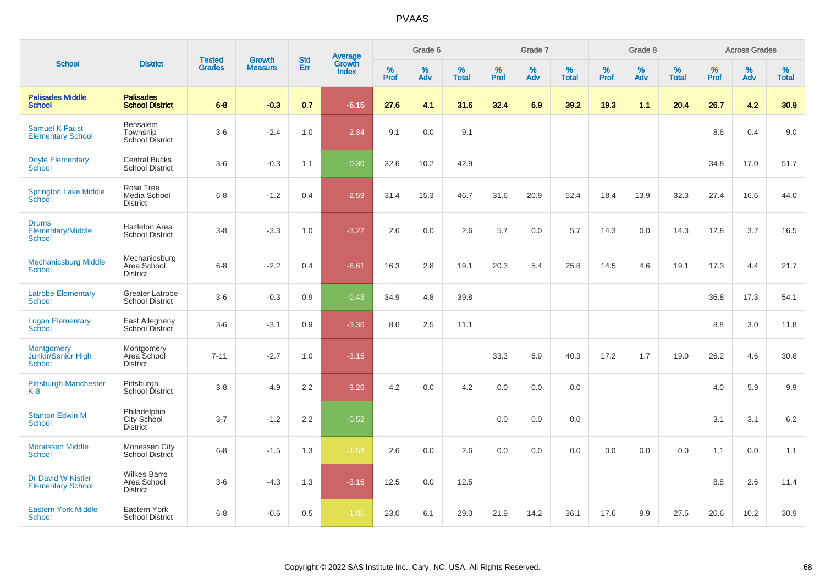|                                                          |                                                       |                                |                                 |                   |                                          |           | Grade 6  |                   |           | Grade 7  |                   |           | Grade 8  |                   |           | <b>Across Grades</b> |                   |
|----------------------------------------------------------|-------------------------------------------------------|--------------------------------|---------------------------------|-------------------|------------------------------------------|-----------|----------|-------------------|-----------|----------|-------------------|-----------|----------|-------------------|-----------|----------------------|-------------------|
| <b>School</b>                                            | <b>District</b>                                       | <b>Tested</b><br><b>Grades</b> | <b>Growth</b><br><b>Measure</b> | <b>Std</b><br>Err | <b>Average</b><br>Growth<br><b>Index</b> | %<br>Prof | %<br>Adv | %<br><b>Total</b> | %<br>Prof | %<br>Adv | %<br><b>Total</b> | %<br>Prof | %<br>Adv | %<br><b>Total</b> | %<br>Prof | %<br>Adv             | %<br><b>Total</b> |
| <b>Palisades Middle</b><br><b>School</b>                 | <b>Palisades</b><br><b>School District</b>            | $6 - 8$                        | $-0.3$                          | 0.7               | $-6.15$                                  | 27.6      | 4.1      | 31.6              | 32.4      | 6.9      | 39.2              | 19.3      | 1.1      | 20.4              | 26.7      | 4.2                  | 30.9              |
| <b>Samuel K Faust</b><br><b>Elementary School</b>        | Bensalem<br>Township<br>School District               | $3-6$                          | $-2.4$                          | 1.0               | $-2.34$                                  | 9.1       | 0.0      | 9.1               |           |          |                   |           |          |                   | 8.6       | 0.4                  | 9.0               |
| <b>Doyle Elementary</b><br>School                        | <b>Central Bucks</b><br><b>School District</b>        | $3-6$                          | $-0.3$                          | 1.1               | $-0.30$                                  | 32.6      | 10.2     | 42.9              |           |          |                   |           |          |                   | 34.8      | 17.0                 | 51.7              |
| <b>Springton Lake Middle</b><br>School                   | Rose Tree<br>Media School<br><b>District</b>          | $6-8$                          | $-1.2$                          | 0.4               | $-2.59$                                  | 31.4      | 15.3     | 46.7              | 31.6      | 20.9     | 52.4              | 18.4      | 13.9     | 32.3              | 27.4      | 16.6                 | 44.0              |
| <b>Drums</b><br>Elementary/Middle<br><b>School</b>       | Hazleton Area<br><b>School District</b>               | $3-8$                          | $-3.3$                          | 1.0               | $-3.22$                                  | 2.6       | 0.0      | 2.6               | 5.7       | 0.0      | 5.7               | 14.3      | 0.0      | 14.3              | 12.8      | 3.7                  | 16.5              |
| <b>Mechanicsburg Middle</b><br><b>School</b>             | Mechanicsburg<br>Area School<br><b>District</b>       | $6 - 8$                        | $-2.2$                          | 0.4               | $-6.61$                                  | 16.3      | 2.8      | 19.1              | 20.3      | 5.4      | 25.8              | 14.5      | 4.6      | 19.1              | 17.3      | 4.4                  | 21.7              |
| <b>Latrobe Elementary</b><br><b>School</b>               | <b>Greater Latrobe</b><br><b>School District</b>      | $3-6$                          | $-0.3$                          | 0.9               | $-0.43$                                  | 34.9      | 4.8      | 39.8              |           |          |                   |           |          |                   | 36.8      | 17.3                 | 54.1              |
| <b>Logan Elementary</b><br>School                        | East Allegheny<br>School District                     | $3-6$                          | $-3.1$                          | 0.9               | $-3.36$                                  | 8.6       | 2.5      | 11.1              |           |          |                   |           |          |                   | 8.8       | 3.0                  | 11.8              |
| <b>Montgomery</b><br>Junior/Senior High<br><b>School</b> | Montgomery<br>Area School<br><b>District</b>          | $7 - 11$                       | $-2.7$                          | 1.0               | $-3.15$                                  |           |          |                   | 33.3      | 6.9      | 40.3              | 17.2      | 1.7      | 19.0              | 26.2      | 4.6                  | 30.8              |
| <b>Pittsburgh Manchester</b><br>$K-8$                    | Pittsburgh<br>School District                         | $3 - 8$                        | $-4.9$                          | 2.2               | $-3.26$                                  | 4.2       | 0.0      | 4.2               | 0.0       | 0.0      | 0.0               |           |          |                   | 4.0       | 5.9                  | 9.9               |
| <b>Stanton Edwin M</b><br><b>School</b>                  | Philadelphia<br>City School<br><b>District</b>        | $3 - 7$                        | $-1.2$                          | 2.2               | $-0.52$                                  |           |          |                   | 0.0       | 0.0      | 0.0               |           |          |                   | 3.1       | 3.1                  | 6.2               |
| <b>Monessen Middle</b><br><b>School</b>                  | Monessen City<br><b>School District</b>               | $6 - 8$                        | $-1.5$                          | 1.3               | $-1.54$                                  | 2.6       | 0.0      | 2.6               | 0.0       | 0.0      | 0.0               | 0.0       | 0.0      | 0.0               | 1.1       | 0.0                  | 1.1               |
| Dr David W Kistler<br><b>Elementary School</b>           | <b>Wilkes-Barre</b><br>Area School<br><b>District</b> | $3-6$                          | $-4.3$                          | 1.3               | $-3.16$                                  | 12.5      | 0.0      | 12.5              |           |          |                   |           |          |                   | 8.8       | 2.6                  | 11.4              |
| <b>Eastern York Middle</b><br>School                     | Eastern York<br><b>School District</b>                | $6 - 8$                        | $-0.6$                          | 0.5               | $-1.06$                                  | 23.0      | 6.1      | 29.0              | 21.9      | 14.2     | 36.1              | 17.6      | 9.9      | 27.5              | 20.6      | 10.2                 | 30.9              |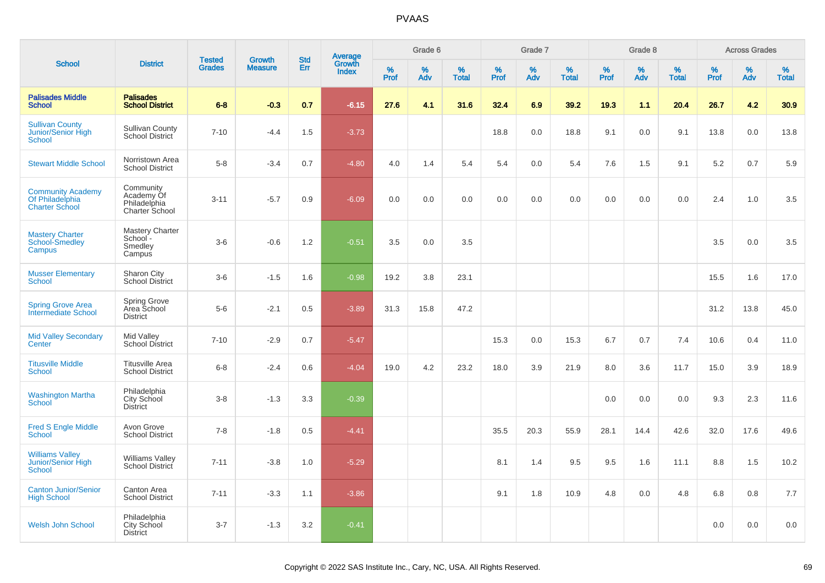| <b>School</b>                                                        |                                                           |                                | <b>Growth</b>  | <b>Std</b> |                                   |                  | Grade 6     |                   |              | Grade 7  |                      |              | Grade 8     |                   |              | <b>Across Grades</b> |                   |
|----------------------------------------------------------------------|-----------------------------------------------------------|--------------------------------|----------------|------------|-----------------------------------|------------------|-------------|-------------------|--------------|----------|----------------------|--------------|-------------|-------------------|--------------|----------------------|-------------------|
|                                                                      | <b>District</b>                                           | <b>Tested</b><br><b>Grades</b> | <b>Measure</b> | Err        | Average<br>Growth<br><b>Index</b> | %<br><b>Prof</b> | $\%$<br>Adv | %<br><b>Total</b> | $\%$<br>Prof | %<br>Adv | $\%$<br><b>Total</b> | $\%$<br>Prof | $\%$<br>Adv | %<br><b>Total</b> | $\%$<br>Prof | %<br>Adv             | %<br><b>Total</b> |
| <b>Palisades Middle</b><br><b>School</b>                             | <b>Palisades</b><br><b>School District</b>                | $6 - 8$                        | $-0.3$         | 0.7        | $-6.15$                           | 27.6             | 4.1         | 31.6              | 32.4         | 6.9      | 39.2                 | 19.3         | 1.1         | 20.4              | 26.7         | 4.2                  | 30.9              |
| <b>Sullivan County</b><br>Junior/Senior High<br><b>School</b>        | <b>Sullivan County</b><br>School District                 | $7 - 10$                       | $-4.4$         | 1.5        | $-3.73$                           |                  |             |                   | 18.8         | 0.0      | 18.8                 | 9.1          | 0.0         | 9.1               | 13.8         | 0.0                  | 13.8              |
| <b>Stewart Middle School</b>                                         | Norristown Area<br><b>School District</b>                 | $5 - 8$                        | $-3.4$         | 0.7        | $-4.80$                           | 4.0              | 1.4         | 5.4               | 5.4          | 0.0      | 5.4                  | 7.6          | 1.5         | 9.1               | 5.2          | 0.7                  | 5.9               |
| <b>Community Academy</b><br>Of Philadelphia<br><b>Charter School</b> | Community<br>Academy Of<br>Philadelphia<br>Charter School | $3 - 11$                       | $-5.7$         | 0.9        | $-6.09$                           | 0.0              | $0.0\,$     | 0.0               | 0.0          | 0.0      | 0.0                  | 0.0          | 0.0         | 0.0               | 2.4          | 1.0                  | 3.5               |
| <b>Mastery Charter</b><br><b>School-Smedley</b><br>Campus            | <b>Mastery Charter</b><br>School -<br>Smedley<br>Campus   | $3-6$                          | $-0.6$         | 1.2        | $-0.51$                           | 3.5              | 0.0         | 3.5               |              |          |                      |              |             |                   | 3.5          | 0.0                  | 3.5               |
| <b>Musser Elementary</b><br><b>School</b>                            | Sharon City<br>School District                            | $3-6$                          | $-1.5$         | 1.6        | $-0.98$                           | 19.2             | 3.8         | 23.1              |              |          |                      |              |             |                   | 15.5         | 1.6                  | 17.0              |
| <b>Spring Grove Area</b><br>Intermediate School                      | Spring Grove<br>Area School<br><b>District</b>            | $5-6$                          | $-2.1$         | 0.5        | $-3.89$                           | 31.3             | 15.8        | 47.2              |              |          |                      |              |             |                   | 31.2         | 13.8                 | 45.0              |
| <b>Mid Valley Secondary</b><br>Center                                | Mid Valley<br>School District                             | $7 - 10$                       | $-2.9$         | 0.7        | $-5.47$                           |                  |             |                   | 15.3         | 0.0      | 15.3                 | 6.7          | 0.7         | 7.4               | 10.6         | 0.4                  | 11.0              |
| <b>Titusville Middle</b><br><b>School</b>                            | <b>Titusville Area</b><br><b>School District</b>          | $6 - 8$                        | $-2.4$         | 0.6        | $-4.04$                           | 19.0             | 4.2         | 23.2              | 18.0         | 3.9      | 21.9                 | 8.0          | 3.6         | 11.7              | 15.0         | 3.9                  | 18.9              |
| <b>Washington Martha</b><br><b>School</b>                            | Philadelphia<br>City School<br><b>District</b>            | $3 - 8$                        | $-1.3$         | 3.3        | $-0.39$                           |                  |             |                   |              |          |                      | 0.0          | 0.0         | 0.0               | 9.3          | 2.3                  | 11.6              |
| <b>Fred S Engle Middle</b><br><b>School</b>                          | Avon Grove<br><b>School District</b>                      | $7 - 8$                        | $-1.8$         | 0.5        | $-4.41$                           |                  |             |                   | 35.5         | 20.3     | 55.9                 | 28.1         | 14.4        | 42.6              | 32.0         | 17.6                 | 49.6              |
| <b>Williams Valley</b><br>Junior/Senior High<br><b>School</b>        | <b>Williams Valley</b><br>School District                 | $7 - 11$                       | $-3.8$         | 1.0        | $-5.29$                           |                  |             |                   | 8.1          | 1.4      | 9.5                  | 9.5          | 1.6         | 11.1              | 8.8          | 1.5                  | 10.2              |
| <b>Canton Junior/Senior</b><br><b>High School</b>                    | Canton Area<br><b>School District</b>                     | $7 - 11$                       | $-3.3$         | 1.1        | $-3.86$                           |                  |             |                   | 9.1          | 1.8      | 10.9                 | 4.8          | 0.0         | 4.8               | 6.8          | 0.8                  | 7.7               |
| Welsh John School                                                    | Philadelphia<br><b>City School</b><br><b>District</b>     | $3 - 7$                        | $-1.3$         | 3.2        | $-0.41$                           |                  |             |                   |              |          |                      |              |             |                   | 0.0          | 0.0                  | 0.0               |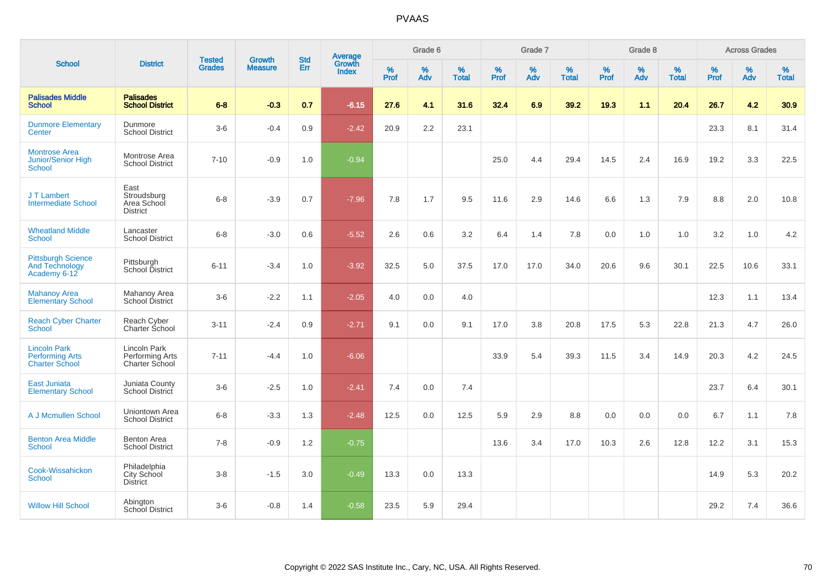| <b>School</b>                                                          |                                                       |                                | <b>Growth</b>  |                   |                                          |                  | Grade 6     |                   |           | Grade 7  |                   |           | Grade 8  |                   |              | <b>Across Grades</b> |                   |
|------------------------------------------------------------------------|-------------------------------------------------------|--------------------------------|----------------|-------------------|------------------------------------------|------------------|-------------|-------------------|-----------|----------|-------------------|-----------|----------|-------------------|--------------|----------------------|-------------------|
|                                                                        | <b>District</b>                                       | <b>Tested</b><br><b>Grades</b> | <b>Measure</b> | <b>Std</b><br>Err | <b>Average</b><br>Growth<br><b>Index</b> | %<br><b>Prof</b> | $\%$<br>Adv | %<br><b>Total</b> | %<br>Prof | %<br>Adv | %<br><b>Total</b> | %<br>Prof | %<br>Adv | %<br><b>Total</b> | $\%$<br>Prof | $\%$<br>Adv          | %<br><b>Total</b> |
| <b>Palisades Middle</b><br><b>School</b>                               | <b>Palisades</b><br><b>School District</b>            | $6-8$                          | $-0.3$         | 0.7               | $-6.15$                                  | 27.6             | 4.1         | 31.6              | 32.4      | 6.9      | 39.2              | 19.3      | 1.1      | 20.4              | 26.7         | 4.2                  | 30.9              |
| <b>Dunmore Elementary</b><br>Center                                    | Dunmore<br><b>School District</b>                     | $3-6$                          | $-0.4$         | 0.9               | $-2.42$                                  | 20.9             | 2.2         | 23.1              |           |          |                   |           |          |                   | 23.3         | 8.1                  | 31.4              |
| <b>Montrose Area</b><br><b>Junior/Senior High</b><br><b>School</b>     | Montrose Area<br><b>School District</b>               | $7 - 10$                       | $-0.9$         | 1.0               | $-0.94$                                  |                  |             |                   | 25.0      | 4.4      | 29.4              | 14.5      | 2.4      | 16.9              | 19.2         | 3.3                  | 22.5              |
| J T Lambert<br><b>Intermediate School</b>                              | East<br>Stroudsburg<br>Area School<br><b>District</b> | $6 - 8$                        | $-3.9$         | 0.7               | $-7.96$                                  | 7.8              | 1.7         | 9.5               | 11.6      | 2.9      | 14.6              | 6.6       | 1.3      | 7.9               | 8.8          | 2.0                  | 10.8              |
| <b>Wheatland Middle</b><br>School                                      | Lancaster<br><b>School District</b>                   | $6-8$                          | $-3.0$         | 0.6               | $-5.52$                                  | 2.6              | 0.6         | 3.2               | 6.4       | 1.4      | 7.8               | 0.0       | 1.0      | 1.0               | 3.2          | 1.0                  | 4.2               |
| <b>Pittsburgh Science</b><br><b>And Technology</b><br>Academy 6-12     | Pittsburgh<br>School District                         | $6 - 11$                       | $-3.4$         | 1.0               | $-3.92$                                  | 32.5             | 5.0         | 37.5              | 17.0      | 17.0     | 34.0              | 20.6      | 9.6      | 30.1              | 22.5         | 10.6                 | 33.1              |
| <b>Mahanoy Area</b><br><b>Elementary School</b>                        | Mahanoy Area<br>School District                       | $3-6$                          | $-2.2$         | 1.1               | $-2.05$                                  | 4.0              | 0.0         | 4.0               |           |          |                   |           |          |                   | 12.3         | 1.1                  | 13.4              |
| <b>Reach Cyber Charter</b><br><b>School</b>                            | Reach Cyber<br>Charter School                         | $3 - 11$                       | $-2.4$         | 0.9               | $-2.71$                                  | 9.1              | 0.0         | 9.1               | 17.0      | 3.8      | 20.8              | 17.5      | 5.3      | 22.8              | 21.3         | 4.7                  | 26.0              |
| <b>Lincoln Park</b><br><b>Performing Arts</b><br><b>Charter School</b> | Lincoln Park<br>Performing Arts<br>Charter School     | $7 - 11$                       | $-4.4$         | 1.0               | $-6.06$                                  |                  |             |                   | 33.9      | 5.4      | 39.3              | 11.5      | 3.4      | 14.9              | 20.3         | 4.2                  | 24.5              |
| <b>East Juniata</b><br><b>Elementary School</b>                        | Juniata County<br><b>School District</b>              | $3-6$                          | $-2.5$         | 1.0               | $-2.41$                                  | 7.4              | 0.0         | 7.4               |           |          |                   |           |          |                   | 23.7         | 6.4                  | 30.1              |
| A J Mcmullen School                                                    | Uniontown Area<br><b>School District</b>              | $6 - 8$                        | $-3.3$         | 1.3               | $-2.48$                                  | 12.5             | 0.0         | 12.5              | 5.9       | 2.9      | 8.8               | 0.0       | 0.0      | 0.0               | 6.7          | 1.1                  | 7.8               |
| <b>Benton Area Middle</b><br><b>School</b>                             | <b>Benton Area</b><br><b>School District</b>          | $7 - 8$                        | $-0.9$         | 1.2               | $-0.75$                                  |                  |             |                   | 13.6      | 3.4      | 17.0              | 10.3      | 2.6      | 12.8              | 12.2         | 3.1                  | 15.3              |
| Cook-Wissahickon<br><b>School</b>                                      | Philadelphia<br>City School<br><b>District</b>        | $3 - 8$                        | $-1.5$         | 3.0               | $-0.49$                                  | 13.3             | 0.0         | 13.3              |           |          |                   |           |          |                   | 14.9         | 5.3                  | 20.2              |
| <b>Willow Hill School</b>                                              | Abington<br><b>School District</b>                    | $3-6$                          | $-0.8$         | 1.4               | $-0.58$                                  | 23.5             | 5.9         | 29.4              |           |          |                   |           |          |                   | 29.2         | 7.4                  | 36.6              |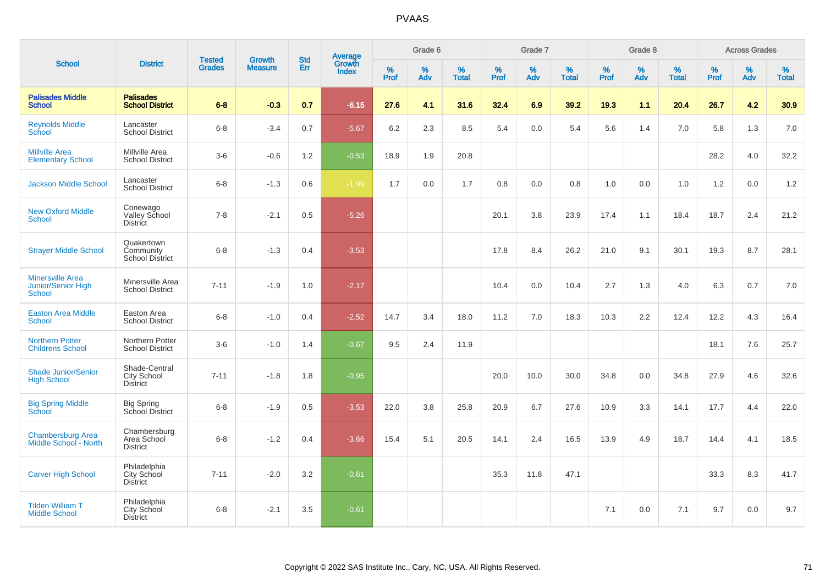| <b>School</b>                                                         |                                                        |                                |                                 |                   |                                   |              | Grade 6     |                   |              | Grade 7     |                   |              | Grade 8     |                   |              | <b>Across Grades</b> |                   |
|-----------------------------------------------------------------------|--------------------------------------------------------|--------------------------------|---------------------------------|-------------------|-----------------------------------|--------------|-------------|-------------------|--------------|-------------|-------------------|--------------|-------------|-------------------|--------------|----------------------|-------------------|
|                                                                       | <b>District</b>                                        | <b>Tested</b><br><b>Grades</b> | <b>Growth</b><br><b>Measure</b> | <b>Std</b><br>Err | Average<br>Growth<br><b>Index</b> | $\%$<br>Prof | $\%$<br>Adv | %<br><b>Total</b> | $\%$<br>Prof | $\%$<br>Adv | %<br><b>Total</b> | $\%$<br>Prof | $\%$<br>Adv | %<br><b>Total</b> | $\%$<br>Prof | $\%$<br>Adv          | %<br><b>Total</b> |
| <b>Palisades Middle</b><br><b>School</b>                              | <b>Palisades</b><br><b>School District</b>             | $6 - 8$                        | $-0.3$                          | 0.7               | $-6.15$                           | 27.6         | 4.1         | 31.6              | 32.4         | 6.9         | 39.2              | 19.3         | 1.1         | 20.4              | 26.7         | 4.2                  | 30.9              |
| <b>Reynolds Middle</b><br>School                                      | Lancaster<br><b>School District</b>                    | $6 - 8$                        | $-3.4$                          | 0.7               | $-5.67$                           | 6.2          | 2.3         | 8.5               | 5.4          | 0.0         | 5.4               | 5.6          | 1.4         | 7.0               | 5.8          | 1.3                  | 7.0               |
| <b>Millville Area</b><br><b>Elementary School</b>                     | Millville Area<br><b>School District</b>               | $3-6$                          | $-0.6$                          | 1.2               | $-0.53$                           | 18.9         | 1.9         | 20.8              |              |             |                   |              |             |                   | 28.2         | 4.0                  | 32.2              |
| <b>Jackson Middle School</b>                                          | Lancaster<br><b>School District</b>                    | $6 - 8$                        | $-1.3$                          | 0.6               | $-1.99$                           | 1.7          | 0.0         | 1.7               | 0.8          | 0.0         | 0.8               | 1.0          | 0.0         | 1.0               | 1.2          | 0.0                  | $1.2$             |
| <b>New Oxford Middle</b><br><b>School</b>                             | Conewago<br>Valley School<br><b>District</b>           | $7 - 8$                        | $-2.1$                          | 0.5               | $-5.26$                           |              |             |                   | 20.1         | 3.8         | 23.9              | 17.4         | 1.1         | 18.4              | 18.7         | 2.4                  | 21.2              |
| <b>Strayer Middle School</b>                                          | Quakertown<br>Community<br>School District             | $6 - 8$                        | $-1.3$                          | 0.4               | $-3.53$                           |              |             |                   | 17.8         | 8.4         | 26.2              | 21.0         | 9.1         | 30.1              | 19.3         | 8.7                  | 28.1              |
| <b>Minersville Area</b><br><b>Junior/Senior High</b><br><b>School</b> | Minersville Area<br><b>School District</b>             | $7 - 11$                       | $-1.9$                          | $1.0$             | $-2.17$                           |              |             |                   | 10.4         | 0.0         | 10.4              | 2.7          | 1.3         | 4.0               | 6.3          | 0.7                  | 7.0               |
| <b>Easton Area Middle</b><br><b>School</b>                            | Easton Area<br><b>School District</b>                  | $6 - 8$                        | $-1.0$                          | 0.4               | $-2.52$                           | 14.7         | 3.4         | 18.0              | 11.2         | 7.0         | 18.3              | 10.3         | 2.2         | 12.4              | 12.2         | 4.3                  | 16.4              |
| <b>Northern Potter</b><br><b>Childrens School</b>                     | Northern Potter<br><b>School District</b>              | $3-6$                          | $-1.0$                          | 1.4               | $-0.67$                           | 9.5          | 2.4         | 11.9              |              |             |                   |              |             |                   | 18.1         | 7.6                  | 25.7              |
| <b>Shade Junior/Senior</b><br><b>High School</b>                      | Shade-Central<br><b>City School</b><br><b>District</b> | $7 - 11$                       | $-1.8$                          | 1.8               | $-0.95$                           |              |             |                   | 20.0         | 10.0        | 30.0              | 34.8         | 0.0         | 34.8              | 27.9         | 4.6                  | 32.6              |
| <b>Big Spring Middle</b><br><b>School</b>                             | <b>Big Spring</b><br>School District                   | $6 - 8$                        | $-1.9$                          | 0.5               | $-3.53$                           | 22.0         | 3.8         | 25.8              | 20.9         | 6.7         | 27.6              | 10.9         | 3.3         | 14.1              | 17.7         | 4.4                  | 22.0              |
| <b>Chambersburg Area</b><br>Middle School - North                     | Chambersburg<br>Area School<br><b>District</b>         | $6 - 8$                        | $-1.2$                          | 0.4               | $-3.66$                           | 15.4         | 5.1         | 20.5              | 14.1         | 2.4         | 16.5              | 13.9         | 4.9         | 18.7              | 14.4         | 4.1                  | 18.5              |
| <b>Carver High School</b>                                             | Philadelphia<br>City School<br><b>District</b>         | $7 - 11$                       | $-2.0$                          | 3.2               | $-0.61$                           |              |             |                   | 35.3         | 11.8        | 47.1              |              |             |                   | 33.3         | 8.3                  | 41.7              |
| <b>Tilden William T</b><br><b>Middle School</b>                       | Philadelphia<br>City School<br><b>District</b>         | $6 - 8$                        | $-2.1$                          | 3.5               | $-0.61$                           |              |             |                   |              |             |                   | 7.1          | 0.0         | 7.1               | 9.7          | 0.0                  | 9.7               |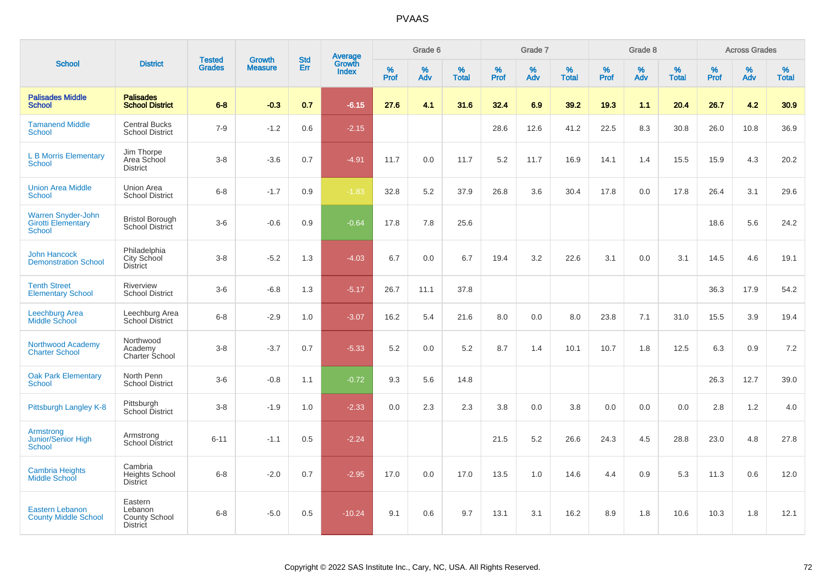|                                                                  |                                                               |                                |                                 |                   |                                          |                  | Grade 6  |                   |              | Grade 7  |                   |           | Grade 8  |                   |              | <b>Across Grades</b> |                   |
|------------------------------------------------------------------|---------------------------------------------------------------|--------------------------------|---------------------------------|-------------------|------------------------------------------|------------------|----------|-------------------|--------------|----------|-------------------|-----------|----------|-------------------|--------------|----------------------|-------------------|
| <b>School</b>                                                    | <b>District</b>                                               | <b>Tested</b><br><b>Grades</b> | <b>Growth</b><br><b>Measure</b> | <b>Std</b><br>Err | <b>Average</b><br>Growth<br><b>Index</b> | %<br><b>Prof</b> | %<br>Adv | %<br><b>Total</b> | $\%$<br>Prof | %<br>Adv | %<br><b>Total</b> | %<br>Prof | %<br>Adv | %<br><b>Total</b> | $\%$<br>Prof | %<br>Adv             | %<br><b>Total</b> |
| <b>Palisades Middle</b><br><b>School</b>                         | <b>Palisades</b><br><b>School District</b>                    | $6-8$                          | $-0.3$                          | 0.7               | $-6.15$                                  | 27.6             | 4.1      | 31.6              | 32.4         | 6.9      | 39.2              | 19.3      | 1.1      | 20.4              | 26.7         | 4.2                  | 30.9              |
| <b>Tamanend Middle</b><br><b>School</b>                          | <b>Central Bucks</b><br><b>School District</b>                | $7 - 9$                        | $-1.2$                          | 0.6               | $-2.15$                                  |                  |          |                   | 28.6         | 12.6     | 41.2              | 22.5      | 8.3      | 30.8              | 26.0         | 10.8                 | 36.9              |
| <b>L B Morris Elementary</b><br><b>School</b>                    | Jim Thorpe<br>Area School<br><b>District</b>                  | $3 - 8$                        | $-3.6$                          | 0.7               | $-4.91$                                  | 11.7             | 0.0      | 11.7              | $5.2\,$      | 11.7     | 16.9              | 14.1      | 1.4      | 15.5              | 15.9         | 4.3                  | 20.2              |
| <b>Union Area Middle</b><br><b>School</b>                        | <b>Union Area</b><br><b>School District</b>                   | $6-8$                          | $-1.7$                          | 0.9               | $-1.83$                                  | 32.8             | 5.2      | 37.9              | 26.8         | 3.6      | 30.4              | 17.8      | 0.0      | 17.8              | 26.4         | 3.1                  | 29.6              |
| Warren Snyder-John<br><b>Girotti Elementary</b><br><b>School</b> | <b>Bristol Borough</b><br>School District                     | $3-6$                          | $-0.6$                          | 0.9               | $-0.64$                                  | 17.8             | 7.8      | 25.6              |              |          |                   |           |          |                   | 18.6         | 5.6                  | 24.2              |
| <b>John Hancock</b><br><b>Demonstration School</b>               | Philadelphia<br>City School<br><b>District</b>                | $3 - 8$                        | $-5.2$                          | 1.3               | $-4.03$                                  | 6.7              | 0.0      | 6.7               | 19.4         | 3.2      | 22.6              | 3.1       | 0.0      | 3.1               | 14.5         | 4.6                  | 19.1              |
| <b>Tenth Street</b><br><b>Elementary School</b>                  | Riverview<br><b>School District</b>                           | $3-6$                          | $-6.8$                          | 1.3               | $-5.17$                                  | 26.7             | 11.1     | 37.8              |              |          |                   |           |          |                   | 36.3         | 17.9                 | 54.2              |
| Leechburg Area<br>Middle School                                  | Leechburg Area<br><b>School District</b>                      | $6-8$                          | $-2.9$                          | 1.0               | $-3.07$                                  | 16.2             | 5.4      | 21.6              | 8.0          | 0.0      | 8.0               | 23.8      | 7.1      | 31.0              | 15.5         | 3.9                  | 19.4              |
| Northwood Academy<br><b>Charter School</b>                       | Northwood<br>Academy<br>Charter School                        | $3 - 8$                        | $-3.7$                          | 0.7               | $-5.33$                                  | 5.2              | 0.0      | 5.2               | 8.7          | 1.4      | 10.1              | 10.7      | 1.8      | 12.5              | 6.3          | 0.9                  | 7.2               |
| <b>Oak Park Elementary</b><br><b>School</b>                      | North Penn<br><b>School District</b>                          | $3-6$                          | $-0.8$                          | 1.1               | $-0.72$                                  | 9.3              | 5.6      | 14.8              |              |          |                   |           |          |                   | 26.3         | 12.7                 | 39.0              |
| Pittsburgh Langley K-8                                           | Pittsburgh<br>School District                                 | $3 - 8$                        | $-1.9$                          | 1.0               | $-2.33$                                  | 0.0              | 2.3      | 2.3               | 3.8          | 0.0      | 3.8               | 0.0       | 0.0      | 0.0               | 2.8          | 1.2                  | 4.0               |
| Armstrong<br><b>Junior/Senior High</b><br><b>School</b>          | Armstrong<br><b>School District</b>                           | $6 - 11$                       | $-1.1$                          | 0.5               | $-2.24$                                  |                  |          |                   | 21.5         | 5.2      | 26.6              | 24.3      | 4.5      | 28.8              | 23.0         | 4.8                  | 27.8              |
| <b>Cambria Heights</b><br><b>Middle School</b>                   | Cambria<br><b>Heights School</b><br><b>District</b>           | $6 - 8$                        | $-2.0$                          | 0.7               | $-2.95$                                  | 17.0             | 0.0      | 17.0              | 13.5         | 1.0      | 14.6              | 4.4       | 0.9      | 5.3               | 11.3         | 0.6                  | 12.0              |
| <b>Eastern Lebanon</b><br><b>County Middle School</b>            | Eastern<br>Lebanon<br><b>County School</b><br><b>District</b> | $6 - 8$                        | $-5.0$                          | 0.5               | $-10.24$                                 | 9.1              | 0.6      | 9.7               | 13.1         | 3.1      | 16.2              | 8.9       | 1.8      | 10.6              | 10.3         | 1.8                  | 12.1              |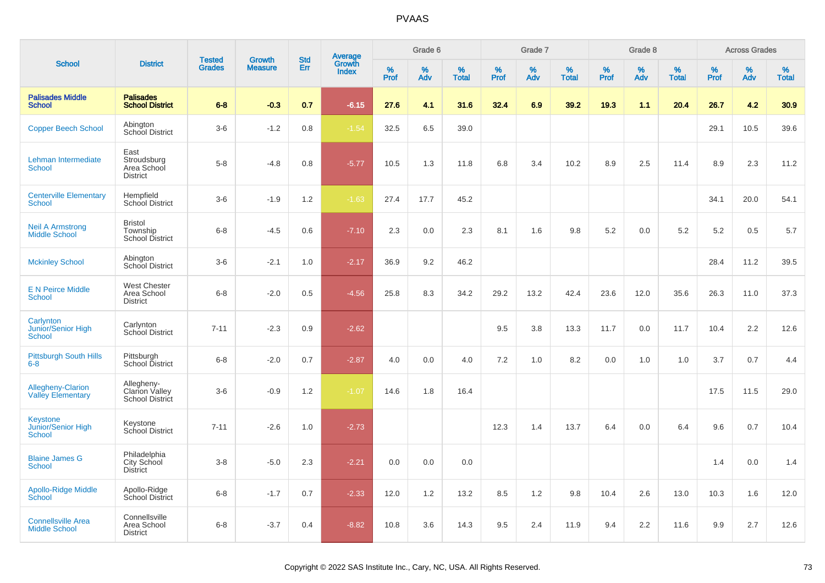| <b>School</b>                                        |                                                               | <b>Tested</b> | <b>Growth</b>  | <b>Std</b> |                                   |           | Grade 6  |                   |           | Grade 7  |                   |                     | Grade 8  |                   |              | <b>Across Grades</b> |                   |
|------------------------------------------------------|---------------------------------------------------------------|---------------|----------------|------------|-----------------------------------|-----------|----------|-------------------|-----------|----------|-------------------|---------------------|----------|-------------------|--------------|----------------------|-------------------|
|                                                      | <b>District</b>                                               | <b>Grades</b> | <b>Measure</b> | Err        | Average<br>Growth<br><b>Index</b> | %<br>Prof | %<br>Adv | %<br><b>Total</b> | %<br>Prof | %<br>Adv | %<br><b>Total</b> | $\%$<br><b>Prof</b> | %<br>Adv | %<br><b>Total</b> | $\%$<br>Prof | %<br>Adv             | %<br><b>Total</b> |
| <b>Palisades Middle</b><br><b>School</b>             | <b>Palisades</b><br><b>School District</b>                    | $6 - 8$       | $-0.3$         | 0.7        | $-6.15$                           | 27.6      | 4.1      | 31.6              | 32.4      | 6.9      | 39.2              | 19.3                | 1.1      | 20.4              | 26.7         | 4.2                  | 30.9              |
| <b>Copper Beech School</b>                           | Abington<br>School District                                   | $3-6$         | $-1.2$         | 0.8        | $-1.54$                           | 32.5      | 6.5      | 39.0              |           |          |                   |                     |          |                   | 29.1         | 10.5                 | 39.6              |
| Lehman Intermediate<br><b>School</b>                 | East<br>Stroudsburg<br>Area School<br><b>District</b>         | $5-8$         | $-4.8$         | 0.8        | $-5.77$                           | 10.5      | 1.3      | 11.8              | 6.8       | 3.4      | 10.2              | 8.9                 | 2.5      | 11.4              | 8.9          | 2.3                  | 11.2              |
| <b>Centerville Elementary</b><br>School              | Hempfield<br><b>School District</b>                           | $3-6$         | $-1.9$         | 1.2        | $-1.63$                           | 27.4      | 17.7     | 45.2              |           |          |                   |                     |          |                   | 34.1         | 20.0                 | 54.1              |
| <b>Neil A Armstrong</b><br><b>Middle School</b>      | <b>Bristol</b><br>Township<br><b>School District</b>          | $6 - 8$       | $-4.5$         | 0.6        | $-7.10$                           | 2.3       | 0.0      | 2.3               | 8.1       | 1.6      | 9.8               | 5.2                 | 0.0      | 5.2               | 5.2          | 0.5                  | 5.7               |
| <b>Mckinley School</b>                               | Abington<br>School District                                   | $3-6$         | $-2.1$         | 1.0        | $-2.17$                           | 36.9      | 9.2      | 46.2              |           |          |                   |                     |          |                   | 28.4         | 11.2                 | 39.5              |
| <b>E N Peirce Middle</b><br><b>School</b>            | <b>West Chester</b><br>Area School<br><b>District</b>         | $6 - 8$       | $-2.0$         | 0.5        | $-4.56$                           | 25.8      | 8.3      | 34.2              | 29.2      | 13.2     | 42.4              | 23.6                | 12.0     | 35.6              | 26.3         | 11.0                 | 37.3              |
| Carlynton<br>Junior/Senior High<br><b>School</b>     | Carlynton<br>School District                                  | $7 - 11$      | $-2.3$         | 0.9        | $-2.62$                           |           |          |                   | 9.5       | 3.8      | 13.3              | 11.7                | 0.0      | 11.7              | 10.4         | 2.2                  | 12.6              |
| <b>Pittsburgh South Hills</b><br>$6-8$               | Pittsburgh<br>School District                                 | $6 - 8$       | $-2.0$         | 0.7        | $-2.87$                           | 4.0       | 0.0      | 4.0               | 7.2       | 1.0      | 8.2               | 0.0                 | 1.0      | 1.0               | 3.7          | 0.7                  | 4.4               |
| <b>Allegheny-Clarion</b><br><b>Valley Elementary</b> | Allegheny-<br><b>Clarion Valley</b><br><b>School District</b> | $3-6$         | $-0.9$         | 1.2        | $-1.07$                           | 14.6      | 1.8      | 16.4              |           |          |                   |                     |          |                   | 17.5         | 11.5                 | 29.0              |
| Keystone<br>Junior/Senior High<br><b>School</b>      | Keystone<br>School District                                   | $7 - 11$      | $-2.6$         | 1.0        | $-2.73$                           |           |          |                   | 12.3      | 1.4      | 13.7              | 6.4                 | 0.0      | 6.4               | 9.6          | 0.7                  | 10.4              |
| <b>Blaine James G</b><br><b>School</b>               | Philadelphia<br>City School<br>District                       | $3-8$         | $-5.0$         | 2.3        | $-2.21$                           | 0.0       | 0.0      | 0.0               |           |          |                   |                     |          |                   | 1.4          | 0.0                  | 1.4               |
| <b>Apollo-Ridge Middle</b><br>School                 | Apollo-Ridge<br><b>School District</b>                        | $6-8$         | $-1.7$         | 0.7        | $-2.33$                           | 12.0      | 1.2      | 13.2              | 8.5       | 1.2      | 9.8               | 10.4                | 2.6      | 13.0              | 10.3         | 1.6                  | 12.0              |
| <b>Connellsville Area</b><br><b>Middle School</b>    | Connellsville<br>Area School<br><b>District</b>               | $6 - 8$       | $-3.7$         | 0.4        | $-8.82$                           | 10.8      | 3.6      | 14.3              | 9.5       | 2.4      | 11.9              | 9.4                 | 2.2      | 11.6              | 9.9          | 2.7                  | 12.6              |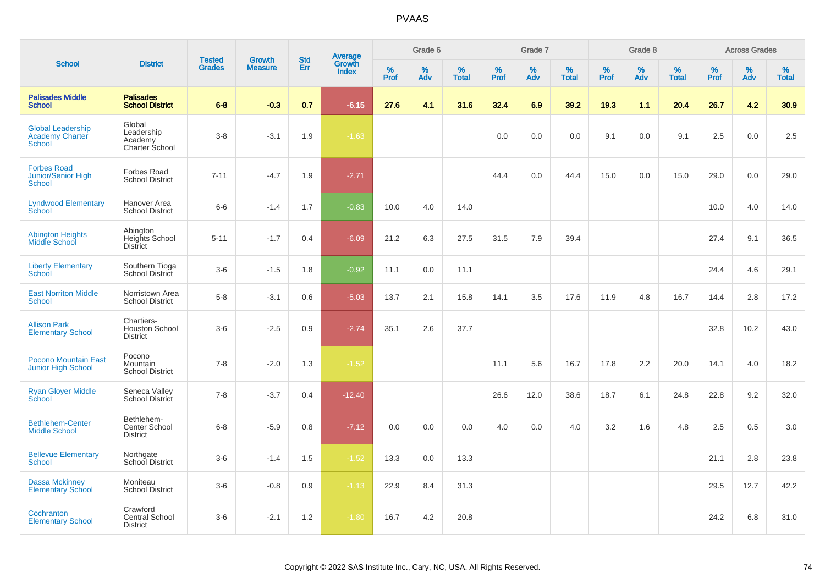| <b>School</b>                                                       |                                                        | <b>Tested</b> | <b>Growth</b>  | <b>Std</b> |                                          |                  | Grade 6     |                   |                     | Grade 7     |                   |              | Grade 8     |                   |              | <b>Across Grades</b> |                   |
|---------------------------------------------------------------------|--------------------------------------------------------|---------------|----------------|------------|------------------------------------------|------------------|-------------|-------------------|---------------------|-------------|-------------------|--------------|-------------|-------------------|--------------|----------------------|-------------------|
|                                                                     | <b>District</b>                                        | <b>Grades</b> | <b>Measure</b> | Err        | <b>Average</b><br>Growth<br><b>Index</b> | %<br><b>Prof</b> | $\%$<br>Adv | %<br><b>Total</b> | $\%$<br><b>Prof</b> | $\%$<br>Adv | %<br><b>Total</b> | $\%$<br>Prof | $\%$<br>Adv | %<br><b>Total</b> | $\%$<br>Prof | $\%$<br>Adv          | %<br><b>Total</b> |
| <b>Palisades Middle</b><br>School                                   | <b>Palisades</b><br><b>School District</b>             | $6 - 8$       | $-0.3$         | 0.7        | $-6.15$                                  | 27.6             | 4.1         | 31.6              | 32.4                | 6.9         | 39.2              | 19.3         | 1.1         | 20.4              | 26.7         | 4.2                  | 30.9              |
| <b>Global Leadership</b><br><b>Academy Charter</b><br><b>School</b> | Global<br>Leadership<br>Academy<br>Charter School      | $3 - 8$       | $-3.1$         | 1.9        | $-1.63$                                  |                  |             |                   | 0.0                 | 0.0         | 0.0               | 9.1          | 0.0         | 9.1               | 2.5          | 0.0                  | 2.5               |
| <b>Forbes Road</b><br>Junior/Senior High<br><b>School</b>           | <b>Forbes Road</b><br><b>School District</b>           | $7 - 11$      | $-4.7$         | 1.9        | $-2.71$                                  |                  |             |                   | 44.4                | 0.0         | 44.4              | 15.0         | 0.0         | 15.0              | 29.0         | 0.0                  | 29.0              |
| <b>Lyndwood Elementary</b><br>School                                | Hanover Area<br><b>School District</b>                 | $6-6$         | $-1.4$         | 1.7        | $-0.83$                                  | 10.0             | 4.0         | 14.0              |                     |             |                   |              |             |                   | 10.0         | 4.0                  | 14.0              |
| <b>Abington Heights</b><br>Middle School                            | Abington<br>Heights School<br><b>District</b>          | $5 - 11$      | $-1.7$         | 0.4        | $-6.09$                                  | 21.2             | 6.3         | 27.5              | 31.5                | 7.9         | 39.4              |              |             |                   | 27.4         | 9.1                  | 36.5              |
| <b>Liberty Elementary</b><br>School                                 | Southern Tioga<br>School District                      | $3-6$         | $-1.5$         | 1.8        | $-0.92$                                  | 11.1             | 0.0         | 11.1              |                     |             |                   |              |             |                   | 24.4         | 4.6                  | 29.1              |
| <b>East Norriton Middle</b><br><b>School</b>                        | Norristown Area<br><b>School District</b>              | $5-8$         | $-3.1$         | 0.6        | $-5.03$                                  | 13.7             | 2.1         | 15.8              | 14.1                | $3.5\,$     | 17.6              | 11.9         | 4.8         | 16.7              | 14.4         | 2.8                  | 17.2              |
| <b>Allison Park</b><br><b>Elementary School</b>                     | Chartiers-<br><b>Houston School</b><br><b>District</b> | $3-6$         | $-2.5$         | 0.9        | $-2.74$                                  | 35.1             | 2.6         | 37.7              |                     |             |                   |              |             |                   | 32.8         | 10.2                 | 43.0              |
| <b>Pocono Mountain East</b><br><b>Junior High School</b>            | Pocono<br>Mountain<br><b>School District</b>           | $7 - 8$       | $-2.0$         | 1.3        | $-1.52$                                  |                  |             |                   | 11.1                | 5.6         | 16.7              | 17.8         | 2.2         | 20.0              | 14.1         | 4.0                  | 18.2              |
| <b>Ryan Gloyer Middle</b><br>School                                 | Seneca Valley<br>School District                       | $7 - 8$       | $-3.7$         | 0.4        | $-12.40$                                 |                  |             |                   | 26.6                | 12.0        | 38.6              | 18.7         | 6.1         | 24.8              | 22.8         | 9.2                  | 32.0              |
| <b>Bethlehem-Center</b><br><b>Middle School</b>                     | Bethlehem-<br>Center School<br><b>District</b>         | $6 - 8$       | $-5.9$         | 0.8        | $-7.12$                                  | 0.0              | 0.0         | 0.0               | 4.0                 | 0.0         | 4.0               | 3.2          | 1.6         | 4.8               | 2.5          | 0.5                  | 3.0               |
| <b>Bellevue Elementary</b><br><b>School</b>                         | Northgate<br>School District                           | $3-6$         | $-1.4$         | 1.5        | $-1.52$                                  | 13.3             | 0.0         | 13.3              |                     |             |                   |              |             |                   | 21.1         | 2.8                  | 23.8              |
| <b>Dassa Mckinney</b><br><b>Elementary School</b>                   | Moniteau<br><b>School District</b>                     | $3-6$         | $-0.8$         | 0.9        | $-1.13$                                  | 22.9             | 8.4         | 31.3              |                     |             |                   |              |             |                   | 29.5         | 12.7                 | 42.2              |
| Cochranton<br><b>Elementary School</b>                              | Crawford<br><b>Central School</b><br><b>District</b>   | $3-6$         | $-2.1$         | 1.2        | $-1.80$                                  | 16.7             | 4.2         | 20.8              |                     |             |                   |              |             |                   | 24.2         | 6.8                  | 31.0              |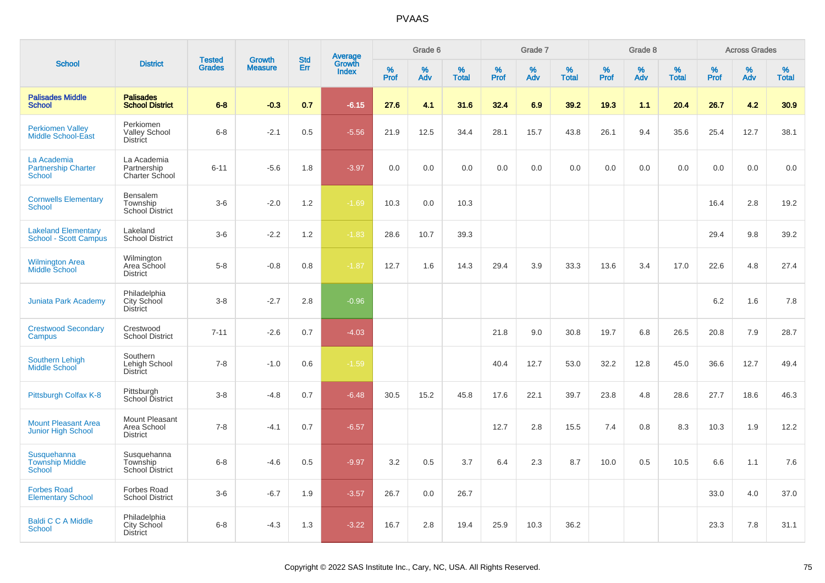| <b>School</b>                                              |                                                       | <b>Tested</b> | <b>Growth</b>  | <b>Std</b> |                                          |                  | Grade 6  |                   |           | Grade 7  |                   |              | Grade 8  |                   |           | <b>Across Grades</b> |                   |
|------------------------------------------------------------|-------------------------------------------------------|---------------|----------------|------------|------------------------------------------|------------------|----------|-------------------|-----------|----------|-------------------|--------------|----------|-------------------|-----------|----------------------|-------------------|
|                                                            | <b>District</b>                                       | <b>Grades</b> | <b>Measure</b> | Err        | <b>Average</b><br>Growth<br><b>Index</b> | %<br><b>Prof</b> | %<br>Adv | %<br><b>Total</b> | %<br>Prof | %<br>Adv | %<br><b>Total</b> | $\%$<br>Prof | %<br>Adv | %<br><b>Total</b> | %<br>Prof | %<br>Adv             | %<br><b>Total</b> |
| <b>Palisades Middle</b><br><b>School</b>                   | <b>Palisades</b><br><b>School District</b>            | $6 - 8$       | $-0.3$         | 0.7        | $-6.15$                                  | 27.6             | 4.1      | 31.6              | 32.4      | 6.9      | 39.2              | 19.3         | 1.1      | 20.4              | 26.7      | 4.2                  | 30.9              |
| <b>Perkiomen Valley</b><br><b>Middle School-East</b>       | Perkiomen<br><b>Valley School</b><br><b>District</b>  | $6 - 8$       | $-2.1$         | 0.5        | $-5.56$                                  | 21.9             | 12.5     | 34.4              | 28.1      | 15.7     | 43.8              | 26.1         | 9.4      | 35.6              | 25.4      | 12.7                 | 38.1              |
| La Academia<br><b>Partnership Charter</b><br><b>School</b> | La Academia<br>Partnership<br>Charter School          | $6 - 11$      | $-5.6$         | 1.8        | $-3.97$                                  | 0.0              | 0.0      | 0.0               | 0.0       | 0.0      | 0.0               | 0.0          | 0.0      | 0.0               | 0.0       | 0.0                  | 0.0               |
| <b>Cornwells Elementary</b><br><b>School</b>               | Bensalem<br>Township<br>School District               | $3-6$         | $-2.0$         | 1.2        | $-1.69$                                  | 10.3             | 0.0      | 10.3              |           |          |                   |              |          |                   | 16.4      | 2.8                  | 19.2              |
| <b>Lakeland Elementary</b><br><b>School - Scott Campus</b> | Lakeland<br><b>School District</b>                    | $3-6$         | $-2.2$         | 1.2        | $-1.83$                                  | 28.6             | 10.7     | 39.3              |           |          |                   |              |          |                   | 29.4      | 9.8                  | 39.2              |
| <b>Wilmington Area</b><br><b>Middle School</b>             | Wilmington<br>Area School<br><b>District</b>          | $5-8$         | $-0.8$         | 0.8        | $-1.87$                                  | 12.7             | 1.6      | 14.3              | 29.4      | 3.9      | 33.3              | 13.6         | 3.4      | 17.0              | 22.6      | 4.8                  | 27.4              |
| <b>Juniata Park Academy</b>                                | Philadelphia<br>City School<br><b>District</b>        | $3-8$         | $-2.7$         | 2.8        | $-0.96$                                  |                  |          |                   |           |          |                   |              |          |                   | 6.2       | 1.6                  | 7.8               |
| <b>Crestwood Secondary</b><br>Campus                       | Crestwood<br><b>School District</b>                   | $7 - 11$      | $-2.6$         | 0.7        | $-4.03$                                  |                  |          |                   | 21.8      | 9.0      | 30.8              | 19.7         | 6.8      | 26.5              | 20.8      | 7.9                  | 28.7              |
| <b>Southern Lehigh</b><br>Middle School                    | Southern<br>Lehigh School<br><b>District</b>          | $7 - 8$       | $-1.0$         | 0.6        | $-1.59$                                  |                  |          |                   | 40.4      | 12.7     | 53.0              | 32.2         | 12.8     | 45.0              | 36.6      | 12.7                 | 49.4              |
| Pittsburgh Colfax K-8                                      | Pittsburgh<br>School District                         | $3 - 8$       | $-4.8$         | 0.7        | $-6.48$                                  | 30.5             | 15.2     | 45.8              | 17.6      | 22.1     | 39.7              | 23.8         | 4.8      | 28.6              | 27.7      | 18.6                 | 46.3              |
| <b>Mount Pleasant Area</b><br><b>Junior High School</b>    | Mount Pleasant<br>Area School<br><b>District</b>      | $7 - 8$       | $-4.1$         | 0.7        | $-6.57$                                  |                  |          |                   | 12.7      | 2.8      | 15.5              | 7.4          | 0.8      | 8.3               | 10.3      | 1.9                  | 12.2              |
| Susquehanna<br><b>Township Middle</b><br><b>School</b>     | Susquehanna<br>Township<br><b>School District</b>     | $6 - 8$       | $-4.6$         | 0.5        | $-9.97$                                  | 3.2              | 0.5      | 3.7               | 6.4       | 2.3      | 8.7               | 10.0         | 0.5      | 10.5              | 6.6       | 1.1                  | 7.6               |
| <b>Forbes Road</b><br><b>Elementary School</b>             | <b>Forbes Road</b><br><b>School District</b>          | $3-6$         | $-6.7$         | 1.9        | $-3.57$                                  | 26.7             | 0.0      | 26.7              |           |          |                   |              |          |                   | 33.0      | 4.0                  | 37.0              |
| <b>Baldi C C A Middle</b><br>School                        | Philadelphia<br><b>City School</b><br><b>District</b> | $6 - 8$       | $-4.3$         | 1.3        | $-3.22$                                  | 16.7             | 2.8      | 19.4              | 25.9      | 10.3     | 36.2              |              |          |                   | 23.3      | 7.8                  | 31.1              |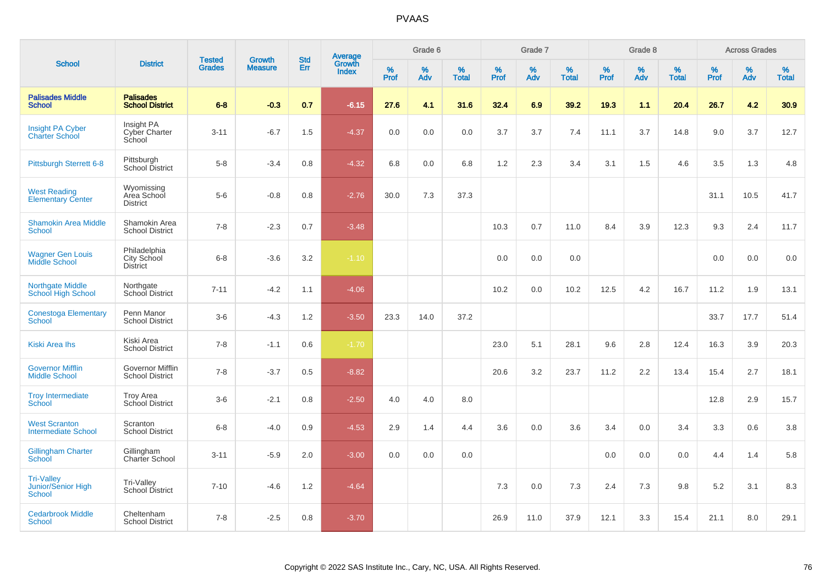| <b>School</b>                                            |                                                   |                                |                                 |                   |                                          |           | Grade 6     |                   |           | Grade 7     |                   |           | Grade 8  |                   |              | <b>Across Grades</b> |                   |
|----------------------------------------------------------|---------------------------------------------------|--------------------------------|---------------------------------|-------------------|------------------------------------------|-----------|-------------|-------------------|-----------|-------------|-------------------|-----------|----------|-------------------|--------------|----------------------|-------------------|
|                                                          | <b>District</b>                                   | <b>Tested</b><br><b>Grades</b> | <b>Growth</b><br><b>Measure</b> | <b>Std</b><br>Err | <b>Average</b><br>Growth<br><b>Index</b> | %<br>Prof | $\%$<br>Adv | %<br><b>Total</b> | %<br>Prof | $\%$<br>Adv | %<br><b>Total</b> | %<br>Prof | %<br>Adv | %<br><b>Total</b> | $\%$<br>Prof | $\%$<br>Adv          | %<br><b>Total</b> |
| <b>Palisades Middle</b><br><b>School</b>                 | <b>Palisades</b><br><b>School District</b>        | $6 - 8$                        | $-0.3$                          | 0.7               | $-6.15$                                  | 27.6      | 4.1         | 31.6              | 32.4      | 6.9         | 39.2              | 19.3      | 1.1      | 20.4              | 26.7         | 4.2                  | 30.9              |
| <b>Insight PA Cyber</b><br><b>Charter School</b>         | Insight PA<br>Cyber Charter<br>School             | $3 - 11$                       | $-6.7$                          | 1.5               | $-4.37$                                  | 0.0       | 0.0         | 0.0               | 3.7       | 3.7         | 7.4               | 11.1      | 3.7      | 14.8              | 9.0          | 3.7                  | 12.7              |
| <b>Pittsburgh Sterrett 6-8</b>                           | Pittsburgh<br>School District                     | $5 - 8$                        | $-3.4$                          | 0.8               | $-4.32$                                  | 6.8       | 0.0         | 6.8               | 1.2       | 2.3         | 3.4               | 3.1       | 1.5      | 4.6               | 3.5          | 1.3                  | 4.8               |
| <b>West Reading</b><br><b>Elementary Center</b>          | Wyomissing<br>Area School<br><b>District</b>      | $5-6$                          | $-0.8$                          | 0.8               | $-2.76$                                  | 30.0      | 7.3         | 37.3              |           |             |                   |           |          |                   | 31.1         | 10.5                 | 41.7              |
| <b>Shamokin Area Middle</b><br><b>School</b>             | Shamokin Area<br><b>School District</b>           | $7 - 8$                        | $-2.3$                          | 0.7               | $-3.48$                                  |           |             |                   | 10.3      | 0.7         | 11.0              | 8.4       | 3.9      | 12.3              | 9.3          | 2.4                  | 11.7              |
| <b>Wagner Gen Louis</b><br>Middle School                 | Philadelphia<br>City School<br>District           | $6 - 8$                        | $-3.6$                          | 3.2               | $-1.10$                                  |           |             |                   | 0.0       | 0.0         | 0.0               |           |          |                   | 0.0          | 0.0                  | 0.0               |
| <b>Northgate Middle</b><br>School High School            | Northgate<br>School District                      | $7 - 11$                       | $-4.2$                          | 1.1               | $-4.06$                                  |           |             |                   | 10.2      | 0.0         | 10.2              | 12.5      | 4.2      | 16.7              | 11.2         | 1.9                  | 13.1              |
| <b>Conestoga Elementary</b><br><b>School</b>             | Penn Manor<br><b>School District</b>              | $3-6$                          | $-4.3$                          | 1.2               | $-3.50$                                  | 23.3      | 14.0        | 37.2              |           |             |                   |           |          |                   | 33.7         | 17.7                 | 51.4              |
| <b>Kiski Area Ihs</b>                                    | Kiski Area<br><b>School District</b>              | $7 - 8$                        | $-1.1$                          | 0.6               | $-1.70$                                  |           |             |                   | 23.0      | 5.1         | 28.1              | 9.6       | 2.8      | 12.4              | 16.3         | 3.9                  | 20.3              |
| <b>Governor Mifflin</b><br><b>Middle School</b>          | <b>Governor Mifflin</b><br><b>School District</b> | $7 - 8$                        | $-3.7$                          | 0.5               | $-8.82$                                  |           |             |                   | 20.6      | 3.2         | 23.7              | 11.2      | 2.2      | 13.4              | 15.4         | 2.7                  | 18.1              |
| <b>Troy Intermediate</b><br>School                       | <b>Troy Area</b><br>School District               | $3-6$                          | $-2.1$                          | 0.8               | $-2.50$                                  | 4.0       | 4.0         | 8.0               |           |             |                   |           |          |                   | 12.8         | 2.9                  | 15.7              |
| <b>West Scranton</b><br><b>Intermediate School</b>       | Scranton<br><b>School District</b>                | $6 - 8$                        | $-4.0$                          | 0.9               | $-4.53$                                  | 2.9       | 1.4         | 4.4               | 3.6       | 0.0         | 3.6               | 3.4       | 0.0      | 3.4               | 3.3          | 0.6                  | 3.8               |
| <b>Gillingham Charter</b><br>School                      | Gillingham<br>Charter School                      | $3 - 11$                       | $-5.9$                          | 2.0               | $-3.00$                                  | 0.0       | 0.0         | 0.0               |           |             |                   | 0.0       | 0.0      | 0.0               | 4.4          | 1.4                  | 5.8               |
| <b>Tri-Valley</b><br>Junior/Senior High<br><b>School</b> | Tri-Valley<br>School District                     | $7 - 10$                       | $-4.6$                          | 1.2               | $-4.64$                                  |           |             |                   | 7.3       | 0.0         | 7.3               | 2.4       | 7.3      | 9.8               | 5.2          | 3.1                  | 8.3               |
| <b>Cedarbrook Middle</b><br><b>School</b>                | Cheltenham<br><b>School District</b>              | $7 - 8$                        | $-2.5$                          | 0.8               | $-3.70$                                  |           |             |                   | 26.9      | 11.0        | 37.9              | 12.1      | 3.3      | 15.4              | 21.1         | 8.0                  | 29.1              |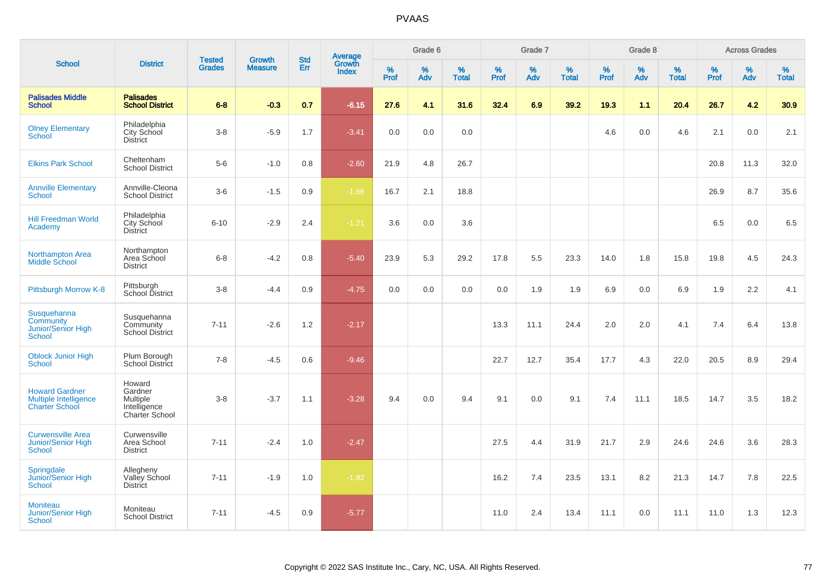|                                                                         |                                                                        |                                |                          | <b>Std</b> |                                          |                  | Grade 6  |                   |           | Grade 7  |                   |           | Grade 8  |                   |           | <b>Across Grades</b> |                   |
|-------------------------------------------------------------------------|------------------------------------------------------------------------|--------------------------------|--------------------------|------------|------------------------------------------|------------------|----------|-------------------|-----------|----------|-------------------|-----------|----------|-------------------|-----------|----------------------|-------------------|
| <b>School</b>                                                           | <b>District</b>                                                        | <b>Tested</b><br><b>Grades</b> | Growth<br><b>Measure</b> | Err        | <b>Average</b><br>Growth<br><b>Index</b> | %<br><b>Prof</b> | %<br>Adv | %<br><b>Total</b> | %<br>Prof | %<br>Adv | %<br><b>Total</b> | %<br>Prof | %<br>Adv | %<br><b>Total</b> | %<br>Prof | %<br>Adv             | %<br><b>Total</b> |
| <b>Palisades Middle</b><br><b>School</b>                                | <b>Palisades</b><br><b>School District</b>                             | $6 - 8$                        | $-0.3$                   | 0.7        | $-6.15$                                  | 27.6             | 4.1      | 31.6              | 32.4      | 6.9      | 39.2              | 19.3      | 1.1      | 20.4              | 26.7      | 4.2                  | 30.9              |
| <b>Olney Elementary</b><br><b>School</b>                                | Philadelphia<br>City School<br><b>District</b>                         | $3-8$                          | $-5.9$                   | 1.7        | $-3.41$                                  | 0.0              | 0.0      | 0.0               |           |          |                   | 4.6       | 0.0      | 4.6               | 2.1       | 0.0                  | 2.1               |
| <b>Elkins Park School</b>                                               | Cheltenham<br>School District                                          | $5-6$                          | $-1.0$                   | 0.8        | $-2.60$                                  | 21.9             | 4.8      | 26.7              |           |          |                   |           |          |                   | 20.8      | 11.3                 | 32.0              |
| <b>Annville Elementary</b><br><b>School</b>                             | Annville-Cleona<br><b>School District</b>                              | $3-6$                          | $-1.5$                   | 0.9        | $-1.66$                                  | 16.7             | 2.1      | 18.8              |           |          |                   |           |          |                   | 26.9      | 8.7                  | 35.6              |
| <b>Hill Freedman World</b><br>Academy                                   | Philadelphia<br>City School<br><b>District</b>                         | $6 - 10$                       | $-2.9$                   | 2.4        | $-1.21$                                  | 3.6              | 0.0      | 3.6               |           |          |                   |           |          |                   | 6.5       | 0.0                  | 6.5               |
| <b>Northampton Area</b><br>Middle School                                | Northampton<br>Area School<br><b>District</b>                          | $6 - 8$                        | $-4.2$                   | 0.8        | $-5.40$                                  | 23.9             | 5.3      | 29.2              | 17.8      | 5.5      | 23.3              | 14.0      | 1.8      | 15.8              | 19.8      | 4.5                  | 24.3              |
| Pittsburgh Morrow K-8                                                   | Pittsburgh<br>School District                                          | $3-8$                          | $-4.4$                   | 0.9        | $-4.75$                                  | 0.0              | 0.0      | 0.0               | 0.0       | 1.9      | 1.9               | 6.9       | 0.0      | 6.9               | 1.9       | 2.2                  | 4.1               |
| Susquehanna<br>Community<br><b>Junior/Senior High</b><br><b>School</b>  | Susquehanna<br>Community<br><b>School District</b>                     | $7 - 11$                       | $-2.6$                   | 1.2        | $-2.17$                                  |                  |          |                   | 13.3      | 11.1     | 24.4              | 2.0       | 2.0      | 4.1               | 7.4       | 6.4                  | 13.8              |
| <b>Oblock Junior High</b><br><b>School</b>                              | Plum Borough<br><b>School District</b>                                 | $7 - 8$                        | $-4.5$                   | 0.6        | $-9.46$                                  |                  |          |                   | 22.7      | 12.7     | 35.4              | 17.7      | 4.3      | 22.0              | 20.5      | 8.9                  | 29.4              |
| <b>Howard Gardner</b><br>Multiple Intelligence<br><b>Charter School</b> | Howard<br>Gardner<br><b>Multiple</b><br>Intelligence<br>Charter School | $3-8$                          | $-3.7$                   | 1.1        | $-3.28$                                  | 9.4              | 0.0      | 9.4               | 9.1       | 0.0      | 9.1               | 7.4       | 11.1     | 18.5              | 14.7      | 3.5                  | 18.2              |
| <b>Curwensville Area</b><br><b>Junior/Senior High</b><br>School         | Curwensville<br>Area School<br><b>District</b>                         | $7 - 11$                       | $-2.4$                   | 1.0        | $-2.47$                                  |                  |          |                   | 27.5      | 4.4      | 31.9              | 21.7      | 2.9      | 24.6              | 24.6      | 3.6                  | 28.3              |
| Springdale<br>Junior/Senior High<br><b>School</b>                       | Allegheny<br>Valley School<br><b>District</b>                          | $7 - 11$                       | $-1.9$                   | 1.0        | $-1.82$                                  |                  |          |                   | 16.2      | 7.4      | 23.5              | 13.1      | 8.2      | 21.3              | 14.7      | 7.8                  | 22.5              |
| <b>Moniteau</b><br>Junior/Senior High<br><b>School</b>                  | Moniteau<br><b>School District</b>                                     | $7 - 11$                       | $-4.5$                   | 0.9        | $-5.77$                                  |                  |          |                   | 11.0      | 2.4      | 13.4              | 11.1      | 0.0      | 11.1              | 11.0      | 1.3                  | 12.3              |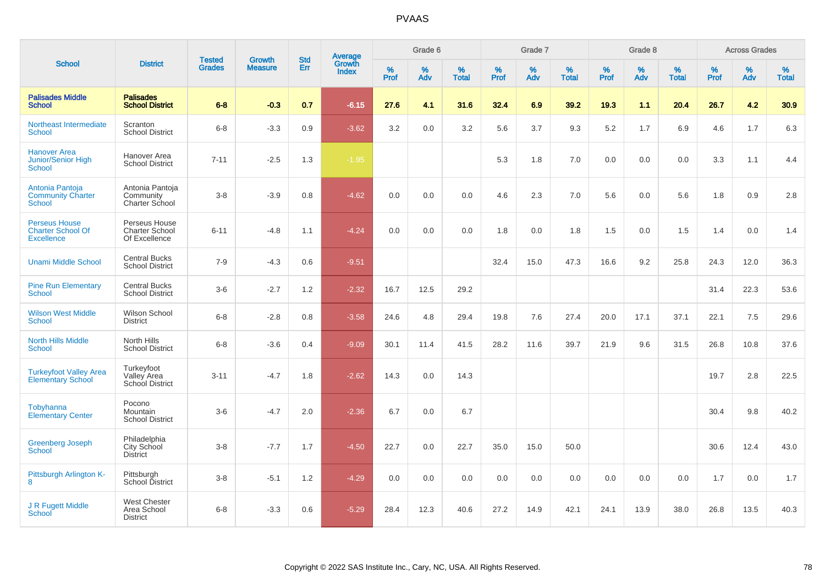| <b>School</b>                                                         |                                                         | <b>Tested</b> | <b>Growth</b>  | <b>Std</b> |                                          |                  | Grade 6  |                   |           | Grade 7  |                   |              | Grade 8  |                   |              | <b>Across Grades</b> |                   |
|-----------------------------------------------------------------------|---------------------------------------------------------|---------------|----------------|------------|------------------------------------------|------------------|----------|-------------------|-----------|----------|-------------------|--------------|----------|-------------------|--------------|----------------------|-------------------|
|                                                                       | <b>District</b>                                         | <b>Grades</b> | <b>Measure</b> | Err        | <b>Average</b><br>Growth<br><b>Index</b> | %<br><b>Prof</b> | %<br>Adv | %<br><b>Total</b> | %<br>Prof | %<br>Adv | %<br><b>Total</b> | $\%$<br>Prof | %<br>Adv | %<br><b>Total</b> | $\%$<br>Prof | %<br>Adv             | %<br><b>Total</b> |
| <b>Palisades Middle</b><br><b>School</b>                              | <b>Palisades</b><br><b>School District</b>              | $6 - 8$       | $-0.3$         | 0.7        | $-6.15$                                  | 27.6             | 4.1      | 31.6              | 32.4      | 6.9      | 39.2              | 19.3         | 1.1      | 20.4              | 26.7         | 4.2                  | 30.9              |
| Northeast Intermediate<br><b>School</b>                               | Scranton<br><b>School District</b>                      | $6 - 8$       | $-3.3$         | 0.9        | $-3.62$                                  | 3.2              | 0.0      | 3.2               | 5.6       | 3.7      | 9.3               | 5.2          | 1.7      | 6.9               | 4.6          | 1.7                  | 6.3               |
| <b>Hanover Area</b><br>Junior/Senior High<br>School                   | Hanover Area<br><b>School District</b>                  | $7 - 11$      | $-2.5$         | 1.3        | $-1.95$                                  |                  |          |                   | 5.3       | 1.8      | 7.0               | 0.0          | 0.0      | 0.0               | 3.3          | 1.1                  | 4.4               |
| Antonia Pantoja<br><b>Community Charter</b><br>School                 | Antonia Pantoja<br>Community<br><b>Charter School</b>   | $3 - 8$       | $-3.9$         | 0.8        | $-4.62$                                  | 0.0              | 0.0      | 0.0               | 4.6       | 2.3      | 7.0               | 5.6          | 0.0      | 5.6               | 1.8          | 0.9                  | 2.8               |
| <b>Perseus House</b><br><b>Charter School Of</b><br><b>Excellence</b> | Perseus House<br><b>Charter School</b><br>Of Excellence | $6 - 11$      | $-4.8$         | 1.1        | $-4.24$                                  | 0.0              | 0.0      | 0.0               | 1.8       | 0.0      | 1.8               | 1.5          | 0.0      | 1.5               | 1.4          | 0.0                  | 1.4               |
| <b>Unami Middle School</b>                                            | <b>Central Bucks</b><br><b>School District</b>          | $7 - 9$       | $-4.3$         | 0.6        | $-9.51$                                  |                  |          |                   | 32.4      | 15.0     | 47.3              | 16.6         | 9.2      | 25.8              | 24.3         | 12.0                 | 36.3              |
| <b>Pine Run Elementary</b><br><b>School</b>                           | <b>Central Bucks</b><br><b>School District</b>          | $3-6$         | $-2.7$         | 1.2        | $-2.32$                                  | 16.7             | 12.5     | 29.2              |           |          |                   |              |          |                   | 31.4         | 22.3                 | 53.6              |
| <b>Wilson West Middle</b><br><b>School</b>                            | Wilson School<br><b>District</b>                        | $6 - 8$       | $-2.8$         | 0.8        | $-3.58$                                  | 24.6             | 4.8      | 29.4              | 19.8      | 7.6      | 27.4              | 20.0         | 17.1     | 37.1              | 22.1         | 7.5                  | 29.6              |
| <b>North Hills Middle</b><br><b>School</b>                            | North Hills<br><b>School District</b>                   | $6 - 8$       | $-3.6$         | 0.4        | $-9.09$                                  | 30.1             | 11.4     | 41.5              | 28.2      | 11.6     | 39.7              | 21.9         | 9.6      | 31.5              | 26.8         | 10.8                 | 37.6              |
| <b>Turkeyfoot Valley Area</b><br><b>Elementary School</b>             | Turkeyfoot<br>Valley Area<br><b>School District</b>     | $3 - 11$      | $-4.7$         | 1.8        | $-2.62$                                  | 14.3             | 0.0      | 14.3              |           |          |                   |              |          |                   | 19.7         | 2.8                  | 22.5              |
| Tobyhanna<br><b>Elementary Center</b>                                 | Pocono<br>Mountain<br><b>School District</b>            | $3-6$         | $-4.7$         | 2.0        | $-2.36$                                  | 6.7              | 0.0      | 6.7               |           |          |                   |              |          |                   | 30.4         | 9.8                  | 40.2              |
| <b>Greenberg Joseph</b><br><b>School</b>                              | Philadelphia<br>City School<br><b>District</b>          | $3 - 8$       | $-7.7$         | 1.7        | $-4.50$                                  | 22.7             | 0.0      | 22.7              | 35.0      | 15.0     | 50.0              |              |          |                   | 30.6         | 12.4                 | 43.0              |
| Pittsburgh Arlington K-<br>8                                          | Pittsburgh<br>School District                           | $3 - 8$       | $-5.1$         | 1.2        | $-4.29$                                  | 0.0              | 0.0      | 0.0               | 0.0       | 0.0      | 0.0               | 0.0          | 0.0      | 0.0               | 1.7          | 0.0                  | 1.7               |
| J R Fugett Middle<br>School                                           | <b>West Chester</b><br>Area School<br><b>District</b>   | $6 - 8$       | $-3.3$         | 0.6        | $-5.29$                                  | 28.4             | 12.3     | 40.6              | 27.2      | 14.9     | 42.1              | 24.1         | 13.9     | 38.0              | 26.8         | 13.5                 | 40.3              |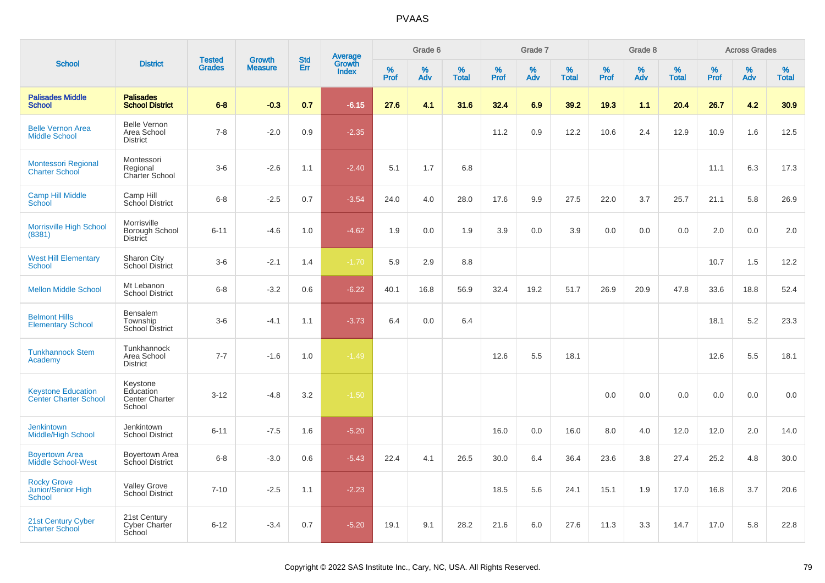| <b>School</b>                                             |                                                          |                                |                                 | <b>Std</b> |                                   |                  | Grade 6  |                   |           | Grade 7  |                   |           | Grade 8  |                   |           | <b>Across Grades</b> |                   |
|-----------------------------------------------------------|----------------------------------------------------------|--------------------------------|---------------------------------|------------|-----------------------------------|------------------|----------|-------------------|-----------|----------|-------------------|-----------|----------|-------------------|-----------|----------------------|-------------------|
|                                                           | <b>District</b>                                          | <b>Tested</b><br><b>Grades</b> | <b>Growth</b><br><b>Measure</b> | Err        | Average<br>Growth<br><b>Index</b> | %<br><b>Prof</b> | %<br>Adv | %<br><b>Total</b> | %<br>Prof | %<br>Adv | %<br><b>Total</b> | %<br>Prof | %<br>Adv | %<br><b>Total</b> | %<br>Prof | %<br>Adv             | %<br><b>Total</b> |
| <b>Palisades Middle</b><br><b>School</b>                  | <b>Palisades</b><br><b>School District</b>               | $6 - 8$                        | $-0.3$                          | 0.7        | $-6.15$                           | 27.6             | 4.1      | 31.6              | 32.4      | 6.9      | 39.2              | 19.3      | 1.1      | 20.4              | 26.7      | 4.2                  | 30.9              |
| <b>Belle Vernon Area</b><br><b>Middle School</b>          | <b>Belle Vernon</b><br>Area School<br><b>District</b>    | $7 - 8$                        | $-2.0$                          | 0.9        | $-2.35$                           |                  |          |                   | 11.2      | 0.9      | 12.2              | 10.6      | 2.4      | 12.9              | 10.9      | 1.6                  | 12.5              |
| <b>Montessori Regional</b><br><b>Charter School</b>       | Montessori<br>Regional<br>Charter School                 | $3-6$                          | $-2.6$                          | 1.1        | $-2.40$                           | 5.1              | 1.7      | 6.8               |           |          |                   |           |          |                   | 11.1      | 6.3                  | 17.3              |
| <b>Camp Hill Middle</b><br>School                         | Camp Hill<br>School District                             | $6 - 8$                        | $-2.5$                          | 0.7        | $-3.54$                           | 24.0             | 4.0      | 28.0              | 17.6      | 9.9      | 27.5              | 22.0      | 3.7      | 25.7              | 21.1      | 5.8                  | 26.9              |
| <b>Morrisville High School</b><br>(8381)                  | Morrisville<br>Borough School<br>District                | $6 - 11$                       | $-4.6$                          | 1.0        | $-4.62$                           | 1.9              | 0.0      | 1.9               | 3.9       | 0.0      | 3.9               | 0.0       | 0.0      | 0.0               | 2.0       | 0.0                  | 2.0               |
| <b>West Hill Elementary</b><br><b>School</b>              | Sharon City<br><b>School District</b>                    | $3-6$                          | $-2.1$                          | 1.4        | $-1.70$                           | 5.9              | 2.9      | 8.8               |           |          |                   |           |          |                   | 10.7      | 1.5                  | 12.2              |
| <b>Mellon Middle School</b>                               | Mt Lebanon<br><b>School District</b>                     | $6 - 8$                        | $-3.2$                          | 0.6        | $-6.22$                           | 40.1             | 16.8     | 56.9              | 32.4      | 19.2     | 51.7              | 26.9      | 20.9     | 47.8              | 33.6      | 18.8                 | 52.4              |
| <b>Belmont Hills</b><br><b>Elementary School</b>          | Bensalem<br>Township<br><b>School District</b>           | $3-6$                          | $-4.1$                          | 1.1        | $-3.73$                           | 6.4              | 0.0      | 6.4               |           |          |                   |           |          |                   | 18.1      | 5.2                  | 23.3              |
| <b>Tunkhannock Stem</b><br>Academy                        | Tunkhannock<br>Area School<br><b>District</b>            | $7 - 7$                        | $-1.6$                          | 1.0        | $-1.49$                           |                  |          |                   | 12.6      | 5.5      | 18.1              |           |          |                   | 12.6      | 5.5                  | 18.1              |
| <b>Keystone Education</b><br><b>Center Charter School</b> | Keystone<br>Education<br><b>Center Charter</b><br>School | $3 - 12$                       | $-4.8$                          | 3.2        | $-1.50$                           |                  |          |                   |           |          |                   | 0.0       | 0.0      | 0.0               | 0.0       | 0.0                  | 0.0               |
| <b>Jenkintown</b><br><b>Middle/High School</b>            | Jenkintown<br><b>School District</b>                     | $6 - 11$                       | $-7.5$                          | 1.6        | $-5.20$                           |                  |          |                   | 16.0      | 0.0      | 16.0              | 8.0       | 4.0      | 12.0              | 12.0      | 2.0                  | 14.0              |
| <b>Boyertown Area</b><br><b>Middle School-West</b>        | <b>Boyertown Area</b><br>School District                 | $6 - 8$                        | $-3.0$                          | 0.6        | $-5.43$                           | 22.4             | 4.1      | 26.5              | 30.0      | 6.4      | 36.4              | 23.6      | 3.8      | 27.4              | 25.2      | 4.8                  | 30.0              |
| <b>Rocky Grove</b><br>Junior/Senior High<br>School        | <b>Valley Grove</b><br>School District                   | $7 - 10$                       | $-2.5$                          | 1.1        | $-2.23$                           |                  |          |                   | 18.5      | 5.6      | 24.1              | 15.1      | 1.9      | 17.0              | 16.8      | 3.7                  | 20.6              |
| 21st Century Cyber<br><b>Charter School</b>               | 21st Century<br>Cyber Charter<br>School                  | $6 - 12$                       | $-3.4$                          | 0.7        | $-5.20$                           | 19.1             | 9.1      | 28.2              | 21.6      | 6.0      | 27.6              | 11.3      | 3.3      | 14.7              | 17.0      | 5.8                  | 22.8              |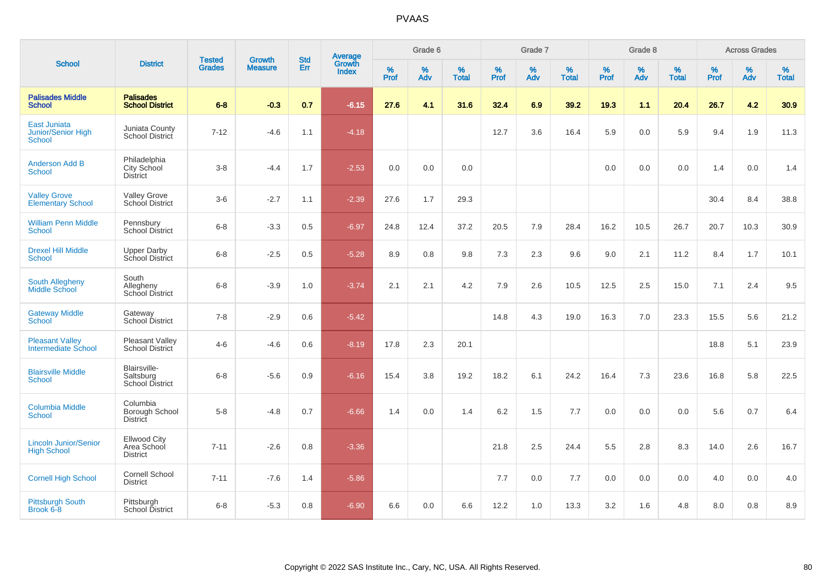| <b>School</b>                                        |                                                |                                |                                 | <b>Std</b> |                                          |           | Grade 6  |                   |           | Grade 7  |                   |           | Grade 8  |                   |           | <b>Across Grades</b> |                   |
|------------------------------------------------------|------------------------------------------------|--------------------------------|---------------------------------|------------|------------------------------------------|-----------|----------|-------------------|-----------|----------|-------------------|-----------|----------|-------------------|-----------|----------------------|-------------------|
|                                                      | <b>District</b>                                | <b>Tested</b><br><b>Grades</b> | <b>Growth</b><br><b>Measure</b> | Err        | <b>Average</b><br>Growth<br><b>Index</b> | %<br>Prof | %<br>Adv | %<br><b>Total</b> | %<br>Prof | %<br>Adv | %<br><b>Total</b> | %<br>Prof | %<br>Adv | %<br><b>Total</b> | %<br>Prof | $\%$<br>Adv          | %<br><b>Total</b> |
| <b>Palisades Middle</b><br><b>School</b>             | <b>Palisades</b><br><b>School District</b>     | $6 - 8$                        | $-0.3$                          | 0.7        | $-6.15$                                  | 27.6      | 4.1      | 31.6              | 32.4      | 6.9      | 39.2              | 19.3      | 1.1      | 20.4              | 26.7      | 4.2                  | 30.9              |
| <b>East Juniata</b><br>Junior/Senior High<br>School  | Juniata County<br>School District              | $7 - 12$                       | $-4.6$                          | 1.1        | $-4.18$                                  |           |          |                   | 12.7      | 3.6      | 16.4              | 5.9       | 0.0      | 5.9               | 9.4       | 1.9                  | 11.3              |
| <b>Anderson Add B</b><br><b>School</b>               | Philadelphia<br>City School<br><b>District</b> | $3 - 8$                        | $-4.4$                          | 1.7        | $-2.53$                                  | 0.0       | 0.0      | 0.0               |           |          |                   | 0.0       | 0.0      | 0.0               | 1.4       | 0.0                  | 1.4               |
| <b>Valley Grove</b><br><b>Elementary School</b>      | Valley Grove<br>School District                | $3-6$                          | $-2.7$                          | 1.1        | $-2.39$                                  | 27.6      | 1.7      | 29.3              |           |          |                   |           |          |                   | 30.4      | 8.4                  | 38.8              |
| <b>William Penn Middle</b><br>School                 | Pennsbury<br><b>School District</b>            | $6 - 8$                        | $-3.3$                          | 0.5        | $-6.97$                                  | 24.8      | 12.4     | 37.2              | 20.5      | 7.9      | 28.4              | 16.2      | 10.5     | 26.7              | 20.7      | 10.3                 | 30.9              |
| <b>Drexel Hill Middle</b><br><b>School</b>           | <b>Upper Darby</b><br>School District          | $6 - 8$                        | $-2.5$                          | 0.5        | $-5.28$                                  | 8.9       | 0.8      | 9.8               | 7.3       | 2.3      | 9.6               | 9.0       | 2.1      | 11.2              | 8.4       | 1.7                  | 10.1              |
| <b>South Allegheny</b><br>Middle School              | South<br>Allegheny<br>School District          | $6 - 8$                        | $-3.9$                          | 1.0        | $-3.74$                                  | 2.1       | 2.1      | 4.2               | 7.9       | 2.6      | 10.5              | 12.5      | 2.5      | 15.0              | 7.1       | 2.4                  | 9.5               |
| <b>Gateway Middle</b><br><b>School</b>               | Gateway<br>School District                     | $7 - 8$                        | $-2.9$                          | 0.6        | $-5.42$                                  |           |          |                   | 14.8      | 4.3      | 19.0              | 16.3      | 7.0      | 23.3              | 15.5      | 5.6                  | 21.2              |
| <b>Pleasant Valley</b><br><b>Intermediate School</b> | Pleasant Valley<br>School District             | $4 - 6$                        | $-4.6$                          | 0.6        | $-8.19$                                  | 17.8      | 2.3      | 20.1              |           |          |                   |           |          |                   | 18.8      | 5.1                  | 23.9              |
| <b>Blairsville Middle</b><br>School                  | Blairsville-<br>Saltsburg<br>School District   | $6 - 8$                        | $-5.6$                          | 0.9        | $-6.16$                                  | 15.4      | 3.8      | 19.2              | 18.2      | 6.1      | 24.2              | 16.4      | 7.3      | 23.6              | 16.8      | 5.8                  | 22.5              |
| <b>Columbia Middle</b><br>School                     | Columbia<br>Borough School<br><b>District</b>  | $5-8$                          | $-4.8$                          | 0.7        | $-6.66$                                  | 1.4       | 0.0      | 1.4               | 6.2       | 1.5      | 7.7               | 0.0       | 0.0      | 0.0               | 5.6       | 0.7                  | 6.4               |
| <b>Lincoln Junior/Senior</b><br><b>High School</b>   | Ellwood City<br>Area School<br><b>District</b> | $7 - 11$                       | $-2.6$                          | $0.8\,$    | $-3.36$                                  |           |          |                   | 21.8      | 2.5      | 24.4              | 5.5       | 2.8      | 8.3               | 14.0      | 2.6                  | 16.7              |
| <b>Cornell High School</b>                           | Cornell School<br><b>District</b>              | $7 - 11$                       | $-7.6$                          | 1.4        | $-5.86$                                  |           |          |                   | 7.7       | 0.0      | 7.7               | 0.0       | 0.0      | 0.0               | 4.0       | 0.0                  | 4.0               |
| <b>Pittsburgh South</b><br>Brook 6-8                 | Pittsburgh<br>School District                  | $6 - 8$                        | $-5.3$                          | 0.8        | $-6.90$                                  | 6.6       | 0.0      | 6.6               | 12.2      | 1.0      | 13.3              | 3.2       | 1.6      | 4.8               | 8.0       | 0.8                  | 8.9               |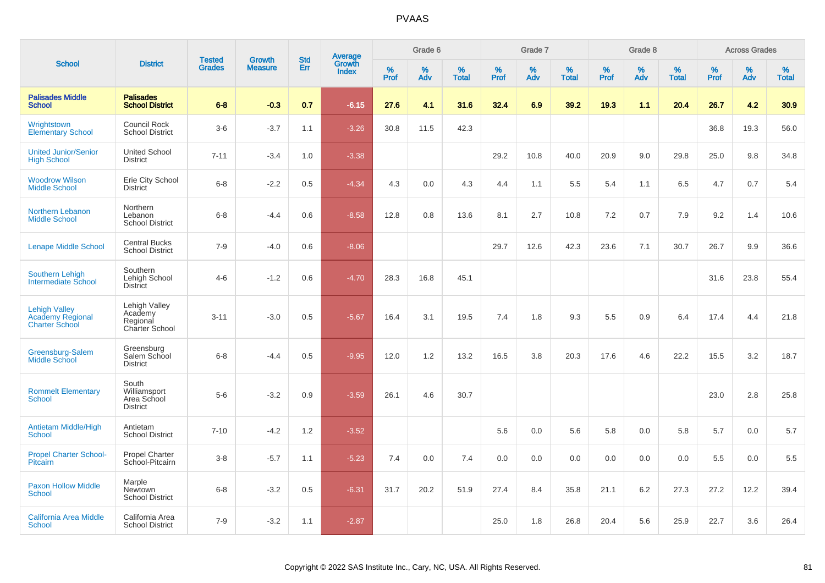|                                                                          |                                                         | <b>Tested</b> | <b>Growth</b>  | <b>Std</b> |                                          |                  | Grade 6     |                   |              | Grade 7  |                   |              | Grade 8  |                   |              | <b>Across Grades</b> |                   |
|--------------------------------------------------------------------------|---------------------------------------------------------|---------------|----------------|------------|------------------------------------------|------------------|-------------|-------------------|--------------|----------|-------------------|--------------|----------|-------------------|--------------|----------------------|-------------------|
| <b>School</b>                                                            | <b>District</b>                                         | <b>Grades</b> | <b>Measure</b> | Err        | <b>Average</b><br>Growth<br><b>Index</b> | %<br><b>Prof</b> | $\%$<br>Adv | %<br><b>Total</b> | $\%$<br>Prof | %<br>Adv | %<br><b>Total</b> | $\%$<br>Prof | %<br>Adv | %<br><b>Total</b> | $\%$<br>Prof | %<br>Adv             | %<br><b>Total</b> |
| <b>Palisades Middle</b><br><b>School</b>                                 | <b>Palisades</b><br><b>School District</b>              | $6 - 8$       | $-0.3$         | 0.7        | $-6.15$                                  | 27.6             | 4.1         | 31.6              | 32.4         | 6.9      | 39.2              | 19.3         | 1.1      | 20.4              | 26.7         | 4.2                  | 30.9              |
| Wrightstown<br><b>Elementary School</b>                                  | <b>Council Rock</b><br><b>School District</b>           | $3-6$         | $-3.7$         | 1.1        | $-3.26$                                  | 30.8             | 11.5        | 42.3              |              |          |                   |              |          |                   | 36.8         | 19.3                 | 56.0              |
| <b>United Junior/Senior</b><br><b>High School</b>                        | <b>United School</b><br><b>District</b>                 | $7 - 11$      | $-3.4$         | 1.0        | $-3.38$                                  |                  |             |                   | 29.2         | 10.8     | 40.0              | 20.9         | 9.0      | 29.8              | 25.0         | 9.8                  | 34.8              |
| <b>Woodrow Wilson</b><br><b>Middle School</b>                            | Erie City School<br><b>District</b>                     | $6 - 8$       | $-2.2$         | 0.5        | $-4.34$                                  | 4.3              | 0.0         | 4.3               | 4.4          | 1.1      | 5.5               | 5.4          | 1.1      | 6.5               | 4.7          | 0.7                  | 5.4               |
| <b>Northern Lebanon</b><br><b>Middle School</b>                          | Northern<br>Lebanon<br><b>School District</b>           | $6 - 8$       | $-4.4$         | 0.6        | $-8.58$                                  | 12.8             | 0.8         | 13.6              | 8.1          | 2.7      | 10.8              | 7.2          | 0.7      | 7.9               | 9.2          | 1.4                  | 10.6              |
| <b>Lenape Middle School</b>                                              | <b>Central Bucks</b><br><b>School District</b>          | $7 - 9$       | $-4.0$         | 0.6        | $-8.06$                                  |                  |             |                   | 29.7         | 12.6     | 42.3              | 23.6         | 7.1      | 30.7              | 26.7         | 9.9                  | 36.6              |
| <b>Southern Lehigh</b><br><b>Intermediate School</b>                     | Southern<br>Lehigh School<br>District                   | $4-6$         | $-1.2$         | 0.6        | $-4.70$                                  | 28.3             | 16.8        | 45.1              |              |          |                   |              |          |                   | 31.6         | 23.8                 | 55.4              |
| <b>Lehigh Valley</b><br><b>Academy Regional</b><br><b>Charter School</b> | Lehigh Valley<br>Academy<br>Regional<br>Charter School  | $3 - 11$      | $-3.0$         | 0.5        | $-5.67$                                  | 16.4             | 3.1         | 19.5              | 7.4          | 1.8      | 9.3               | 5.5          | 0.9      | 6.4               | 17.4         | 4.4                  | 21.8              |
| Greensburg-Salem<br>Middle School                                        | Greensburg<br>Salem School<br><b>District</b>           | $6 - 8$       | $-4.4$         | 0.5        | $-9.95$                                  | 12.0             | 1.2         | 13.2              | 16.5         | 3.8      | 20.3              | 17.6         | 4.6      | 22.2              | 15.5         | 3.2                  | 18.7              |
| <b>Rommelt Elementary</b><br><b>School</b>                               | South<br>Williamsport<br>Area School<br><b>District</b> | $5-6$         | $-3.2$         | 0.9        | $-3.59$                                  | 26.1             | 4.6         | 30.7              |              |          |                   |              |          |                   | 23.0         | 2.8                  | 25.8              |
| <b>Antietam Middle/High</b><br><b>School</b>                             | Antietam<br><b>School District</b>                      | $7 - 10$      | $-4.2$         | 1.2        | $-3.52$                                  |                  |             |                   | 5.6          | 0.0      | 5.6               | 5.8          | 0.0      | 5.8               | 5.7          | 0.0                  | 5.7               |
| <b>Propel Charter School-</b><br>Pitcairn                                | <b>Propel Charter</b><br>School-Pitcairn                | $3 - 8$       | $-5.7$         | 1.1        | $-5.23$                                  | 7.4              | 0.0         | 7.4               | 0.0          | 0.0      | 0.0               | 0.0          | 0.0      | 0.0               | 5.5          | 0.0                  | 5.5               |
| <b>Paxon Hollow Middle</b><br><b>School</b>                              | Marple<br>Newtown<br><b>School District</b>             | $6 - 8$       | $-3.2$         | 0.5        | $-6.31$                                  | 31.7             | 20.2        | 51.9              | 27.4         | 8.4      | 35.8              | 21.1         | 6.2      | 27.3              | 27.2         | 12.2                 | 39.4              |
| <b>California Area Middle</b><br><b>School</b>                           | California Area<br><b>School District</b>               | $7 - 9$       | $-3.2$         | 1.1        | $-2.87$                                  |                  |             |                   | 25.0         | 1.8      | 26.8              | 20.4         | 5.6      | 25.9              | 22.7         | 3.6                  | 26.4              |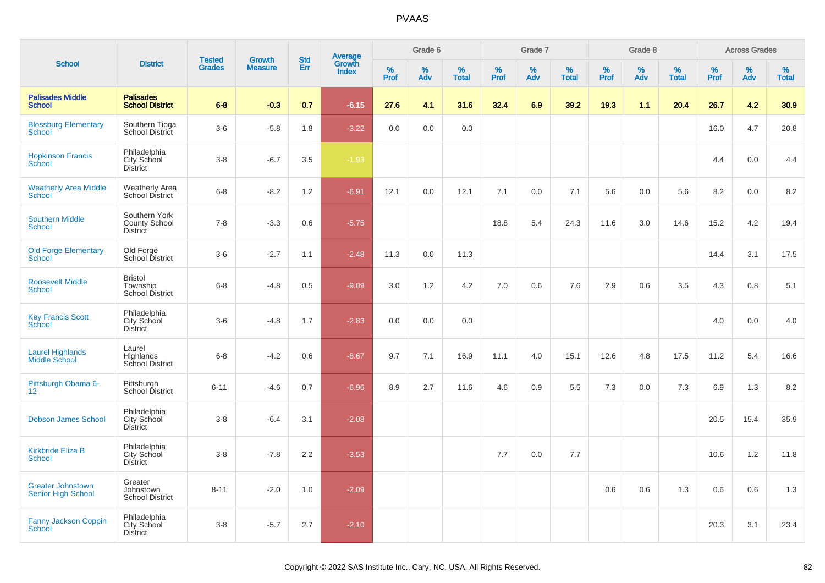| <b>School</b>                                         |                                                       |                                | <b>Growth</b>  | <b>Std</b> |                                          |           | Grade 6  |                   |           | Grade 7  |                   |           | Grade 8  |                   |           | <b>Across Grades</b> |                   |
|-------------------------------------------------------|-------------------------------------------------------|--------------------------------|----------------|------------|------------------------------------------|-----------|----------|-------------------|-----------|----------|-------------------|-----------|----------|-------------------|-----------|----------------------|-------------------|
|                                                       | <b>District</b>                                       | <b>Tested</b><br><b>Grades</b> | <b>Measure</b> | Err        | <b>Average</b><br>Growth<br><b>Index</b> | %<br>Prof | %<br>Adv | %<br><b>Total</b> | %<br>Prof | %<br>Adv | %<br><b>Total</b> | %<br>Prof | %<br>Adv | %<br><b>Total</b> | %<br>Prof | %<br>Adv             | %<br><b>Total</b> |
| <b>Palisades Middle</b><br><b>School</b>              | <b>Palisades</b><br><b>School District</b>            | $6 - 8$                        | $-0.3$         | 0.7        | $-6.15$                                  | 27.6      | 4.1      | 31.6              | 32.4      | 6.9      | 39.2              | 19.3      | 1.1      | 20.4              | 26.7      | 4.2                  | 30.9              |
| <b>Blossburg Elementary</b><br><b>School</b>          | Southern Tioga<br>School District                     | $3-6$                          | $-5.8$         | 1.8        | $-3.22$                                  | 0.0       | 0.0      | 0.0               |           |          |                   |           |          |                   | 16.0      | 4.7                  | 20.8              |
| <b>Hopkinson Francis</b><br>School                    | Philadelphia<br>City School<br><b>District</b>        | $3-8$                          | $-6.7$         | 3.5        | $-1.93$                                  |           |          |                   |           |          |                   |           |          |                   | 4.4       | 0.0                  | 4.4               |
| <b>Weatherly Area Middle</b><br><b>School</b>         | Weatherly Area<br><b>School District</b>              | $6 - 8$                        | $-8.2$         | 1.2        | $-6.91$                                  | 12.1      | 0.0      | 12.1              | 7.1       | 0.0      | 7.1               | 5.6       | 0.0      | 5.6               | 8.2       | 0.0                  | 8.2               |
| <b>Southern Middle</b><br><b>School</b>               | Southern York<br>County School<br><b>District</b>     | $7 - 8$                        | $-3.3$         | 0.6        | $-5.75$                                  |           |          |                   | 18.8      | 5.4      | 24.3              | 11.6      | 3.0      | 14.6              | 15.2      | 4.2                  | 19.4              |
| <b>Old Forge Elementary</b><br><b>School</b>          | Old Forge<br>School District                          | $3-6$                          | $-2.7$         | 1.1        | $-2.48$                                  | 11.3      | 0.0      | 11.3              |           |          |                   |           |          |                   | 14.4      | 3.1                  | 17.5              |
| <b>Roosevelt Middle</b><br><b>School</b>              | <b>Bristol</b><br>Township<br>School District         | $6 - 8$                        | $-4.8$         | 0.5        | $-9.09$                                  | 3.0       | 1.2      | 4.2               | 7.0       | 0.6      | 7.6               | 2.9       | 0.6      | 3.5               | 4.3       | 0.8                  | 5.1               |
| <b>Key Francis Scott</b><br>School                    | Philadelphia<br>City School<br><b>District</b>        | $3-6$                          | $-4.8$         | 1.7        | $-2.83$                                  | 0.0       | 0.0      | 0.0               |           |          |                   |           |          |                   | 4.0       | 0.0                  | 4.0               |
| <b>Laurel Highlands</b><br><b>Middle School</b>       | Laurel<br>Highlands<br>School District                | $6 - 8$                        | $-4.2$         | 0.6        | $-8.67$                                  | 9.7       | 7.1      | 16.9              | 11.1      | 4.0      | 15.1              | 12.6      | 4.8      | 17.5              | 11.2      | 5.4                  | 16.6              |
| Pittsburgh Obama 6-<br>12 <sup>2</sup>                | Pittsburgh<br>School District                         | $6 - 11$                       | $-4.6$         | 0.7        | $-6.96$                                  | 8.9       | 2.7      | 11.6              | 4.6       | 0.9      | 5.5               | 7.3       | 0.0      | 7.3               | 6.9       | 1.3                  | 8.2               |
| <b>Dobson James School</b>                            | Philadelphia<br>City School<br><b>District</b>        | $3-8$                          | $-6.4$         | 3.1        | $-2.08$                                  |           |          |                   |           |          |                   |           |          |                   | 20.5      | 15.4                 | 35.9              |
| <b>Kirkbride Eliza B</b><br><b>School</b>             | Philadelphia<br>City School<br><b>District</b>        | $3-8$                          | $-7.8$         | 2.2        | $-3.53$                                  |           |          |                   | 7.7       | 0.0      | 7.7               |           |          |                   | 10.6      | 1.2                  | 11.8              |
| <b>Greater Johnstown</b><br><b>Senior High School</b> | Greater<br>Johnstown<br><b>School District</b>        | $8 - 11$                       | $-2.0$         | 1.0        | $-2.09$                                  |           |          |                   |           |          |                   | 0.6       | 0.6      | 1.3               | 0.6       | 0.6                  | 1.3               |
| <b>Fanny Jackson Coppin</b><br><b>School</b>          | Philadelphia<br><b>City School</b><br><b>District</b> | $3 - 8$                        | $-5.7$         | 2.7        | $-2.10$                                  |           |          |                   |           |          |                   |           |          |                   | 20.3      | 3.1                  | 23.4              |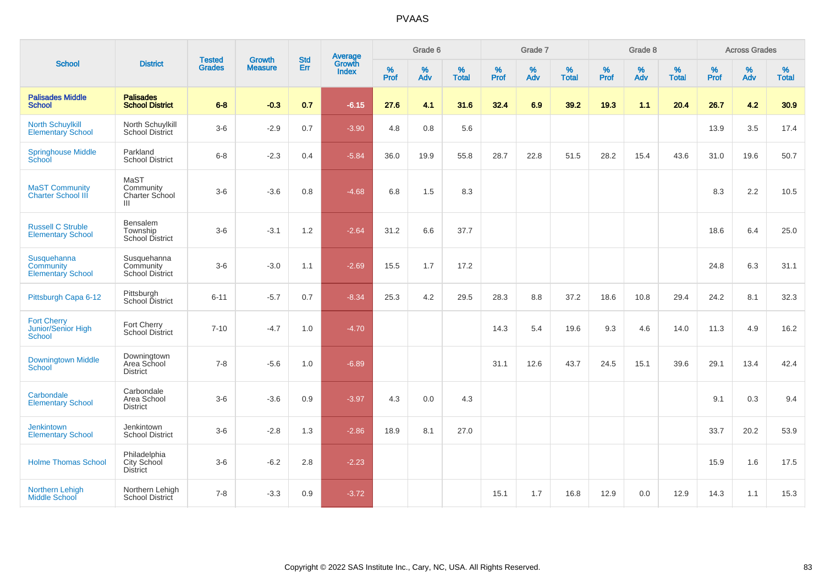| <b>School</b>                                               |                                                              | <b>Tested</b> | <b>Growth</b>  | <b>Std</b> |                                          |              | Grade 6  |                   |           | Grade 7  |                   |           | Grade 8  |                   |              | <b>Across Grades</b> |                   |
|-------------------------------------------------------------|--------------------------------------------------------------|---------------|----------------|------------|------------------------------------------|--------------|----------|-------------------|-----------|----------|-------------------|-----------|----------|-------------------|--------------|----------------------|-------------------|
|                                                             | <b>District</b>                                              | <b>Grades</b> | <b>Measure</b> | Err        | <b>Average</b><br>Growth<br><b>Index</b> | $\%$<br>Prof | %<br>Adv | %<br><b>Total</b> | %<br>Prof | %<br>Adv | %<br><b>Total</b> | %<br>Prof | %<br>Adv | %<br><b>Total</b> | $\%$<br>Prof | $\%$<br>Adv          | %<br><b>Total</b> |
| <b>Palisades Middle</b><br><b>School</b>                    | <b>Palisades</b><br><b>School District</b>                   | $6 - 8$       | $-0.3$         | 0.7        | $-6.15$                                  | 27.6         | 4.1      | 31.6              | 32.4      | 6.9      | 39.2              | 19.3      | 1.1      | 20.4              | 26.7         | 4.2                  | 30.9              |
| <b>North Schuylkill</b><br><b>Elementary School</b>         | North Schuylkill<br>School District                          | $3-6$         | $-2.9$         | 0.7        | $-3.90$                                  | 4.8          | 0.8      | 5.6               |           |          |                   |           |          |                   | 13.9         | 3.5                  | 17.4              |
| <b>Springhouse Middle</b><br>School                         | Parkland<br><b>School District</b>                           | $6 - 8$       | $-2.3$         | 0.4        | $-5.84$                                  | 36.0         | 19.9     | 55.8              | 28.7      | 22.8     | 51.5              | 28.2      | 15.4     | 43.6              | 31.0         | 19.6                 | 50.7              |
| <b>MaST Community</b><br><b>Charter School III</b>          | MaST<br>Community<br><b>Charter School</b><br>$\mathbf{III}$ | $3-6$         | $-3.6$         | 0.8        | $-4.68$                                  | 6.8          | 1.5      | 8.3               |           |          |                   |           |          |                   | 8.3          | 2.2                  | 10.5              |
| <b>Russell C Struble</b><br><b>Elementary School</b>        | Bensalem<br>Township<br>School District                      | $3-6$         | $-3.1$         | 1.2        | $-2.64$                                  | 31.2         | 6.6      | 37.7              |           |          |                   |           |          |                   | 18.6         | 6.4                  | 25.0              |
| Susquehanna<br><b>Community</b><br><b>Elementary School</b> | Susquehanna<br>Community<br><b>School District</b>           | $3-6$         | $-3.0$         | 1.1        | $-2.69$                                  | 15.5         | 1.7      | 17.2              |           |          |                   |           |          |                   | 24.8         | 6.3                  | 31.1              |
| Pittsburgh Capa 6-12                                        | Pittsburgh<br>School District                                | $6 - 11$      | $-5.7$         | 0.7        | $-8.34$                                  | 25.3         | 4.2      | 29.5              | 28.3      | 8.8      | 37.2              | 18.6      | 10.8     | 29.4              | 24.2         | 8.1                  | 32.3              |
| <b>Fort Cherry</b><br>Junior/Senior High<br><b>School</b>   | Fort Cherry<br><b>School District</b>                        | $7 - 10$      | $-4.7$         | 1.0        | $-4.70$                                  |              |          |                   | 14.3      | 5.4      | 19.6              | 9.3       | 4.6      | 14.0              | 11.3         | 4.9                  | 16.2              |
| <b>Downingtown Middle</b><br><b>School</b>                  | Downingtown<br>Area School<br><b>District</b>                | $7 - 8$       | $-5.6$         | 1.0        | $-6.89$                                  |              |          |                   | 31.1      | 12.6     | 43.7              | 24.5      | 15.1     | 39.6              | 29.1         | 13.4                 | 42.4              |
| Carbondale<br><b>Elementary School</b>                      | Carbondale<br>Area School<br><b>District</b>                 | $3-6$         | $-3.6$         | 0.9        | $-3.97$                                  | 4.3          | 0.0      | 4.3               |           |          |                   |           |          |                   | 9.1          | 0.3                  | 9.4               |
| <b>Jenkintown</b><br><b>Elementary School</b>               | Jenkintown<br><b>School District</b>                         | $3-6$         | $-2.8$         | 1.3        | $-2.86$                                  | 18.9         | 8.1      | 27.0              |           |          |                   |           |          |                   | 33.7         | 20.2                 | 53.9              |
| <b>Holme Thomas School</b>                                  | Philadelphia<br>City School<br><b>District</b>               | $3-6$         | $-6.2$         | 2.8        | $-2.23$                                  |              |          |                   |           |          |                   |           |          |                   | 15.9         | 1.6                  | 17.5              |
| Northern Lehigh<br>Middle School                            | Northern Lehigh<br>School District                           | $7 - 8$       | $-3.3$         | 0.9        | $-3.72$                                  |              |          |                   | 15.1      | 1.7      | 16.8              | 12.9      | 0.0      | 12.9              | 14.3         | 1.1                  | 15.3              |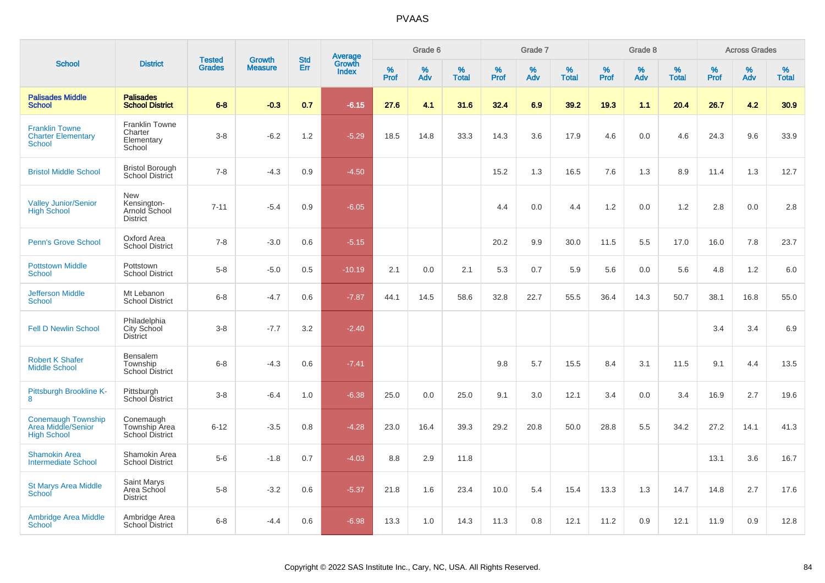| <b>School</b>                                                         |                                                               | <b>Tested</b> | <b>Growth</b>  | <b>Std</b> |                                          |              | Grade 6     |                   |           | Grade 7     |                   |           | Grade 8  |                   |              | <b>Across Grades</b> |                   |
|-----------------------------------------------------------------------|---------------------------------------------------------------|---------------|----------------|------------|------------------------------------------|--------------|-------------|-------------------|-----------|-------------|-------------------|-----------|----------|-------------------|--------------|----------------------|-------------------|
|                                                                       | <b>District</b>                                               | <b>Grades</b> | <b>Measure</b> | Err        | <b>Average</b><br>Growth<br><b>Index</b> | $\%$<br>Prof | $\%$<br>Adv | %<br><b>Total</b> | %<br>Prof | $\%$<br>Adv | %<br><b>Total</b> | %<br>Prof | %<br>Adv | %<br><b>Total</b> | $\%$<br>Prof | $\%$<br>Adv          | %<br><b>Total</b> |
| <b>Palisades Middle</b><br><b>School</b>                              | <b>Palisades</b><br><b>School District</b>                    | $6 - 8$       | $-0.3$         | 0.7        | $-6.15$                                  | 27.6         | 4.1         | 31.6              | 32.4      | 6.9         | 39.2              | 19.3      | 1.1      | 20.4              | 26.7         | 4.2                  | 30.9              |
| <b>Franklin Towne</b><br><b>Charter Elementary</b><br><b>School</b>   | Franklin Towne<br>Charter<br>Elementary<br>School             | $3-8$         | $-6.2$         | 1.2        | $-5.29$                                  | 18.5         | 14.8        | 33.3              | 14.3      | 3.6         | 17.9              | 4.6       | 0.0      | 4.6               | 24.3         | 9.6                  | 33.9              |
| <b>Bristol Middle School</b>                                          | <b>Bristol Borough</b><br>School District                     | $7 - 8$       | $-4.3$         | 0.9        | $-4.50$                                  |              |             |                   | 15.2      | 1.3         | 16.5              | 7.6       | 1.3      | 8.9               | 11.4         | 1.3                  | 12.7              |
| <b>Valley Junior/Senior</b><br><b>High School</b>                     | <b>New</b><br>Kensington-<br>Arnold School<br><b>District</b> | $7 - 11$      | $-5.4$         | 0.9        | $-6.05$                                  |              |             |                   | 4.4       | 0.0         | 4.4               | 1.2       | 0.0      | 1.2               | 2.8          | 0.0                  | 2.8               |
| <b>Penn's Grove School</b>                                            | Oxford Area<br><b>School District</b>                         | $7 - 8$       | $-3.0$         | 0.6        | $-5.15$                                  |              |             |                   | 20.2      | 9.9         | 30.0              | 11.5      | 5.5      | 17.0              | 16.0         | 7.8                  | 23.7              |
| <b>Pottstown Middle</b><br><b>School</b>                              | Pottstown<br><b>School District</b>                           | $5-8$         | $-5.0$         | 0.5        | $-10.19$                                 | 2.1          | 0.0         | 2.1               | 5.3       | 0.7         | 5.9               | 5.6       | 0.0      | 5.6               | 4.8          | $1.2$                | 6.0               |
| <b>Jefferson Middle</b><br><b>School</b>                              | Mt Lebanon<br><b>School District</b>                          | $6 - 8$       | $-4.7$         | 0.6        | $-7.87$                                  | 44.1         | 14.5        | 58.6              | 32.8      | 22.7        | 55.5              | 36.4      | 14.3     | 50.7              | 38.1         | 16.8                 | 55.0              |
| <b>Fell D Newlin School</b>                                           | Philadelphia<br>City School<br><b>District</b>                | $3-8$         | $-7.7$         | 3.2        | $-2.40$                                  |              |             |                   |           |             |                   |           |          |                   | 3.4          | 3.4                  | 6.9               |
| <b>Robert K Shafer</b><br><b>Middle School</b>                        | Bensalem<br>Township<br>School District                       | $6 - 8$       | $-4.3$         | 0.6        | $-7.41$                                  |              |             |                   | 9.8       | 5.7         | 15.5              | 8.4       | 3.1      | 11.5              | 9.1          | 4.4                  | 13.5              |
| Pittsburgh Brookline K-<br>8                                          | Pittsburgh<br>School District                                 | $3 - 8$       | $-6.4$         | 1.0        | $-6.38$                                  | 25.0         | 0.0         | 25.0              | 9.1       | 3.0         | 12.1              | 3.4       | 0.0      | 3.4               | 16.9         | 2.7                  | 19.6              |
| <b>Conemaugh Township</b><br>Area Middle/Senior<br><b>High School</b> | Conemaugh<br>Township Area<br>School District                 | $6 - 12$      | $-3.5$         | 0.8        | $-4.28$                                  | 23.0         | 16.4        | 39.3              | 29.2      | 20.8        | 50.0              | 28.8      | 5.5      | 34.2              | 27.2         | 14.1                 | 41.3              |
| <b>Shamokin Area</b><br><b>Intermediate School</b>                    | Shamokin Area<br><b>School District</b>                       | $5-6$         | $-1.8$         | 0.7        | $-4.03$                                  | 8.8          | 2.9         | 11.8              |           |             |                   |           |          |                   | 13.1         | 3.6                  | 16.7              |
| <b>St Marys Area Middle</b><br>School                                 | <b>Saint Marys</b><br>Area School<br><b>District</b>          | $5-8$         | $-3.2$         | 0.6        | $-5.37$                                  | 21.8         | 1.6         | 23.4              | 10.0      | 5.4         | 15.4              | 13.3      | 1.3      | 14.7              | 14.8         | 2.7                  | 17.6              |
| <b>Ambridge Area Middle</b><br><b>School</b>                          | Ambridge Area<br><b>School District</b>                       | $6 - 8$       | $-4.4$         | 0.6        | $-6.98$                                  | 13.3         | 1.0         | 14.3              | 11.3      | 0.8         | 12.1              | 11.2      | 0.9      | 12.1              | 11.9         | 0.9                  | 12.8              |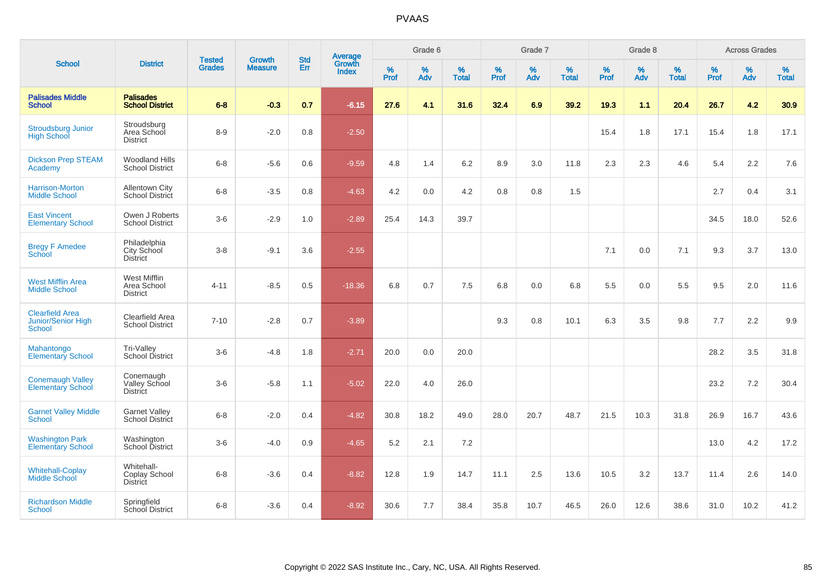|                                                               | <b>District</b>                                 | <b>Tested</b> |                                 | <b>Std</b>    |                                          |           | Grade 6  |                   |           | Grade 7  |                   |           | Grade 8  |                   |           | <b>Across Grades</b> |                   |
|---------------------------------------------------------------|-------------------------------------------------|---------------|---------------------------------|---------------|------------------------------------------|-----------|----------|-------------------|-----------|----------|-------------------|-----------|----------|-------------------|-----------|----------------------|-------------------|
| <b>School</b>                                                 |                                                 | <b>Grades</b> | <b>Growth</b><br><b>Measure</b> | Err           | <b>Average</b><br>Growth<br><b>Index</b> | %<br>Prof | %<br>Adv | %<br><b>Total</b> | %<br>Prof | %<br>Adv | %<br><b>Total</b> | %<br>Prof | %<br>Adv | %<br><b>Total</b> | %<br>Prof | $\%$<br>Adv          | %<br><b>Total</b> |
| <b>Palisades Middle</b><br><b>School</b>                      | <b>Palisades</b><br><b>School District</b>      | $6 - 8$       | $-0.3$                          | 0.7           | $-6.15$                                  | 27.6      | 4.1      | 31.6              | 32.4      | 6.9      | 39.2              | 19.3      | 1.1      | 20.4              | 26.7      | 4.2                  | 30.9              |
| <b>Stroudsburg Junior</b><br><b>High School</b>               | Stroudsburg<br>Area School<br><b>District</b>   | $8-9$         | $-2.0$                          | 0.8           | $-2.50$                                  |           |          |                   |           |          |                   | 15.4      | 1.8      | 17.1              | 15.4      | 1.8                  | 17.1              |
| <b>Dickson Prep STEAM</b><br>Academy                          | <b>Woodland Hills</b><br><b>School District</b> | $6-8$         | $-5.6$                          | 0.6           | $-9.59$                                  | 4.8       | 1.4      | 6.2               | 8.9       | 3.0      | 11.8              | 2.3       | 2.3      | 4.6               | 5.4       | 2.2                  | 7.6               |
| Harrison-Morton<br><b>Middle School</b>                       | <b>Allentown City</b><br>School District        | $6-8$         | $-3.5$                          | 0.8           | $-4.63$                                  | 4.2       | 0.0      | 4.2               | 0.8       | 0.8      | 1.5               |           |          |                   | 2.7       | 0.4                  | 3.1               |
| <b>East Vincent</b><br><b>Elementary School</b>               | Owen J Roberts<br><b>School District</b>        | $3-6$         | $-2.9$                          | 1.0           | $-2.89$                                  | 25.4      | 14.3     | 39.7              |           |          |                   |           |          |                   | 34.5      | 18.0                 | 52.6              |
| <b>Bregy F Amedee</b><br>School                               | Philadelphia<br>City School<br><b>District</b>  | $3 - 8$       | $-9.1$                          | 3.6           | $-2.55$                                  |           |          |                   |           |          |                   | 7.1       | 0.0      | 7.1               | 9.3       | 3.7                  | 13.0              |
| <b>West Mifflin Area</b><br><b>Middle School</b>              | West Mifflin<br>Area School<br><b>District</b>  | $4 - 11$      | $-8.5$                          | 0.5           | $-18.36$                                 | 6.8       | 0.7      | 7.5               | 6.8       | 0.0      | 6.8               | 5.5       | 0.0      | 5.5               | 9.5       | 2.0                  | 11.6              |
| <b>Clearfield Area</b><br><b>Junior/Senior High</b><br>School | Clearfield Area<br><b>School District</b>       | $7 - 10$      | $-2.8$                          | 0.7           | $-3.89$                                  |           |          |                   | 9.3       | 0.8      | 10.1              | 6.3       | 3.5      | 9.8               | 7.7       | 2.2                  | 9.9               |
| Mahantongo<br><b>Elementary School</b>                        | Tri-Valley<br>School District                   | $3-6$         | $-4.8$                          | 1.8           | $-2.71$                                  | 20.0      | 0.0      | 20.0              |           |          |                   |           |          |                   | 28.2      | 3.5                  | 31.8              |
| <b>Conemaugh Valley</b><br><b>Elementary School</b>           | Conemaugh<br>Valley School<br>District          | $3-6$         | $-5.8$                          | 1.1           | $-5.02$                                  | 22.0      | 4.0      | 26.0              |           |          |                   |           |          |                   | 23.2      | 7.2                  | 30.4              |
| <b>Garnet Valley Middle</b><br>School                         | <b>Garnet Valley</b><br>School District         | $6 - 8$       | $-2.0$                          | $0.4^{\circ}$ | $-4.82$                                  | 30.8      | 18.2     | 49.0              | 28.0      | 20.7     | 48.7              | 21.5      | 10.3     | 31.8              | 26.9      | 16.7                 | 43.6              |
| <b>Washington Park</b><br><b>Elementary School</b>            | Washington<br>School District                   | $3-6$         | $-4.0$                          | 0.9           | $-4.65$                                  | 5.2       | 2.1      | 7.2               |           |          |                   |           |          |                   | 13.0      | 4.2                  | 17.2              |
| <b>Whitehall-Coplay</b><br><b>Middle School</b>               | Whitehall-<br>Coplay School<br><b>District</b>  | $6 - 8$       | $-3.6$                          | 0.4           | $-8.82$                                  | 12.8      | 1.9      | 14.7              | 11.1      | 2.5      | 13.6              | 10.5      | 3.2      | 13.7              | 11.4      | 2.6                  | 14.0              |
| <b>Richardson Middle</b><br><b>School</b>                     | Springfield<br>School District                  | $6 - 8$       | $-3.6$                          | 0.4           | $-8.92$                                  | 30.6      | 7.7      | 38.4              | 35.8      | 10.7     | 46.5              | 26.0      | 12.6     | 38.6              | 31.0      | 10.2                 | 41.2              |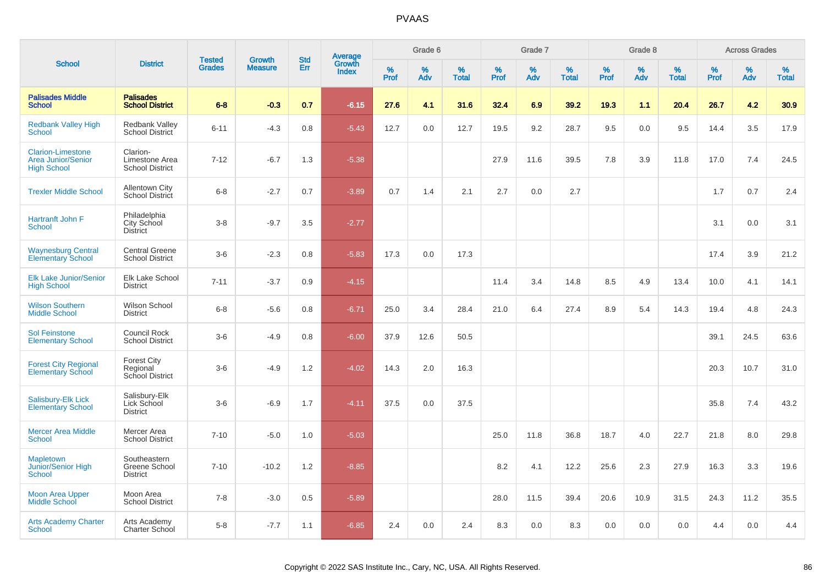| <b>School</b>                                                               | <b>District</b>                                      | <b>Tested</b> | <b>Growth</b>  | <b>Std</b> | <b>Average</b><br>Growth |                  | Grade 6  |                   |           | Grade 7  |                   |           | Grade 8  |                   |           | <b>Across Grades</b> |                   |
|-----------------------------------------------------------------------------|------------------------------------------------------|---------------|----------------|------------|--------------------------|------------------|----------|-------------------|-----------|----------|-------------------|-----------|----------|-------------------|-----------|----------------------|-------------------|
|                                                                             |                                                      | <b>Grades</b> | <b>Measure</b> | Err        | <b>Index</b>             | %<br><b>Prof</b> | %<br>Adv | %<br><b>Total</b> | %<br>Prof | %<br>Adv | %<br><b>Total</b> | %<br>Prof | %<br>Adv | %<br><b>Total</b> | %<br>Prof | %<br>Adv             | %<br><b>Total</b> |
| <b>Palisades Middle</b><br><b>School</b>                                    | <b>Palisades</b><br><b>School District</b>           | $6 - 8$       | $-0.3$         | 0.7        | $-6.15$                  | 27.6             | 4.1      | 31.6              | 32.4      | 6.9      | 39.2              | 19.3      | 1.1      | 20.4              | 26.7      | 4.2                  | 30.9 <sub>2</sub> |
| <b>Redbank Valley High</b><br><b>School</b>                                 | <b>Redbank Valley</b><br><b>School District</b>      | $6 - 11$      | $-4.3$         | 0.8        | $-5.43$                  | 12.7             | 0.0      | 12.7              | 19.5      | 9.2      | 28.7              | 9.5       | 0.0      | 9.5               | 14.4      | 3.5                  | 17.9              |
| <b>Clarion-Limestone</b><br><b>Area Junior/Senior</b><br><b>High School</b> | Clarion-<br>Limestone Area<br><b>School District</b> | $7 - 12$      | $-6.7$         | 1.3        | $-5.38$                  |                  |          |                   | 27.9      | 11.6     | 39.5              | 7.8       | 3.9      | 11.8              | 17.0      | 7.4                  | 24.5              |
| <b>Trexler Middle School</b>                                                | <b>Allentown City</b><br><b>School District</b>      | $6 - 8$       | $-2.7$         | 0.7        | $-3.89$                  | 0.7              | 1.4      | 2.1               | 2.7       | 0.0      | 2.7               |           |          |                   | 1.7       | 0.7                  | 2.4               |
| Hartranft John F<br>School                                                  | Philadelphia<br>City School<br><b>District</b>       | $3 - 8$       | $-9.7$         | 3.5        | $-2.77$                  |                  |          |                   |           |          |                   |           |          |                   | 3.1       | 0.0                  | 3.1               |
| <b>Waynesburg Central</b><br><b>Elementary School</b>                       | <b>Central Greene</b><br><b>School District</b>      | $3-6$         | $-2.3$         | 0.8        | $-5.83$                  | 17.3             | 0.0      | 17.3              |           |          |                   |           |          |                   | 17.4      | 3.9                  | 21.2              |
| <b>Elk Lake Junior/Senior</b><br><b>High School</b>                         | Elk Lake School<br><b>District</b>                   | $7 - 11$      | $-3.7$         | 0.9        | $-4.15$                  |                  |          |                   | 11.4      | 3.4      | 14.8              | 8.5       | 4.9      | 13.4              | 10.0      | 4.1                  | 14.1              |
| <b>Wilson Southern</b><br><b>Middle School</b>                              | Wilson School<br><b>District</b>                     | $6 - 8$       | $-5.6$         | 0.8        | $-6.71$                  | 25.0             | 3.4      | 28.4              | 21.0      | 6.4      | 27.4              | 8.9       | 5.4      | 14.3              | 19.4      | 4.8                  | 24.3              |
| <b>Sol Feinstone</b><br><b>Elementary School</b>                            | <b>Council Rock</b><br><b>School District</b>        | $3-6$         | $-4.9$         | 0.8        | $-6.00$                  | 37.9             | 12.6     | 50.5              |           |          |                   |           |          |                   | 39.1      | 24.5                 | 63.6              |
| <b>Forest City Regional</b><br><b>Elementary School</b>                     | <b>Forest City</b><br>Regional<br>School District    | $3-6$         | $-4.9$         | 1.2        | $-4.02$                  | 14.3             | 2.0      | 16.3              |           |          |                   |           |          |                   | 20.3      | 10.7                 | 31.0              |
| <b>Salisbury-Elk Lick</b><br><b>Elementary School</b>                       | Salisbury-Elk<br>Lick School<br><b>District</b>      | $3-6$         | $-6.9$         | 1.7        | $-4.11$                  | 37.5             | 0.0      | 37.5              |           |          |                   |           |          |                   | 35.8      | 7.4                  | 43.2              |
| <b>Mercer Area Middle</b><br>School                                         | Mercer Area<br><b>School District</b>                | $7 - 10$      | $-5.0$         | 1.0        | $-5.03$                  |                  |          |                   | 25.0      | 11.8     | 36.8              | 18.7      | 4.0      | 22.7              | 21.8      | 8.0                  | 29.8              |
| <b>Mapletown</b><br>Junior/Senior High<br><b>School</b>                     | Southeastern<br>Greene School<br><b>District</b>     | $7 - 10$      | $-10.2$        | 1.2        | $-8.85$                  |                  |          |                   | 8.2       | 4.1      | 12.2              | 25.6      | 2.3      | 27.9              | 16.3      | 3.3                  | 19.6              |
| <b>Moon Area Upper</b><br><b>Middle School</b>                              | Moon Area<br><b>School District</b>                  | $7 - 8$       | $-3.0$         | 0.5        | $-5.89$                  |                  |          |                   | 28.0      | 11.5     | 39.4              | 20.6      | 10.9     | 31.5              | 24.3      | 11.2                 | 35.5              |
| <b>Arts Academy Charter</b><br>School                                       | Arts Academy<br>Charter School                       | $5-8$         | $-7.7$         | 1.1        | $-6.85$                  | 2.4              | 0.0      | 2.4               | 8.3       | 0.0      | 8.3               | 0.0       | 0.0      | 0.0               | 4.4       | 0.0                  | 4.4               |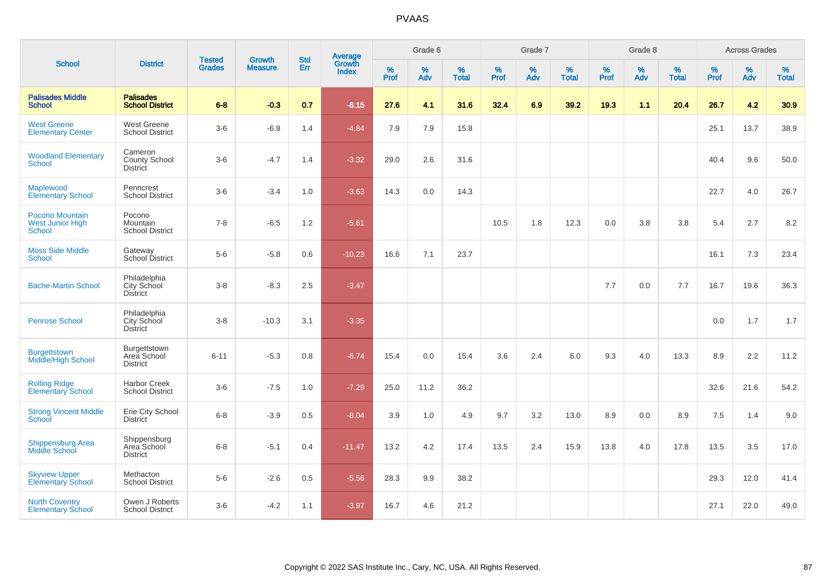|                                                             |                                                | <b>Tested</b> |                                 | <b>Std</b> |                                          |                  | Grade 6     |                   |           | Grade 7  |                   |              | Grade 8  |                   |           | <b>Across Grades</b> |                   |
|-------------------------------------------------------------|------------------------------------------------|---------------|---------------------------------|------------|------------------------------------------|------------------|-------------|-------------------|-----------|----------|-------------------|--------------|----------|-------------------|-----------|----------------------|-------------------|
| <b>School</b>                                               | <b>District</b>                                | <b>Grades</b> | <b>Growth</b><br><b>Measure</b> | Err        | <b>Average</b><br>Growth<br><b>Index</b> | %<br><b>Prof</b> | $\%$<br>Adv | %<br><b>Total</b> | %<br>Prof | %<br>Adv | %<br><b>Total</b> | $\%$<br>Prof | %<br>Adv | %<br><b>Total</b> | %<br>Prof | %<br>Adv             | %<br><b>Total</b> |
| <b>Palisades Middle</b><br><b>School</b>                    | <b>Palisades</b><br><b>School District</b>     | $6 - 8$       | $-0.3$                          | 0.7        | $-6.15$                                  | 27.6             | 4.1         | 31.6              | 32.4      | 6.9      | 39.2              | 19.3         | 1.1      | 20.4              | 26.7      | 4.2                  | 30.9              |
| <b>West Greene</b><br><b>Elementary Center</b>              | West Greene<br><b>School District</b>          | $3-6$         | $-6.8$                          | 1.4        | $-4.84$                                  | 7.9              | 7.9         | 15.8              |           |          |                   |              |          |                   | 25.1      | 13.7                 | 38.9              |
| <b>Woodland Elementary</b><br><b>School</b>                 | Cameron<br>County School<br>District           | $3-6$         | $-4.7$                          | 1.4        | $-3.32$                                  | 29.0             | 2.6         | 31.6              |           |          |                   |              |          |                   | 40.4      | 9.6                  | 50.0              |
| Maplewood<br><b>Elementary School</b>                       | Penncrest<br><b>School District</b>            | $3-6$         | $-3.4$                          | 1.0        | $-3.63$                                  | 14.3             | 0.0         | 14.3              |           |          |                   |              |          |                   | 22.7      | 4.0                  | 26.7              |
| Pocono Mountain<br><b>West Junior High</b><br><b>School</b> | Pocono<br>Mountain<br><b>School District</b>   | $7 - 8$       | $-6.5$                          | 1.2        | $-5.61$                                  |                  |             |                   | 10.5      | 1.8      | 12.3              | 0.0          | 3.8      | 3.8               | 5.4       | 2.7                  | 8.2               |
| <b>Moss Side Middle</b><br><b>School</b>                    | Gateway<br>School District                     | $5-6$         | $-5.8$                          | 0.6        | $-10.23$                                 | 16.6             | 7.1         | 23.7              |           |          |                   |              |          |                   | 16.1      | 7.3                  | 23.4              |
| <b>Bache-Martin School</b>                                  | Philadelphia<br>City School<br><b>District</b> | $3 - 8$       | $-8.3$                          | 2.5        | $-3.47$                                  |                  |             |                   |           |          |                   | 7.7          | 0.0      | 7.7               | 16.7      | 19.6                 | 36.3              |
| <b>Penrose School</b>                                       | Philadelphia<br>City School<br><b>District</b> | $3 - 8$       | $-10.3$                         | 3.1        | $-3.35$                                  |                  |             |                   |           |          |                   |              |          |                   | 0.0       | 1.7                  | 1.7               |
| Burgettstown<br><b>Middle/High School</b>                   | Burgettstown<br>Area School<br><b>District</b> | $6 - 11$      | $-5.3$                          | 0.8        | $-6.74$                                  | 15.4             | 0.0         | 15.4              | 3.6       | 2.4      | 6.0               | 9.3          | 4.0      | 13.3              | 8.9       | 2.2                  | 11.2              |
| <b>Rolling Ridge</b><br>Elementary School                   | <b>Harbor Creek</b><br><b>School District</b>  | $3-6$         | $-7.5$                          | 1.0        | $-7.29$                                  | 25.0             | 11.2        | 36.2              |           |          |                   |              |          |                   | 32.6      | 21.6                 | 54.2              |
| <b>Strong Vincent Middle</b><br>School                      | Erie City School<br><b>District</b>            | $6 - 8$       | $-3.9$                          | 0.5        | $-8.04$                                  | 3.9              | 1.0         | 4.9               | 9.7       | 3.2      | 13.0              | 8.9          | 0.0      | 8.9               | 7.5       | 1.4                  | 9.0               |
| <b>Shippensburg Area</b><br>Middle School                   | Shippensburg<br>Area School<br><b>District</b> | $6 - 8$       | $-5.1$                          | 0.4        | $-11.47$                                 | 13.2             | 4.2         | 17.4              | 13.5      | 2.4      | 15.9              | 13.8         | 4.0      | 17.8              | 13.5      | 3.5                  | 17.0              |
| <b>Skyview Upper</b><br><b>Elementary School</b>            | Methacton<br><b>School District</b>            | $5-6$         | $-2.6$                          | 0.5        | $-5.56$                                  | 28.3             | 9.9         | 38.2              |           |          |                   |              |          |                   | 29.3      | 12.0                 | 41.4              |
| <b>North Coventry</b><br><b>Elementary School</b>           | Owen J Roberts<br><b>School District</b>       | $3-6$         | $-4.2$                          | 1.1        | $-3.97$                                  | 16.7             | 4.6         | 21.2              |           |          |                   |              |          |                   | 27.1      | 22.0                 | 49.0              |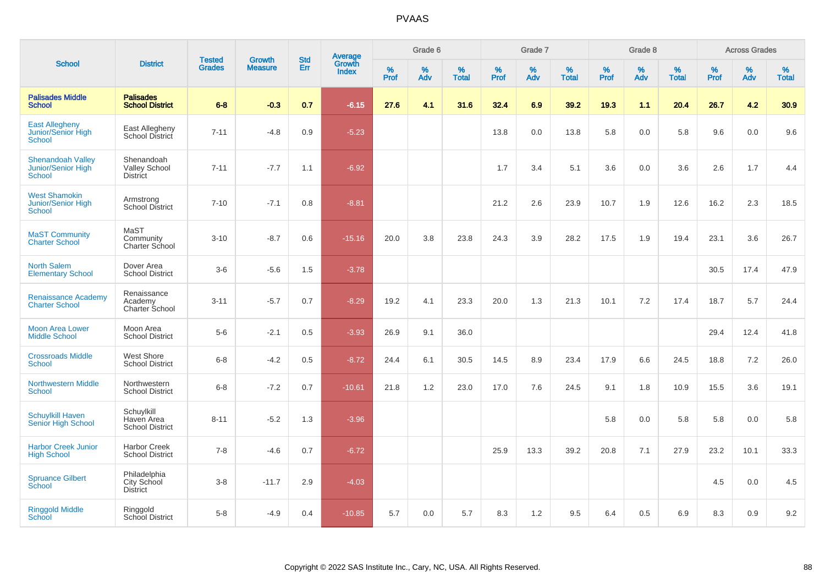| <b>School</b>                                            |                                                       | <b>Tested</b><br><b>District</b><br><b>Grades</b> | <b>Growth</b>  | <b>Std</b> |                                          |                  | Grade 6     |                   |              | Grade 7     |                      |              | Grade 8  |                   |              | <b>Across Grades</b> |                      |
|----------------------------------------------------------|-------------------------------------------------------|---------------------------------------------------|----------------|------------|------------------------------------------|------------------|-------------|-------------------|--------------|-------------|----------------------|--------------|----------|-------------------|--------------|----------------------|----------------------|
|                                                          |                                                       |                                                   | <b>Measure</b> | Err        | <b>Average</b><br>Growth<br><b>Index</b> | %<br><b>Prof</b> | $\%$<br>Adv | %<br><b>Total</b> | $\%$<br>Prof | $\%$<br>Adv | $\%$<br><b>Total</b> | $\%$<br>Prof | %<br>Adv | %<br><b>Total</b> | $\%$<br>Prof | $\%$<br>Adv          | $\%$<br><b>Total</b> |
| <b>Palisades Middle</b><br><b>School</b>                 | <b>Palisades</b><br><b>School District</b>            | $6-8$                                             | $-0.3$         | 0.7        | $-6.15$                                  | 27.6             | 4.1         | 31.6              | 32.4         | 6.9         | 39.2                 | 19.3         | 1.1      | 20.4              | 26.7         | 4.2                  | 30.9                 |
| <b>East Allegheny</b><br>Junior/Senior High<br>School    | East Allegheny<br>School District                     | $7 - 11$                                          | $-4.8$         | 0.9        | $-5.23$                                  |                  |             |                   | 13.8         | 0.0         | 13.8                 | 5.8          | 0.0      | 5.8               | 9.6          | 0.0                  | 9.6                  |
| <b>Shenandoah Valley</b><br>Junior/Senior High<br>School | Shenandoah<br><b>Valley School</b><br><b>District</b> | $7 - 11$                                          | $-7.7$         | 1.1        | $-6.92$                                  |                  |             |                   | 1.7          | 3.4         | 5.1                  | 3.6          | 0.0      | 3.6               | 2.6          | 1.7                  | 4.4                  |
| <b>West Shamokin</b><br>Junior/Senior High<br>School     | Armstrong<br><b>School District</b>                   | $7 - 10$                                          | $-7.1$         | 0.8        | $-8.81$                                  |                  |             |                   | 21.2         | 2.6         | 23.9                 | 10.7         | 1.9      | 12.6              | 16.2         | 2.3                  | 18.5                 |
| <b>MaST Community</b><br><b>Charter School</b>           | MaST<br>Community<br>Charter School                   | $3 - 10$                                          | $-8.7$         | 0.6        | $-15.16$                                 | 20.0             | 3.8         | 23.8              | 24.3         | 3.9         | 28.2                 | 17.5         | 1.9      | 19.4              | 23.1         | 3.6                  | 26.7                 |
| <b>North Salem</b><br><b>Elementary School</b>           | Dover Area<br><b>School District</b>                  | $3-6$                                             | $-5.6$         | 1.5        | $-3.78$                                  |                  |             |                   |              |             |                      |              |          |                   | 30.5         | 17.4                 | 47.9                 |
| <b>Renaissance Academy</b><br><b>Charter School</b>      | Renaissance<br>Academy<br>Charter School              | $3 - 11$                                          | $-5.7$         | 0.7        | $-8.29$                                  | 19.2             | 4.1         | 23.3              | 20.0         | 1.3         | 21.3                 | 10.1         | 7.2      | 17.4              | 18.7         | 5.7                  | 24.4                 |
| <b>Moon Area Lower</b><br><b>Middle School</b>           | Moon Area<br><b>School District</b>                   | $5-6$                                             | $-2.1$         | 0.5        | $-3.93$                                  | 26.9             | 9.1         | 36.0              |              |             |                      |              |          |                   | 29.4         | 12.4                 | 41.8                 |
| <b>Crossroads Middle</b><br><b>School</b>                | West Shore<br><b>School District</b>                  | $6 - 8$                                           | $-4.2$         | 0.5        | $-8.72$                                  | 24.4             | 6.1         | 30.5              | 14.5         | 8.9         | 23.4                 | 17.9         | 6.6      | 24.5              | 18.8         | 7.2                  | 26.0                 |
| <b>Northwestern Middle</b><br><b>School</b>              | Northwestern<br><b>School District</b>                | $6 - 8$                                           | $-7.2$         | 0.7        | $-10.61$                                 | 21.8             | 1.2         | 23.0              | 17.0         | 7.6         | 24.5                 | 9.1          | 1.8      | 10.9              | 15.5         | 3.6                  | 19.1                 |
| <b>Schuylkill Haven</b><br>Senior High School            | Schuylkill<br>Haven Area<br><b>School District</b>    | $8 - 11$                                          | $-5.2$         | 1.3        | $-3.96$                                  |                  |             |                   |              |             |                      | 5.8          | 0.0      | 5.8               | 5.8          | 0.0                  | 5.8                  |
| <b>Harbor Creek Junior</b><br><b>High School</b>         | <b>Harbor Creek</b><br><b>School District</b>         | $7 - 8$                                           | $-4.6$         | 0.7        | $-6.72$                                  |                  |             |                   | 25.9         | 13.3        | 39.2                 | 20.8         | 7.1      | 27.9              | 23.2         | 10.1                 | 33.3                 |
| <b>Spruance Gilbert</b><br>School                        | Philadelphia<br>City School<br><b>District</b>        | $3-8$                                             | $-11.7$        | 2.9        | $-4.03$                                  |                  |             |                   |              |             |                      |              |          |                   | 4.5          | 0.0                  | 4.5                  |
| <b>Ringgold Middle</b><br>School                         | Ringgold<br>School District                           | $5-8$                                             | $-4.9$         | 0.4        | $-10.85$                                 | 5.7              | 0.0         | 5.7               | 8.3          | 1.2         | 9.5                  | 6.4          | 0.5      | 6.9               | 8.3          | 0.9                  | 9.2                  |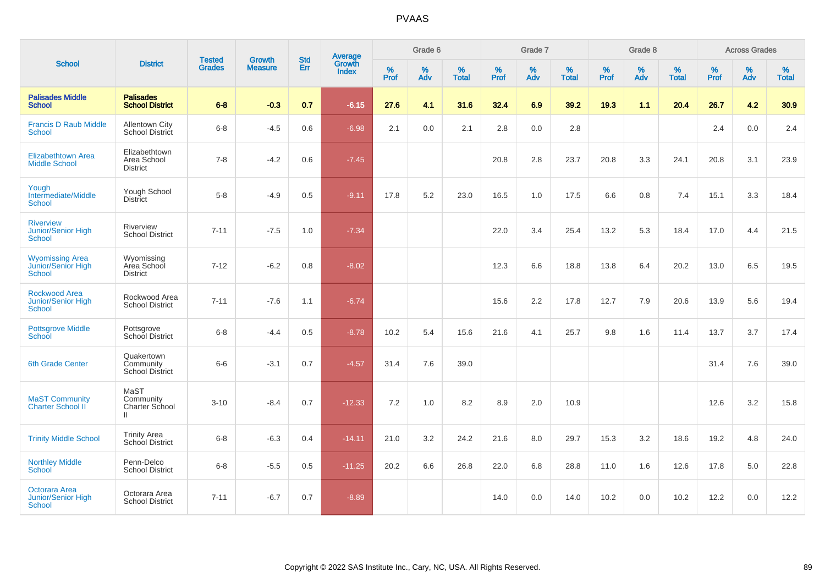|                                                                      | <b>District</b>                                     | <b>Tested</b> | <b>Growth</b>  | <b>Std</b> |                                          |                  | Grade 6  |                   |                  | Grade 7  |                   |           | Grade 8  |                   |           | <b>Across Grades</b> |                   |
|----------------------------------------------------------------------|-----------------------------------------------------|---------------|----------------|------------|------------------------------------------|------------------|----------|-------------------|------------------|----------|-------------------|-----------|----------|-------------------|-----------|----------------------|-------------------|
| <b>School</b>                                                        |                                                     | <b>Grades</b> | <b>Measure</b> | Err        | <b>Average</b><br>Growth<br><b>Index</b> | %<br><b>Prof</b> | %<br>Adv | %<br><b>Total</b> | %<br><b>Prof</b> | %<br>Adv | %<br><b>Total</b> | %<br>Prof | %<br>Adv | %<br><b>Total</b> | %<br>Prof | %<br>Adv             | %<br><b>Total</b> |
| <b>Palisades Middle</b><br><b>School</b>                             | <b>Palisades</b><br><b>School District</b>          | $6 - 8$       | $-0.3$         | 0.7        | $-6.15$                                  | 27.6             | 4.1      | 31.6              | 32.4             | 6.9      | 39.2              | 19.3      | 1.1      | 20.4              | 26.7      | 4.2                  | 30.9              |
| <b>Francis D Raub Middle</b><br><b>School</b>                        | <b>Allentown City</b><br>School District            | $6 - 8$       | $-4.5$         | 0.6        | $-6.98$                                  | 2.1              | 0.0      | 2.1               | 2.8              | 0.0      | 2.8               |           |          |                   | 2.4       | 0.0                  | 2.4               |
| Elizabethtown Area<br><b>Middle School</b>                           | Elizabethtown<br>Area School<br><b>District</b>     | $7 - 8$       | $-4.2$         | 0.6        | $-7.45$                                  |                  |          |                   | 20.8             | 2.8      | 23.7              | 20.8      | 3.3      | 24.1              | 20.8      | 3.1                  | 23.9              |
| Yough<br>Intermediate/Middle<br><b>School</b>                        | Yough School<br><b>District</b>                     | $5-8$         | $-4.9$         | 0.5        | $-9.11$                                  | 17.8             | 5.2      | 23.0              | 16.5             | 1.0      | 17.5              | 6.6       | 0.8      | 7.4               | 15.1      | 3.3                  | 18.4              |
| <b>Riverview</b><br><b>Junior/Senior High</b><br><b>School</b>       | Riverview<br><b>School District</b>                 | $7 - 11$      | $-7.5$         | 1.0        | $-7.34$                                  |                  |          |                   | 22.0             | 3.4      | 25.4              | 13.2      | 5.3      | 18.4              | 17.0      | 4.4                  | 21.5              |
| <b>Wyomissing Area</b><br><b>Junior/Senior High</b><br><b>School</b> | Wyomissing<br>Area School<br><b>District</b>        | $7 - 12$      | $-6.2$         | 0.8        | $-8.02$                                  |                  |          |                   | 12.3             | 6.6      | 18.8              | 13.8      | 6.4      | 20.2              | 13.0      | 6.5                  | 19.5              |
| <b>Rockwood Area</b><br><b>Junior/Senior High</b><br><b>School</b>   | Rockwood Area<br><b>School District</b>             | $7 - 11$      | $-7.6$         | 1.1        | $-6.74$                                  |                  |          |                   | 15.6             | 2.2      | 17.8              | 12.7      | 7.9      | 20.6              | 13.9      | 5.6                  | 19.4              |
| <b>Pottsgrove Middle</b><br>School                                   | Pottsgrove<br>School District                       | $6-8$         | $-4.4$         | 0.5        | $-8.78$                                  | 10.2             | 5.4      | 15.6              | 21.6             | 4.1      | 25.7              | 9.8       | 1.6      | 11.4              | 13.7      | 3.7                  | 17.4              |
| <b>6th Grade Center</b>                                              | Quakertown<br>Community<br>School District          | $6-6$         | $-3.1$         | 0.7        | $-4.57$                                  | 31.4             | 7.6      | 39.0              |                  |          |                   |           |          |                   | 31.4      | 7.6                  | 39.0              |
| <b>MaST Community</b><br><b>Charter School II</b>                    | MaST<br>Community<br>Charter School<br>$\mathbf{H}$ | $3 - 10$      | $-8.4$         | 0.7        | $-12.33$                                 | 7.2              | 1.0      | 8.2               | 8.9              | 2.0      | 10.9              |           |          |                   | 12.6      | 3.2                  | 15.8              |
| <b>Trinity Middle School</b>                                         | <b>Trinity Area</b><br><b>School District</b>       | $6 - 8$       | $-6.3$         | 0.4        | $-14.11$                                 | 21.0             | 3.2      | 24.2              | 21.6             | 8.0      | 29.7              | 15.3      | 3.2      | 18.6              | 19.2      | 4.8                  | 24.0              |
| <b>Northley Middle</b><br><b>School</b>                              | Penn-Delco<br><b>School District</b>                | $6-8$         | $-5.5$         | 0.5        | $-11.25$                                 | 20.2             | 6.6      | 26.8              | 22.0             | 6.8      | 28.8              | 11.0      | 1.6      | 12.6              | 17.8      | 5.0                  | 22.8              |
| Octorara Area<br>Junior/Senior High<br><b>School</b>                 | Octorara Area<br><b>School District</b>             | $7 - 11$      | $-6.7$         | 0.7        | $-8.89$                                  |                  |          |                   | 14.0             | 0.0      | 14.0              | 10.2      | 0.0      | 10.2              | 12.2      | 0.0                  | 12.2              |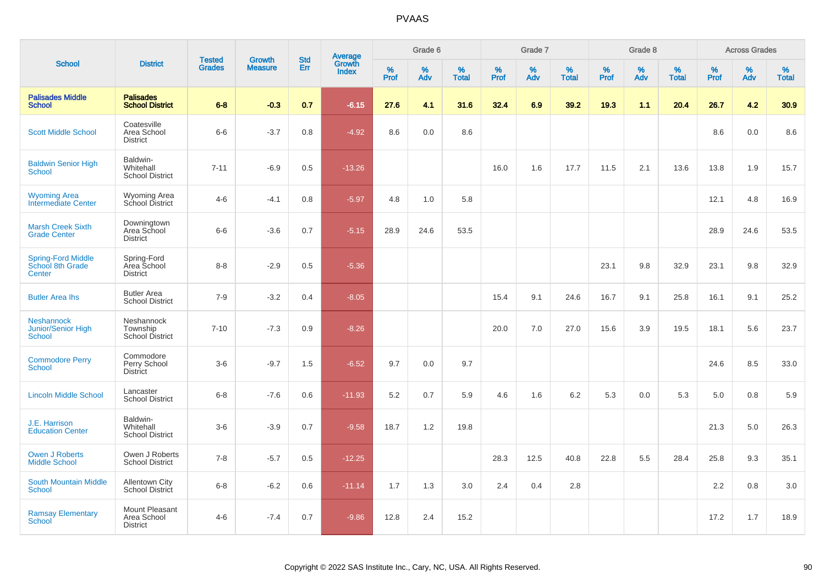| <b>School</b>                                            | <b>Tested</b><br><b>District</b>                 |               | <b>Growth</b>  | <b>Std</b> |                                          |                     | Grade 6     |                   |              | Grade 7     |                      |              | Grade 8  |                   |                     | <b>Across Grades</b> |                   |
|----------------------------------------------------------|--------------------------------------------------|---------------|----------------|------------|------------------------------------------|---------------------|-------------|-------------------|--------------|-------------|----------------------|--------------|----------|-------------------|---------------------|----------------------|-------------------|
|                                                          |                                                  | <b>Grades</b> | <b>Measure</b> | <b>Err</b> | <b>Average</b><br>Growth<br><b>Index</b> | $\%$<br><b>Prof</b> | $\%$<br>Adv | %<br><b>Total</b> | $\%$<br>Prof | $\%$<br>Adv | $\%$<br><b>Total</b> | $\%$<br>Prof | %<br>Adv | %<br><b>Total</b> | $\%$<br><b>Prof</b> | $\%$<br>Adv          | %<br><b>Total</b> |
| <b>Palisades Middle</b><br><b>School</b>                 | <b>Palisades</b><br><b>School District</b>       | $6 - 8$       | $-0.3$         | 0.7        | $-6.15$                                  | 27.6                | 4.1         | 31.6              | 32.4         | 6.9         | 39.2                 | 19.3         | 1.1      | 20.4              | 26.7                | 4.2                  | 30.9              |
| <b>Scott Middle School</b>                               | Coatesville<br>Area School<br><b>District</b>    | $6-6$         | $-3.7$         | 0.8        | $-4.92$                                  | 8.6                 | 0.0         | 8.6               |              |             |                      |              |          |                   | 8.6                 | 0.0                  | 8.6               |
| <b>Baldwin Senior High</b><br>School                     | Baldwin-<br>Whitehall<br><b>School District</b>  | $7 - 11$      | $-6.9$         | 0.5        | $-13.26$                                 |                     |             |                   | 16.0         | 1.6         | 17.7                 | 11.5         | 2.1      | 13.6              | 13.8                | 1.9                  | 15.7              |
| <b>Wyoming Area</b><br>Intermediate Center               | <b>Wyoming Area</b><br>School District           | $4 - 6$       | $-4.1$         | 0.8        | $-5.97$                                  | 4.8                 | 1.0         | 5.8               |              |             |                      |              |          |                   | 12.1                | 4.8                  | 16.9              |
| <b>Marsh Creek Sixth</b><br><b>Grade Center</b>          | Downingtown<br>Area School<br><b>District</b>    | $6-6$         | $-3.6$         | 0.7        | $-5.15$                                  | 28.9                | 24.6        | 53.5              |              |             |                      |              |          |                   | 28.9                | 24.6                 | 53.5              |
| <b>Spring-Ford Middle</b><br>School 8th Grade<br>Center  | Spring-Ford<br>Area School<br><b>District</b>    | $8 - 8$       | $-2.9$         | 0.5        | $-5.36$                                  |                     |             |                   |              |             |                      | 23.1         | 9.8      | 32.9              | 23.1                | 9.8                  | 32.9              |
| <b>Butler Area Ihs</b>                                   | <b>Butler Area</b><br><b>School District</b>     | $7 - 9$       | $-3.2$         | 0.4        | $-8.05$                                  |                     |             |                   | 15.4         | 9.1         | 24.6                 | 16.7         | 9.1      | 25.8              | 16.1                | 9.1                  | 25.2              |
| <b>Neshannock</b><br>Junior/Senior High<br><b>School</b> | Neshannock<br>Township<br><b>School District</b> | $7 - 10$      | $-7.3$         | 0.9        | $-8.26$                                  |                     |             |                   | 20.0         | 7.0         | 27.0                 | 15.6         | 3.9      | 19.5              | 18.1                | 5.6                  | 23.7              |
| <b>Commodore Perry</b><br><b>School</b>                  | Commodore<br>Perry School<br>District            | $3-6$         | $-9.7$         | 1.5        | $-6.52$                                  | 9.7                 | 0.0         | 9.7               |              |             |                      |              |          |                   | 24.6                | 8.5                  | 33.0              |
| <b>Lincoln Middle School</b>                             | Lancaster<br><b>School District</b>              | $6 - 8$       | $-7.6$         | 0.6        | $-11.93$                                 | 5.2                 | 0.7         | 5.9               | 4.6          | 1.6         | 6.2                  | 5.3          | 0.0      | 5.3               | 5.0                 | 0.8                  | 5.9               |
| J.E. Harrison<br><b>Education Center</b>                 | Baldwin-<br>Whitehall<br><b>School District</b>  | $3-6$         | $-3.9$         | 0.7        | $-9.58$                                  | 18.7                | 1.2         | 19.8              |              |             |                      |              |          |                   | 21.3                | 5.0                  | 26.3              |
| <b>Owen J Roberts</b><br><b>Middle School</b>            | Owen J Roberts<br><b>School District</b>         | $7 - 8$       | $-5.7$         | 0.5        | $-12.25$                                 |                     |             |                   | 28.3         | 12.5        | 40.8                 | 22.8         | 5.5      | 28.4              | 25.8                | 9.3                  | 35.1              |
| <b>South Mountain Middle</b><br>School                   | <b>Allentown City</b><br><b>School District</b>  | $6 - 8$       | $-6.2$         | 0.6        | $-11.14$                                 | 1.7                 | 1.3         | 3.0               | 2.4          | 0.4         | 2.8                  |              |          |                   | 2.2                 | 0.8                  | 3.0               |
| <b>Ramsay Elementary</b><br>School                       | Mount Pleasant<br>Area School<br><b>District</b> | $4 - 6$       | $-7.4$         | 0.7        | $-9.86$                                  | 12.8                | 2.4         | 15.2              |              |             |                      |              |          |                   | 17.2                | 1.7                  | 18.9              |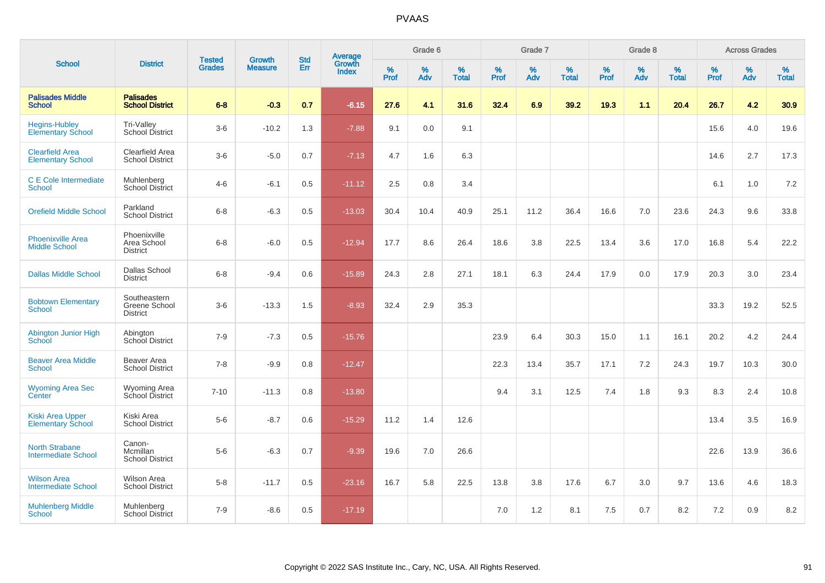| <b>School</b>                                       | <b>District</b>                                  | <b>Tested</b> |                                 | <b>Std</b> |                                          |                     | Grade 6     |                   |              | Grade 7     |                   |           | Grade 8     |                   |              | <b>Across Grades</b> |                   |
|-----------------------------------------------------|--------------------------------------------------|---------------|---------------------------------|------------|------------------------------------------|---------------------|-------------|-------------------|--------------|-------------|-------------------|-----------|-------------|-------------------|--------------|----------------------|-------------------|
|                                                     |                                                  | <b>Grades</b> | <b>Growth</b><br><b>Measure</b> | Err        | <b>Average</b><br>Growth<br><b>Index</b> | $\%$<br><b>Prof</b> | $\%$<br>Adv | %<br><b>Total</b> | $\%$<br>Prof | $\%$<br>Adv | %<br><b>Total</b> | %<br>Prof | $\%$<br>Adv | %<br><b>Total</b> | $\%$<br>Prof | $\%$<br>Adv          | %<br><b>Total</b> |
| <b>Palisades Middle</b><br><b>School</b>            | <b>Palisades</b><br><b>School District</b>       | $6 - 8$       | $-0.3$                          | 0.7        | $-6.15$                                  | 27.6                | 4.1         | 31.6              | 32.4         | 6.9         | 39.2              | 19.3      | 1.1         | 20.4              | 26.7         | 4.2                  | 30.9              |
| <b>Hegins-Hubley</b><br><b>Elementary School</b>    | Tri-Valley<br>School District                    | $3-6$         | $-10.2$                         | 1.3        | $-7.88$                                  | 9.1                 | 0.0         | 9.1               |              |             |                   |           |             |                   | 15.6         | 4.0                  | 19.6              |
| <b>Clearfield Area</b><br><b>Elementary School</b>  | Clearfield Area<br><b>School District</b>        | $3-6$         | $-5.0$                          | 0.7        | $-7.13$                                  | 4.7                 | 1.6         | 6.3               |              |             |                   |           |             |                   | 14.6         | 2.7                  | 17.3              |
| <b>C</b> E Cole Intermediate<br><b>School</b>       | Muhlenberg<br><b>School District</b>             | $4 - 6$       | $-6.1$                          | 0.5        | $-11.12$                                 | 2.5                 | 0.8         | 3.4               |              |             |                   |           |             |                   | 6.1          | 1.0                  | 7.2               |
| <b>Orefield Middle School</b>                       | Parkland<br><b>School District</b>               | $6 - 8$       | $-6.3$                          | 0.5        | $-13.03$                                 | 30.4                | 10.4        | 40.9              | 25.1         | 11.2        | 36.4              | 16.6      | 7.0         | 23.6              | 24.3         | 9.6                  | 33.8              |
| <b>Phoenixville Area</b><br><b>Middle School</b>    | Phoenixville<br>Area School<br><b>District</b>   | $6 - 8$       | $-6.0$                          | 0.5        | $-12.94$                                 | 17.7                | 8.6         | 26.4              | 18.6         | 3.8         | 22.5              | 13.4      | 3.6         | 17.0              | 16.8         | 5.4                  | 22.2              |
| <b>Dallas Middle School</b>                         | Dallas School<br><b>District</b>                 | $6 - 8$       | $-9.4$                          | 0.6        | $-15.89$                                 | 24.3                | 2.8         | 27.1              | 18.1         | 6.3         | 24.4              | 17.9      | 0.0         | 17.9              | 20.3         | 3.0                  | 23.4              |
| <b>Bobtown Elementary</b><br><b>School</b>          | Southeastern<br>Greene School<br><b>District</b> | $3-6$         | $-13.3$                         | 1.5        | $-8.93$                                  | 32.4                | 2.9         | 35.3              |              |             |                   |           |             |                   | 33.3         | 19.2                 | 52.5              |
| Abington Junior High<br><b>School</b>               | Abington<br>School District                      | $7 - 9$       | $-7.3$                          | 0.5        | $-15.76$                                 |                     |             |                   | 23.9         | 6.4         | 30.3              | 15.0      | 1.1         | 16.1              | 20.2         | 4.2                  | 24.4              |
| <b>Beaver Area Middle</b><br><b>School</b>          | Beaver Area<br><b>School District</b>            | $7 - 8$       | $-9.9$                          | 0.8        | $-12.47$                                 |                     |             |                   | 22.3         | 13.4        | 35.7              | 17.1      | 7.2         | 24.3              | 19.7         | 10.3                 | 30.0              |
| <b>Wyoming Area Sec</b><br>Center                   | Wyoming Area<br>School District                  | $7 - 10$      | $-11.3$                         | 0.8        | $-13.80$                                 |                     |             |                   | 9.4          | 3.1         | 12.5              | 7.4       | 1.8         | 9.3               | 8.3          | 2.4                  | 10.8              |
| <b>Kiski Area Upper</b><br><b>Elementary School</b> | Kiski Area<br><b>School District</b>             | $5-6$         | $-8.7$                          | 0.6        | $-15.29$                                 | 11.2                | 1.4         | 12.6              |              |             |                   |           |             |                   | 13.4         | 3.5                  | 16.9              |
| <b>North Strabane</b><br><b>Intermediate School</b> | Canon-<br>Mcmillan<br><b>School District</b>     | $5-6$         | $-6.3$                          | 0.7        | $-9.39$                                  | 19.6                | 7.0         | 26.6              |              |             |                   |           |             |                   | 22.6         | 13.9                 | 36.6              |
| <b>Wilson Area</b><br><b>Intermediate School</b>    | Wilson Area<br><b>School District</b>            | $5-8$         | $-11.7$                         | 0.5        | $-23.16$                                 | 16.7                | 5.8         | 22.5              | 13.8         | 3.8         | 17.6              | 6.7       | 3.0         | 9.7               | 13.6         | 4.6                  | 18.3              |
| <b>Muhlenberg Middle</b><br><b>School</b>           | Muhlenberg<br><b>School District</b>             | $7 - 9$       | $-8.6$                          | 0.5        | $-17.19$                                 |                     |             |                   | 7.0          | 1.2         | 8.1               | 7.5       | 0.7         | 8.2               | 7.2          | 0.9                  | 8.2               |